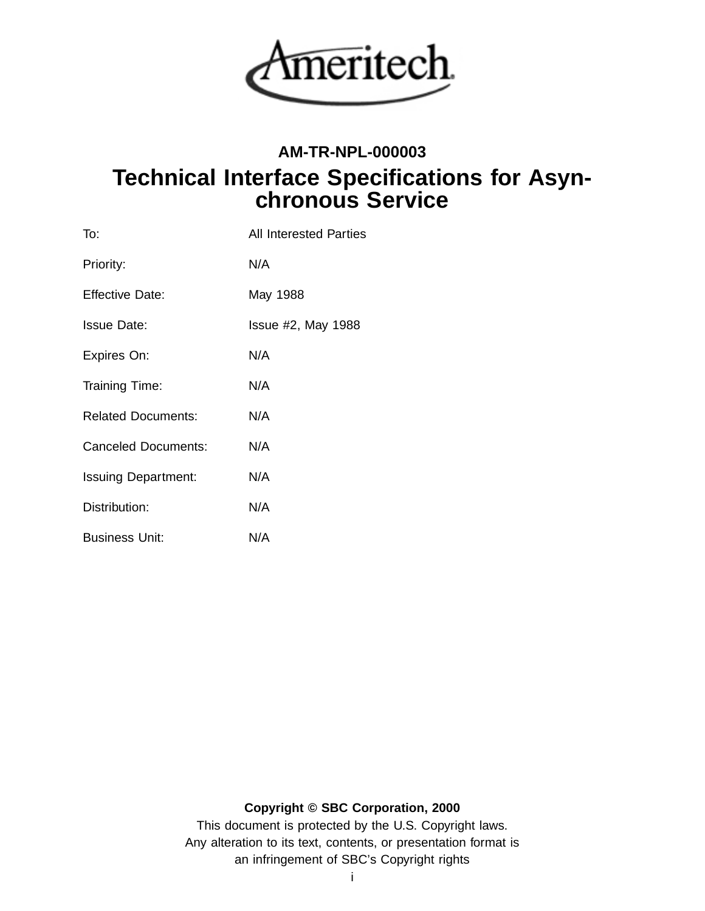

# **AM-TR-NPL-000003 Technical Interface Specifications for Asynchronous Service**

| To:                        | All Interested Parties |
|----------------------------|------------------------|
| Priority:                  | N/A                    |
| <b>Effective Date:</b>     | May 1988               |
| <b>Issue Date:</b>         | $Is sue #2$ , May 1988 |
| Expires On:                | N/A                    |
| Training Time:             | N/A                    |
| <b>Related Documents:</b>  | N/A                    |
| <b>Canceled Documents:</b> | N/A                    |
| <b>Issuing Department:</b> | N/A                    |
| Distribution:              | N/A                    |
| <b>Business Unit:</b>      | N/A                    |

## **Copyright © SBC Corporation, 2000**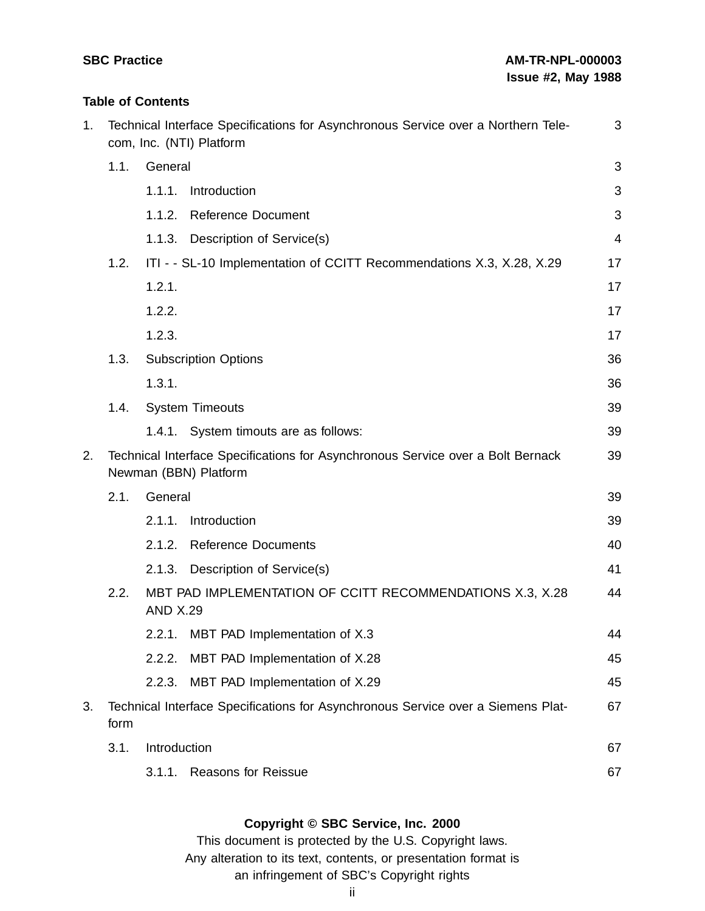## **Table of Contents**

| 1. |      |                 | Technical Interface Specifications for Asynchronous Service over a Northern Tele-<br>com, Inc. (NTI) Platform | 3  |
|----|------|-----------------|---------------------------------------------------------------------------------------------------------------|----|
|    | 1.1. | General         |                                                                                                               | 3  |
|    |      | 1.1.1.          | Introduction                                                                                                  | 3  |
|    |      | 1.1.2.          | <b>Reference Document</b>                                                                                     | 3  |
|    |      | 1.1.3.          | Description of Service(s)                                                                                     | 4  |
|    | 1.2. |                 | ITI - - SL-10 Implementation of CCITT Recommendations X.3, X.28, X.29                                         | 17 |
|    |      | 1.2.1.          |                                                                                                               | 17 |
|    |      | 1.2.2.          |                                                                                                               | 17 |
|    |      | 1.2.3.          |                                                                                                               | 17 |
|    | 1.3. |                 | <b>Subscription Options</b>                                                                                   | 36 |
|    |      | 1.3.1.          |                                                                                                               | 36 |
|    | 1.4. |                 | <b>System Timeouts</b>                                                                                        | 39 |
|    |      |                 | 1.4.1. System timouts are as follows:                                                                         | 39 |
| 2. |      |                 | Technical Interface Specifications for Asynchronous Service over a Bolt Bernack<br>Newman (BBN) Platform      | 39 |
|    | 2.1. | General         |                                                                                                               | 39 |
|    |      | 2.1.1.          | Introduction                                                                                                  | 39 |
|    |      | 2.1.2.          | <b>Reference Documents</b>                                                                                    | 40 |
|    |      | 2.1.3.          | Description of Service(s)                                                                                     | 41 |
|    | 2.2. | <b>AND X.29</b> | MBT PAD IMPLEMENTATION OF CCITT RECOMMENDATIONS X.3, X.28                                                     | 44 |
|    |      |                 | 2.2.1. MBT PAD Implementation of X.3                                                                          | 44 |
|    |      | 2.2.2.          | MBT PAD Implementation of X.28                                                                                | 45 |
|    |      | 2.2.3.          | MBT PAD Implementation of X.29                                                                                | 45 |
| 3. | form |                 | Technical Interface Specifications for Asynchronous Service over a Siemens Plat-                              | 67 |
|    | 3.1. | Introduction    |                                                                                                               | 67 |
|    |      |                 | 3.1.1. Reasons for Reissue                                                                                    | 67 |
|    |      |                 |                                                                                                               |    |

## **Copyright © SBC Service, Inc. 2000**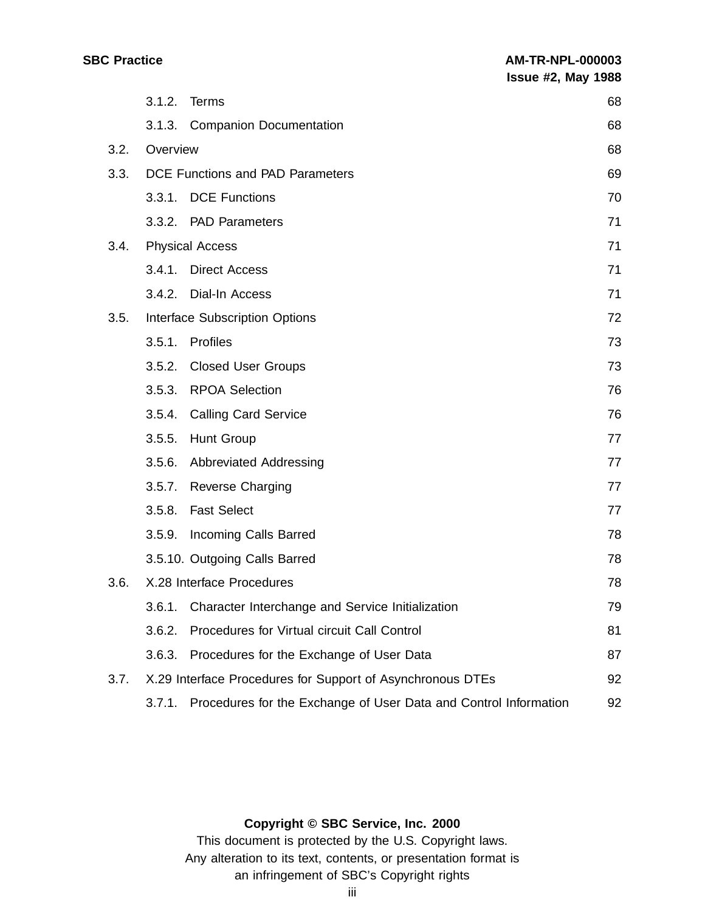|      |          | 3.1.2. Terms                                                     | 68 |
|------|----------|------------------------------------------------------------------|----|
|      |          | 3.1.3. Companion Documentation                                   | 68 |
| 3.2. | Overview |                                                                  | 68 |
| 3.3. |          | DCE Functions and PAD Parameters                                 | 69 |
|      |          | 3.3.1. DCE Functions                                             | 70 |
|      |          | 3.3.2. PAD Parameters                                            | 71 |
| 3.4. |          | <b>Physical Access</b>                                           | 71 |
|      |          | 3.4.1. Direct Access                                             | 71 |
|      |          | 3.4.2. Dial-In Access                                            | 71 |
| 3.5. |          | Interface Subscription Options                                   | 72 |
|      | 3.5.1.   | Profiles                                                         | 73 |
|      |          | 3.5.2. Closed User Groups                                        | 73 |
|      | 3.5.3.   | <b>RPOA Selection</b>                                            | 76 |
|      |          | 3.5.4. Calling Card Service                                      | 76 |
|      | 3.5.5.   | <b>Hunt Group</b>                                                | 77 |
|      |          | 3.5.6. Abbreviated Addressing                                    | 77 |
|      |          | 3.5.7. Reverse Charging                                          | 77 |
|      | 3.5.8.   | <b>Fast Select</b>                                               | 77 |
|      | 3.5.9.   | <b>Incoming Calls Barred</b>                                     | 78 |
|      |          | 3.5.10. Outgoing Calls Barred                                    | 78 |
| 3.6. |          | X.28 Interface Procedures                                        | 78 |
|      |          | 3.6.1. Character Interchange and Service Initialization          | 79 |
|      | 3.6.2.   | Procedures for Virtual circuit Call Control                      | 81 |
|      | 3.6.3.   | Procedures for the Exchange of User Data                         | 87 |
| 3.7. |          | X.29 Interface Procedures for Support of Asynchronous DTEs       | 92 |
|      | 3.7.1.   | Procedures for the Exchange of User Data and Control Information | 92 |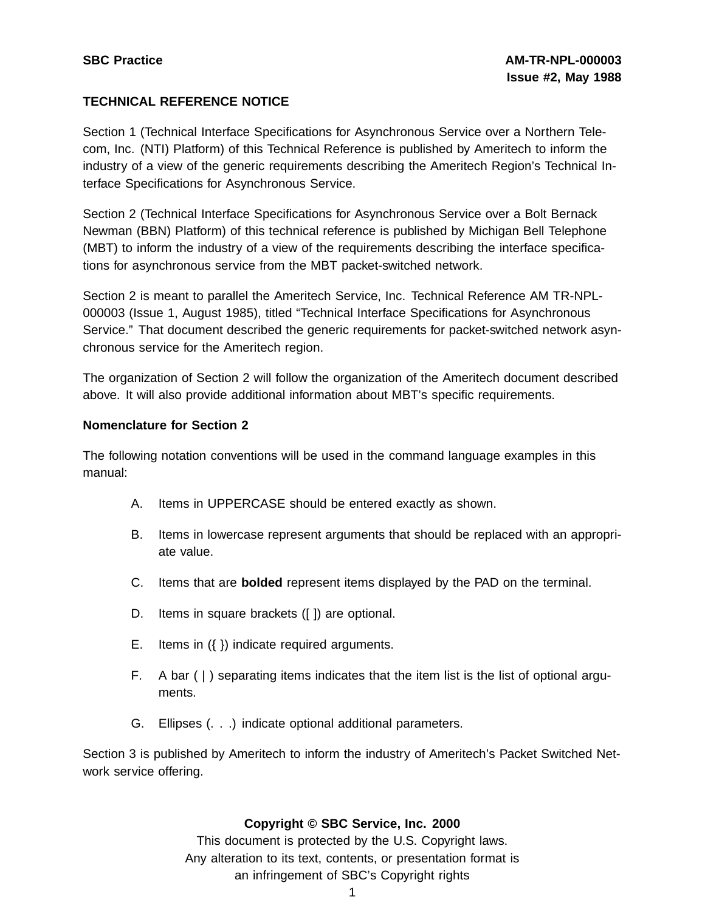## **TECHNICAL REFERENCE NOTICE**

Section 1 (Technical Interface Specifications for Asynchronous Service over a Northern Telecom, Inc. (NTI) Platform) of this Technical Reference is published by Ameritech to inform the industry of a view of the generic requirements describing the Ameritech Region's Technical Interface Specifications for Asynchronous Service.

Section 2 (Technical Interface Specifications for Asynchronous Service over a Bolt Bernack Newman (BBN) Platform) of this technical reference is published by Michigan Bell Telephone (MBT) to inform the industry of a view of the requirements describing the interface specifications for asynchronous service from the MBT packet-switched network.

Section 2 is meant to parallel the Ameritech Service, Inc. Technical Reference AM TR-NPL-000003 (Issue 1, August 1985), titled "Technical Interface Specifications for Asynchronous Service." That document described the generic requirements for packet-switched network asynchronous service for the Ameritech region.

The organization of Section 2 will follow the organization of the Ameritech document described above. It will also provide additional information about MBT's specific requirements.

## **Nomenclature for Section 2**

The following notation conventions will be used in the command language examples in this manual:

- A. Items in UPPERCASE should be entered exactly as shown.
- B. Items in lowercase represent arguments that should be replaced with an appropriate value.
- C. Items that are **bolded** represent items displayed by the PAD on the terminal.
- D. Items in square brackets ([ ]) are optional.
- E. Items in ({ }) indicate required arguments.
- F. A bar  $( )$  separating items indicates that the item list is the list of optional arguments.
- G. Ellipses (. . .) indicate optional additional parameters.

Section 3 is published by Ameritech to inform the industry of Ameritech's Packet Switched Network service offering.

## **Copyright © SBC Service, Inc. 2000**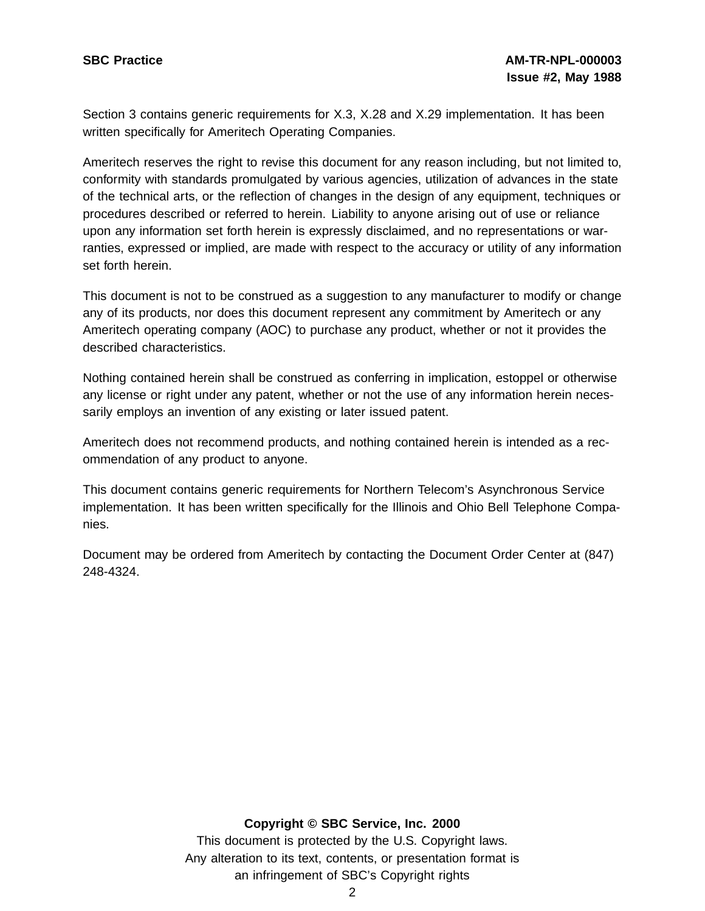Section 3 contains generic requirements for X.3, X.28 and X.29 implementation. It has been written specifically for Ameritech Operating Companies.

Ameritech reserves the right to revise this document for any reason including, but not limited to, conformity with standards promulgated by various agencies, utilization of advances in the state of the technical arts, or the reflection of changes in the design of any equipment, techniques or procedures described or referred to herein. Liability to anyone arising out of use or reliance upon any information set forth herein is expressly disclaimed, and no representations or warranties, expressed or implied, are made with respect to the accuracy or utility of any information set forth herein.

This document is not to be construed as a suggestion to any manufacturer to modify or change any of its products, nor does this document represent any commitment by Ameritech or any Ameritech operating company (AOC) to purchase any product, whether or not it provides the described characteristics.

Nothing contained herein shall be construed as conferring in implication, estoppel or otherwise any license or right under any patent, whether or not the use of any information herein necessarily employs an invention of any existing or later issued patent.

Ameritech does not recommend products, and nothing contained herein is intended as a recommendation of any product to anyone.

This document contains generic requirements for Northern Telecom's Asynchronous Service implementation. It has been written specifically for the Illinois and Ohio Bell Telephone Companies.

Document may be ordered from Ameritech by contacting the Document Order Center at (847) 248-4324.

## **Copyright © SBC Service, Inc. 2000**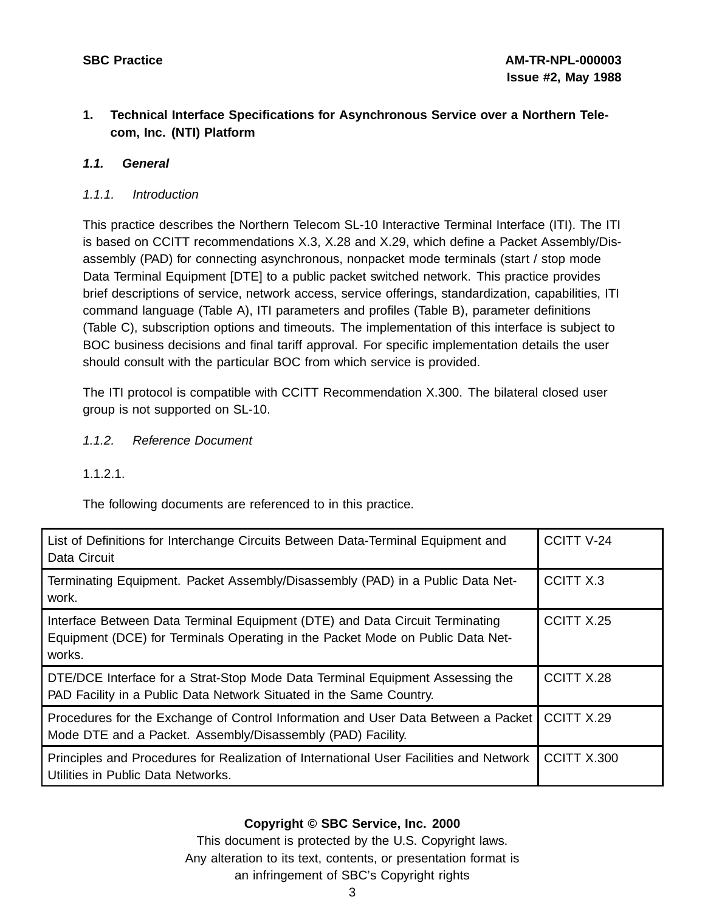## **1. Technical Interface Specifications for Asynchronous Service over a Northern Telecom, Inc. (NTI) Platform**

## **1.1. General**

## 1.1.1. Introduction

This practice describes the Northern Telecom SL-10 Interactive Terminal Interface (ITI). The ITI is based on CCITT recommendations X.3, X.28 and X.29, which define a Packet Assembly/Disassembly (PAD) for connecting asynchronous, nonpacket mode terminals (start / stop mode Data Terminal Equipment [DTE] to a public packet switched network. This practice provides brief descriptions of service, network access, service offerings, standardization, capabilities, ITI command language (Table A), ITI parameters and profiles (Table B), parameter definitions (Table C), subscription options and timeouts. The implementation of this interface is subject to BOC business decisions and final tariff approval. For specific implementation details the user should consult with the particular BOC from which service is provided.

The ITI protocol is compatible with CCITT Recommendation X.300. The bilateral closed user group is not supported on SL-10.

1.1.2. Reference Document

1.1.2.1.

The following documents are referenced to in this practice.

| List of Definitions for Interchange Circuits Between Data-Terminal Equipment and<br>Data Circuit                                                                         | <b>CCITT V-24</b> |
|--------------------------------------------------------------------------------------------------------------------------------------------------------------------------|-------------------|
| Terminating Equipment. Packet Assembly/Disassembly (PAD) in a Public Data Net-<br>work.                                                                                  | CCITT X.3         |
| Interface Between Data Terminal Equipment (DTE) and Data Circuit Terminating<br>Equipment (DCE) for Terminals Operating in the Packet Mode on Public Data Net-<br>works. | CCITT X.25        |
| DTE/DCE Interface for a Strat-Stop Mode Data Terminal Equipment Assessing the<br>PAD Facility in a Public Data Network Situated in the Same Country.                     | CCITT X.28        |
| Procedures for the Exchange of Control Information and User Data Between a Packet<br>Mode DTE and a Packet. Assembly/Disassembly (PAD) Facility.                         | CCITT X.29        |
| Principles and Procedures for Realization of International User Facilities and Network<br>Utilities in Public Data Networks.                                             | CCITT X.300       |

## **Copyright © SBC Service, Inc. 2000**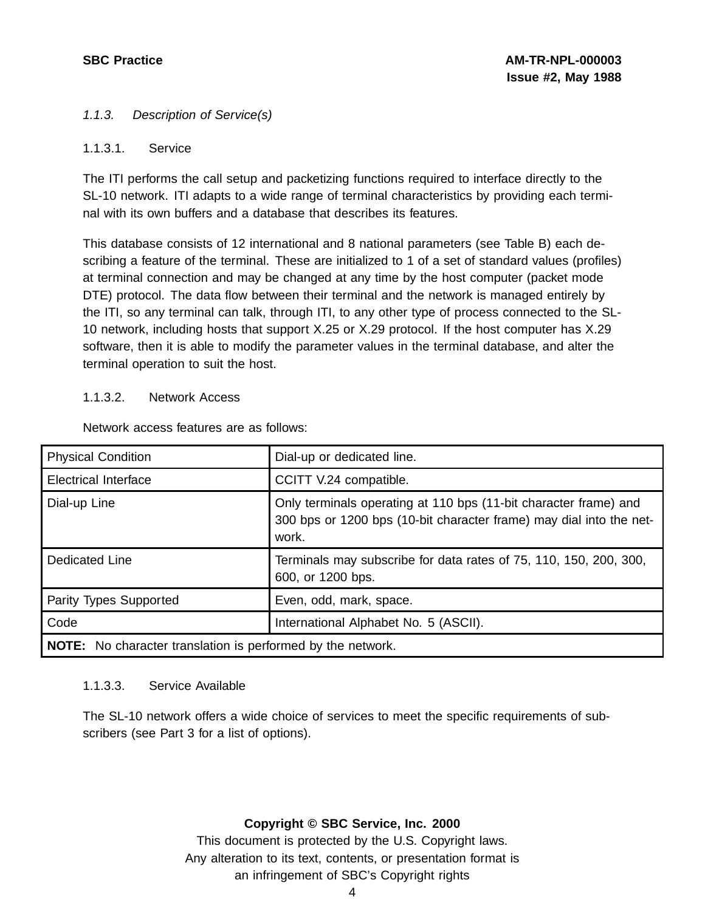## 1.1.3. Description of Service(s)

## 1.1.3.1. Service

The ITI performs the call setup and packetizing functions required to interface directly to the SL-10 network. ITI adapts to a wide range of terminal characteristics by providing each terminal with its own buffers and a database that describes its features.

This database consists of 12 international and 8 national parameters (see Table B) each describing a feature of the terminal. These are initialized to 1 of a set of standard values (profiles) at terminal connection and may be changed at any time by the host computer (packet mode DTE) protocol. The data flow between their terminal and the network is managed entirely by the ITI, so any terminal can talk, through ITI, to any other type of process connected to the SL-10 network, including hosts that support X.25 or X.29 protocol. If the host computer has X.29 software, then it is able to modify the parameter values in the terminal database, and alter the terminal operation to suit the host.

## 1.1.3.2. Network Access

| <b>Physical Condition</b>                                          | Dial-up or dedicated line.                                                                                                                       |  |  |  |
|--------------------------------------------------------------------|--------------------------------------------------------------------------------------------------------------------------------------------------|--|--|--|
| <b>Electrical Interface</b>                                        | CCITT V.24 compatible.                                                                                                                           |  |  |  |
| Dial-up Line                                                       | Only terminals operating at 110 bps (11-bit character frame) and<br>300 bps or 1200 bps (10-bit character frame) may dial into the net-<br>work. |  |  |  |
| Dedicated Line                                                     | Terminals may subscribe for data rates of 75, 110, 150, 200, 300,<br>600, or 1200 bps.                                                           |  |  |  |
| Parity Types Supported                                             | Even, odd, mark, space.                                                                                                                          |  |  |  |
| Code                                                               | International Alphabet No. 5 (ASCII).                                                                                                            |  |  |  |
| <b>NOTE:</b> No character translation is performed by the network. |                                                                                                                                                  |  |  |  |

Network access features are as follows:

## 1.1.3.3. Service Available

The SL-10 network offers a wide choice of services to meet the specific requirements of subscribers (see Part 3 for a list of options).

## **Copyright © SBC Service, Inc. 2000**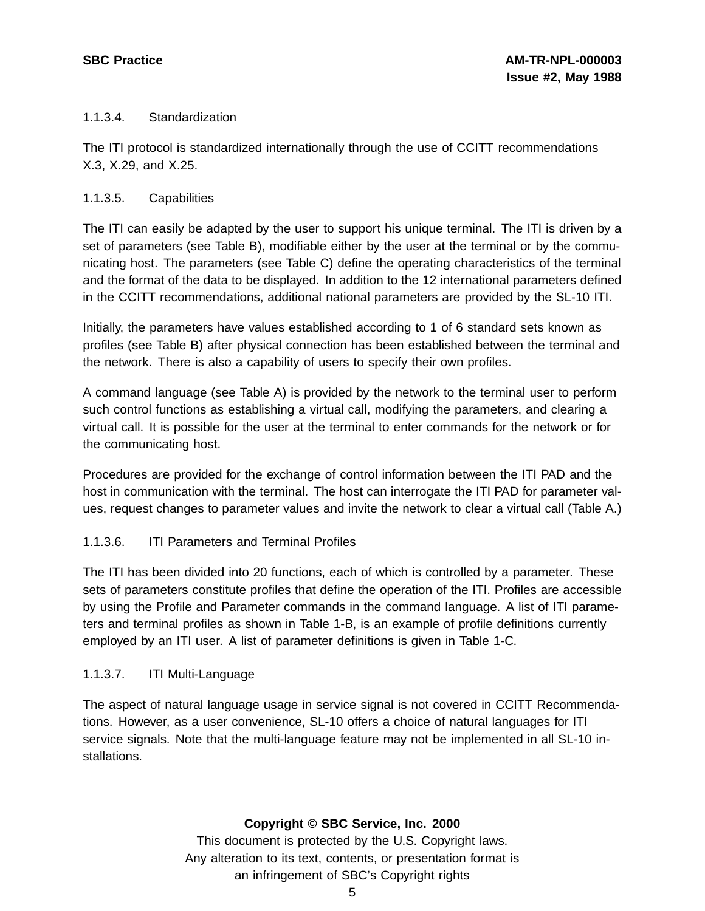## 1.1.3.4. Standardization

The ITI protocol is standardized internationally through the use of CCITT recommendations X.3, X.29, and X.25.

## 1.1.3.5. Capabilities

The ITI can easily be adapted by the user to support his unique terminal. The ITI is driven by a set of parameters (see Table B), modifiable either by the user at the terminal or by the communicating host. The parameters (see Table C) define the operating characteristics of the terminal and the format of the data to be displayed. In addition to the 12 international parameters defined in the CCITT recommendations, additional national parameters are provided by the SL-10 ITI.

Initially, the parameters have values established according to 1 of 6 standard sets known as profiles (see Table B) after physical connection has been established between the terminal and the network. There is also a capability of users to specify their own profiles.

A command language (see Table A) is provided by the network to the terminal user to perform such control functions as establishing a virtual call, modifying the parameters, and clearing a virtual call. It is possible for the user at the terminal to enter commands for the network or for the communicating host.

Procedures are provided for the exchange of control information between the ITI PAD and the host in communication with the terminal. The host can interrogate the ITI PAD for parameter values, request changes to parameter values and invite the network to clear a virtual call (Table A.)

## 1.1.3.6. ITI Parameters and Terminal Profiles

The ITI has been divided into 20 functions, each of which is controlled by a parameter. These sets of parameters constitute profiles that define the operation of the ITI. Profiles are accessible by using the Profile and Parameter commands in the command language. A list of ITI parameters and terminal profiles as shown in Table 1-B, is an example of profile definitions currently employed by an ITI user. A list of parameter definitions is given in Table 1-C.

## 1.1.3.7. ITI Multi-Language

The aspect of natural language usage in service signal is not covered in CCITT Recommendations. However, as a user convenience, SL-10 offers a choice of natural languages for ITI service signals. Note that the multi-language feature may not be implemented in all SL-10 installations.

## **Copyright © SBC Service, Inc. 2000**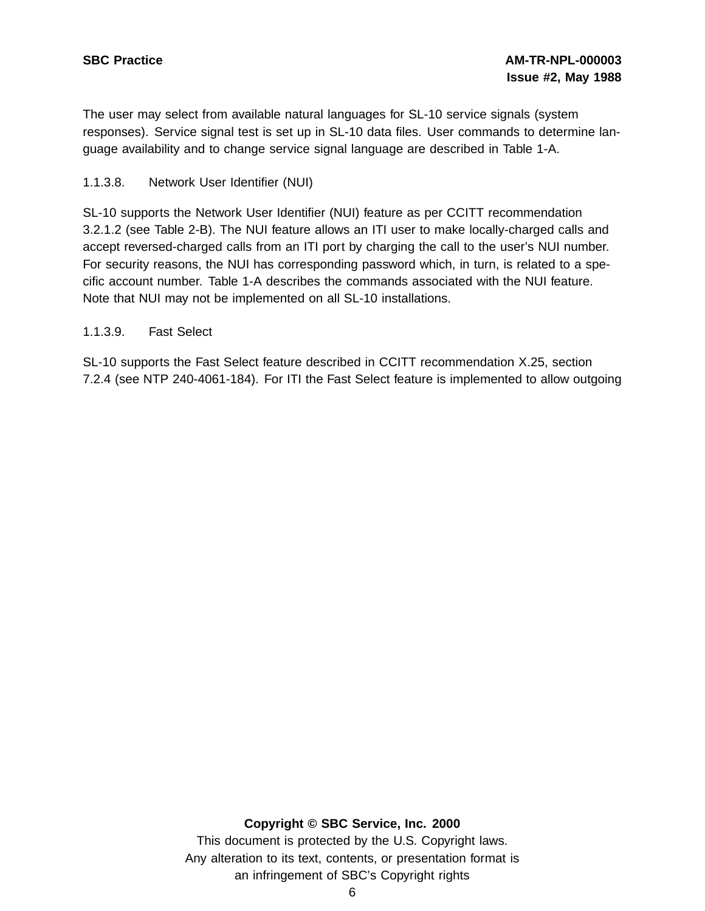The user may select from available natural languages for SL-10 service signals (system responses). Service signal test is set up in SL-10 data files. User commands to determine language availability and to change service signal language are described in Table 1-A.

## 1.1.3.8. Network User Identifier (NUI)

SL-10 supports the Network User Identifier (NUI) feature as per CCITT recommendation 3.2.1.2 (see Table 2-B). The NUI feature allows an ITI user to make locally-charged calls and accept reversed-charged calls from an ITI port by charging the call to the user's NUI number. For security reasons, the NUI has corresponding password which, in turn, is related to a specific account number. Table 1-A describes the commands associated with the NUI feature. Note that NUI may not be implemented on all SL-10 installations.

## 1.1.3.9. Fast Select

SL-10 supports the Fast Select feature described in CCITT recommendation X.25, section 7.2.4 (see NTP 240-4061-184). For ITI the Fast Select feature is implemented to allow outgoing

## **Copyright © SBC Service, Inc. 2000**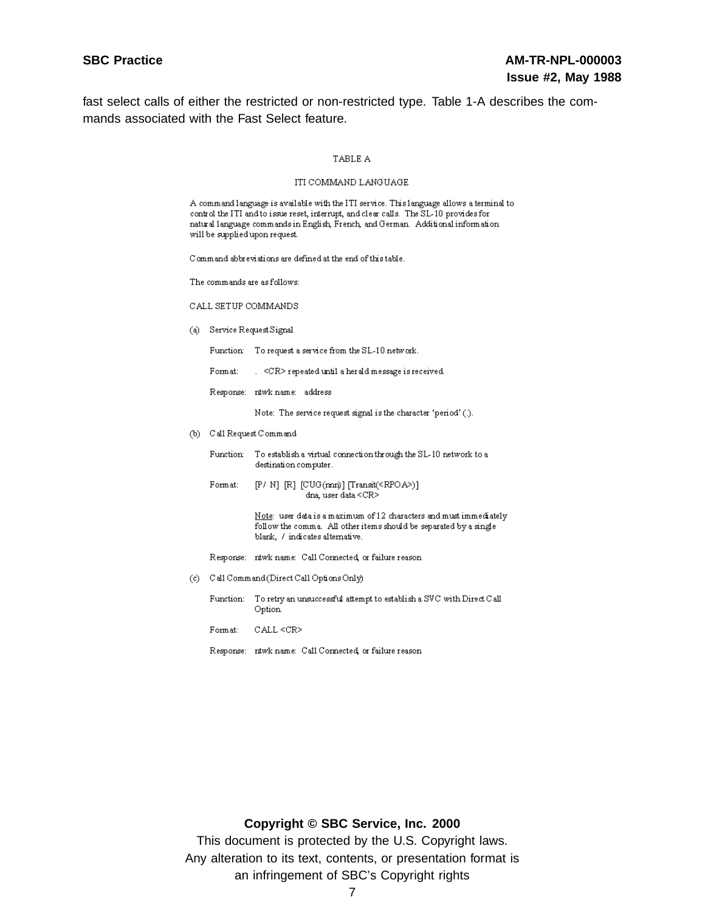fast select calls of either the restricted or non-restricted type. Table 1-A describes the commands associated with the Fast Select feature.

### TABLE A

#### ITI COMMAND LANGUAGE

| A command language is available with the ITI service. This language allows a terminal to |
|------------------------------------------------------------------------------------------|
| control the ITI and to issue reset, interrupt, and clear calls. The SL-10 provides for   |
|                                                                                          |
| will be supplied upon request. .                                                         |
|                                                                                          |

Command abbreviations are defined at the end of this table.

The commands are as follows:

CALL SETUP COMMANDS

(a) Service Request Signal

Function To request a service from the SL-10 network.

Format: . < CR> repeated until a herald message is received.

Response: ntwk name: address

Note: The service request signal is the character 'period' (.).

- (b) Call Request Command
	- Function To establish a virtual connection through the SL-10 network to a destination computer.
	- $[P/ N]$  [R] [CUG(mm)] [Transit(<RPOA>)] Form at: dna, user data <CR>

Note: user data is a maximum of 12 characters and must immediately follow the comma. All other items should be separated by a single blank, / indicates alternative.

- Response: ntwk name: Call Connected, or failure reason
- (c) Call Command (Direct Call Options Only)
	- Function: To retry an unsuccessful attempt to establish a SVC with Direct Call Option
	- Format:  $CALL < CR$
	- Response: ntwk name: Call Connected, or failure reason

## **Copyright © SBC Service, Inc. 2000**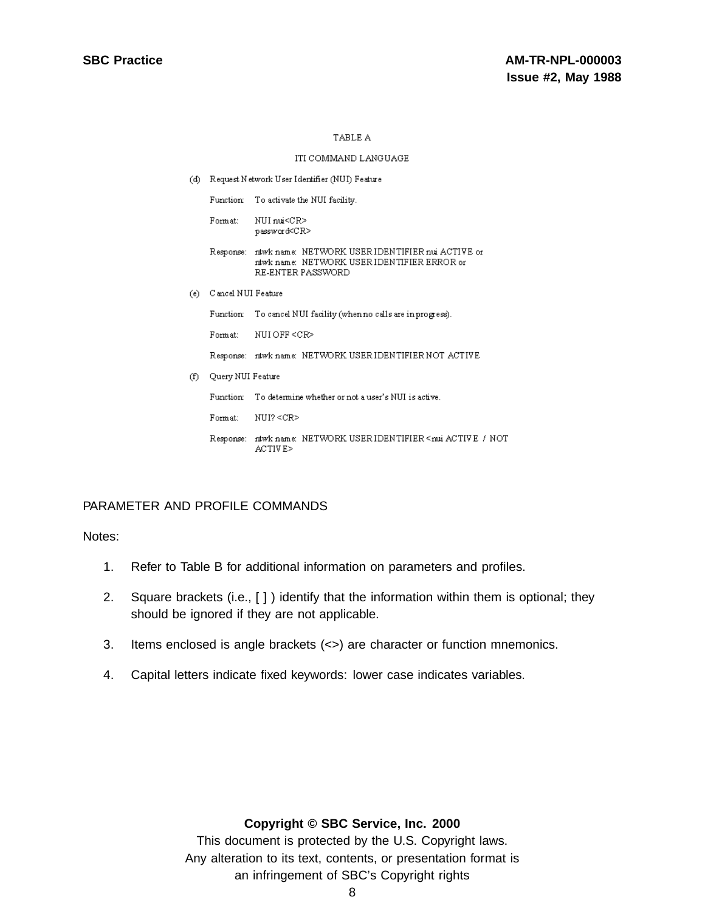### ITI COMMAND LANGUAGE

(d) Request Network User Identifier (NUI) Feature

Function To activate the NUI facility.

Format: NUI nui<CR> password<CR>

### Response: ntwk name: NETWORK USER IDENTIFIER nui ACTIVE or ntwk name: NETWORK USER IDENTIFIER ERROR or RE-ENTER PASSWORD

(e) Cancel NUI Feature

Function To cancel NUI facility (when no calls are in progress). NUIOFF <CR> Format:

Response: ntwk name: NETWORK USER IDENTIFIER NOT ACTIVE

(f) Query NUI Feature

Function To determine whether or not a user's NUI is active.

NUI? <CR> Format:

Response: ntwk name: NETWORK USERIDENTIFIER  $<$ nui ACTIV E $\,$ / NOT ACTIVE>

## PARAMETER AND PROFILE COMMANDS

Notes:

- 1. Refer to Table B for additional information on parameters and profiles.
- 2. Square brackets (i.e., [ ] ) identify that the information within them is optional; they should be ignored if they are not applicable.
- 3. Items enclosed is angle brackets (<>) are character or function mnemonics.
- 4. Capital letters indicate fixed keywords: lower case indicates variables.

## **Copyright © SBC Service, Inc. 2000**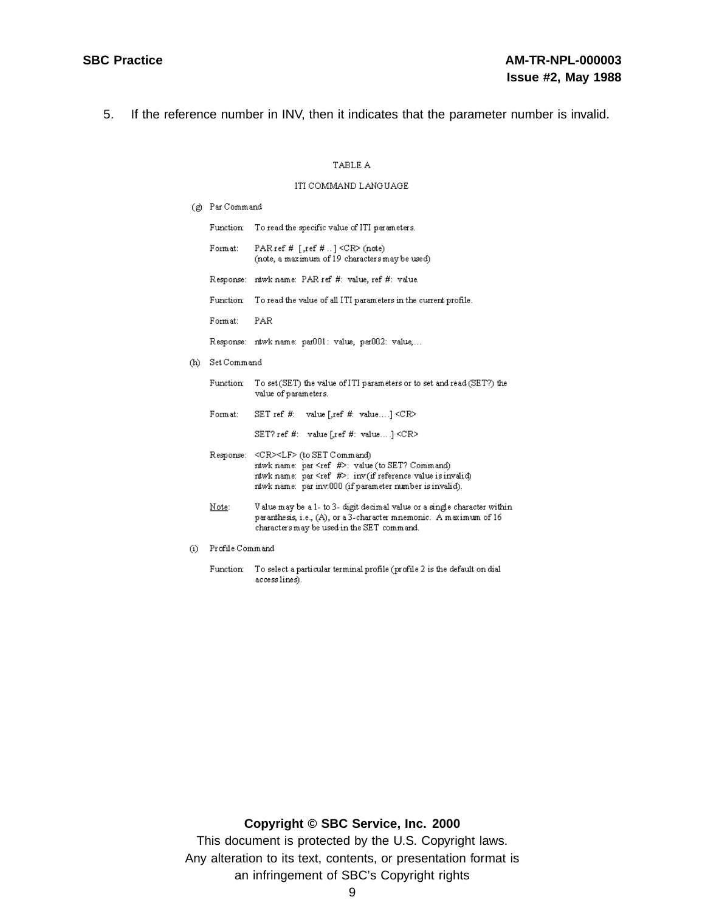5. If the reference number in INV, then it indicates that the parameter number is invalid.

### TABLE A

### ITI COMMAND LANGUAGE

(g) Par Command

|                        |                 | Function To read the specific value of ITI parameters.                                                                                                                                                                                          |
|------------------------|-----------------|-------------------------------------------------------------------------------------------------------------------------------------------------------------------------------------------------------------------------------------------------|
|                        | Form at:        | PAR ref $#$ [,ref $#$ ] $\langle$ CR $\rangle$ (note)<br>(note, a maximum of 19 characters may be used)                                                                                                                                         |
|                        |                 | Response: ntwk name: PAR ref #: value, ref #: value.                                                                                                                                                                                            |
|                        | Function:       | To read the value of all ITI parameters in the current profile.                                                                                                                                                                                 |
|                        | Form at:        | PAR                                                                                                                                                                                                                                             |
|                        |                 | Response: ntwk name: par001: value, par002: value,                                                                                                                                                                                              |
| (h)                    | Set Command     |                                                                                                                                                                                                                                                 |
|                        | Function        | To set (SET) the value of ITI parameters or to set and read (SET?) the<br>value of parameters.                                                                                                                                                  |
|                        | Format:         | SET ref #: value [.ref #: value] $\langle$ CR>                                                                                                                                                                                                  |
|                        |                 | SET? ref #: value [.ref #: value] $\langle$ CR>                                                                                                                                                                                                 |
|                        |                 | Response: <cr><lf> (to SET Command)<br/>ntwk name: par <ref #="">: value (to SET? Command)<br/>ntwk name: par <ref #="">: inv(if reference value is invalid)<br/>ntwk name: par inv.000 (if parameter number is invalid).</ref></ref></lf></cr> |
|                        | Note:           | Value may be a 1- to 3- digit decimal value or a single character within<br>paranthesis, i.e., (A), or a 3-character mnemonic. A maximum of 16<br>characters may be used in the SET command.                                                    |
| $\rm \scriptstyle (i)$ | Profile Command |                                                                                                                                                                                                                                                 |

## **Copyright © SBC Service, Inc. 2000**

Function: To select a particular terminal profile (profile 2 is the default on dial access lines).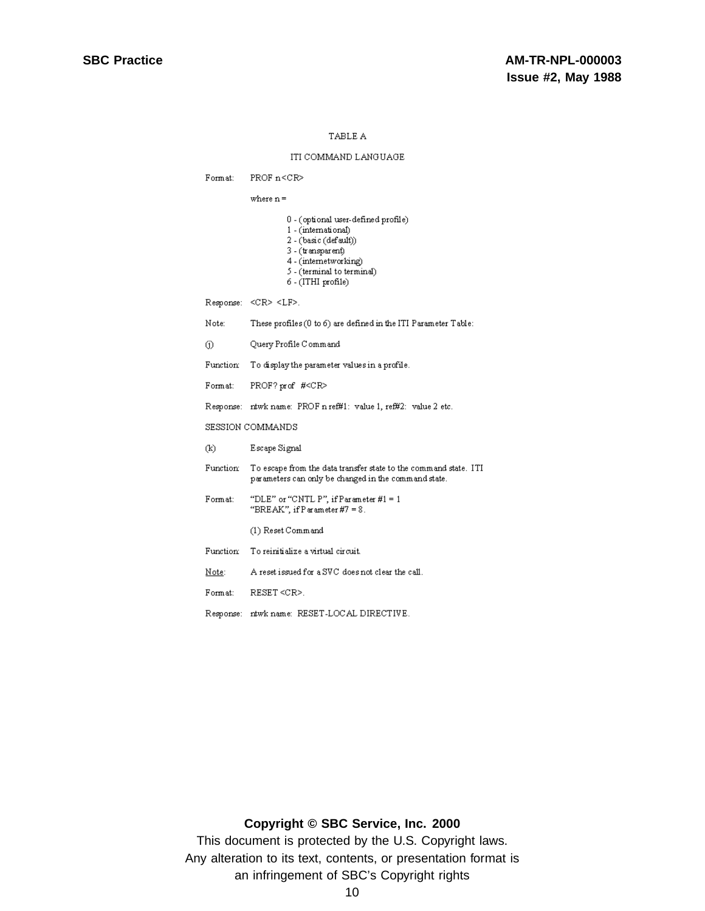#### ITI COMMAND LANGUAGE

PROF  $n < CR$ Format:

where  $n =$ 

- $0$  (optional user-defined profile)
- 1 (international)
- $2 (basic (default))$
- 3 (transparent)
- 4 (internetworking)
- 5 (terminal to terminal)
- $6 (ITHI profile)$

 $\begin{minipage}{.4\linewidth} \textbf{Response:} & \textbf{<}\textbf{CR}\textbf{>}\textbf{~}\textbf{<}\textbf{LF}\textbf{>}. \end{minipage}$ 

- Note: These profiles  $(0 \text{ to } 6)$  are defined in the ITI Parameter Table:
- Query Profile Command  $\circ$
- Function To display the parameter values in a profile.
- PROF? prof #<CR>  $\hbox{Format:}$
- Response: ntwk name: PROF n ref#1: value 1, ref#2: value 2 etc.

SESSION COMMANDS

| Œ)        | Escape Signal                                                                                                            |  |  |  |  |
|-----------|--------------------------------------------------------------------------------------------------------------------------|--|--|--|--|
| Function: | To escape from the data transfer state to the command state. ITI<br>parameters can only be changed in the command state. |  |  |  |  |
| Format:   | "DLE" or "CNTL P", if $Parameter #1 = 1$<br>"BREAK", if $P$ arameter $\#7 = 8$ .                                         |  |  |  |  |
|           | (1) Reset Command                                                                                                        |  |  |  |  |
| Function: | To reinitialize a virtual circuit.                                                                                       |  |  |  |  |
| Note:     | A reset issued for a SVC does not clear the call.                                                                        |  |  |  |  |
| Format:   | RESET < CP                                                                                                               |  |  |  |  |
|           | Response: ntwk name: RESET-LOCAL DIRECTIVE.                                                                              |  |  |  |  |

## **Copyright © SBC Service, Inc. 2000**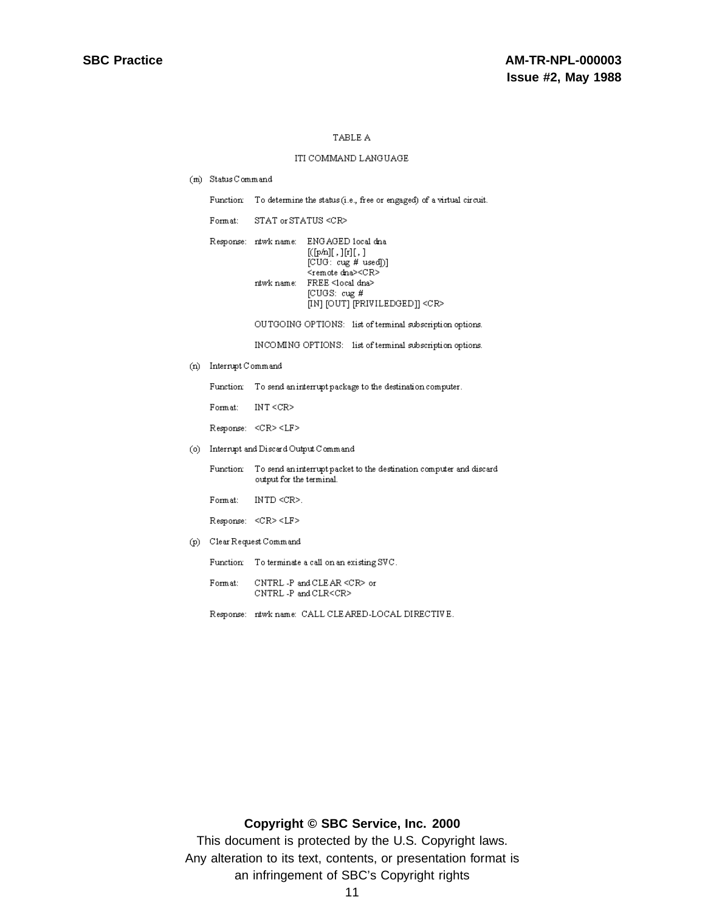#### ITI COMMAND LANGUAGE

(m) Status Command

Function: To determine the status (i.e., free or engaged) of a virtual circuit.

Format: STAT or STATUS <CR>

|  | Response: ntwk name: ENGAGED local dna<br>$[(p/h)$ , $[r]$ , $]$<br>[CUG: cug # used]<br><remote dna=""><cr><br/>ntwk name: FREE <local dna=""><br/><math>ICUGS: cue</math>#<br/>[IN] [OUT] [PRIVILEDGED]] <cr></cr></local></cr></remote> |
|--|--------------------------------------------------------------------------------------------------------------------------------------------------------------------------------------------------------------------------------------------|
|  |                                                                                                                                                                                                                                            |

OUTGOING OPTIONS: list of terminal subscription options.

INCOMING OPTIONS: list of terminal subscription options.

(n) Interrupt Command

Function To send an interrupt package to the destination computer.

Format:  $INT < **CR**$ 

Response: <CR><LF>

(o) Interrupt and Discard Output Command

Function To send an interrupt packet to the destination computer and discard output for the terminal.

 $\mbox{Form} \, \mbox{at:}$  $\text{INTD} \lll \text{R}$  .

Response: <CR><LF>

(p) Clear Request Command

Function To terminate a call on an existing SVC.

- $\hbox{Form at:}$  $\text{{\sc C}NTRL}$  -P and  $\text{{\sc CLEAR}} \! < \! \text{{\sc C}R} \! >$  or  $\texttt{CNTRL-P}$  and  $\texttt{CLR}\texttt{<}\texttt{CR}\texttt{>}$
- Response: ntwk name: CALL CLEARED-LOCAL DIRECTIVE.

## **Copyright © SBC Service, Inc. 2000**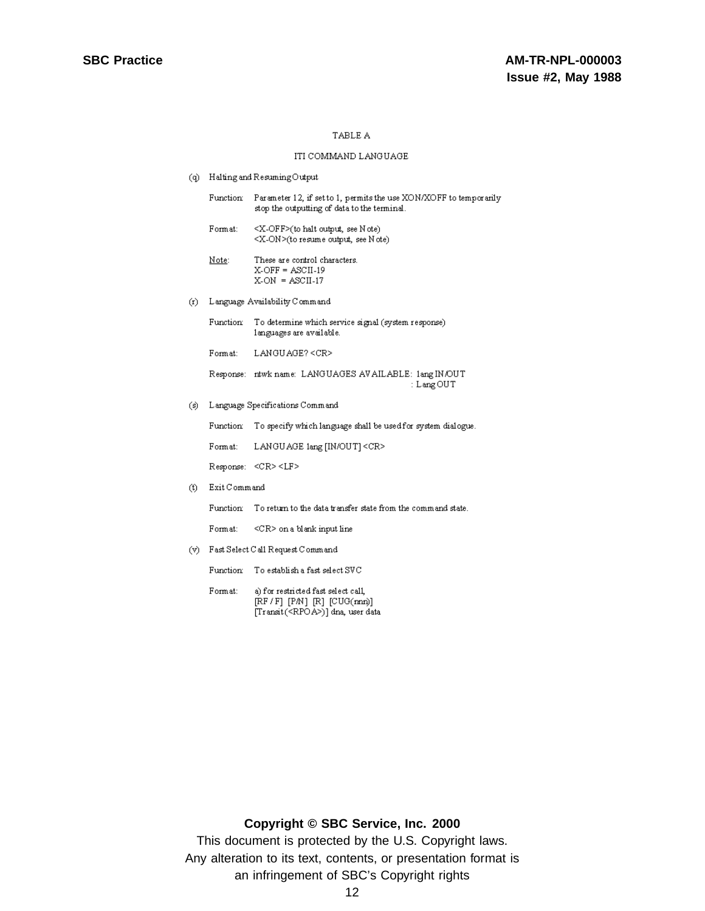#### ITI COMMAND LANGUAGE

(q) Halting and Resuming Output

|           | Function     | Parameter 12, if set to 1, permits the use XON/XOFF to temporarily<br>stop the outputting of data to the terminal. |
|-----------|--------------|--------------------------------------------------------------------------------------------------------------------|
|           | Format:      | $\langle X$ -OFF $\rangle$ (to halt output, see N ote)<br><x-on>(to resume output, see Note)</x-on>                |
|           | Note:        | These are control characters.<br>$X-OFF = ASCII-19$<br>$X-ON = ASCII-17$                                           |
| (r)       |              | Language Availability Command                                                                                      |
|           | Function     | To determine which service signal (system response)<br>languages are available.                                    |
|           | Format:      | LANGUAGE? <cr></cr>                                                                                                |
|           |              | Response: ntwk name: LANGUAGES AV AILABLE: 1ang IN/OUT<br>: Lang OUT                                               |
| (s)       |              | Language Specifications Command                                                                                    |
|           | Function:    | To specify which language shall be used for system dialogue.                                                       |
|           | Format:      | LANGUAGE lang [IN/OUT] <cr></cr>                                                                                   |
|           |              | Response: <cr><lf></lf></cr>                                                                                       |
| (t)       | Exit Command |                                                                                                                    |
|           | Function:    | To return to the data transfer state from the command state.                                                       |
|           | Format:      | $\leq$ CR> on a blank input line                                                                                   |
| $\lambda$ |              | $P: A \times A: A \times A \times D: A \times A \times A$                                                          |

(v) Fast Select Call Request Command

Function  $\;$  To establish a fast select SVC

a) for restricted fast select call, Format: [RF / F] [PM] [R] [CUG(mm)]<br>[Transit(<RPOA>)] dna, user data

## **Copyright © SBC Service, Inc. 2000**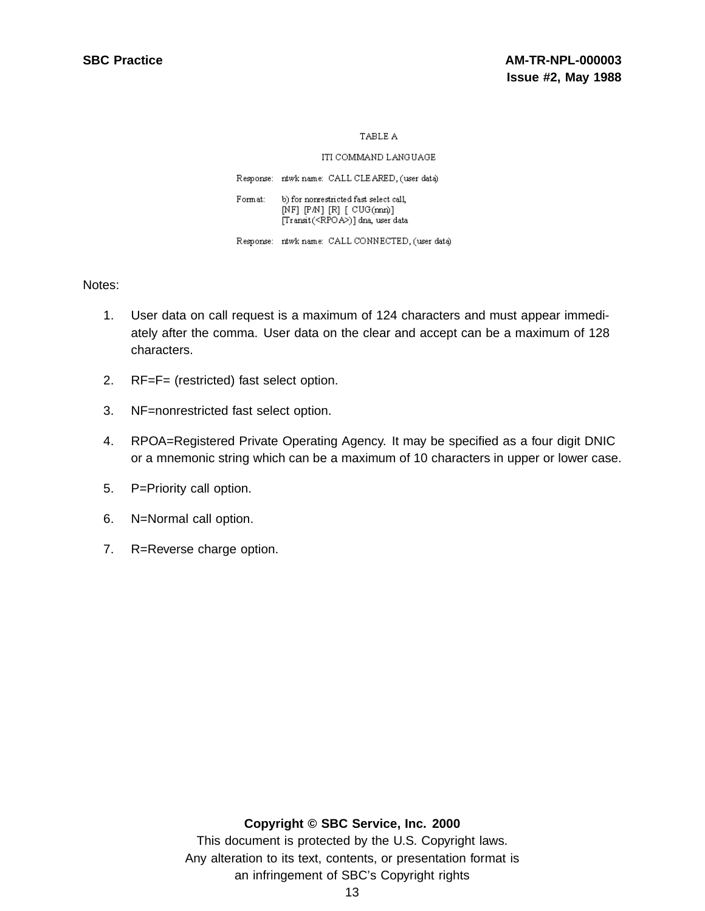ITI COMMAND LANGUAGE

Response: ntwk name: CALL CLEARED, (user data)

b) for nonrestricted fast select call, Format:  $[NF]$   $[PM]$   $[R]$   $[CUG(mn)]$ [Transit(<RPOA>)] dna, user data

Response: ntwk name: CALL CONNECTED, (user data)

Notes:

- 1. User data on call request is a maximum of 124 characters and must appear immediately after the comma. User data on the clear and accept can be a maximum of 128 characters.
- 2. RF=F= (restricted) fast select option.
- 3. NF=nonrestricted fast select option.
- 4. RPOA=Registered Private Operating Agency. It may be specified as a four digit DNIC or a mnemonic string which can be a maximum of 10 characters in upper or lower case.
- 5. P=Priority call option.
- 6. N=Normal call option.
- 7. R=Reverse charge option.

## **Copyright © SBC Service, Inc. 2000**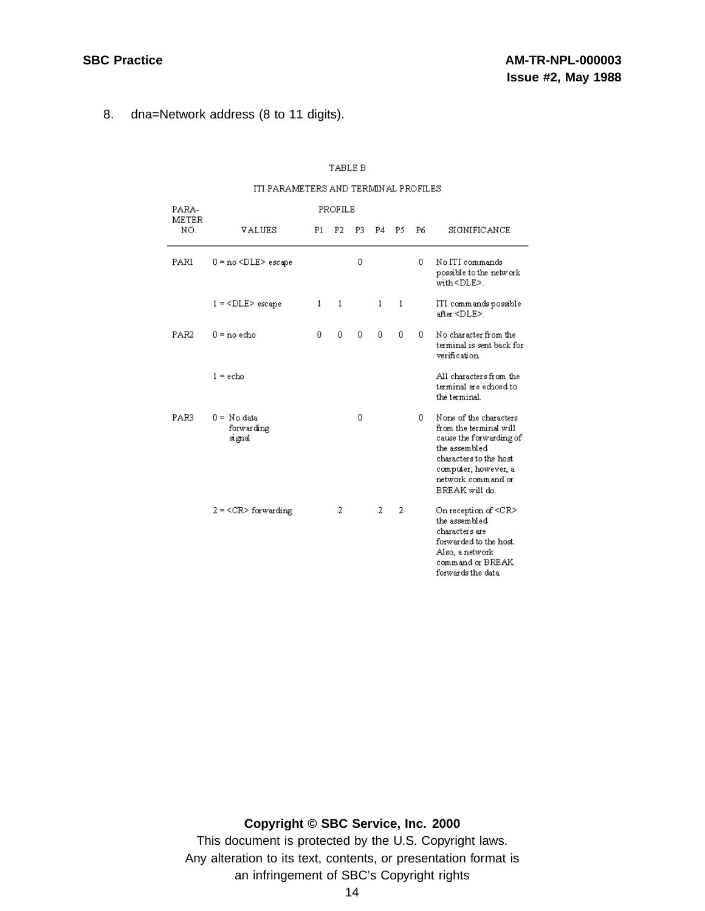8. dna=Network address (8 to 11 digits).

|              | ITI PARAMETERS AND TERMINAL PROFILES |    |                |     |    |              |    |                                                                                                                                                                                        |
|--------------|--------------------------------------|----|----------------|-----|----|--------------|----|----------------------------------------------------------------------------------------------------------------------------------------------------------------------------------------|
| PARA-        | PROFILE                              |    |                |     |    |              |    |                                                                                                                                                                                        |
| METER<br>NO. | <b>VALUES</b>                        | P1 | P <sub>2</sub> | P3. | P4 | P5           | P6 | SIGNIFICANCE                                                                                                                                                                           |
| PAR1         | $0 = no < DLE > escape$              |    |                | 0   |    |              | n  | No ITI commands<br>possible to the network<br>with <dle>.</dle>                                                                                                                        |
|              | $1 =  escape$                        | 1  | 1              |     | 1  | $\mathbf{1}$ |    | ITI commands possible<br>after <dle>.</dle>                                                                                                                                            |
| PAR2         | $0 =$ no echo                        | 0  | 0              | 0   | 0  | 0            | 0  | No character from the<br>terminal is sent back for<br>verification                                                                                                                     |
|              | $1 = e$ cho                          |    |                |     |    |              |    | All characters from the<br>terminal are echoed to<br>the terminal.                                                                                                                     |
| PAR3         | 0 = No data<br>forwarding<br>signal  |    |                | 0   |    |              | Ω. | None of the characters<br>from the terminal will<br>cause the forwarding of<br>the assembled<br>characters to the host<br>computer; however, a<br>network command or<br>BREAK will do. |
|              | $2 = $ for warding                   |    | 2              |     | 2  | 2            |    | On reception of <cr><br/>the assembled<br/>characters are<br/>forwarded to the host.<br/>Also, a network<br/>command or BREAK</cr>                                                     |

forwards the data

## $\operatorname{\mathsf{TABLE}} B$

## **Copyright © SBC Service, Inc. 2000**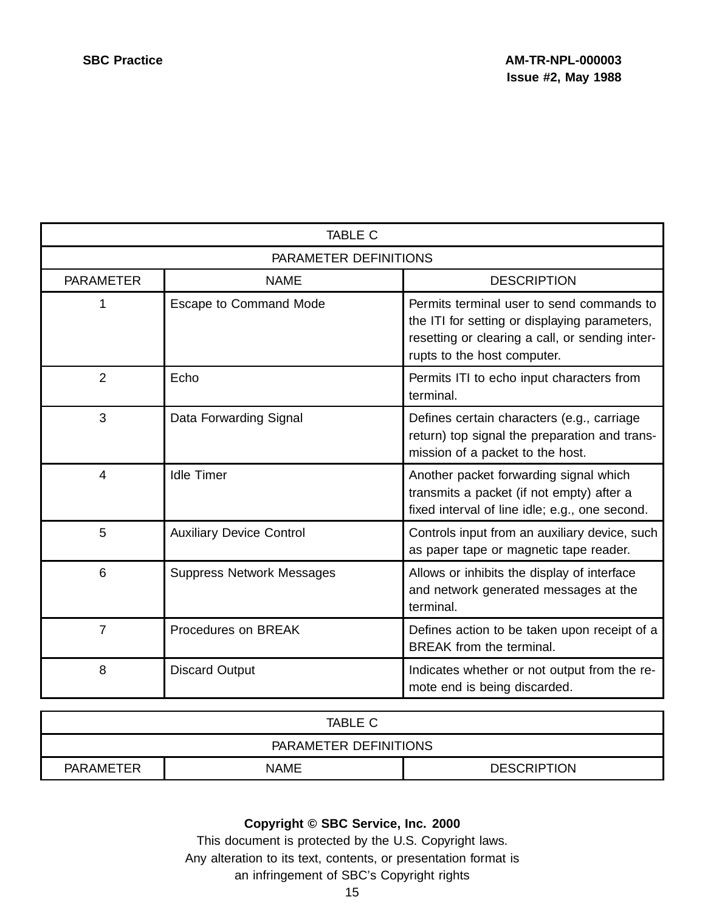| <b>TABLE C</b>                        |                                 |                                                                                                                                                                              |  |  |  |  |  |
|---------------------------------------|---------------------------------|------------------------------------------------------------------------------------------------------------------------------------------------------------------------------|--|--|--|--|--|
| PARAMETER DEFINITIONS                 |                                 |                                                                                                                                                                              |  |  |  |  |  |
| <b>PARAMETER</b>                      | <b>NAME</b>                     | <b>DESCRIPTION</b>                                                                                                                                                           |  |  |  |  |  |
| 1<br>Escape to Command Mode           |                                 | Permits terminal user to send commands to<br>the ITI for setting or displaying parameters,<br>resetting or clearing a call, or sending inter-<br>rupts to the host computer. |  |  |  |  |  |
| $\overline{2}$                        | Echo                            | Permits ITI to echo input characters from<br>terminal.                                                                                                                       |  |  |  |  |  |
| 3                                     | Data Forwarding Signal          | Defines certain characters (e.g., carriage<br>return) top signal the preparation and trans-<br>mission of a packet to the host.                                              |  |  |  |  |  |
| <b>Idle Timer</b><br>$\overline{4}$   |                                 | Another packet forwarding signal which<br>transmits a packet (if not empty) after a<br>fixed interval of line idle; e.g., one second.                                        |  |  |  |  |  |
| 5                                     | <b>Auxiliary Device Control</b> | Controls input from an auxiliary device, such<br>as paper tape or magnetic tape reader.                                                                                      |  |  |  |  |  |
| 6<br><b>Suppress Network Messages</b> |                                 | Allows or inhibits the display of interface<br>and network generated messages at the<br>terminal.                                                                            |  |  |  |  |  |
| $\overline{7}$<br>Procedures on BREAK |                                 | Defines action to be taken upon receipt of a<br><b>BREAK</b> from the terminal.                                                                                              |  |  |  |  |  |
| 8                                     | <b>Discard Output</b>           | Indicates whether or not output from the re-<br>mote end is being discarded.                                                                                                 |  |  |  |  |  |

| TABLE C                                               |  |  |
|-------------------------------------------------------|--|--|
| PARAMETER DEFINITIONS                                 |  |  |
| <b>DESCRIPTION</b><br><b>PARAMETER</b><br><b>NAME</b> |  |  |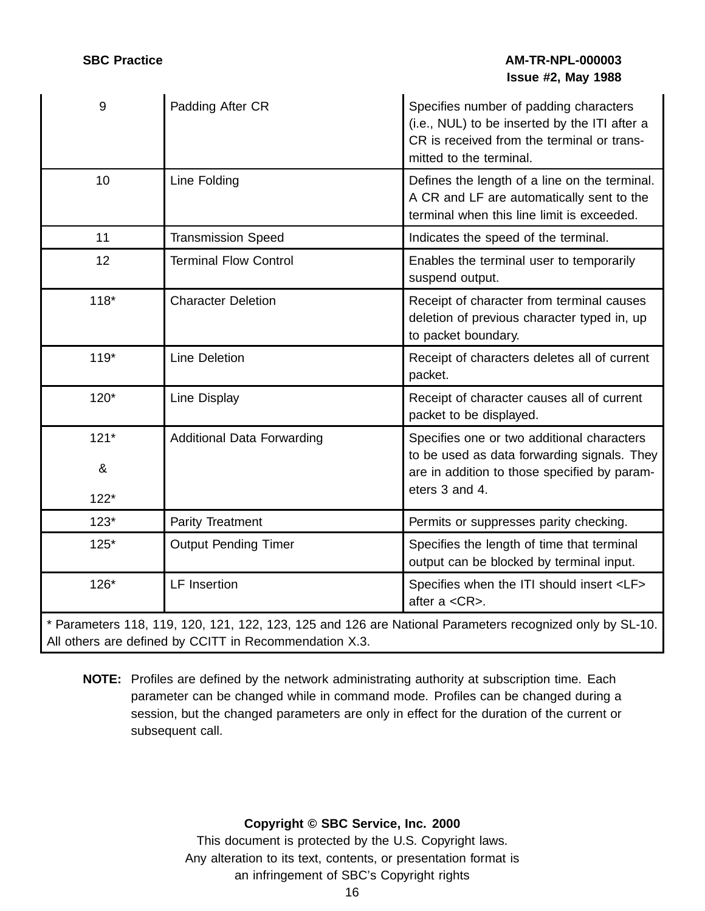## **SBC Practice AM-TR-NPL-000003 Issue #2, May 1988**

| 9      | Padding After CR                                       | Specifies number of padding characters<br>(i.e., NUL) to be inserted by the ITI after a<br>CR is received from the terminal or trans-<br>mitted to the terminal. |
|--------|--------------------------------------------------------|------------------------------------------------------------------------------------------------------------------------------------------------------------------|
| 10     | Line Folding                                           | Defines the length of a line on the terminal.<br>A CR and LF are automatically sent to the<br>terminal when this line limit is exceeded.                         |
| 11     | <b>Transmission Speed</b>                              | Indicates the speed of the terminal.                                                                                                                             |
| 12     | <b>Terminal Flow Control</b>                           | Enables the terminal user to temporarily<br>suspend output.                                                                                                      |
| $118*$ | <b>Character Deletion</b>                              | Receipt of character from terminal causes<br>deletion of previous character typed in, up<br>to packet boundary.                                                  |
| $119*$ | <b>Line Deletion</b>                                   | Receipt of characters deletes all of current<br>packet.                                                                                                          |
| $120*$ | Line Display                                           | Receipt of character causes all of current<br>packet to be displayed.                                                                                            |
| $121*$ | <b>Additional Data Forwarding</b>                      | Specifies one or two additional characters<br>to be used as data forwarding signals. They                                                                        |
| &      |                                                        | are in addition to those specified by param-                                                                                                                     |
| $122*$ |                                                        | eters 3 and 4.                                                                                                                                                   |
| $123*$ | Parity Treatment                                       | Permits or suppresses parity checking.                                                                                                                           |
| $125*$ | <b>Output Pending Timer</b>                            | Specifies the length of time that terminal<br>output can be blocked by terminal input.                                                                           |
| $126*$ | <b>LF</b> Insertion                                    | Specifies when the ITI should insert <lf><br/>after a <cr>.</cr></lf>                                                                                            |
|        | All others are defined by CCITT in Recommendation X.3. | * Parameters 118, 119, 120, 121, 122, 123, 125 and 126 are National Parameters recognized only by SL-10.                                                         |

**NOTE:** Profiles are defined by the network administrating authority at subscription time. Each parameter can be changed while in command mode. Profiles can be changed during a session, but the changed parameters are only in effect for the duration of the current or subsequent call.

## **Copyright © SBC Service, Inc. 2000**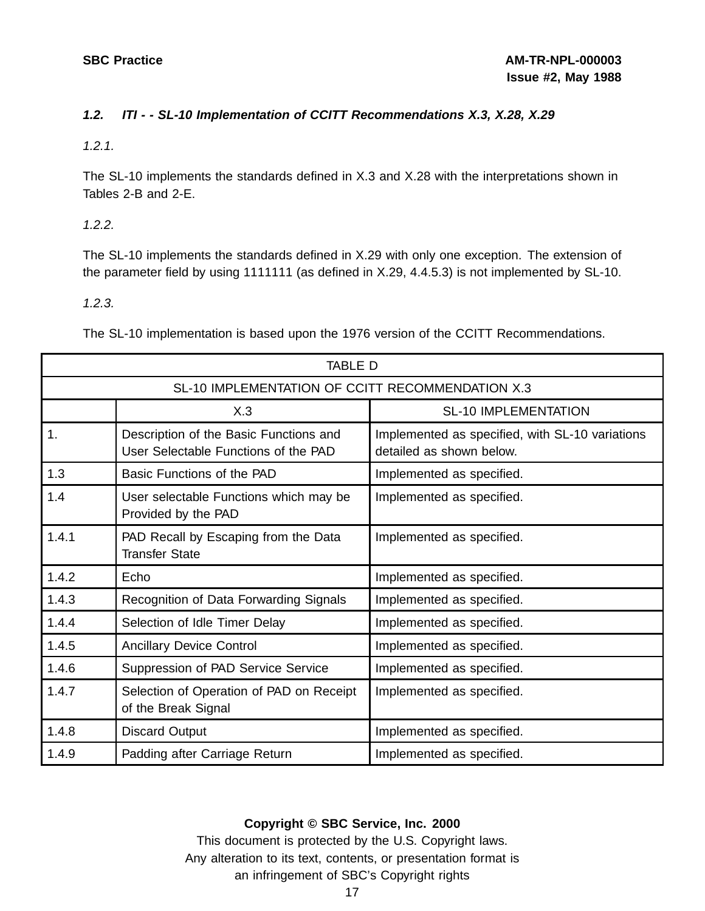## **1.2. ITI - - SL-10 Implementation of CCITT Recommendations X.3, X.28, X.29**

1.2.1.

The SL-10 implements the standards defined in X.3 and X.28 with the interpretations shown in Tables 2-B and 2-E.

1.2.2.

The SL-10 implements the standards defined in X.29 with only one exception. The extension of the parameter field by using 1111111 (as defined in X.29, 4.4.5.3) is not implemented by SL-10.

1.2.3.

The SL-10 implementation is based upon the 1976 version of the CCITT Recommendations.

| TABLE D                                          |                                                                                |                                                                             |
|--------------------------------------------------|--------------------------------------------------------------------------------|-----------------------------------------------------------------------------|
| SL-10 IMPLEMENTATION OF CCITT RECOMMENDATION X.3 |                                                                                |                                                                             |
|                                                  | X.3                                                                            | <b>SL-10 IMPLEMENTATION</b>                                                 |
| 1.                                               | Description of the Basic Functions and<br>User Selectable Functions of the PAD | Implemented as specified, with SL-10 variations<br>detailed as shown below. |
| 1.3                                              | Basic Functions of the PAD                                                     | Implemented as specified.                                                   |
| 1.4                                              | User selectable Functions which may be<br>Provided by the PAD                  | Implemented as specified.                                                   |
| 1.4.1                                            | PAD Recall by Escaping from the Data<br><b>Transfer State</b>                  | Implemented as specified.                                                   |
| 1.4.2                                            | Echo                                                                           | Implemented as specified.                                                   |
| 1.4.3                                            | Recognition of Data Forwarding Signals                                         | Implemented as specified.                                                   |
| 1.4.4                                            | Selection of Idle Timer Delay                                                  | Implemented as specified.                                                   |
| 1.4.5                                            | <b>Ancillary Device Control</b>                                                | Implemented as specified.                                                   |
| 1.4.6                                            | Suppression of PAD Service Service                                             | Implemented as specified.                                                   |
| 1.4.7                                            | Selection of Operation of PAD on Receipt<br>of the Break Signal                | Implemented as specified.                                                   |
| 1.4.8                                            | <b>Discard Output</b>                                                          | Implemented as specified.                                                   |
| 1.4.9                                            | Padding after Carriage Return                                                  | Implemented as specified.                                                   |

## **Copyright © SBC Service, Inc. 2000**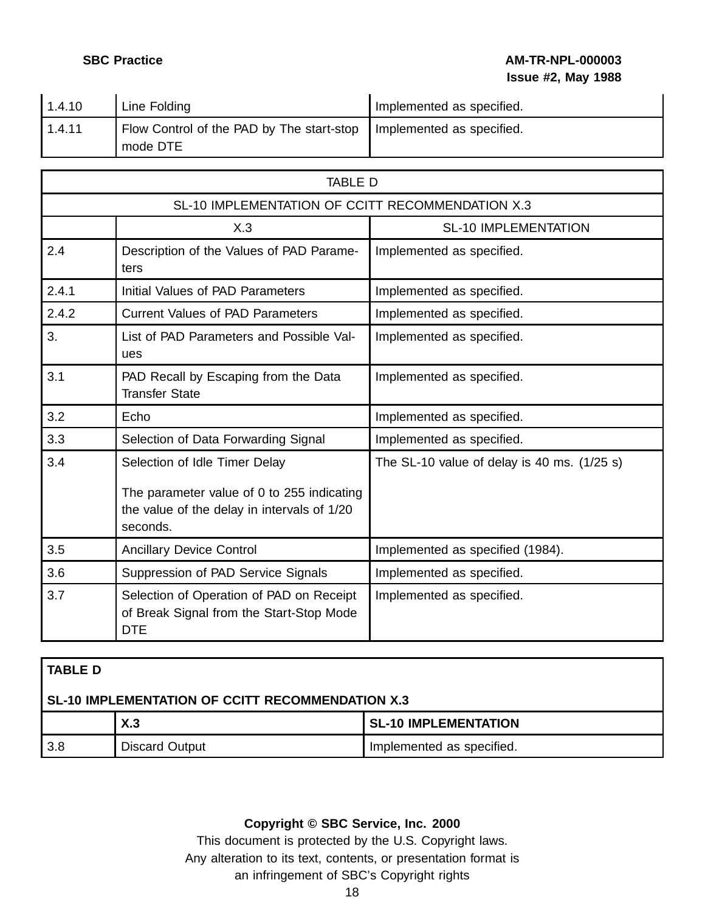## **SBC Practice AM-TR-NPL-000003 Issue #2, May 1988**

| 1.4.10 | Line Folding                                                                      | I Implemented as specified. |
|--------|-----------------------------------------------------------------------------------|-----------------------------|
| 1.4.11 | Flow Control of the PAD by The start-stop   Implemented as specified.<br>mode DTE |                             |

|       | <b>TABLE D</b>                                                                                                                         |                                               |  |
|-------|----------------------------------------------------------------------------------------------------------------------------------------|-----------------------------------------------|--|
|       | SL-10 IMPLEMENTATION OF CCITT RECOMMENDATION X.3                                                                                       |                                               |  |
|       | X.3                                                                                                                                    | <b>SL-10 IMPLEMENTATION</b>                   |  |
| 2.4   | Description of the Values of PAD Parame-<br>ters                                                                                       | Implemented as specified.                     |  |
| 2.4.1 | Initial Values of PAD Parameters                                                                                                       | Implemented as specified.                     |  |
| 2.4.2 | <b>Current Values of PAD Parameters</b>                                                                                                | Implemented as specified.                     |  |
| 3.    | List of PAD Parameters and Possible Val-<br>ues                                                                                        | Implemented as specified.                     |  |
| 3.1   | PAD Recall by Escaping from the Data<br><b>Transfer State</b>                                                                          | Implemented as specified.                     |  |
| 3.2   | Echo                                                                                                                                   | Implemented as specified.                     |  |
| 3.3   | Selection of Data Forwarding Signal                                                                                                    | Implemented as specified.                     |  |
| 3.4   | Selection of Idle Timer Delay<br>The parameter value of 0 to 255 indicating<br>the value of the delay in intervals of 1/20<br>seconds. | The SL-10 value of delay is 40 ms. $(1/25 s)$ |  |
| 3.5   | <b>Ancillary Device Control</b>                                                                                                        | Implemented as specified (1984).              |  |
| 3.6   | Suppression of PAD Service Signals                                                                                                     | Implemented as specified.                     |  |
| 3.7   | Selection of Operation of PAD on Receipt<br>of Break Signal from the Start-Stop Mode<br>DTE                                            | Implemented as specified.                     |  |

| I TABLE D                                        |                       |                             |
|--------------------------------------------------|-----------------------|-----------------------------|
| SL-10 IMPLEMENTATION OF CCITT RECOMMENDATION X.3 |                       |                             |
|                                                  | X.3                   | <b>SL-10 IMPLEMENTATION</b> |
| 3.8                                              | <b>Discard Output</b> | Implemented as specified.   |

## **Copyright © SBC Service, Inc. 2000**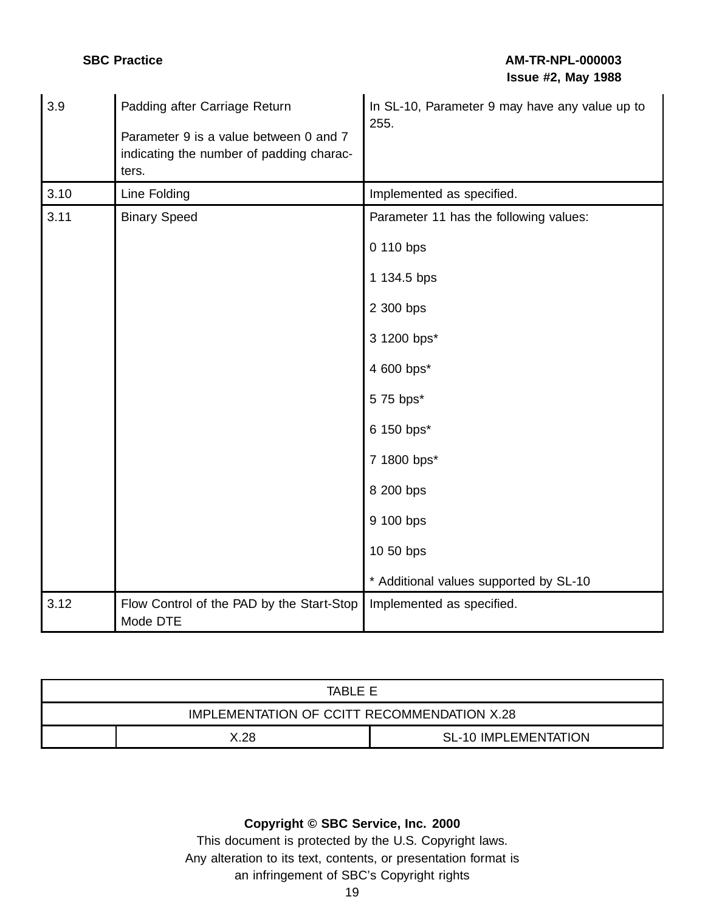| 3.9  | Padding after Carriage Return<br>Parameter 9 is a value between 0 and 7<br>indicating the number of padding charac-<br>ters. | In SL-10, Parameter 9 may have any value up to<br>255. |
|------|------------------------------------------------------------------------------------------------------------------------------|--------------------------------------------------------|
| 3.10 | Line Folding                                                                                                                 | Implemented as specified.                              |
| 3.11 | <b>Binary Speed</b>                                                                                                          | Parameter 11 has the following values:                 |
|      |                                                                                                                              | 0 110 bps                                              |
|      |                                                                                                                              | 1 134.5 bps                                            |
|      |                                                                                                                              | 2 300 bps                                              |
|      |                                                                                                                              | 3 1200 bps*                                            |
|      |                                                                                                                              | 4 600 bps*                                             |
|      |                                                                                                                              | 5 75 bps*                                              |
|      |                                                                                                                              | 6 150 bps*                                             |
|      |                                                                                                                              | 7 1800 bps*                                            |
|      |                                                                                                                              | 8 200 bps                                              |
|      |                                                                                                                              | 9 100 bps                                              |
|      |                                                                                                                              | 10 50 bps                                              |
|      |                                                                                                                              | * Additional values supported by SL-10                 |
| 3.12 | Flow Control of the PAD by the Start-Stop<br>Mode DTE                                                                        | Implemented as specified.                              |

| TARI F F                                    |  |  |
|---------------------------------------------|--|--|
| IMPLEMENTATION OF CCITT RECOMMENDATION X.28 |  |  |
| X 28<br><b>SL-10 IMPLEMENTATION</b>         |  |  |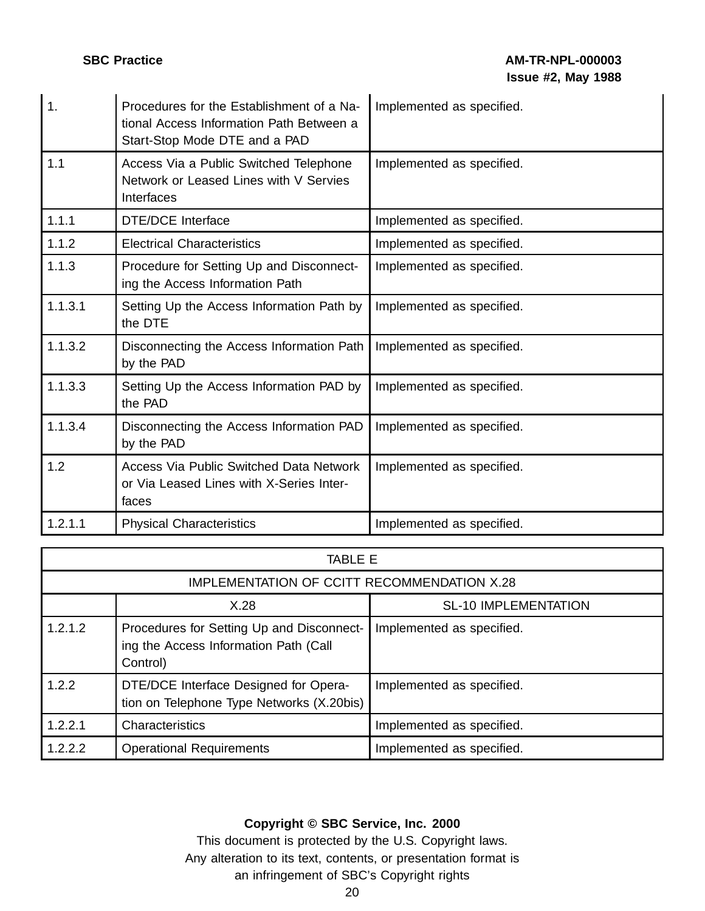| 1.      | Procedures for the Establishment of a Na-<br>tional Access Information Path Between a<br>Start-Stop Mode DTE and a PAD | Implemented as specified. |
|---------|------------------------------------------------------------------------------------------------------------------------|---------------------------|
| 1.1     | Access Via a Public Switched Telephone<br>Network or Leased Lines with V Servies<br>Interfaces                         | Implemented as specified. |
| 1.1.1   | <b>DTE/DCE Interface</b>                                                                                               | Implemented as specified. |
| 1.1.2   | <b>Electrical Characteristics</b>                                                                                      | Implemented as specified. |
| 1.1.3   | Procedure for Setting Up and Disconnect-<br>ing the Access Information Path                                            | Implemented as specified. |
| 1.1.3.1 | Setting Up the Access Information Path by<br>the DTE                                                                   | Implemented as specified. |
| 1.1.3.2 | Disconnecting the Access Information Path<br>by the PAD                                                                | Implemented as specified. |
| 1.1.3.3 | Setting Up the Access Information PAD by<br>the PAD                                                                    | Implemented as specified. |
| 1.1.3.4 | Disconnecting the Access Information PAD<br>by the PAD                                                                 | Implemented as specified. |
| 1.2     | <b>Access Via Public Switched Data Network</b><br>or Via Leased Lines with X-Series Inter-<br>faces                    | Implemented as specified. |
| 1.2.1.1 | <b>Physical Characteristics</b>                                                                                        | Implemented as specified. |

| TABLE E |                                                                                                |                             |  |
|---------|------------------------------------------------------------------------------------------------|-----------------------------|--|
|         | IMPLEMENTATION OF CCITT RECOMMENDATION X.28                                                    |                             |  |
|         | X.28                                                                                           | <b>SL-10 IMPLEMENTATION</b> |  |
| 1.2.1.2 | Procedures for Setting Up and Disconnect-<br>ing the Access Information Path (Call<br>Control) | Implemented as specified.   |  |
| 1.2.2   | DTE/DCE Interface Designed for Opera-<br>tion on Telephone Type Networks (X.20bis)             | Implemented as specified.   |  |
| 1.2.2.1 | Characteristics                                                                                | Implemented as specified.   |  |
| 1.2.2.2 | <b>Operational Requirements</b>                                                                | Implemented as specified.   |  |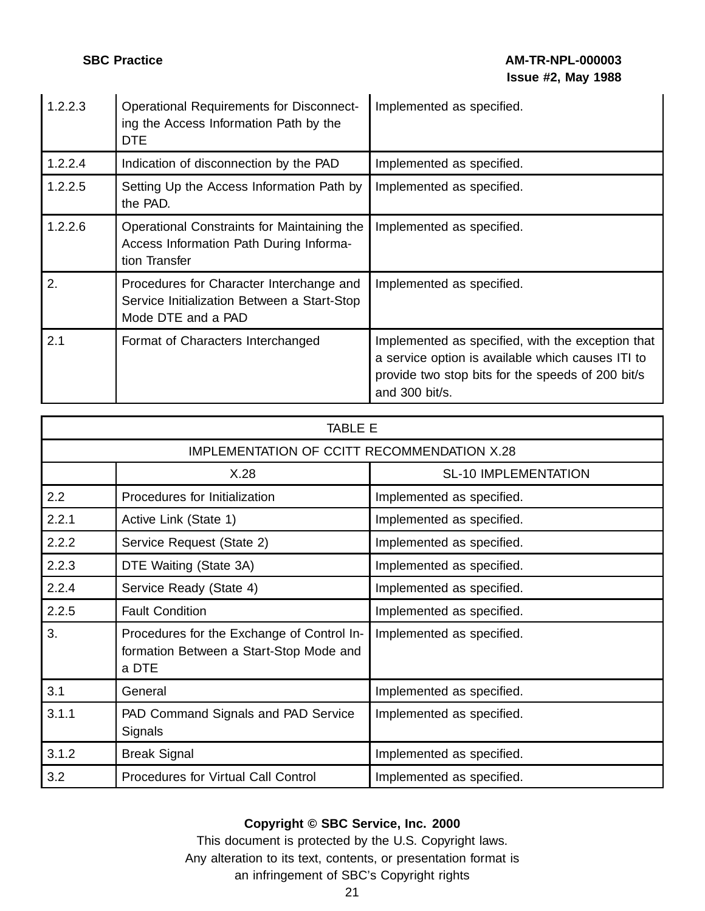| 1.2.2.3 | <b>Operational Requirements for Disconnect-</b><br>ing the Access Information Path by the<br>DTE              | Implemented as specified.                                                                                                                                                     |
|---------|---------------------------------------------------------------------------------------------------------------|-------------------------------------------------------------------------------------------------------------------------------------------------------------------------------|
| 1.2.2.4 | Indication of disconnection by the PAD                                                                        | Implemented as specified.                                                                                                                                                     |
| 1.2.2.5 | Setting Up the Access Information Path by<br>the PAD.                                                         | Implemented as specified.                                                                                                                                                     |
| 1.2.2.6 | Operational Constraints for Maintaining the<br>Access Information Path During Informa-<br>tion Transfer       | Implemented as specified.                                                                                                                                                     |
| 2.      | Procedures for Character Interchange and<br>Service Initialization Between a Start-Stop<br>Mode DTE and a PAD | Implemented as specified.                                                                                                                                                     |
| 2.1     | Format of Characters Interchanged                                                                             | Implemented as specified, with the exception that<br>a service option is available which causes ITI to<br>provide two stop bits for the speeds of 200 bit/s<br>and 300 bit/s. |

| TABLE E                                     |                                                                                                |                             |
|---------------------------------------------|------------------------------------------------------------------------------------------------|-----------------------------|
| IMPLEMENTATION OF CCITT RECOMMENDATION X.28 |                                                                                                |                             |
|                                             | X.28                                                                                           | <b>SL-10 IMPLEMENTATION</b> |
| 2.2                                         | Procedures for Initialization                                                                  | Implemented as specified.   |
| 2.2.1                                       | Active Link (State 1)                                                                          | Implemented as specified.   |
| 2.2.2                                       | Service Request (State 2)                                                                      | Implemented as specified.   |
| 2.2.3                                       | DTE Waiting (State 3A)                                                                         | Implemented as specified.   |
| 2.2.4                                       | Service Ready (State 4)                                                                        | Implemented as specified.   |
| 2.2.5                                       | <b>Fault Condition</b>                                                                         | Implemented as specified.   |
| 3.                                          | Procedures for the Exchange of Control In-<br>formation Between a Start-Stop Mode and<br>a DTE | Implemented as specified.   |
| 3.1                                         | General                                                                                        | Implemented as specified.   |
| 3.1.1                                       | PAD Command Signals and PAD Service<br>Signals                                                 | Implemented as specified.   |
| 3.1.2                                       | <b>Break Signal</b>                                                                            | Implemented as specified.   |
| 3.2                                         | <b>Procedures for Virtual Call Control</b>                                                     | Implemented as specified.   |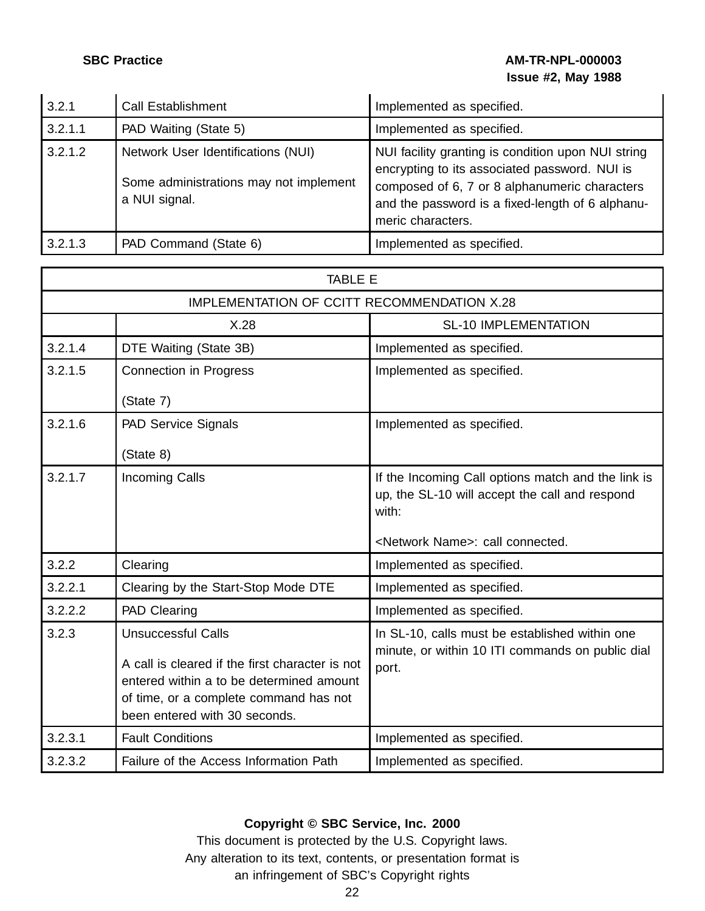## **SBC Practice AM-TR-NPL-000003 Issue #2, May 1988**

| 3.2.1   | <b>Call Establishment</b>                                                                     | Implemented as specified.                                                                                                                                                                                                     |
|---------|-----------------------------------------------------------------------------------------------|-------------------------------------------------------------------------------------------------------------------------------------------------------------------------------------------------------------------------------|
| 3.2.1.1 | PAD Waiting (State 5)                                                                         | Implemented as specified.                                                                                                                                                                                                     |
| 3.2.1.2 | Network User Identifications (NUI)<br>Some administrations may not implement<br>a NUI signal. | NUI facility granting is condition upon NUI string<br>encrypting to its associated password. NUI is<br>composed of 6, 7 or 8 alphanumeric characters<br>and the password is a fixed-length of 6 alphanu-<br>meric characters. |
| 3.2.1.3 | PAD Command (State 6)                                                                         | Implemented as specified.                                                                                                                                                                                                     |

|         | <b>TABLE E</b>                                                                                                                                                                                      |                                                                                                               |  |
|---------|-----------------------------------------------------------------------------------------------------------------------------------------------------------------------------------------------------|---------------------------------------------------------------------------------------------------------------|--|
|         | IMPLEMENTATION OF CCITT RECOMMENDATION X.28                                                                                                                                                         |                                                                                                               |  |
|         | X.28                                                                                                                                                                                                | <b>SL-10 IMPLEMENTATION</b>                                                                                   |  |
| 3.2.1.4 | DTE Waiting (State 3B)                                                                                                                                                                              | Implemented as specified.                                                                                     |  |
| 3.2.1.5 | Connection in Progress                                                                                                                                                                              | Implemented as specified.                                                                                     |  |
|         | (State 7)                                                                                                                                                                                           |                                                                                                               |  |
| 3.2.1.6 | <b>PAD Service Signals</b>                                                                                                                                                                          | Implemented as specified.                                                                                     |  |
|         | (State 8)                                                                                                                                                                                           |                                                                                                               |  |
| 3.2.1.7 | <b>Incoming Calls</b>                                                                                                                                                                               | If the Incoming Call options match and the link is<br>up, the SL-10 will accept the call and respond<br>with: |  |
|         |                                                                                                                                                                                                     | <network name="">: call connected.</network>                                                                  |  |
| 3.2.2   | Clearing                                                                                                                                                                                            | Implemented as specified.                                                                                     |  |
| 3.2.2.1 | Clearing by the Start-Stop Mode DTE                                                                                                                                                                 | Implemented as specified.                                                                                     |  |
| 3.2.2.2 | PAD Clearing                                                                                                                                                                                        | Implemented as specified.                                                                                     |  |
| 3.2.3   | <b>Unsuccessful Calls</b><br>A call is cleared if the first character is not<br>entered within a to be determined amount<br>of time, or a complete command has not<br>been entered with 30 seconds. | In SL-10, calls must be established within one<br>minute, or within 10 ITI commands on public dial<br>port.   |  |
| 3.2.3.1 | <b>Fault Conditions</b>                                                                                                                                                                             | Implemented as specified.                                                                                     |  |
| 3.2.3.2 | Failure of the Access Information Path                                                                                                                                                              | Implemented as specified.                                                                                     |  |

## **Copyright © SBC Service, Inc. 2000**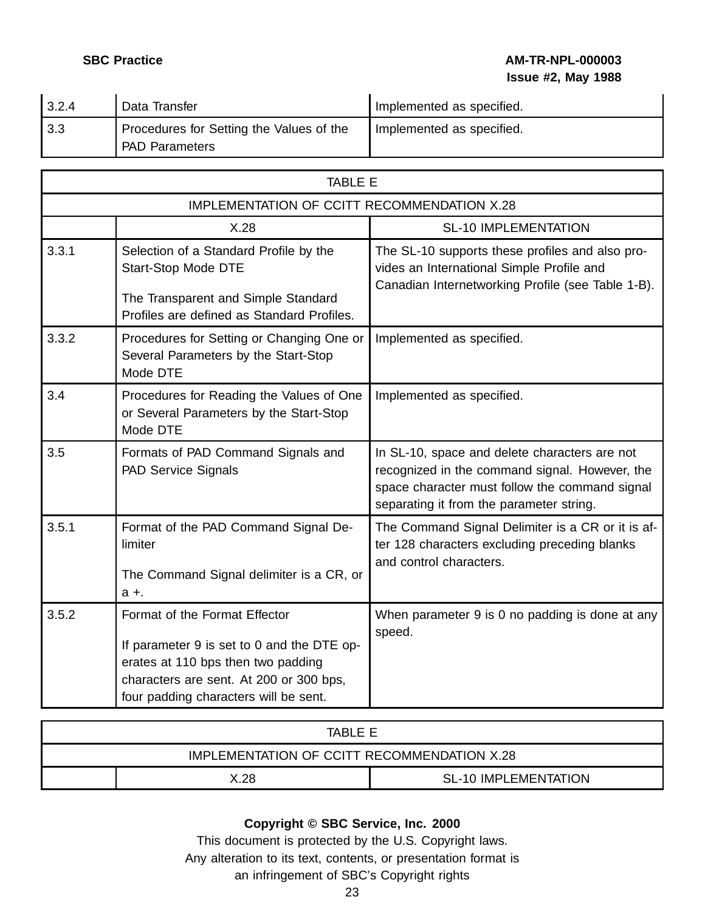**SBC Practice AM-TR-NPL-000003 Issue #2, May 1988**

| 3.2.4 | Data Transfer                            | Implemented as specified. |
|-------|------------------------------------------|---------------------------|
| 3.3   | Procedures for Setting the Values of the | Implemented as specified. |
|       | <b>PAD Parameters</b>                    |                           |

|       | <b>TABLE E</b>                                                                                                                                                                                        |                                                                                                                                                                                               |  |
|-------|-------------------------------------------------------------------------------------------------------------------------------------------------------------------------------------------------------|-----------------------------------------------------------------------------------------------------------------------------------------------------------------------------------------------|--|
|       | IMPLEMENTATION OF CCITT RECOMMENDATION X.28                                                                                                                                                           |                                                                                                                                                                                               |  |
|       | X.28                                                                                                                                                                                                  | <b>SL-10 IMPLEMENTATION</b>                                                                                                                                                                   |  |
| 3.3.1 | Selection of a Standard Profile by the<br><b>Start-Stop Mode DTE</b><br>The Transparent and Simple Standard<br>Profiles are defined as Standard Profiles.                                             | The SL-10 supports these profiles and also pro-<br>vides an International Simple Profile and<br>Canadian Internetworking Profile (see Table 1-B).                                             |  |
| 3.3.2 | Procedures for Setting or Changing One or<br>Several Parameters by the Start-Stop<br>Mode DTE                                                                                                         | Implemented as specified.                                                                                                                                                                     |  |
| 3.4   | Procedures for Reading the Values of One<br>or Several Parameters by the Start-Stop<br>Mode DTE                                                                                                       | Implemented as specified.                                                                                                                                                                     |  |
| 3.5   | Formats of PAD Command Signals and<br><b>PAD Service Signals</b>                                                                                                                                      | In SL-10, space and delete characters are not<br>recognized in the command signal. However, the<br>space character must follow the command signal<br>separating it from the parameter string. |  |
| 3.5.1 | Format of the PAD Command Signal De-<br>limiter<br>The Command Signal delimiter is a CR, or<br>$a +$                                                                                                  | The Command Signal Delimiter is a CR or it is af-<br>ter 128 characters excluding preceding blanks<br>and control characters.                                                                 |  |
| 3.5.2 | Format of the Format Effector<br>If parameter 9 is set to 0 and the DTE op-<br>erates at 110 bps then two padding<br>characters are sent. At 200 or 300 bps,<br>four padding characters will be sent. | When parameter 9 is 0 no padding is done at any<br>speed.                                                                                                                                     |  |

| TABI F F                                    |  |  |
|---------------------------------------------|--|--|
| IMPLEMENTATION OF CCITT RECOMMENDATION X.28 |  |  |
| <b>SL-10 IMPLEMENTATION</b><br>X.28         |  |  |

## **Copyright © SBC Service, Inc. 2000**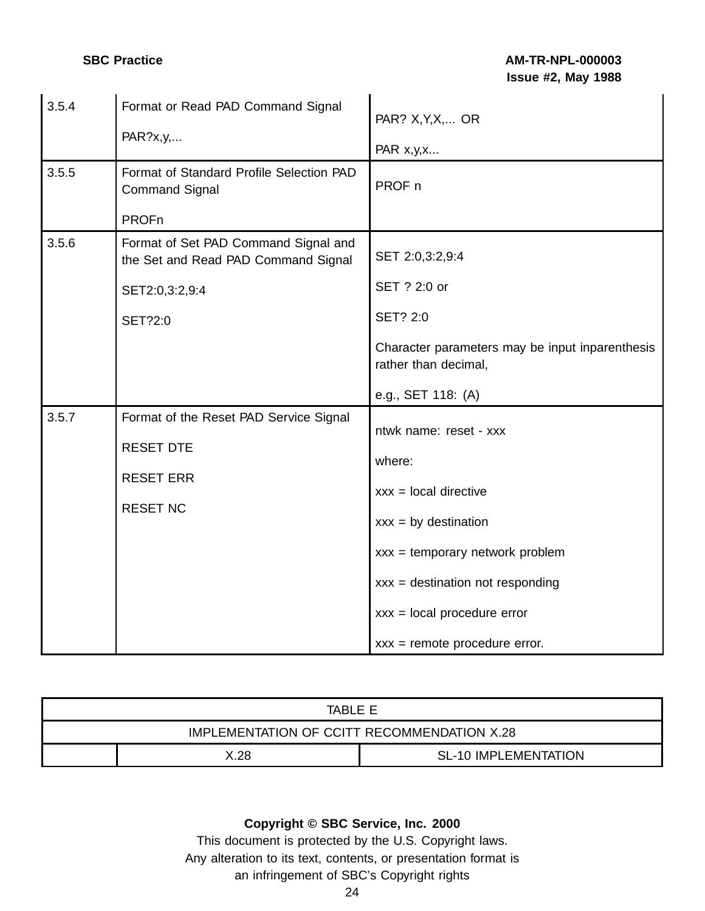| 3.5.4 | Format or Read PAD Command Signal<br>PAR?x,y,                                                            | PAR? X, Y, X,  OR<br>PAR x, y, x                                                                                                                                                                                                     |
|-------|----------------------------------------------------------------------------------------------------------|--------------------------------------------------------------------------------------------------------------------------------------------------------------------------------------------------------------------------------------|
| 3.5.5 | Format of Standard Profile Selection PAD<br><b>Command Signal</b><br><b>PROFn</b>                        | PROF n                                                                                                                                                                                                                               |
| 3.5.6 | Format of Set PAD Command Signal and<br>the Set and Read PAD Command Signal<br>SET2:0,3:2,9:4<br>SET?2:0 | SET 2:0,3:2,9:4<br>SET ? 2:0 or<br><b>SET? 2:0</b><br>Character parameters may be input inparenthesis<br>rather than decimal,<br>e.g., SET 118: (A)                                                                                  |
| 3.5.7 | Format of the Reset PAD Service Signal<br><b>RESET DTE</b><br><b>RESET ERR</b><br><b>RESET NC</b>        | ntwk name: reset - xxx<br>where:<br>$xxx = local$ directive<br>$xxx = by destination$<br>$xxx = temporary$ network problem<br>$xxx = destination not responding$<br>$xxx = local procedure error$<br>$xxx = remote procedure error.$ |

| TABLE E                                     |  |  |
|---------------------------------------------|--|--|
| IMPLEMENTATION OF CCITT RECOMMENDATION X.28 |  |  |
| <b>SL-10 IMPLEMENTATION</b><br>X.28         |  |  |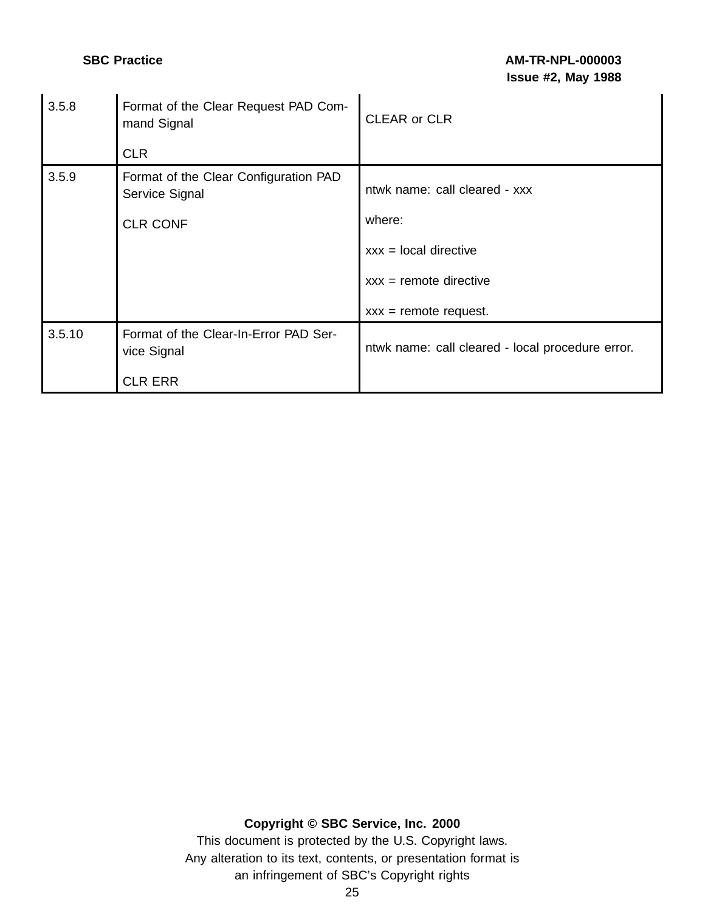| 3.5.8  | Format of the Clear Request PAD Com-<br>mand Signal     | <b>CLEAR or CLR</b>                              |
|--------|---------------------------------------------------------|--------------------------------------------------|
|        | <b>CLR</b>                                              |                                                  |
| 3.5.9  | Format of the Clear Configuration PAD<br>Service Signal | ntwk name: call cleared - xxx                    |
|        | <b>CLR CONF</b>                                         | where:                                           |
|        |                                                         | $xxx = local$ directive                          |
|        |                                                         | $xxx =$ remote directive                         |
|        |                                                         | $xxx =$ remote request.                          |
| 3.5.10 | Format of the Clear-In-Error PAD Ser-<br>vice Signal    | ntwk name: call cleared - local procedure error. |
|        | <b>CLR ERR</b>                                          |                                                  |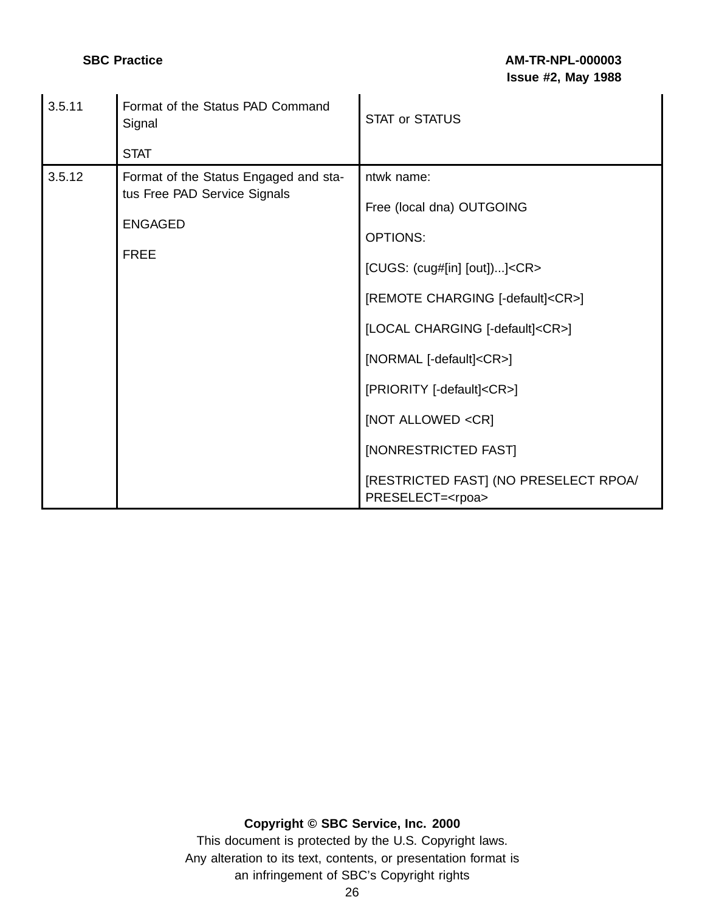| 3.5.11 | Format of the Status PAD Command<br>Signal                                                             | <b>STAT or STATUS</b>                                                                                                                                                                                                                                                                                          |
|--------|--------------------------------------------------------------------------------------------------------|----------------------------------------------------------------------------------------------------------------------------------------------------------------------------------------------------------------------------------------------------------------------------------------------------------------|
|        | <b>STAT</b>                                                                                            |                                                                                                                                                                                                                                                                                                                |
| 3.5.12 | Format of the Status Engaged and sta-<br>tus Free PAD Service Signals<br><b>ENGAGED</b><br><b>FREE</b> | ntwk name:<br>Free (local dna) OUTGOING<br><b>OPTIONS:</b><br>[CUGS: (cug#[in] [out])] <cr><br/>[REMOTE CHARGING [-default]<cr>]<br/>[LOCAL CHARGING [-default]<cr>]<br/>[NORMAL [-default]<cr>]<br/>[PRIORITY [-default]<cr>]<br/>[NOT ALLOWED <cr]<br>[NONRESTRICTED FAST]</cr]<br></cr></cr></cr></cr></cr> |
|        |                                                                                                        | [RESTRICTED FAST] (NO PRESELECT RPOA/<br>PRESELECT= <rpoa></rpoa>                                                                                                                                                                                                                                              |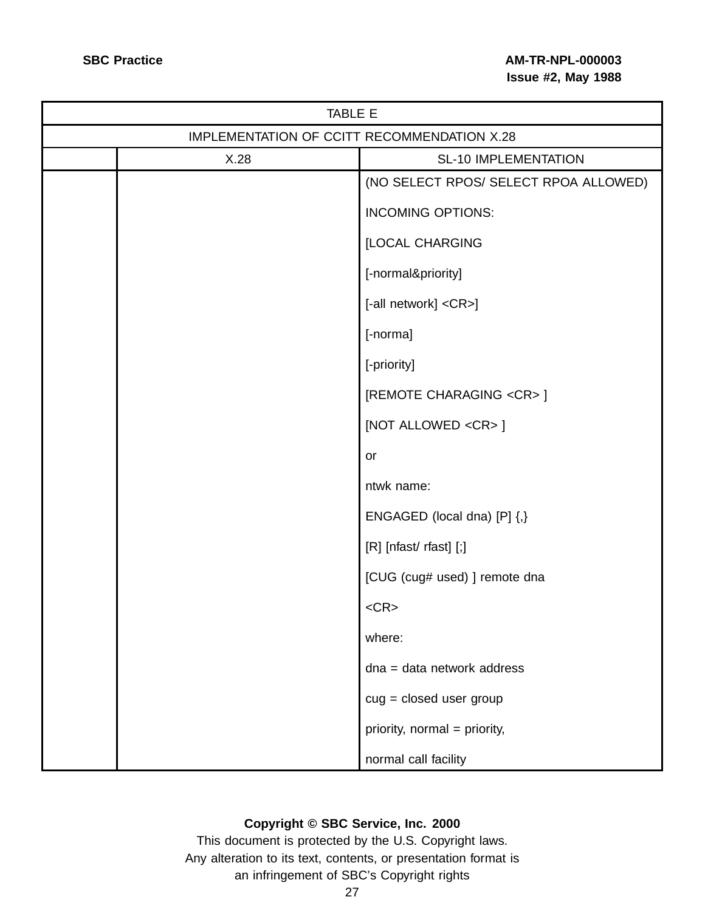| TABLE E                                     |                                       |  |
|---------------------------------------------|---------------------------------------|--|
| IMPLEMENTATION OF CCITT RECOMMENDATION X.28 |                                       |  |
| X.28                                        | <b>SL-10 IMPLEMENTATION</b>           |  |
|                                             | (NO SELECT RPOS/ SELECT RPOA ALLOWED) |  |
|                                             | <b>INCOMING OPTIONS:</b>              |  |
|                                             | [LOCAL CHARGING                       |  |
|                                             | [-normal&priority]                    |  |
|                                             | [-all network] <cr>]</cr>             |  |
|                                             | [-norma]                              |  |
|                                             | [-priority]                           |  |
|                                             | [REMOTE CHARAGING <cr>]</cr>          |  |
|                                             | [NOT ALLOWED <cr>]</cr>               |  |
|                                             | or                                    |  |
|                                             | ntwk name:                            |  |
|                                             | ENGAGED (local dna) [P] {,}           |  |
|                                             | [R] [nfast/ rfast] [;]                |  |
|                                             | [CUG (cug# used) ] remote dna         |  |
|                                             | $<$ CR $>$                            |  |
|                                             | where:                                |  |
|                                             | dna = data network address            |  |
|                                             | $cug = closed$ user group             |  |
|                                             | priority, normal = priority,          |  |
|                                             | normal call facility                  |  |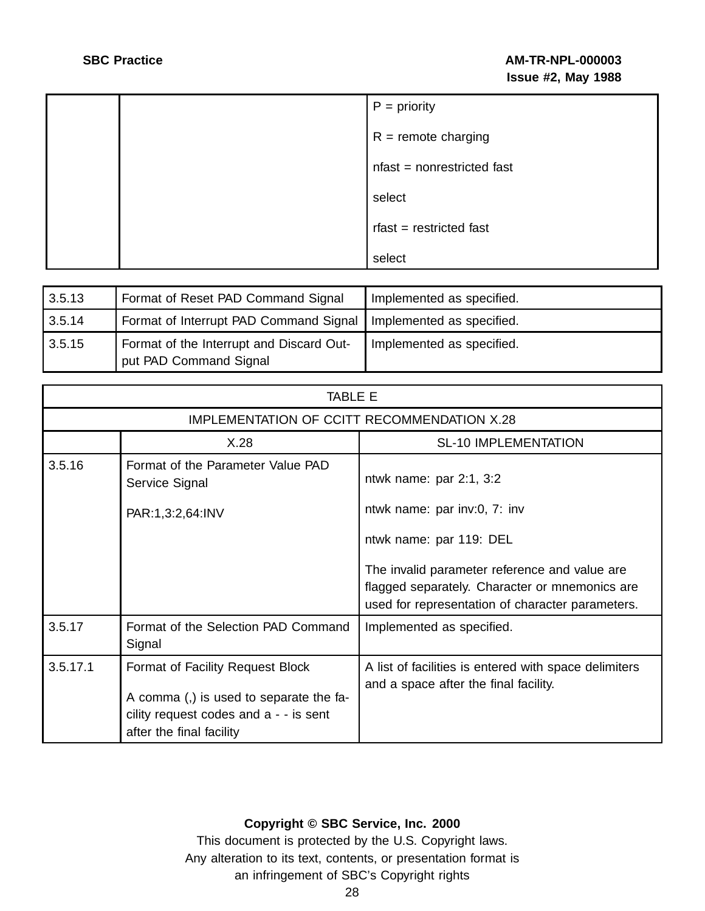|  | $P = priority$             |
|--|----------------------------|
|  | $R =$ remote charging      |
|  | nfast = nonrestricted fast |
|  | select                     |
|  | $r$ fast = restricted fast |
|  | select                     |

| 3.5.13 | Format of Reset PAD Command Signal                                 | Implemented as specified. |
|--------|--------------------------------------------------------------------|---------------------------|
| 3.5.14 | Format of Interrupt PAD Command Signal   Implemented as specified. |                           |
| 3.5.15 | Format of the Interrupt and Discard Out-<br>put PAD Command Signal | Implemented as specified. |

| <b>TABLE E</b> |                                                                                                                                                    |                                                                                                                                                     |  |
|----------------|----------------------------------------------------------------------------------------------------------------------------------------------------|-----------------------------------------------------------------------------------------------------------------------------------------------------|--|
|                | IMPLEMENTATION OF CCITT RECOMMENDATION X.28                                                                                                        |                                                                                                                                                     |  |
|                | X.28                                                                                                                                               | <b>SL-10 IMPLEMENTATION</b>                                                                                                                         |  |
| 3.5.16         | Format of the Parameter Value PAD<br>Service Signal                                                                                                | ntwk name: par $2:1, 3:2$                                                                                                                           |  |
|                | PAR:1,3:2,64:INV                                                                                                                                   | ntwk name: par inv:0, 7: inv                                                                                                                        |  |
|                |                                                                                                                                                    | ntwk name: par 119: DEL                                                                                                                             |  |
|                |                                                                                                                                                    | The invalid parameter reference and value are<br>flagged separately. Character or mnemonics are<br>used for representation of character parameters. |  |
| 3.5.17         | Format of the Selection PAD Command<br>Signal                                                                                                      | Implemented as specified.                                                                                                                           |  |
| 3.5.17.1       | Format of Facility Request Block<br>A comma (,) is used to separate the fa-<br>cility request codes and $a - i s$ sent<br>after the final facility | A list of facilities is entered with space delimiters<br>and a space after the final facility.                                                      |  |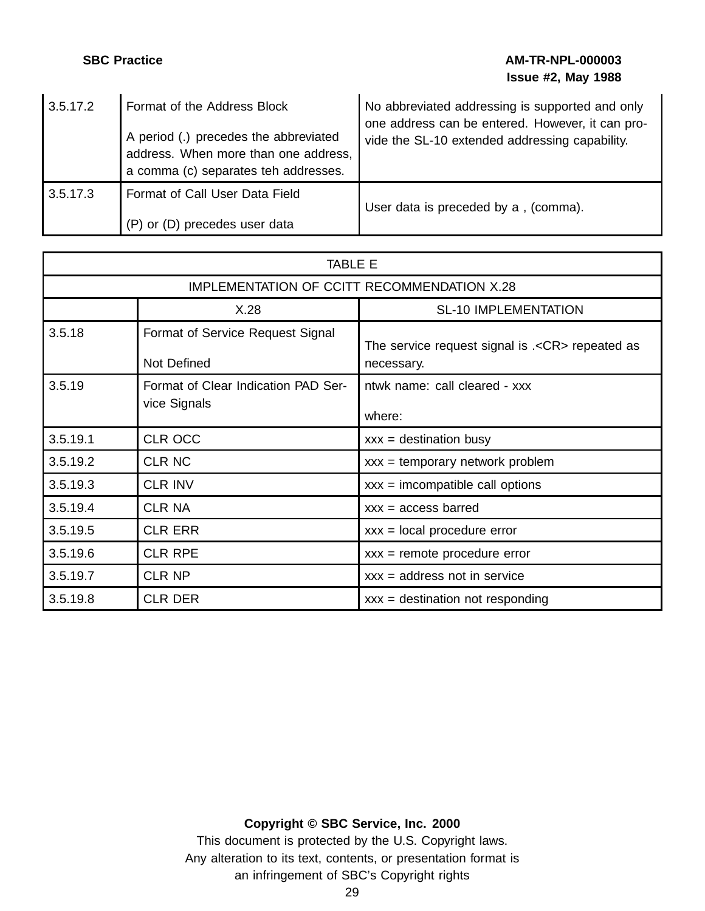## **SBC Practice AM-TR-NPL-000003 Issue #2, May 1988**

| 3.5.17.2 | Format of the Address Block<br>A period (.) precedes the abbreviated<br>address. When more than one address,<br>a comma (c) separates teh addresses. | No abbreviated addressing is supported and only<br>one address can be entered. However, it can pro-<br>vide the SL-10 extended addressing capability. |
|----------|------------------------------------------------------------------------------------------------------------------------------------------------------|-------------------------------------------------------------------------------------------------------------------------------------------------------|
| 3.5.17.3 | Format of Call User Data Field<br>(P) or (D) precedes user data                                                                                      | User data is preceded by a, (comma).                                                                                                                  |

| <b>TABLE E</b>                              |                                                     |                                                                |
|---------------------------------------------|-----------------------------------------------------|----------------------------------------------------------------|
| IMPLEMENTATION OF CCITT RECOMMENDATION X.28 |                                                     |                                                                |
|                                             | X.28                                                | <b>SL-10 IMPLEMENTATION</b>                                    |
| 3.5.18                                      | Format of Service Request Signal<br>Not Defined     | The service request signal is .< CR> repeated as<br>necessary. |
| 3.5.19                                      | Format of Clear Indication PAD Ser-<br>vice Signals | ntwk name: call cleared - xxx<br>where:                        |
| 3.5.19.1                                    | <b>CLR OCC</b>                                      | $xxx =$ destination busy                                       |
| 3.5.19.2                                    | <b>CLR NC</b>                                       | $xxx = temporary network problem$                              |
| 3.5.19.3                                    | <b>CLR INV</b>                                      | $xxx = incompatible call options$                              |
| 3.5.19.4                                    | <b>CLR NA</b>                                       | $xxx = access\,bared$                                          |
| 3.5.19.5                                    | <b>CLR ERR</b>                                      | $xxx = local procedure error$                                  |
| 3.5.19.6                                    | <b>CLR RPE</b>                                      | $xxx =$ remote procedure error                                 |
| 3.5.19.7                                    | <b>CLR NP</b>                                       | $xxx = address not in service$                                 |
| 3.5.19.8                                    | <b>CLR DER</b>                                      | $xxx = destination not responding$                             |

## **Copyright © SBC Service, Inc. 2000**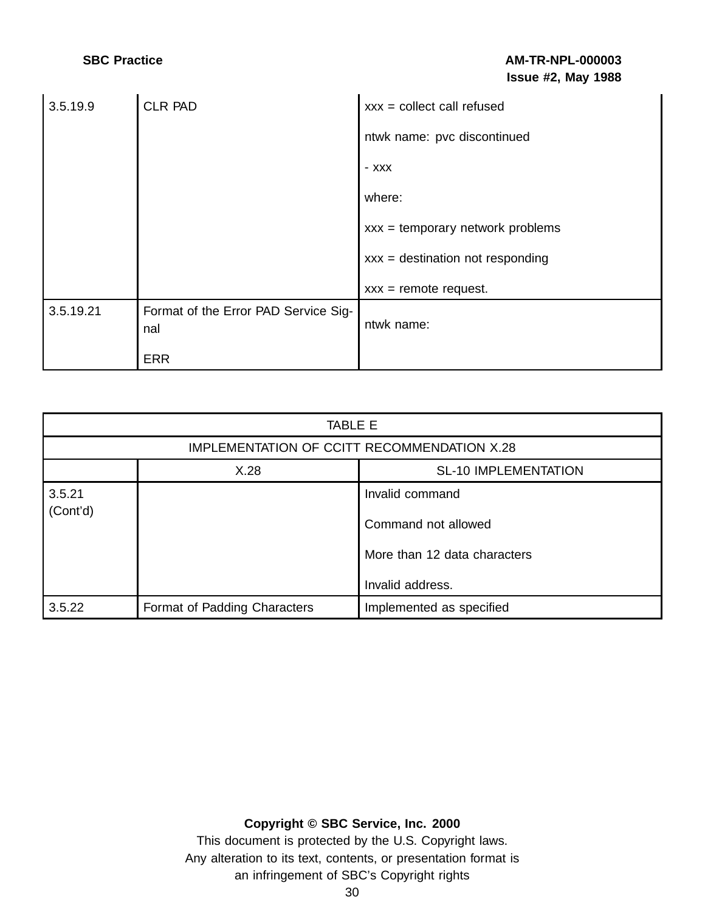| 3.5.19.9  | <b>CLR PAD</b>                              | $xxx = collect call refused$       |
|-----------|---------------------------------------------|------------------------------------|
|           |                                             | ntwk name: pvc discontinued        |
|           |                                             | - XXX                              |
|           |                                             | where:                             |
|           |                                             | $xxx = temporary network problems$ |
|           |                                             | $xxx = destination not responding$ |
|           |                                             | $xxx =$ remote request.            |
| 3.5.19.21 | Format of the Error PAD Service Sig-<br>nal | ntwk name:                         |
|           | <b>ERR</b>                                  |                                    |

| TABLE E                                     |                              |                                                                                            |
|---------------------------------------------|------------------------------|--------------------------------------------------------------------------------------------|
| IMPLEMENTATION OF CCITT RECOMMENDATION X.28 |                              |                                                                                            |
|                                             | X.28                         | <b>SL-10 IMPLEMENTATION</b>                                                                |
| 3.5.21<br>(Cont'd)                          |                              | Invalid command<br>Command not allowed<br>More than 12 data characters<br>Invalid address. |
| 3.5.22                                      | Format of Padding Characters | Implemented as specified                                                                   |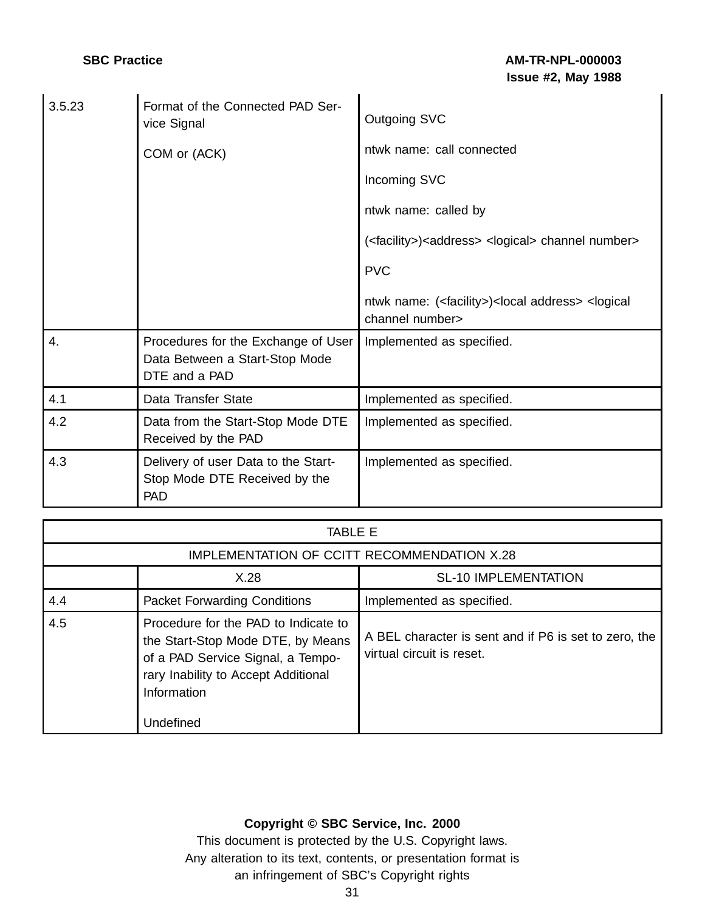| 3.5.23 | Format of the Connected PAD Ser-<br>vice Signal<br>COM or (ACK)                        | <b>Outgoing SVC</b><br>ntwk name: call connected<br>Incoming SVC<br>ntwk name: called by<br>( <facility>)<address> <logical> channel number&gt;<br/><b>PVC</b><br/>ntwk name: (<facility>)<local address=""> <logical<br>channel number&gt;</logical<br></local></facility></logical></address></facility> |
|--------|----------------------------------------------------------------------------------------|------------------------------------------------------------------------------------------------------------------------------------------------------------------------------------------------------------------------------------------------------------------------------------------------------------|
| 4.     | Procedures for the Exchange of User<br>Data Between a Start-Stop Mode<br>DTE and a PAD | Implemented as specified.                                                                                                                                                                                                                                                                                  |
| 4.1    | Data Transfer State                                                                    | Implemented as specified.                                                                                                                                                                                                                                                                                  |
| 4.2    | Data from the Start-Stop Mode DTE<br>Received by the PAD                               | Implemented as specified.                                                                                                                                                                                                                                                                                  |
| 4.3    | Delivery of user Data to the Start-<br>Stop Mode DTE Received by the<br><b>PAD</b>     | Implemented as specified.                                                                                                                                                                                                                                                                                  |

## TABLE E

| IMPLEMENTATION OF CCITT RECOMMENDATION X.28 |                                                                                                                                                                                   |                                                                                    |
|---------------------------------------------|-----------------------------------------------------------------------------------------------------------------------------------------------------------------------------------|------------------------------------------------------------------------------------|
|                                             | X.28                                                                                                                                                                              | <b>SL-10 IMPLEMENTATION</b>                                                        |
| 4.4                                         | <b>Packet Forwarding Conditions</b>                                                                                                                                               | Implemented as specified.                                                          |
| 4.5                                         | Procedure for the PAD to Indicate to<br>the Start-Stop Mode DTE, by Means<br>of a PAD Service Signal, a Tempo-<br>rary Inability to Accept Additional<br>Information<br>Undefined | A BEL character is sent and if P6 is set to zero, the<br>virtual circuit is reset. |

## **Copyright © SBC Service, Inc. 2000**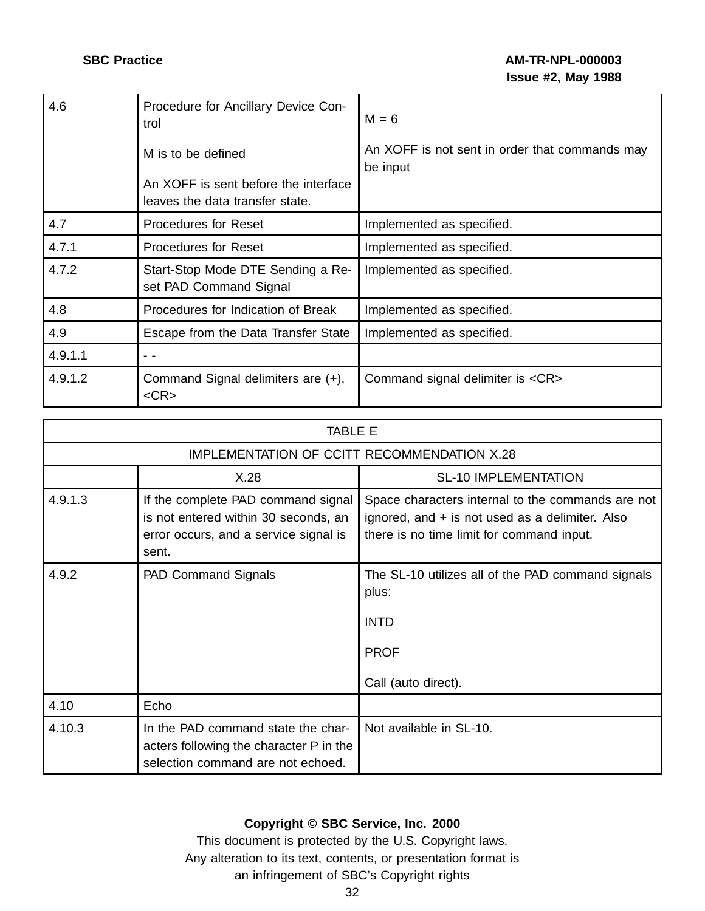| 4.6     | Procedure for Ancillary Device Con-<br>trol<br>M is to be defined<br>An XOFF is sent before the interface<br>leaves the data transfer state. | $M = 6$<br>An XOFF is not sent in order that commands may<br>be input |
|---------|----------------------------------------------------------------------------------------------------------------------------------------------|-----------------------------------------------------------------------|
| 4.7     | <b>Procedures for Reset</b>                                                                                                                  | Implemented as specified.                                             |
| 4.7.1   | <b>Procedures for Reset</b>                                                                                                                  | Implemented as specified.                                             |
| 4.7.2   | Start-Stop Mode DTE Sending a Re-<br>set PAD Command Signal                                                                                  | Implemented as specified.                                             |
| 4.8     | Procedures for Indication of Break                                                                                                           | Implemented as specified.                                             |
| 4.9     | Escape from the Data Transfer State                                                                                                          | Implemented as specified.                                             |
| 4.9.1.1 |                                                                                                                                              |                                                                       |
| 4.9.1.2 | Command Signal delimiters are (+),<br>$<$ CR $>$                                                                                             | Command signal delimiter is <cr></cr>                                 |

| TABI F F                                    |                                                                                                                              |                                                                                                                                                   |
|---------------------------------------------|------------------------------------------------------------------------------------------------------------------------------|---------------------------------------------------------------------------------------------------------------------------------------------------|
| IMPLEMENTATION OF CCITT RECOMMENDATION X.28 |                                                                                                                              |                                                                                                                                                   |
|                                             | X.28                                                                                                                         | <b>SL-10 IMPLEMENTATION</b>                                                                                                                       |
| 4.9.1.3                                     | If the complete PAD command signal<br>is not entered within 30 seconds, an<br>error occurs, and a service signal is<br>sent. | Space characters internal to the commands are not<br>ignored, and + is not used as a delimiter. Also<br>there is no time limit for command input. |
| 4.9.2                                       | PAD Command Signals                                                                                                          | The SL-10 utilizes all of the PAD command signals<br>plus:<br><b>INTD</b><br><b>PROF</b><br>Call (auto direct).                                   |
| 4.10                                        | Echo                                                                                                                         |                                                                                                                                                   |
| 4.10.3                                      | In the PAD command state the char-<br>acters following the character P in the<br>selection command are not echoed.           | Not available in SL-10.                                                                                                                           |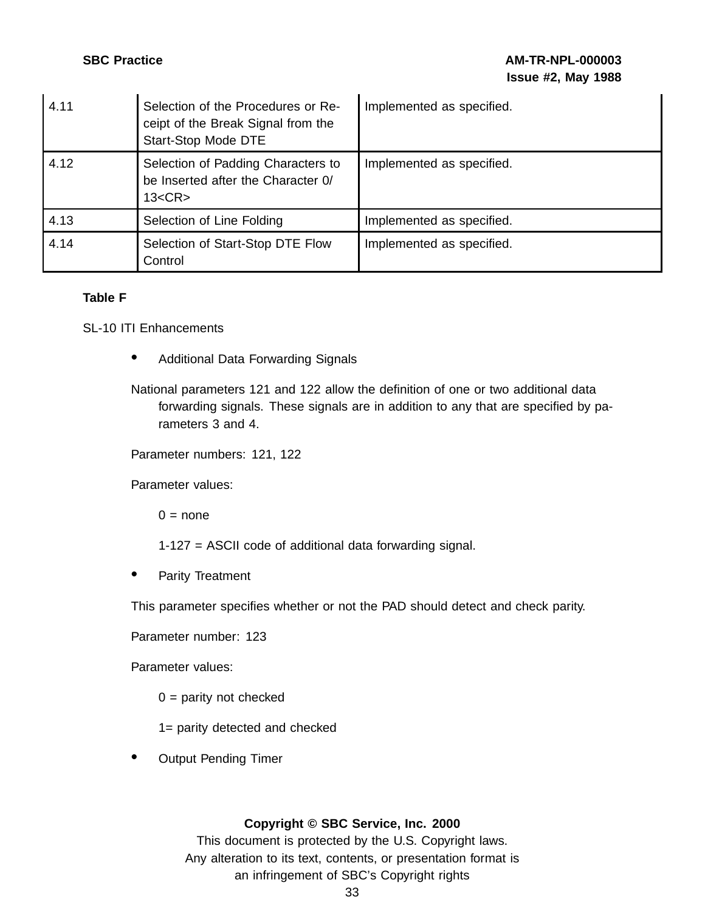| 4.11 | Selection of the Procedures or Re-<br>ceipt of the Break Signal from the<br>Start-Stop Mode DTE | Implemented as specified. |
|------|-------------------------------------------------------------------------------------------------|---------------------------|
| 4.12 | Selection of Padding Characters to<br>be Inserted after the Character 0/<br>13 < CR             | Implemented as specified. |
| 4.13 | Selection of Line Folding                                                                       | Implemented as specified. |
| 4.14 | Selection of Start-Stop DTE Flow<br>Control                                                     | Implemented as specified. |

### **Table F**

SL-10 ITI Enhancements

• Additional Data Forwarding Signals

National parameters 121 and 122 allow the definition of one or two additional data forwarding signals. These signals are in addition to any that are specified by parameters 3 and 4.

Parameter numbers: 121, 122

Parameter values:

 $0 = none$ 

- 1-127 = ASCII code of additional data forwarding signal.
- Parity Treatment

This parameter specifies whether or not the PAD should detect and check parity.

Parameter number: 123

Parameter values:

 $0 =$  parity not checked

1= parity detected and checked

• Output Pending Timer

### **Copyright © SBC Service, Inc. 2000**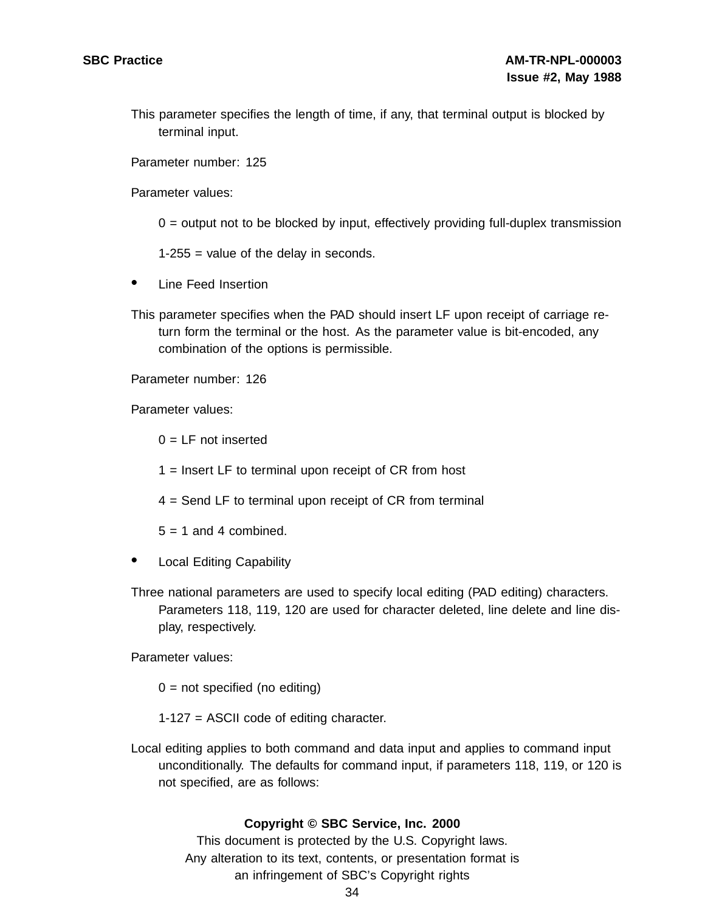This parameter specifies the length of time, if any, that terminal output is blocked by terminal input.

Parameter number: 125

Parameter values:

 $0 =$  output not to be blocked by input, effectively providing full-duplex transmission

1-255 = value of the delay in seconds.

- Line Feed Insertion
- This parameter specifies when the PAD should insert LF upon receipt of carriage return form the terminal or the host. As the parameter value is bit-encoded, any combination of the options is permissible.

Parameter number: 126

Parameter values:

 $0 = LF$  not inserted

1 = Insert LF to terminal upon receipt of CR from host

4 = Send LF to terminal upon receipt of CR from terminal

 $5 = 1$  and 4 combined.

- **Local Editing Capability**
- Three national parameters are used to specify local editing (PAD editing) characters. Parameters 118, 119, 120 are used for character deleted, line delete and line display, respectively.

Parameter values:

 $0 = not specified (no editing)$ 

1-127 = ASCII code of editing character.

Local editing applies to both command and data input and applies to command input unconditionally. The defaults for command input, if parameters 118, 119, or 120 is not specified, are as follows:

### **Copyright © SBC Service, Inc. 2000**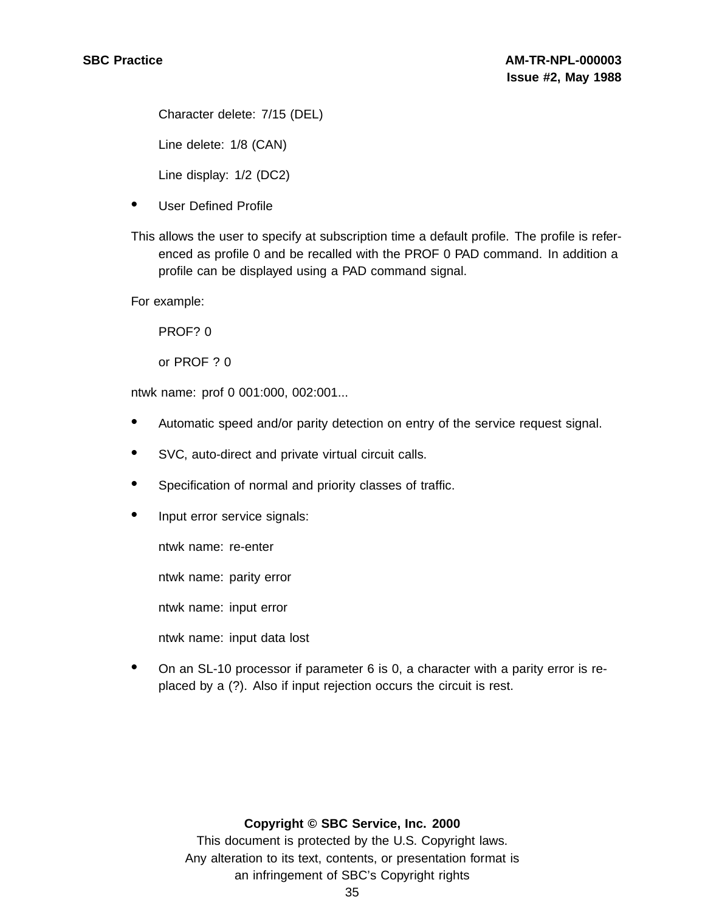Character delete: 7/15 (DEL)

Line delete: 1/8 (CAN)

Line display: 1/2 (DC2)

- User Defined Profile
- This allows the user to specify at subscription time a default profile. The profile is referenced as profile 0 and be recalled with the PROF 0 PAD command. In addition a profile can be displayed using a PAD command signal.

For example:

PROF? 0

or PROF ? 0

ntwk name: prof 0 001:000, 002:001...

- Automatic speed and/or parity detection on entry of the service request signal.
- SVC, auto-direct and private virtual circuit calls.
- Specification of normal and priority classes of traffic.
- Input error service signals:

ntwk name: re-enter

ntwk name: parity error

ntwk name: input error

ntwk name: input data lost

• On an SL-10 processor if parameter 6 is 0, a character with a parity error is replaced by a (?). Also if input rejection occurs the circuit is rest.

### **Copyright © SBC Service, Inc. 2000**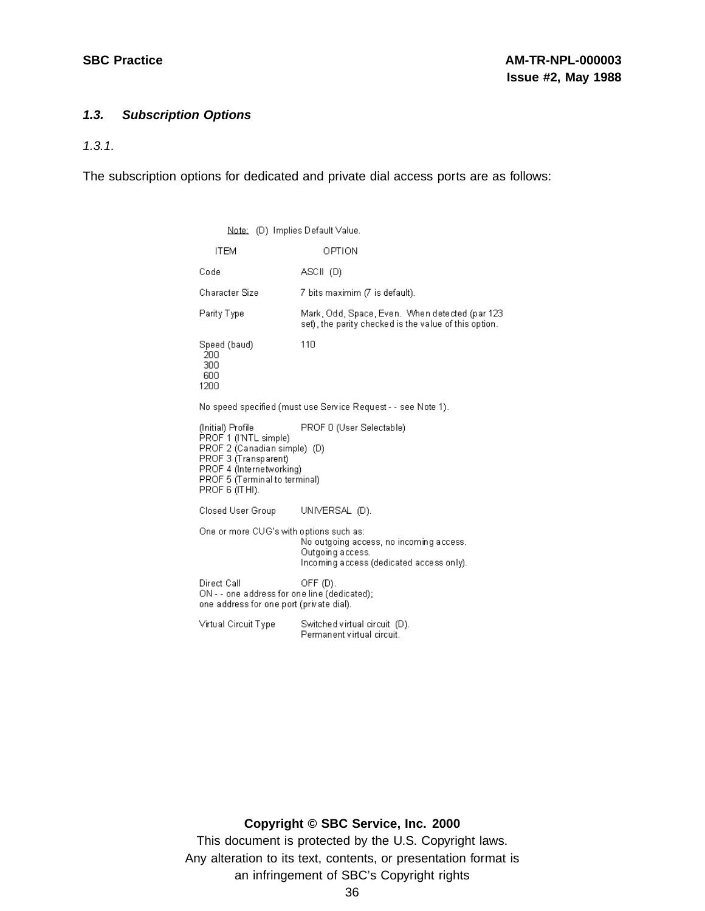### **1.3. Subscription Options**

1.3.1.

The subscription options for dedicated and private dial access ports are as follows:

Note: (D) Implies Default Value. OPTION **ITEM** Code ASCII (D) Character Size 7 bits maximim (7 is default). Mark, Odd, Space, Even. When detected (par 123 Parity Type set), the parity checked is the value of this option. Speed (baud) 110 **200** 300 600 1200 No speed specified (must use Service Request - - see Note 1). PROF 0 (User Selectable) (Initial) Profile PROF 1 (INTL simple)<br>PROF 2 (Canadian simple) (D) PROF 3 (Transparent) PROF 4 (Internetworking) PROF 5 (Terminal to terminal) PROF 6 (ITHI). Closed User Group UNIVERSAL (D). One or more CUG's with options such as: No outgoing access, no incoming access. Outgoing access. Incoming access (dedicated access only). Direct Call OFF $(D)$ . ON - - one address for one line (dedicated); one address for one port (private dial). Virtual Circuit Type Switched virtual circuit (D). Permanent virtual circuit.

### **Copyright © SBC Service, Inc. 2000**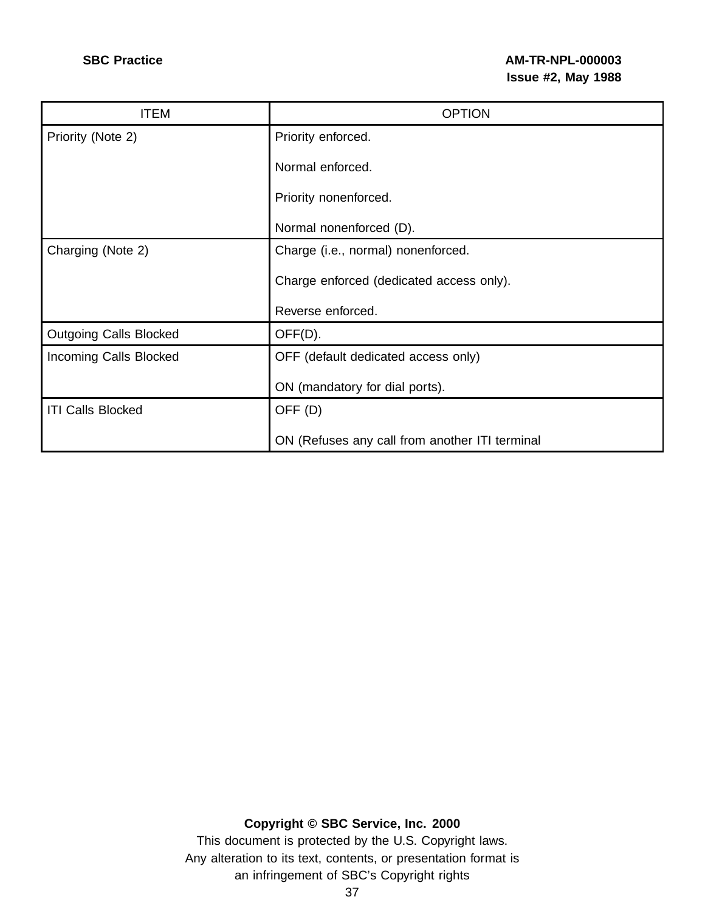| <b>ITEM</b>                   | <b>OPTION</b>                                  |
|-------------------------------|------------------------------------------------|
| Priority (Note 2)             | Priority enforced.                             |
|                               | Normal enforced.                               |
|                               | Priority nonenforced.                          |
|                               | Normal nonenforced (D).                        |
| Charging (Note 2)             | Charge (i.e., normal) nonenforced.             |
|                               | Charge enforced (dedicated access only).       |
|                               | Reverse enforced.                              |
| <b>Outgoing Calls Blocked</b> | OFF(D).                                        |
| Incoming Calls Blocked        | OFF (default dedicated access only)            |
|                               | ON (mandatory for dial ports).                 |
| <b>ITI Calls Blocked</b>      | OFF <sub>(D)</sub>                             |
|                               | ON (Refuses any call from another ITI terminal |

**Copyright © SBC Service, Inc. 2000**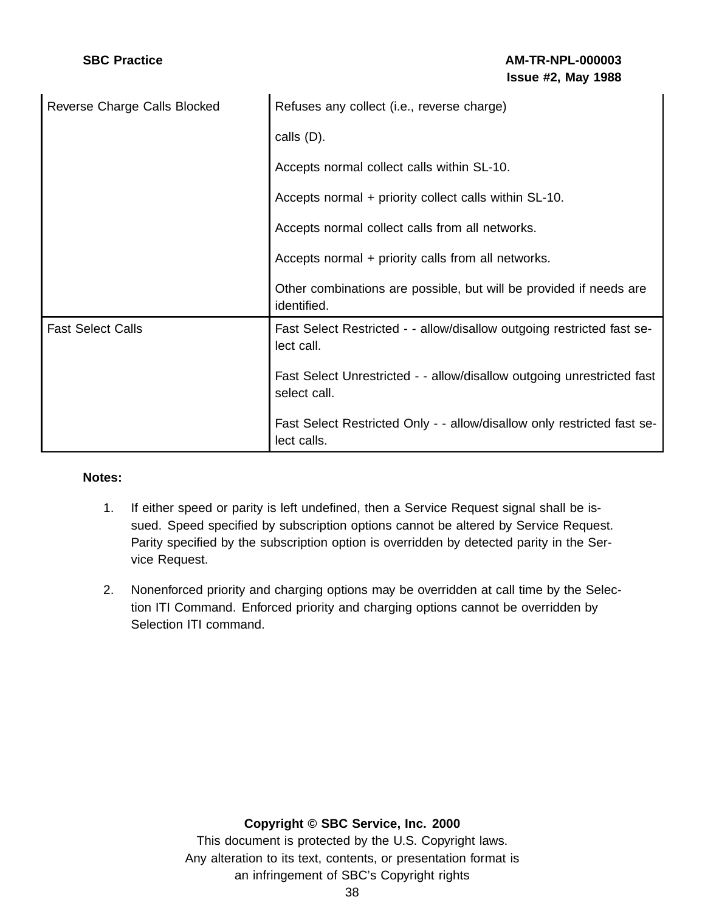# **SBC Practice AM-TR-NPL-000003 Issue #2, May 1988**

| Reverse Charge Calls Blocked | Refuses any collect (i.e., reverse charge)                                             |
|------------------------------|----------------------------------------------------------------------------------------|
|                              | calls (D).                                                                             |
|                              | Accepts normal collect calls within SL-10.                                             |
|                              | Accepts normal + priority collect calls within SL-10.                                  |
|                              | Accepts normal collect calls from all networks.                                        |
|                              | Accepts normal + priority calls from all networks.                                     |
|                              | Other combinations are possible, but will be provided if needs are<br>identified.      |
| <b>Fast Select Calls</b>     | Fast Select Restricted - - allow/disallow outgoing restricted fast se-<br>lect call.   |
|                              | Fast Select Unrestricted - - allow/disallow outgoing unrestricted fast<br>select call. |
|                              | Fast Select Restricted Only - - allow/disallow only restricted fast se-<br>lect calls. |

### **Notes:**

- 1. If either speed or parity is left undefined, then a Service Request signal shall be issued. Speed specified by subscription options cannot be altered by Service Request. Parity specified by the subscription option is overridden by detected parity in the Service Request.
- 2. Nonenforced priority and charging options may be overridden at call time by the Selection ITI Command. Enforced priority and charging options cannot be overridden by Selection ITI command.

### **Copyright © SBC Service, Inc. 2000**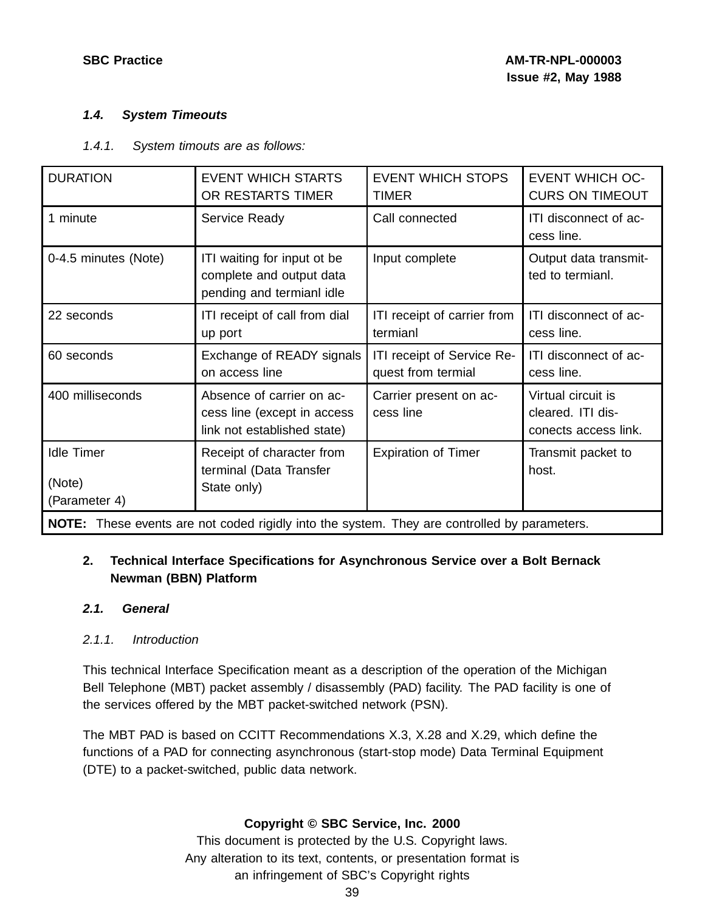### **1.4. System Timeouts**

### 1.4.1. System timouts are as follows:

| <b>DURATION</b>                                                                                     | <b>EVENT WHICH STARTS</b><br>OR RESTARTS TIMER                                          | <b>EVENT WHICH STOPS</b><br><b>TIMER</b>         | <b>EVENT WHICH OC-</b><br><b>CURS ON TIMEOUT</b>                |
|-----------------------------------------------------------------------------------------------------|-----------------------------------------------------------------------------------------|--------------------------------------------------|-----------------------------------------------------------------|
| 1 minute                                                                                            | Service Ready                                                                           | Call connected                                   | ITI disconnect of ac-<br>cess line.                             |
| 0-4.5 minutes (Note)                                                                                | ITI waiting for input ot be<br>complete and output data<br>pending and termianl idle    | Input complete                                   | Output data transmit-<br>ted to termianl.                       |
| 22 seconds                                                                                          | ITI receipt of call from dial<br>up port                                                | ITI receipt of carrier from<br>termianl          | ITI disconnect of ac-<br>cess line.                             |
| 60 seconds                                                                                          | Exchange of READY signals<br>on access line                                             | ITI receipt of Service Re-<br>quest from termial | ITI disconnect of ac-<br>cess line.                             |
| 400 milliseconds                                                                                    | Absence of carrier on ac-<br>cess line (except in access<br>link not established state) | Carrier present on ac-<br>cess line              | Virtual circuit is<br>cleared. ITI dis-<br>conects access link. |
| <b>Idle Timer</b><br>(Note)<br>(Parameter 4)                                                        | Receipt of character from<br>terminal (Data Transfer<br>State only)                     | <b>Expiration of Timer</b>                       | Transmit packet to<br>host.                                     |
| <b>NOTE:</b> These events are not coded rigidly into the system. They are controlled by parameters. |                                                                                         |                                                  |                                                                 |

# **2. Technical Interface Specifications for Asynchronous Service over a Bolt Bernack Newman (BBN) Platform**

### **2.1. General**

### 2.1.1. Introduction

This technical Interface Specification meant as a description of the operation of the Michigan Bell Telephone (MBT) packet assembly / disassembly (PAD) facility. The PAD facility is one of the services offered by the MBT packet-switched network (PSN).

The MBT PAD is based on CCITT Recommendations X.3, X.28 and X.29, which define the functions of a PAD for connecting asynchronous (start-stop mode) Data Terminal Equipment (DTE) to a packet-switched, public data network.

### **Copyright © SBC Service, Inc. 2000**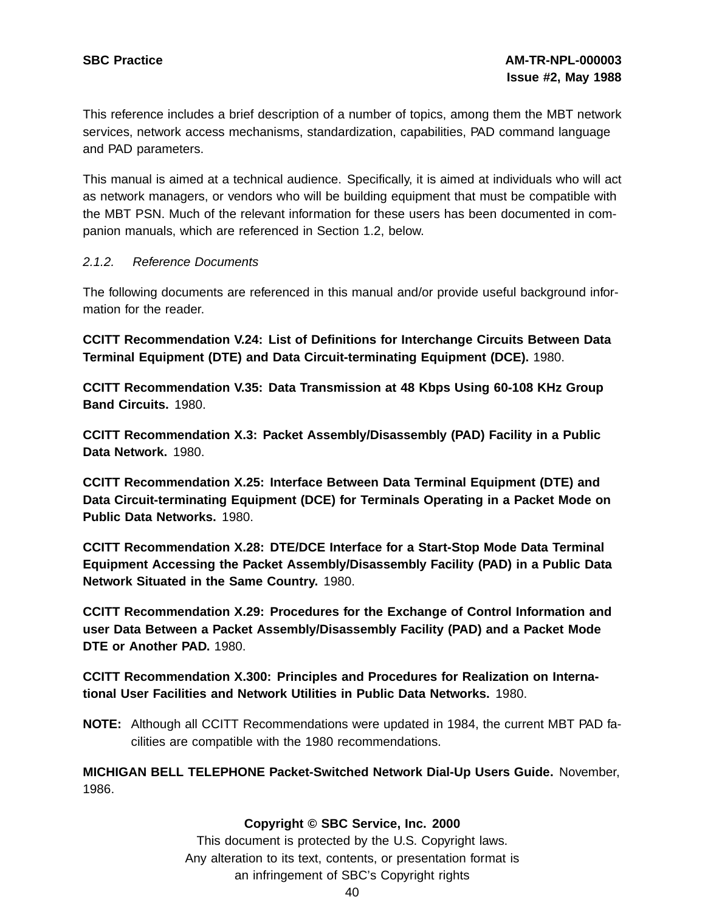This reference includes a brief description of a number of topics, among them the MBT network services, network access mechanisms, standardization, capabilities, PAD command language and PAD parameters.

This manual is aimed at a technical audience. Specifically, it is aimed at individuals who will act as network managers, or vendors who will be building equipment that must be compatible with the MBT PSN. Much of the relevant information for these users has been documented in companion manuals, which are referenced in Section 1.2, below.

### 2.1.2. Reference Documents

The following documents are referenced in this manual and/or provide useful background information for the reader.

**CCITT Recommendation V.24: List of Definitions for Interchange Circuits Between Data Terminal Equipment (DTE) and Data Circuit-terminating Equipment (DCE).** 1980.

**CCITT Recommendation V.35: Data Transmission at 48 Kbps Using 60-108 KHz Group Band Circuits.** 1980.

**CCITT Recommendation X.3: Packet Assembly/Disassembly (PAD) Facility in a Public Data Network.** 1980.

**CCITT Recommendation X.25: Interface Between Data Terminal Equipment (DTE) and Data Circuit-terminating Equipment (DCE) for Terminals Operating in a Packet Mode on Public Data Networks.** 1980.

**CCITT Recommendation X.28: DTE/DCE Interface for a Start-Stop Mode Data Terminal Equipment Accessing the Packet Assembly/Disassembly Facility (PAD) in a Public Data Network Situated in the Same Country.** 1980.

**CCITT Recommendation X.29: Procedures for the Exchange of Control Information and user Data Between a Packet Assembly/Disassembly Facility (PAD) and a Packet Mode DTE or Another PAD.** 1980.

**CCITT Recommendation X.300: Principles and Procedures for Realization on International User Facilities and Network Utilities in Public Data Networks.** 1980.

**NOTE:** Although all CCITT Recommendations were updated in 1984, the current MBT PAD facilities are compatible with the 1980 recommendations.

**MICHIGAN BELL TELEPHONE Packet-Switched Network Dial-Up Users Guide.** November, 1986.

### **Copyright © SBC Service, Inc. 2000**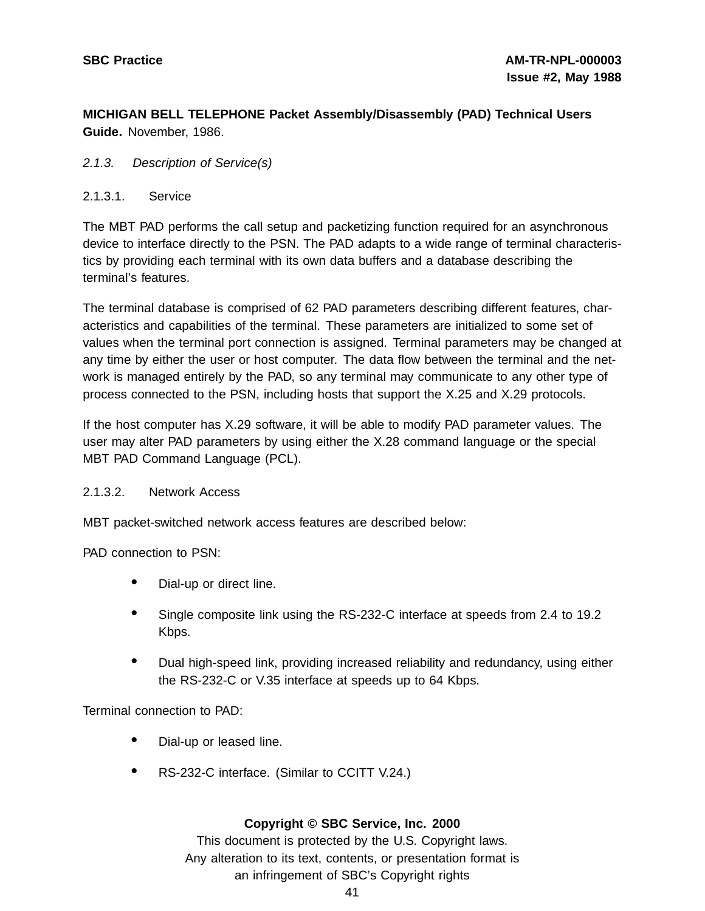**MICHIGAN BELL TELEPHONE Packet Assembly/Disassembly (PAD) Technical Users Guide.** November, 1986.

### 2.1.3. Description of Service(s)

### 2.1.3.1. Service

The MBT PAD performs the call setup and packetizing function required for an asynchronous device to interface directly to the PSN. The PAD adapts to a wide range of terminal characteristics by providing each terminal with its own data buffers and a database describing the terminal's features.

The terminal database is comprised of 62 PAD parameters describing different features, characteristics and capabilities of the terminal. These parameters are initialized to some set of values when the terminal port connection is assigned. Terminal parameters may be changed at any time by either the user or host computer. The data flow between the terminal and the network is managed entirely by the PAD, so any terminal may communicate to any other type of process connected to the PSN, including hosts that support the X.25 and X.29 protocols.

If the host computer has X.29 software, it will be able to modify PAD parameter values. The user may alter PAD parameters by using either the X.28 command language or the special MBT PAD Command Language (PCL).

### 2.1.3.2. Network Access

MBT packet-switched network access features are described below:

PAD connection to PSN:

- Dial-up or direct line.
- Single composite link using the RS-232-C interface at speeds from 2.4 to 19.2 Kbps.
- Dual high-speed link, providing increased reliability and redundancy, using either the RS-232-C or V.35 interface at speeds up to 64 Kbps.

Terminal connection to PAD:

- Dial-up or leased line.
- RS-232-C interface. (Similar to CCITT V.24.)

### **Copyright © SBC Service, Inc. 2000**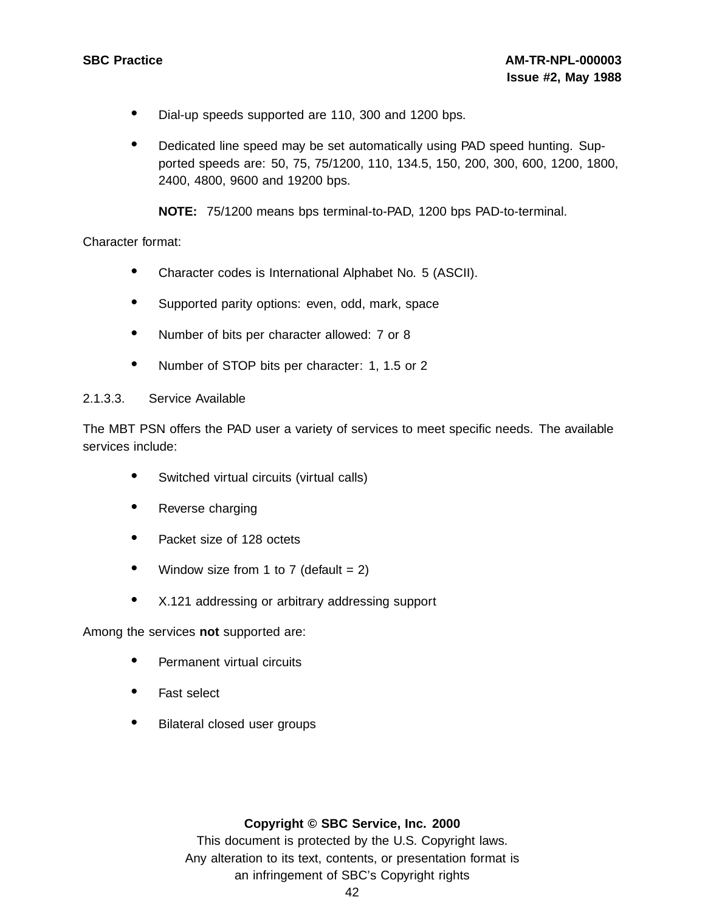- Dial-up speeds supported are 110, <sup>300</sup> and <sup>1200</sup> bps.
- Dedicated line speed may be set automatically using PAD speed hunting. Supported speeds are: 50, 75, 75/1200, 110, 134.5, 150, 200, 300, 600, 1200, 1800, 2400, 4800, 9600 and 19200 bps.

**NOTE:** 75/1200 means bps terminal-to-PAD, 1200 bps PAD-to-terminal.

Character format:

- Character codes is International Alphabet No. <sup>5</sup> (ASCII).
- Supported parity options: even, odd, mark, space
- Number of bits per character allowed: <sup>7</sup> or <sup>8</sup>
- Number of STOP bits per character: 1, 1.5 or 2

### 2.1.3.3. Service Available

The MBT PSN offers the PAD user a variety of services to meet specific needs. The available services include:

- Switched virtual circuits (virtual calls)
- Reverse charging
- Packet size of 128 octets
- Window size from 1 to 7 (default  $= 2$ )
- X.121 addressing or arbitrary addressing support

Among the services **not** supported are:

- Permanent virtual circuits
- Fast select
- Bilateral closed user groups

### **Copyright © SBC Service, Inc. 2000**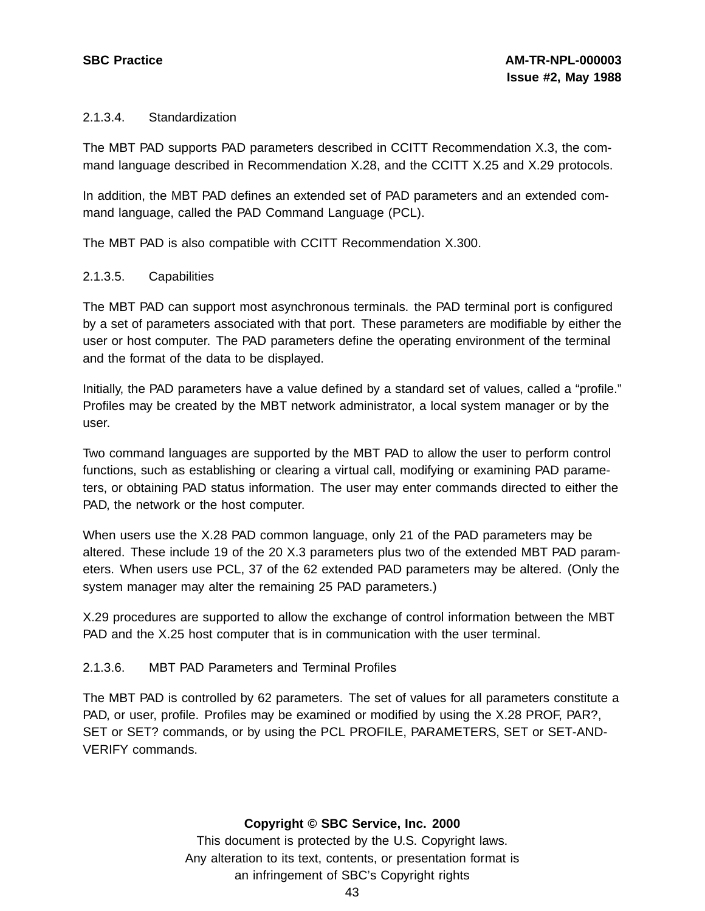### 2.1.3.4. Standardization

The MBT PAD supports PAD parameters described in CCITT Recommendation X.3, the command language described in Recommendation X.28, and the CCITT X.25 and X.29 protocols.

In addition, the MBT PAD defines an extended set of PAD parameters and an extended command language, called the PAD Command Language (PCL).

The MBT PAD is also compatible with CCITT Recommendation X.300.

### 2.1.3.5. Capabilities

The MBT PAD can support most asynchronous terminals. the PAD terminal port is configured by a set of parameters associated with that port. These parameters are modifiable by either the user or host computer. The PAD parameters define the operating environment of the terminal and the format of the data to be displayed.

Initially, the PAD parameters have a value defined by a standard set of values, called a "profile." Profiles may be created by the MBT network administrator, a local system manager or by the user.

Two command languages are supported by the MBT PAD to allow the user to perform control functions, such as establishing or clearing a virtual call, modifying or examining PAD parameters, or obtaining PAD status information. The user may enter commands directed to either the PAD, the network or the host computer.

When users use the X.28 PAD common language, only 21 of the PAD parameters may be altered. These include 19 of the 20 X.3 parameters plus two of the extended MBT PAD parameters. When users use PCL, 37 of the 62 extended PAD parameters may be altered. (Only the system manager may alter the remaining 25 PAD parameters.)

X.29 procedures are supported to allow the exchange of control information between the MBT PAD and the X.25 host computer that is in communication with the user terminal.

### 2.1.3.6. MBT PAD Parameters and Terminal Profiles

The MBT PAD is controlled by 62 parameters. The set of values for all parameters constitute a PAD, or user, profile. Profiles may be examined or modified by using the X.28 PROF, PAR?, SET or SET? commands, or by using the PCL PROFILE, PARAMETERS, SET or SET-AND-VERIFY commands.

### **Copyright © SBC Service, Inc. 2000**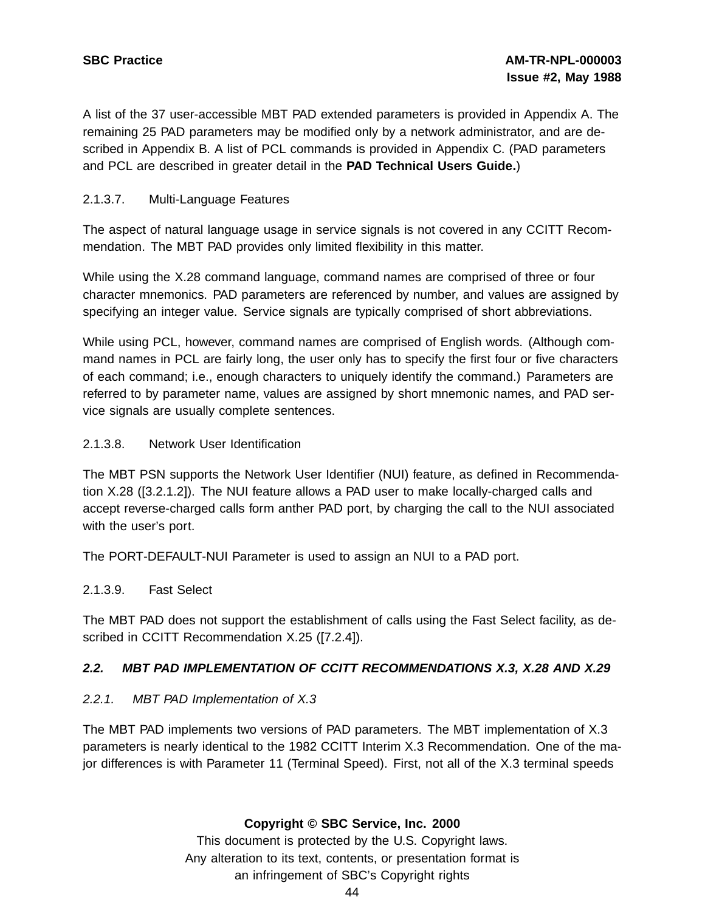A list of the 37 user-accessible MBT PAD extended parameters is provided in Appendix A. The remaining 25 PAD parameters may be modified only by a network administrator, and are described in Appendix B. A list of PCL commands is provided in Appendix C. (PAD parameters and PCL are described in greater detail in the **PAD Technical Users Guide.**)

### 2.1.3.7. Multi-Language Features

The aspect of natural language usage in service signals is not covered in any CCITT Recommendation. The MBT PAD provides only limited flexibility in this matter.

While using the X.28 command language, command names are comprised of three or four character mnemonics. PAD parameters are referenced by number, and values are assigned by specifying an integer value. Service signals are typically comprised of short abbreviations.

While using PCL, however, command names are comprised of English words. (Although command names in PCL are fairly long, the user only has to specify the first four or five characters of each command; i.e., enough characters to uniquely identify the command.) Parameters are referred to by parameter name, values are assigned by short mnemonic names, and PAD service signals are usually complete sentences.

### 2.1.3.8. Network User Identification

The MBT PSN supports the Network User Identifier (NUI) feature, as defined in Recommendation X.28 ([3.2.1.2]). The NUI feature allows a PAD user to make locally-charged calls and accept reverse-charged calls form anther PAD port, by charging the call to the NUI associated with the user's port.

The PORT-DEFAULT-NUI Parameter is used to assign an NUI to a PAD port.

### 2.1.3.9. Fast Select

The MBT PAD does not support the establishment of calls using the Fast Select facility, as described in CCITT Recommendation X.25 ([7.2.4]).

### **2.2. MBT PAD IMPLEMENTATION OF CCITT RECOMMENDATIONS X.3, X.28 AND X.29**

### 2.2.1. MBT PAD Implementation of X.3

The MBT PAD implements two versions of PAD parameters. The MBT implementation of X.3 parameters is nearly identical to the 1982 CCITT Interim X.3 Recommendation. One of the major differences is with Parameter 11 (Terminal Speed). First, not all of the X.3 terminal speeds

### **Copyright © SBC Service, Inc. 2000**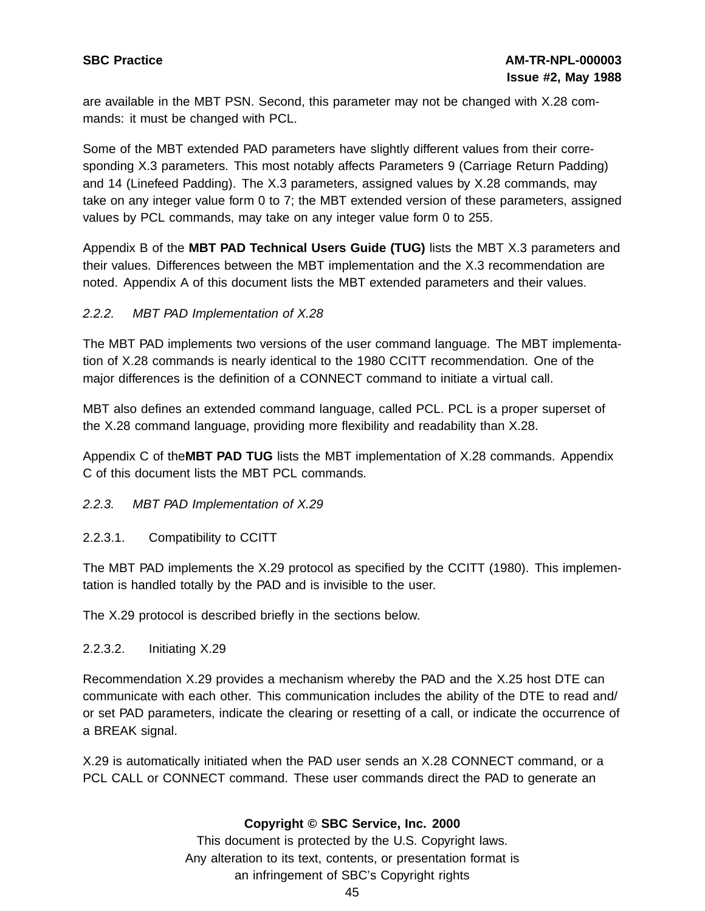are available in the MBT PSN. Second, this parameter may not be changed with X.28 commands: it must be changed with PCL.

Some of the MBT extended PAD parameters have slightly different values from their corresponding X.3 parameters. This most notably affects Parameters 9 (Carriage Return Padding) and 14 (Linefeed Padding). The X.3 parameters, assigned values by X.28 commands, may take on any integer value form 0 to 7; the MBT extended version of these parameters, assigned values by PCL commands, may take on any integer value form 0 to 255.

Appendix B of the **MBT PAD Technical Users Guide (TUG)** lists the MBT X.3 parameters and their values. Differences between the MBT implementation and the X.3 recommendation are noted. Appendix A of this document lists the MBT extended parameters and their values.

### 2.2.2. MBT PAD Implementation of X.28

The MBT PAD implements two versions of the user command language. The MBT implementation of X.28 commands is nearly identical to the 1980 CCITT recommendation. One of the major differences is the definition of a CONNECT command to initiate a virtual call.

MBT also defines an extended command language, called PCL. PCL is a proper superset of the X.28 command language, providing more flexibility and readability than X.28.

Appendix C of the**MBT PAD TUG** lists the MBT implementation of X.28 commands. Appendix C of this document lists the MBT PCL commands.

### 2.2.3. MBT PAD Implementation of X.29

### 2.2.3.1. Compatibility to CCITT

The MBT PAD implements the X.29 protocol as specified by the CCITT (1980). This implementation is handled totally by the PAD and is invisible to the user.

The X.29 protocol is described briefly in the sections below.

### 2.2.3.2. Initiating X.29

Recommendation X.29 provides a mechanism whereby the PAD and the X.25 host DTE can communicate with each other. This communication includes the ability of the DTE to read and/ or set PAD parameters, indicate the clearing or resetting of a call, or indicate the occurrence of a BREAK signal.

X.29 is automatically initiated when the PAD user sends an X.28 CONNECT command, or a PCL CALL or CONNECT command. These user commands direct the PAD to generate an

### **Copyright © SBC Service, Inc. 2000**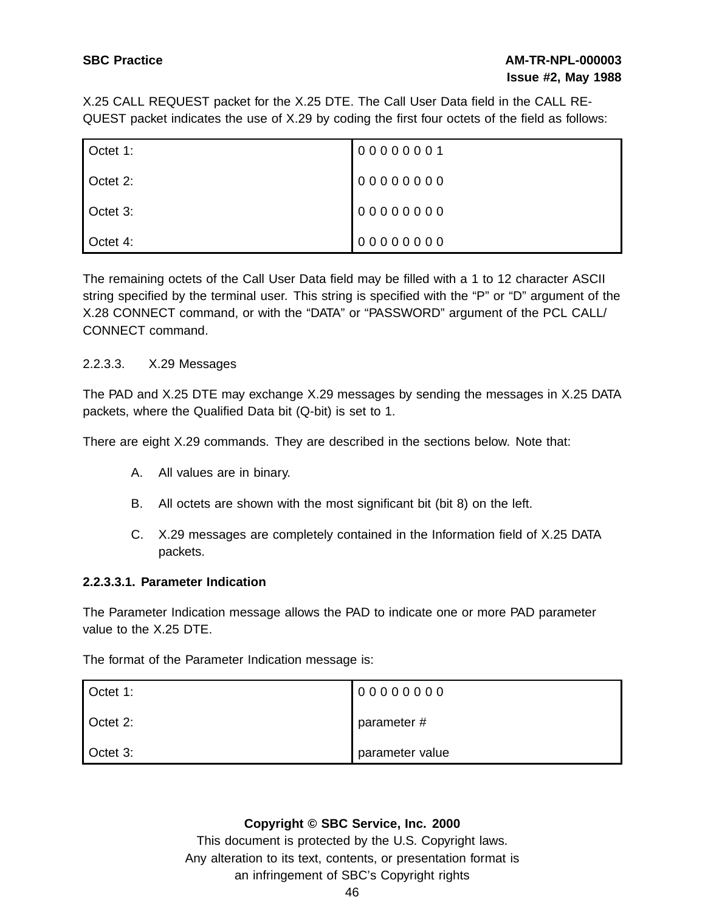# **SBC Practice AM-TR-NPL-000003 Issue #2, May 1988**

X.25 CALL REQUEST packet for the X.25 DTE. The Call User Data field in the CALL RE-QUEST packet indicates the use of X.29 by coding the first four octets of the field as follows:

| Octet 1: | 00000001 |
|----------|----------|
| Octet 2: | 00000000 |
| Octet 3: | 00000000 |
| Octet 4: | 00000000 |

The remaining octets of the Call User Data field may be filled with a 1 to 12 character ASCII string specified by the terminal user. This string is specified with the "P" or "D" argument of the X.28 CONNECT command, or with the "DATA" or "PASSWORD" argument of the PCL CALL/ CONNECT command.

### 2.2.3.3. X.29 Messages

The PAD and X.25 DTE may exchange X.29 messages by sending the messages in X.25 DATA packets, where the Qualified Data bit (Q-bit) is set to 1.

There are eight X.29 commands. They are described in the sections below. Note that:

- A. All values are in binary.
- B. All octets are shown with the most significant bit (bit 8) on the left.
- C. X.29 messages are completely contained in the Information field of X.25 DATA packets.

### **2.2.3.3.1. Parameter Indication**

The Parameter Indication message allows the PAD to indicate one or more PAD parameter value to the X.25 DTE.

The format of the Parameter Indication message is:

| Octet 1: | 00000000        |
|----------|-----------------|
| Octet 2: | parameter #     |
| Octet 3: | parameter value |

### **Copyright © SBC Service, Inc. 2000**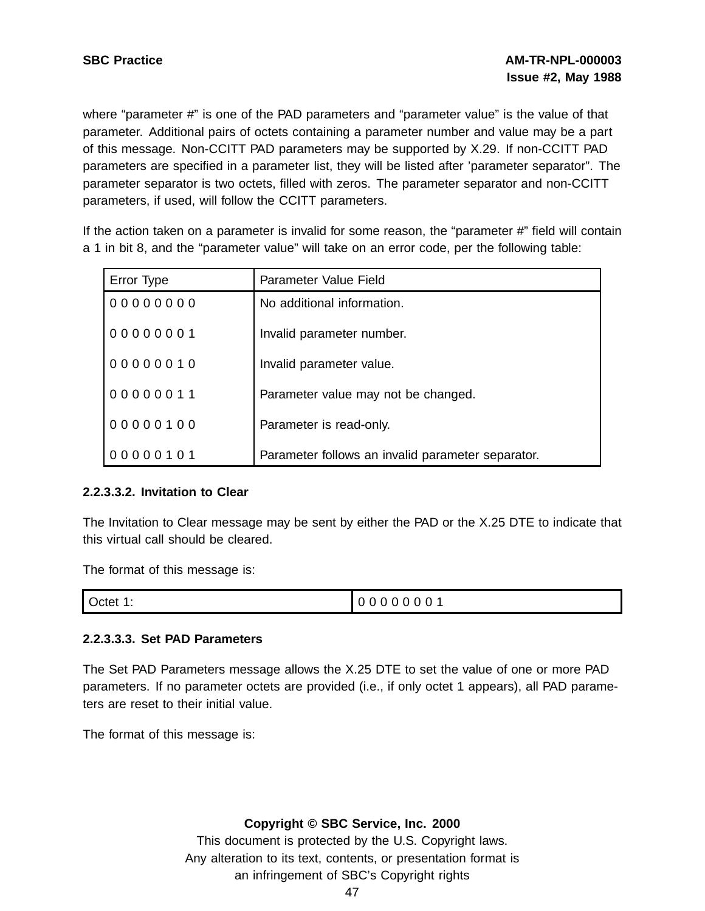where "parameter #" is one of the PAD parameters and "parameter value" is the value of that parameter. Additional pairs of octets containing a parameter number and value may be a part of this message. Non-CCITT PAD parameters may be supported by X.29. If non-CCITT PAD parameters are specified in a parameter list, they will be listed after 'parameter separator". The parameter separator is two octets, filled with zeros. The parameter separator and non-CCITT parameters, if used, will follow the CCITT parameters.

If the action taken on a parameter is invalid for some reason, the "parameter #" field will contain a 1 in bit 8, and the "parameter value" will take on an error code, per the following table:

| Error Type | Parameter Value Field                             |
|------------|---------------------------------------------------|
| 00000000   | No additional information.                        |
| 00000001   | Invalid parameter number.                         |
| 00000010   | Invalid parameter value.                          |
| 00000011   | Parameter value may not be changed.               |
| 00000100   | Parameter is read-only.                           |
| 00000101   | Parameter follows an invalid parameter separator. |

### **2.2.3.3.2. Invitation to Clear**

The Invitation to Clear message may be sent by either the PAD or the X.25 DTE to indicate that this virtual call should be cleared.

The format of this message is:

|  | Octet 1: | 0000<br>0 <sub>0</sub><br>$\mathbf 0$ |
|--|----------|---------------------------------------|
|--|----------|---------------------------------------|

### **2.2.3.3.3. Set PAD Parameters**

The Set PAD Parameters message allows the X.25 DTE to set the value of one or more PAD parameters. If no parameter octets are provided (i.e., if only octet 1 appears), all PAD parameters are reset to their initial value.

The format of this message is:

### **Copyright © SBC Service, Inc. 2000**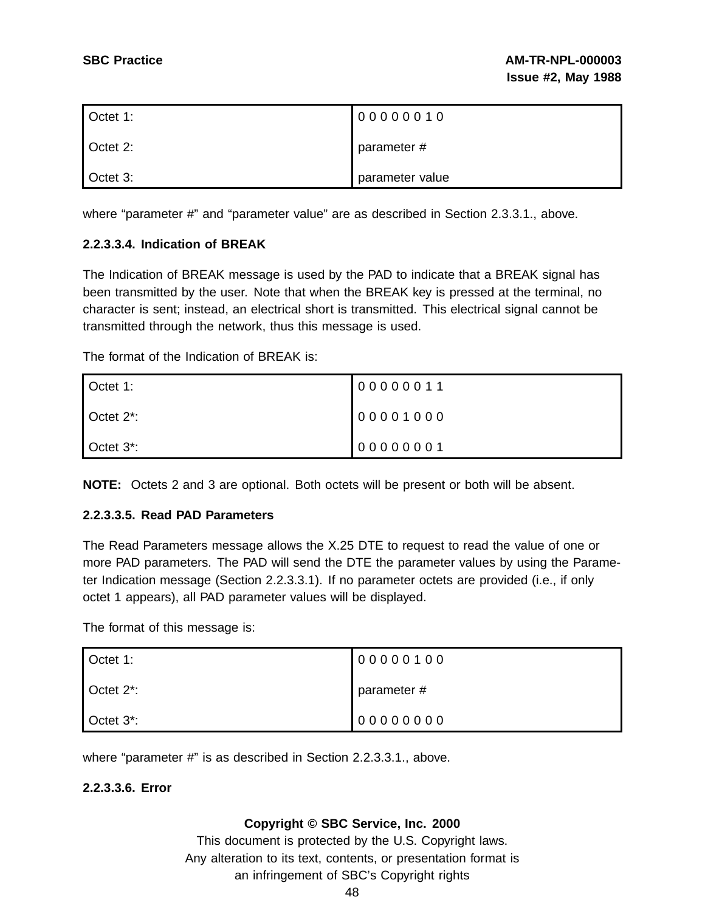| Octet 1: | 00000010        |
|----------|-----------------|
| Octet 2: | parameter #     |
| Octet 3: | parameter value |

where "parameter #" and "parameter value" are as described in Section 2.3.3.1., above.

### **2.2.3.3.4. Indication of BREAK**

The Indication of BREAK message is used by the PAD to indicate that a BREAK signal has been transmitted by the user. Note that when the BREAK key is pressed at the terminal, no character is sent; instead, an electrical short is transmitted. This electrical signal cannot be transmitted through the network, thus this message is used.

The format of the Indication of BREAK is:

| Octet 1:               | 00000011 |
|------------------------|----------|
| Octet 2 <sup>*</sup> : | 00001000 |
| Octet 3 <sup>*</sup> : | 00000001 |

**NOTE:** Octets 2 and 3 are optional. Both octets will be present or both will be absent.

### **2.2.3.3.5. Read PAD Parameters**

The Read Parameters message allows the X.25 DTE to request to read the value of one or more PAD parameters. The PAD will send the DTE the parameter values by using the Parameter Indication message (Section 2.2.3.3.1). If no parameter octets are provided (i.e., if only octet 1 appears), all PAD parameter values will be displayed.

The format of this message is:

| Octet 1:               | 00000100    |
|------------------------|-------------|
| Octet 2 <sup>*</sup> : | parameter # |
| Octet 3 <sup>*</sup> : | 00000000    |

where "parameter #" is as described in Section 2.2.3.3.1., above.

### **2.2.3.3.6. Error**

### **Copyright © SBC Service, Inc. 2000**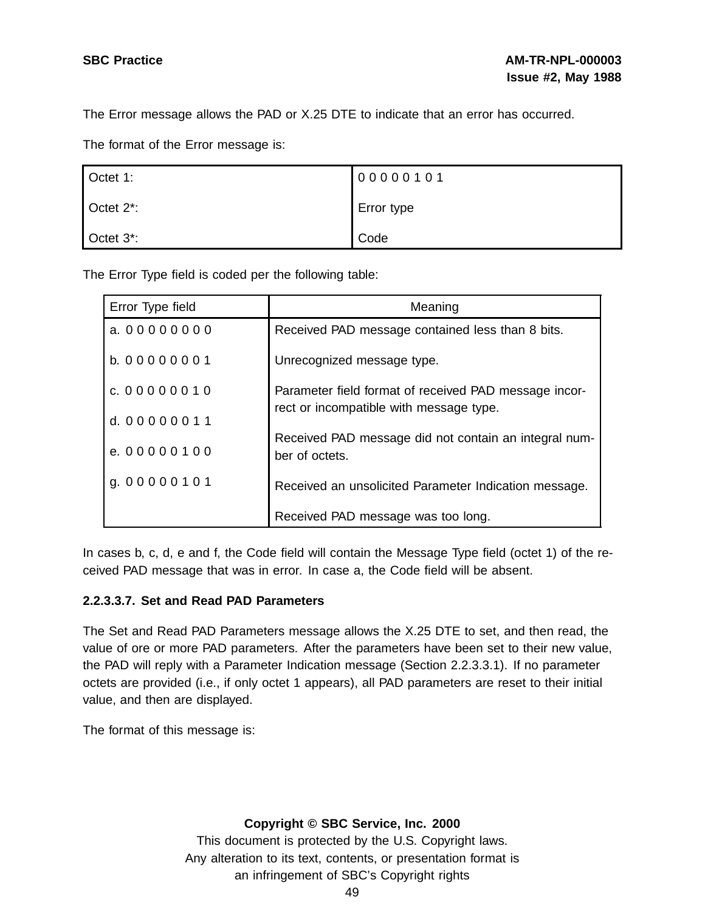The Error message allows the PAD or X.25 DTE to indicate that an error has occurred.

The format of the Error message is:

| Octet 1:               | 00000101   |
|------------------------|------------|
| Octet 2 <sup>*</sup> : | Error type |
| Octet 3 <sup>*</sup> : | Code       |

The Error Type field is coded per the following table:

| Error Type field | Meaning                                                                 |
|------------------|-------------------------------------------------------------------------|
| a. 00000000      | Received PAD message contained less than 8 bits.                        |
| b. 00000001      | Unrecognized message type.                                              |
| c. 00000010      | Parameter field format of received PAD message incor-                   |
| d. 00000011      | rect or incompatible with message type.                                 |
| e. 00000100      | Received PAD message did not contain an integral num-<br>ber of octets. |
| g. 00000101      | Received an unsolicited Parameter Indication message.                   |
|                  | Received PAD message was too long.                                      |

In cases b, c, d, e and f, the Code field will contain the Message Type field (octet 1) of the received PAD message that was in error. In case a, the Code field will be absent.

### **2.2.3.3.7. Set and Read PAD Parameters**

The Set and Read PAD Parameters message allows the X.25 DTE to set, and then read, the value of ore or more PAD parameters. After the parameters have been set to their new value, the PAD will reply with a Parameter Indication message (Section 2.2.3.3.1). If no parameter octets are provided (i.e., if only octet 1 appears), all PAD parameters are reset to their initial value, and then are displayed.

The format of this message is:

### **Copyright © SBC Service, Inc. 2000**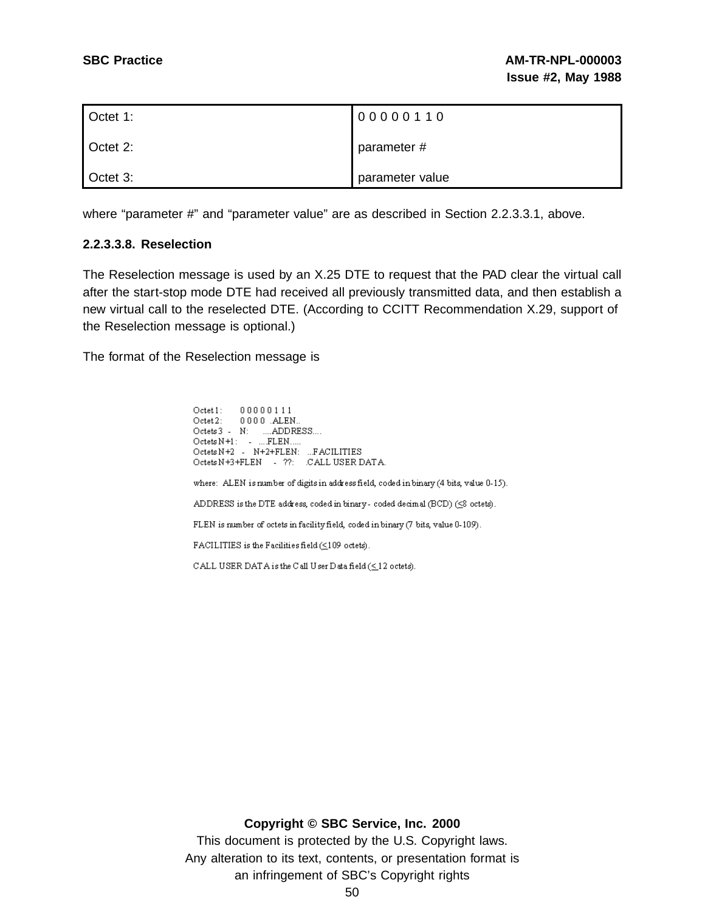| Octet 1: | 00000110        |
|----------|-----------------|
| Octet 2: | parameter #     |
| Octet 3: | parameter value |

where "parameter #" and "parameter value" are as described in Section 2.2.3.3.1, above.

### **2.2.3.3.8. Reselection**

The Reselection message is used by an X.25 DTE to request that the PAD clear the virtual call after the start-stop mode DTE had received all previously transmitted data, and then establish a new virtual call to the reselected DTE. (According to CCITT Recommendation X.29, support of the Reselection message is optional.)

The format of the Reselection message is

 $\texttt{Octet1:}\qquad \texttt{00000111}$ Octet2: 0000 ALEN...<br>Octets 3 - N: ....ADDRESS....  $\text{Octets N+1}: \quad \text{-} \quad \text{...} \text{FLEN} \text{....}$ Octets N+2 - N+2+FLEN: ...FACILITIES Octets N+3+FLEN - ??: CALL USER DATA. where: ALEN is number of digits in address field, coded in binary (4 bits, value 0-15). ADDRESS is the DTE address, coded in binary-coded decimal (BCD) (<8 octets). FLEN is number of octets in facility field, coded in binary (7 bits, value 0-109). FACILITIES is the Facilities field (<109 octets). CALL USER DATA is the C all U ser D ata field ( $\leq\!12$  octets).

**Copyright © SBC Service, Inc. 2000**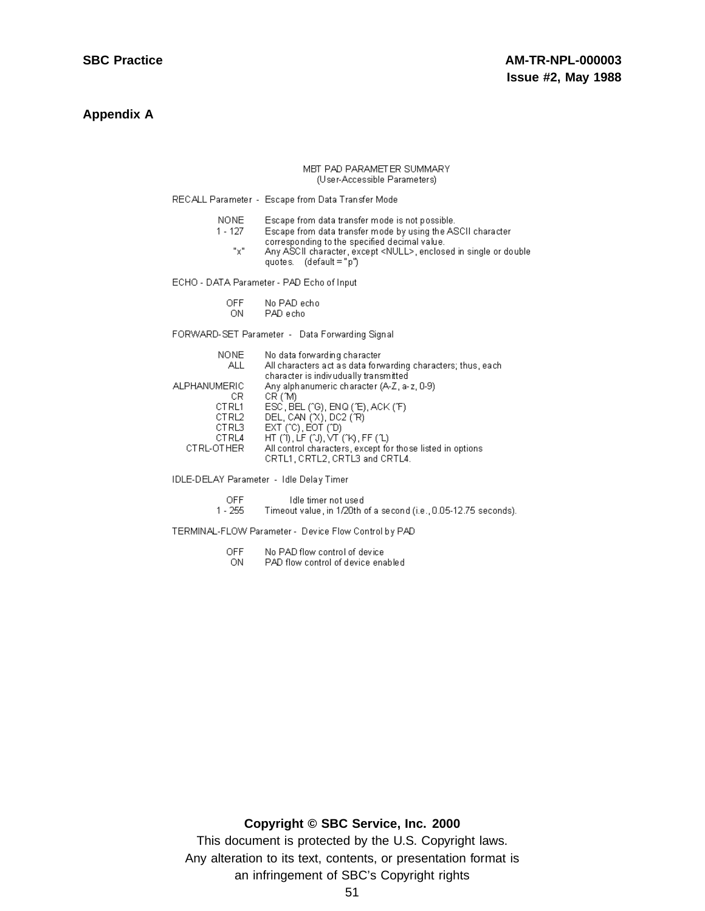### **Appendix A**

#### MBT PAD PARAMETER SUMMARY (User-Accessible Parameters)

RECALL Parameter - Escape from Data Transfer Mode

**NONE** Escape from data transfer mode is not possible.

- Escape from data transfer mode by using the ASCII character  $1 - 127$ corresponding to the specified decimal value.
	- $"x"$ Any ASCII character, except <NULL>, enclosed in single or double quotes.  $(\text{default} = "p")$

ECHO - DATA Parameter - PAD Echo of Input

- OFF No PAD echo
- ON. PAD echo

FORWARD-SET Parameter - Data Forwarding Signal

| NONE.        | No data forwarding character                                 |
|--------------|--------------------------------------------------------------|
| ALL.         | All characters act as data forwarding characters; thus, each |
|              | character is indivudually transmitted                        |
| ALPHANUMERIC | Any alphanumeric character (A-Z, a-z, 0-9)                   |
| СR           | CR (M)                                                       |
| CT RL1       | ESC, BEL (^G), ENQ (^E), ACK (^F)                            |
| CTRL2        | DEL, CAN ('X), DC2 ('R)                                      |
| CTRL3        | $EXT$ (^C), $EOT$ (^D)                                       |
| CTRL4        | HT(T), LF(TJ), VT(TK), FF(TL)                                |
| CTRL-OTHER   | All control characters, except for those listed in options   |
|              | CRTL1, CRTL2, CRTL3 and CRTL4.                               |
|              |                                                              |

IDLE-DELAY Parameter - Idle Delay Timer

OFF Idle timer not used

 $1 - 255$ Timeout value, in 1/20th of a second (i.e., 0.05-12.75 seconds).

TERMINAL-FLOW Parameter - Device Flow Control by PAD

- **OFF** No PAD flow control of device
- ON PAD flow control of device enabled

### **Copyright © SBC Service, Inc. 2000**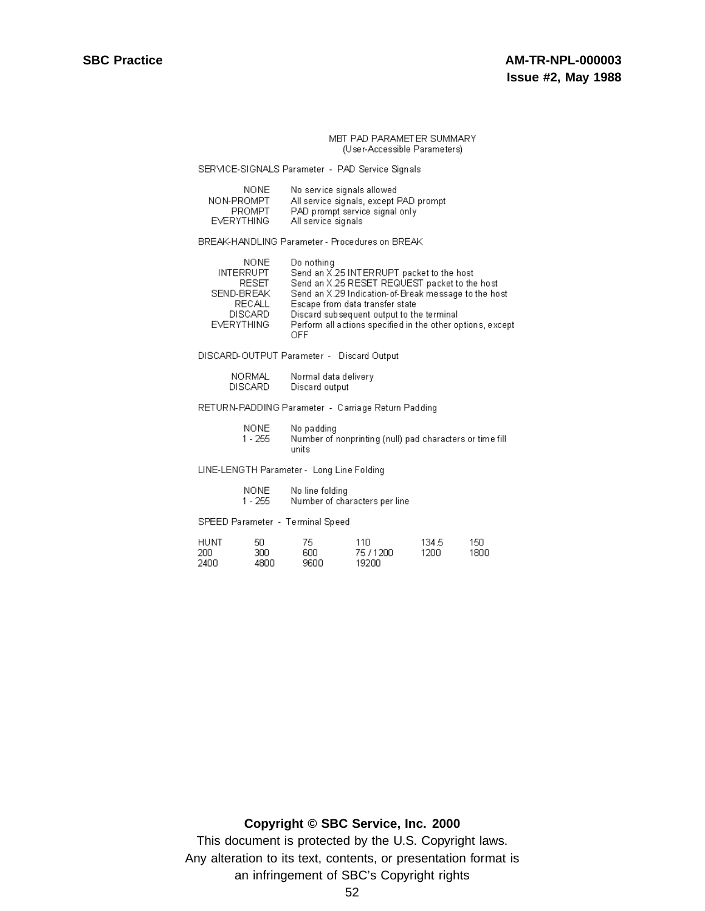SERMCE-SIGNALS Parameter - PAD Service Signals

| NONE.             | No service signals allowed             |
|-------------------|----------------------------------------|
| NON-PROMPT        | All service signals, except PAD prompt |
| <b>PROMPT</b>     | PAD prompt service signal only         |
| <b>EVERYTHING</b> | All service signals                    |

BREAK-HANDLING Parameter - Procedures on BREAK

| <b>NONE</b>       | Do nothing                                                 |
|-------------------|------------------------------------------------------------|
| <b>INTERRUPT</b>  | Send an X.25 INTERRUPT packet to the host                  |
| RESET.            | Send an X.25 RESET REQUEST packet to the host              |
| SEND-BREAK        | Send an X.29 Indication-of-Break message to the host       |
| RECALL            | Escape from data transfer state                            |
| <b>DISCARD</b>    | Discard subsequent output to the terminal                  |
| <b>EVERYTHING</b> | Perform all actions specified in the other options, except |
|                   | ∩FF                                                        |

DISCARD-OUTPUT Parameter - Discard Output

| <b>NORMAL</b>  | Normal data delivery |
|----------------|----------------------|
| <b>DISCARD</b> | Discard output       |

### RETURN-PADDING Parameter - Carriage Return Padding

**NONE** No padding Number of nonprinting (null) pad characters or time fill  $1 - 255$ units

LINE-LENGTH Parameter - Long Line Folding

- **NONE** No line folding  $1 - 255$ Number of characters per line
- SPEED Parameter Terminal Speed

| HUNT | 50   | 75   | 11N       | 134.5 | 150. |
|------|------|------|-----------|-------|------|
| 200  | ЗΩΩ  | 6NN  | 75 / 1200 | 1200. | 18NC |
| 2400 | 4800 | 9600 | 19200     |       |      |

### **Copyright © SBC Service, Inc. 2000**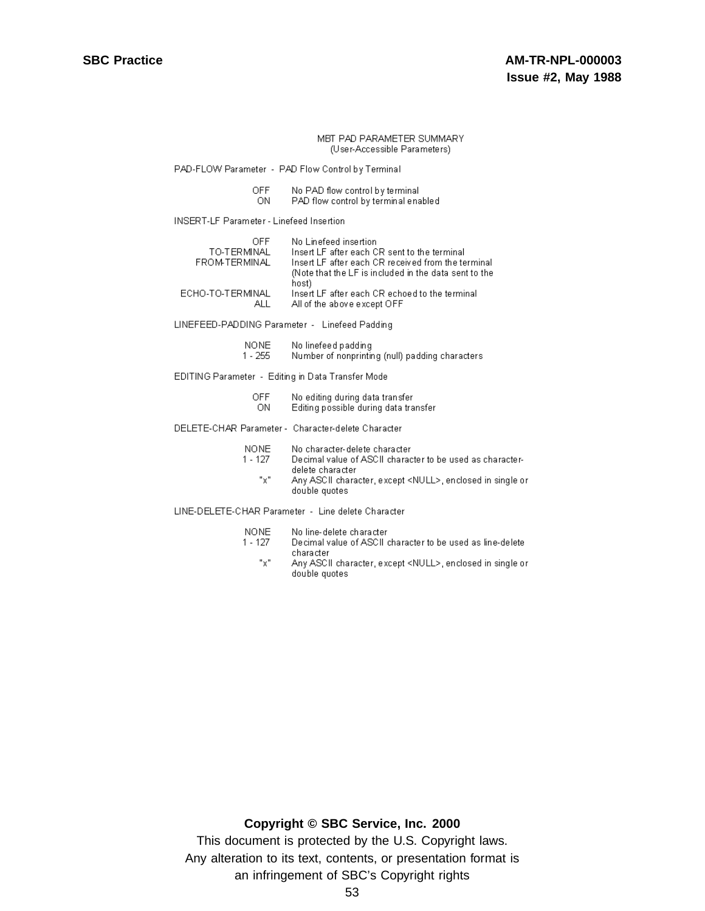PAD-FLOW Parameter - PAD Flow Control by Terminal

| <b>OFF</b> | No PAD flow control by terminal      |
|------------|--------------------------------------|
| ON.        | PAD flow control by terminal enabled |

**INSERT-LF Parameter - Linefeed Insertion** 

| OEE                    | No Linefeed insertion                                                          |
|------------------------|--------------------------------------------------------------------------------|
| TO-TERMINAL            | Insert LF after each CR sent to the terminal                                   |
| FROM-TERMINAL          | Insert LF after each CR received from the terminal                             |
|                        | (Note that the LF is included in the data sent to the<br>host)                 |
| ECHO-TO-TERMINAL<br>AH | Insert LF after each CR echoed to the terminal<br>All of the above excent OFF. |

LINEFEED-PADDING Parameter - Linefeed Padding

| NONE.   | No linefeed padding                             |
|---------|-------------------------------------------------|
| 1 - 255 | Number of nonprinting (null) padding characters |

EDITING Parameter - Editing in Data Transfer Mode

| <b>OFF</b> | No editing during data transfer       |
|------------|---------------------------------------|
| ΟN         | Editing possible during data transfer |

DELETE-CHAR Parameter - Character-delete Character

- $1 127$ Decimal value of ASCII character to be used as characterdelete character
	- $"\chi"$ Any ASCII character, except <NULL>, enclosed in single or double quotes

LINE-DELETE-CHAR Parameter - Line delete Character

- NONE No line-delete character
- $1 127$ Decimal value of ASCII character to be used as line-delete character
	- $\mathrm{``x}"$ Any ASCII character, except <NULL>, enclosed in single or double quotes

### **Copyright © SBC Service, Inc. 2000**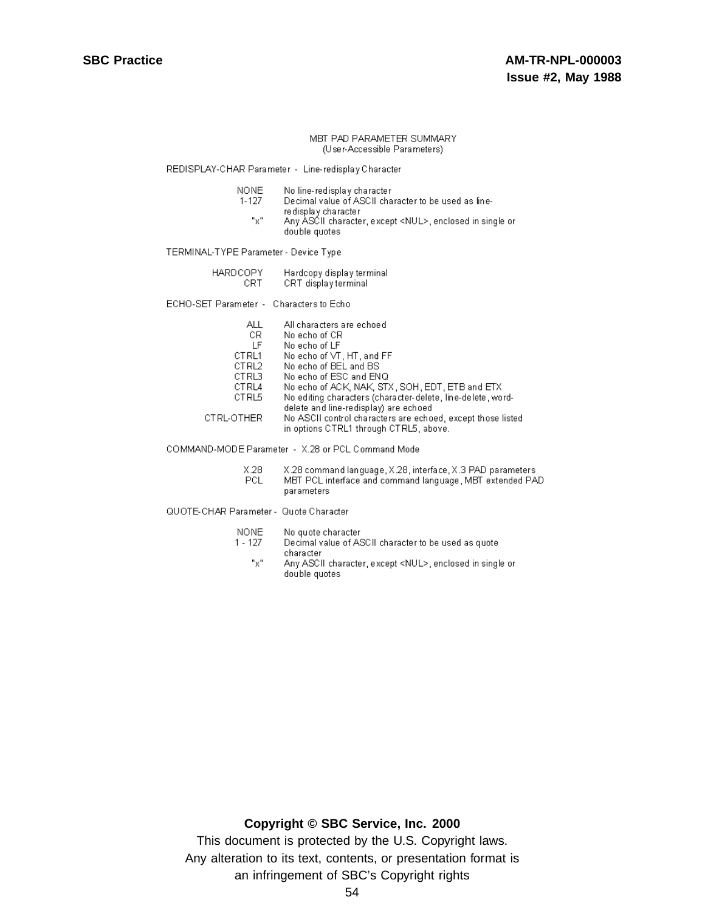REDISPLAY-CHAR Parameter - Line-redisplay Character

- **NONE** No line-redisplay character
- $1 127$ Decimal value of ASCII character to be used as lineredisplay character
- $"x"$ Any ASCII character, except <NUL>, enclosed in single or double quotes

TERMINAL-TYPE Parameter - Device Type

| <b>HARDCOPY</b> | Hardcopy display terminal |  |  |
|-----------------|---------------------------|--|--|
| CRT             | CRT display terminal      |  |  |

ECHO-SET Parameter - Characters to Echo

| ALL        | All characters are echoed                                                                             |
|------------|-------------------------------------------------------------------------------------------------------|
| CR.        | No echo of CR                                                                                         |
| ΙF         | No echo of LF                                                                                         |
| CT RL1     | No echo of VT, HT, and FF.                                                                            |
| CTRL2      | No echo of BEL and BS                                                                                 |
| CTRL3      | No echo of ESC and ENQ                                                                                |
| CTRL4      | No echo of ACK, NAK, STX, SOH, EDT, ETB and ETX                                                       |
| CTRL5      | No editing characters (character-delete, line-delete, word-                                           |
|            | delete and line-redisplay) are echoed                                                                 |
| CTRL-OTHER | No ASCII control characters are echoed, except those listed<br>in options CTRL1 through CTRL5, above. |
|            |                                                                                                       |

COMMAND-MODE Parameter - X.28 or PCL Command Mode

 $X.28$ X.28 command language, X.28, interface, X.3 PAD parameters PCL MBT PCL interface and command language, MBT extended PAD parameters

QUOTE-CHAR Parameter - Quote Character

- **NONE** No quote character
- Decimal value of ASCII character to be used as quote  $1 - 127$ character
	- $"x"$ Any ASCII character, except <NUL>, enclosed in single or double quotes

### **Copyright © SBC Service, Inc. 2000**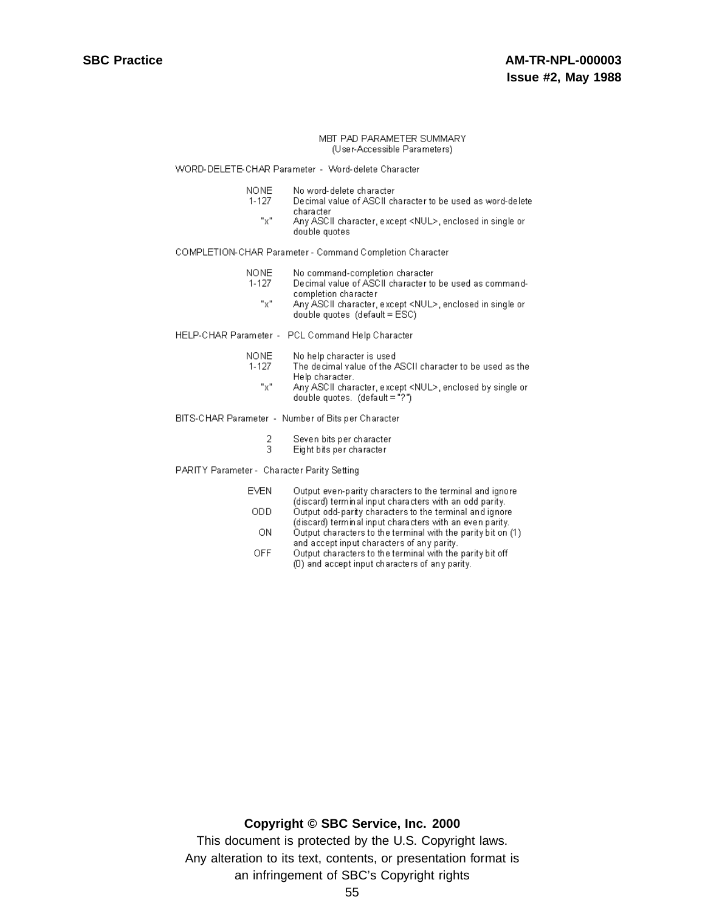#### WORD-DELETE-CHAR Parameter - Word-delete Character

- **NONE** No word-delete character
- $1 127$ Decimal value of ASCII character to be used as word-delete character
	- $"x"$ Any ASCII character, except <NUL>, enclosed in single or double quotes

#### COMPLETION-CHAR Parameter - Command Completion Character

- **NONE** No command-completion character
- $1 127$ Decimal value of ASCII character to be used as commandcompletion character
	- $"x"$ Any ASCII character, except <NUL>, enclosed in single or double quotes  $(\text{default} = \text{ESC})$

#### HELP-CHAR Parameter - PCL Command Help Character

- **NONE** No help character is used
- $1 127$ The decimal value of the ASCII character to be used as the Help character.
	- $"x"$ Any ASCII character, except <NUL>, enclosed by single or double quotes.  $(\text{default} = "?")$

#### BITS-CHAR Parameter - Number of Bits per Character

- 2 Seven bits per character
- 3 Eight bits per character

#### PARITY Parameter - Character Parity Setting

- **EVEN** Output even-parity characters to the terminal and ignore (discard) terminal input characters with an odd parity. ODD Output odd-parity characters to the terminal and ignore
	- (discard) terminal input characters with an even parity. **ON** Output characters to the terminal with the parity bit on (1)
	- and accept input characters of any parity. **OFF** Output characters to the terminal with the parity bit off
		- (D) and accept input characters of any parity.

### Copyright © SBC Service, Inc. 2000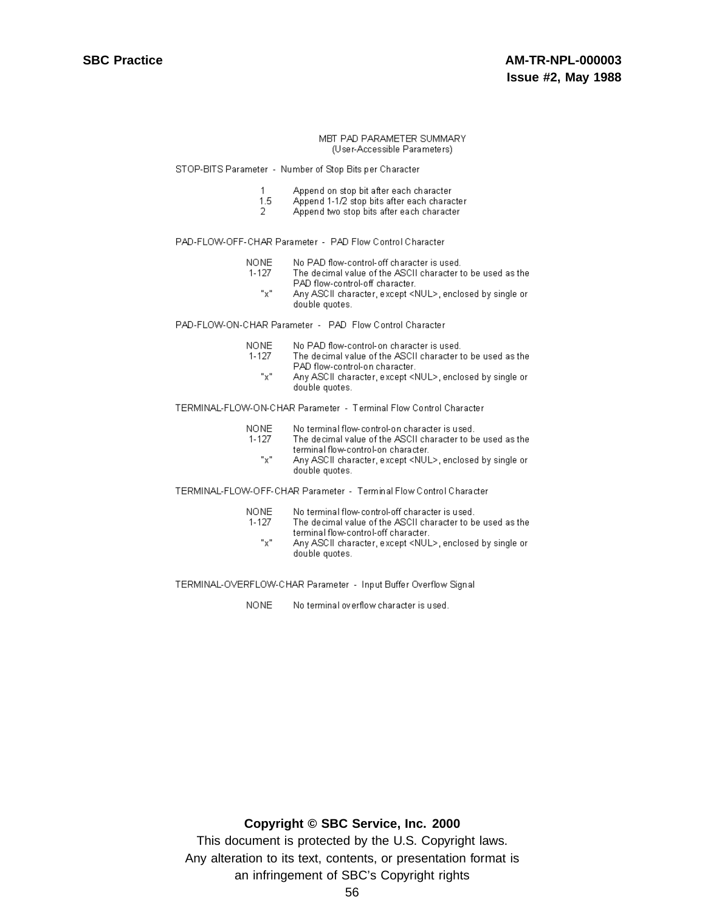STOP-BITS Parameter - Number of Stop Bits per Character

- Append on stop bit after each character  $\mathbf{1}$
- 1.5 Append 1-1/2 stop bits after each character
- $\mathcal{D}$ Append two stop bits after each character

PAD-FLOW-OFF-CHAR Parameter - PAD Flow Control Character

- **NONE** No PAD flow-control-off character is used.
	- $1 127$ The decimal value of the ASCII character to be used as the PAD flow-control-off character.
		- "х" Any ASCII character, except <NUL>, enclosed by single or double quotes.

PAD-FLOW-ON-CHAR Parameter - PAD Flow Control Character

- **NONE** No PAD flow-control-on character is used.
- The decimal value of the ASCII character to be used as the  $1 - 127$ PAD flow-control-on character.
	- $"x"$ Any ASCII character, except <NUL>, enclosed by single or double quotes.

TERMINAL-FLOW-ON-CHAR Parameter - Terminal Flow Control Character

- **NONE** No terminal flow-control-on character is used.
- The decimal value of the ASCII character to be used as the  $1 - 127$ terminal flow-control-on character. "x" Any ASCII character, except <NUL>, enclosed by single or
- TERMINAL-FLOW-OFF-CHAR Parameter Terminal Flow Control Character

double quotes.

| NONE- | No terminal flow-control-off character is used.            |
|-------|------------------------------------------------------------|
| 1-127 | The decimal value of the ASCII character to be used as the |
|       | terminal flow-control-off character.                       |

 $"x"$ Any ASCII character, except <NUL>, enclosed by single or double quotes.

TERMINAL-OVERFLOW-CHAR Parameter - Input Buffer Overflow Signal

**NONE** No terminal overflow character is used.

### Copyright © SBC Service, Inc. 2000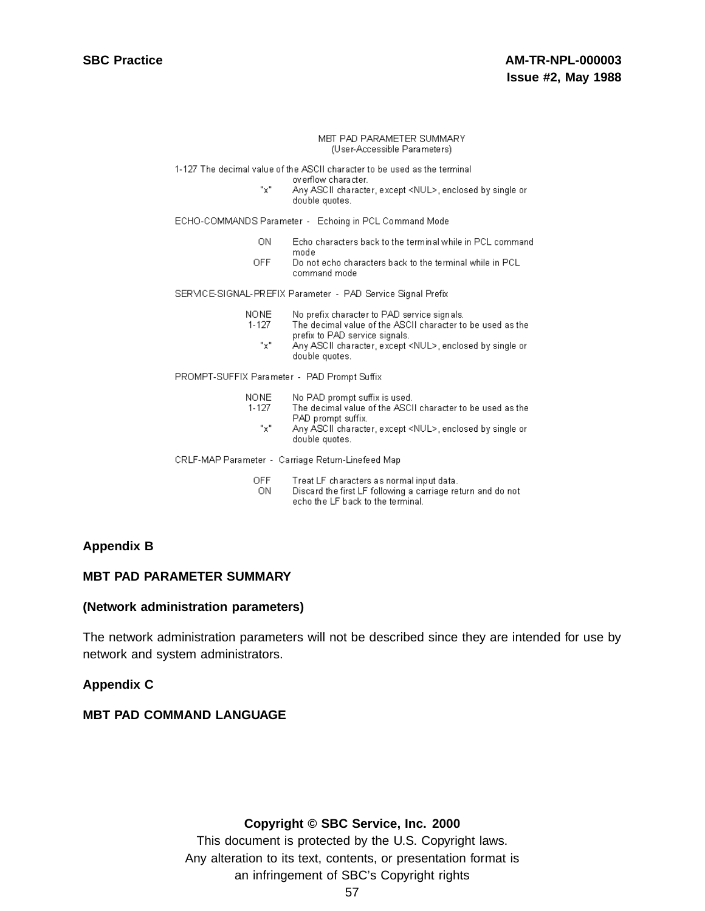1-127 The decimal value of the ASCII character to be used as the terminal

- overflow character.
- "x" Any ASCII character, except <NUL>, enclosed by single or double quotes.

ECHO-COMMANDS Parameter - Echoing in PCL Command Mode

- Echo characters back to the terminal while in PCL command ON. mode
- **OFF** Do not echo characters back to the terminal while in PCL command mode

SERMCE-SIGNAL-PREFIX Parameter - PAD Service Signal Prefix

- **NONE** No prefix character to PAD service signals.
- $1 127$ The decimal value of the ASCII character to be used as the prefix to PAD service signals.  $"x"$ 
	- Any ASCII character, except <NUL>, enclosed by single or double quotes.

PROMPT-SUFFIX Parameter - PAD Prompt Suffix

- **NONE** No PAD prompt suffix is used.  $1 - 127$ The decimal value of the ASCII character to be used as the PAD prompt suffix.
	- $"x"$ Any ASCII character, except <NUL>, enclosed by single or double quotes.

CRLF-MAP Parameter - Carriage Return-Linefeed Map

- **OFF** Treat LF characters as normal input data.
- Discard the first LF following a carriage return and do not -ON echo the LF back to the terminal.

### **Appendix B**

### **MBT PAD PARAMETER SUMMARY**

### **(Network administration parameters)**

The network administration parameters will not be described since they are intended for use by network and system administrators.

### **Appendix C**

### **MBT PAD COMMAND LANGUAGE**

### **Copyright © SBC Service, Inc. 2000**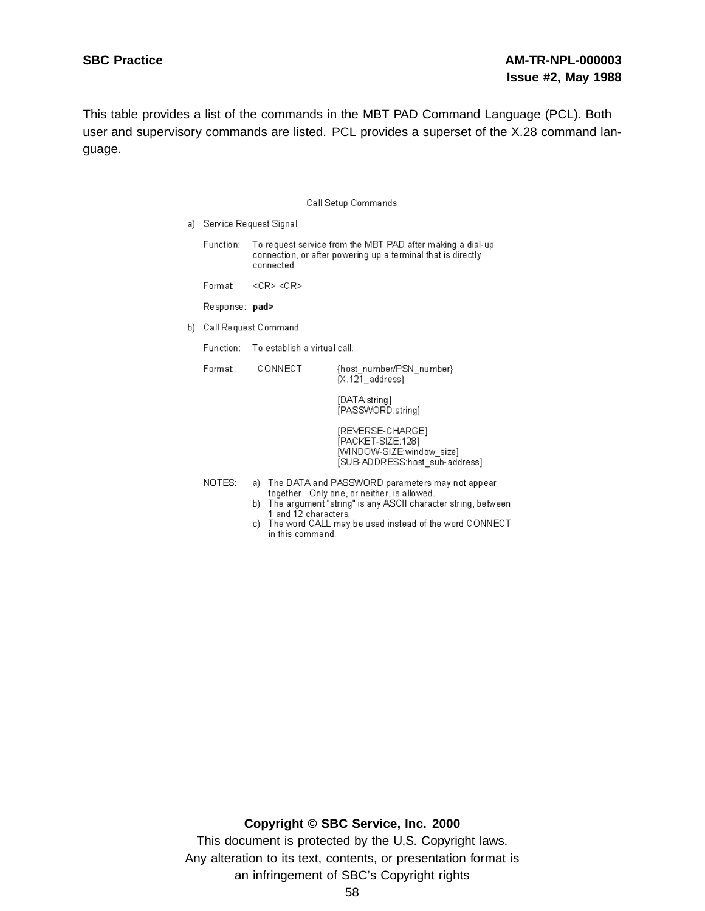This table provides a list of the commands in the MBT PAD Command Language (PCL). Both user and supervisory commands are listed. PCL provides a superset of the X.28 command language.

|     | Call Setup Commands      |                                                |                                                                                                                                                                                                                                |  |
|-----|--------------------------|------------------------------------------------|--------------------------------------------------------------------------------------------------------------------------------------------------------------------------------------------------------------------------------|--|
| a). | Service Request Signal   |                                                |                                                                                                                                                                                                                                |  |
|     | Function:                | connected                                      | To request service from the MBT PAD after making a dial-up<br>connection, or after powering up a terminal that is directly                                                                                                     |  |
|     | Format:                  | $\langle CR \rangle \langle CR \rangle$        |                                                                                                                                                                                                                                |  |
|     | Response: <b>pad&gt;</b> |                                                |                                                                                                                                                                                                                                |  |
| b). | Call Request Command     |                                                |                                                                                                                                                                                                                                |  |
|     | Function:                |                                                | — To establish a virtual call.                                                                                                                                                                                                 |  |
|     | Format:                  | CONNECT                                        | {host_number/PSN_number}<br>${X.121}$ address}                                                                                                                                                                                 |  |
|     |                          |                                                | [DATA: string]<br>[PASSWORD:string]                                                                                                                                                                                            |  |
|     |                          |                                                | [REVERSE-CHARGE]<br>[PACKET-SIZE:128]<br>[WINDOW-SIZE:window_size]<br>[SUB-ADDRESS:host_sub-address]                                                                                                                           |  |
|     | NOTES:                   | 1 and 12 characters.<br>c)<br>in this command. | a) The DATA and PASSWORD parameters may not appear<br>together. Only one, or neither, is allowed.<br>b) The argument "string" is any ASCII character string, between.<br>The word CALL may be used instead of the word CONNECT |  |

### **Copyright © SBC Service, Inc. 2000**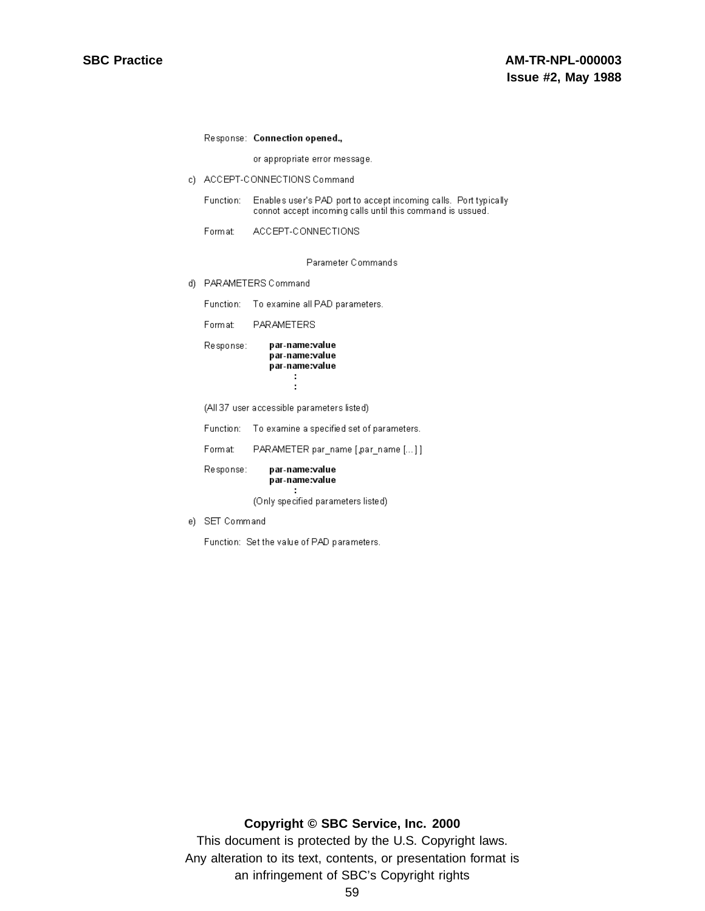### Response: Connection opened.,

or appropriate error message.

c) ACCEPT-CONNECTIONS Command

Function: Enables user's PAD port to accept incoming calls. Port typically connot accept incoming calls until this command is ussued.

Format: ACCEPT-CONNECTIONS

Parameter Commands

- d) PARAMETERS Command
	- Function: To examine all PAD parameters.

PARAMETERS Format:

| Response: | par-name:value<br>par-name:value |  |
|-----------|----------------------------------|--|
|           | par-name:value                   |  |
|           |                                  |  |

(All 37 user accessible parameters listed)

Function: To examine a specified set of parameters.

PARAMETER par\_name [.par\_name [...]] Format:

Response: par-name:value par-name:value

(Only specified parameters listed)

e) SET Command

Function: Set the value of PAD parameters.

 $\cdot$ :

### Copyright © SBC Service, Inc. 2000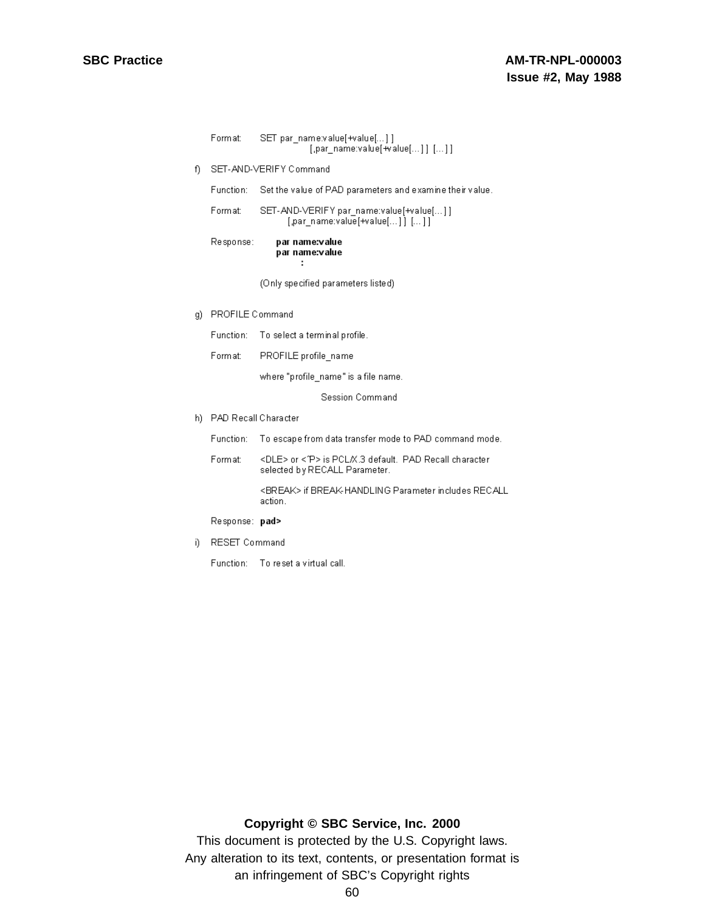|     | Format:                | SET par name:value[+value[]]<br>$[$ ,par_name:value[+value[]] $[$ ]]                                 |  |
|-----|------------------------|------------------------------------------------------------------------------------------------------|--|
| f)  | SET-AND-VERIFY Command |                                                                                                      |  |
|     | Function:              | Set the value of PAD parameters and examine their value.                                             |  |
|     | Format:                | SET-AND-VERIFY par_name:value[+value[]]<br>[par name:value[+value[]] []]                             |  |
|     | Response:              | par name:value<br>par name:value<br>÷                                                                |  |
|     |                        | (Only specified parameters listed)                                                                   |  |
| g)  | <b>PROFILE Command</b> |                                                                                                      |  |
|     | Function:              | To select a terminal profile.                                                                        |  |
|     | Format:                | PROFILE profile_name                                                                                 |  |
|     |                        | where "profile_name" is a file name.                                                                 |  |
|     |                        | Session Command                                                                                      |  |
| h). | PAD Recall Character   |                                                                                                      |  |
|     | Function:              | To escape from data transfer mode to PAD command mode.                                               |  |
|     | Format:                | <dle> or &lt;^P&gt; is PCL/X.3 default. PAD Recall character<br/>selected by RECALL Parameter.</dle> |  |
|     |                        | <break> if BREAK-HANDLING Parameter includes RECALL<br/>action.</break>                              |  |
|     | Response: pad>         |                                                                                                      |  |

i) RESET Command

Function: To reset a virtual call.

### **Copyright © SBC Service, Inc. 2000**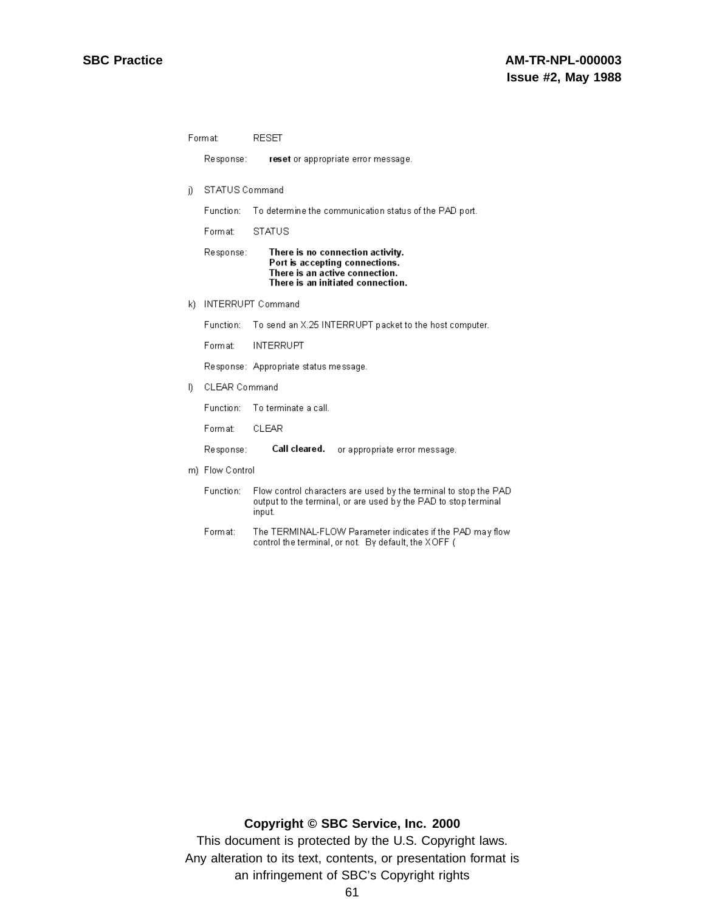Format: **RESET** Response: reset or appropriate error message. j) STATUS Command Function: To determine the communication status of the PAD port. Format: **STATUS** Response: There is no connection activity. Port is accepting connections. There is an active connection. There is an initiated connection. k) INTERRUPT Command Function: To send an X.25 INTERRUPT packet to the host computer. Format: **INTERRUPT** Response: Appropriate status message. CLEAR Command I) Function: To terminate a call. Format: CLEAR Response: Call cleared. or appropriate error message. m) Flow Control Function: Flow control characters are used by the terminal to stop the PAD output to the terminal, or are used by the PAD to stop terminal input. Format: The TERMINAL-FLOW Parameter indicates if the PAD may flow control the terminal, or not. By default, the XOFF (

### **Copyright © SBC Service, Inc. 2000**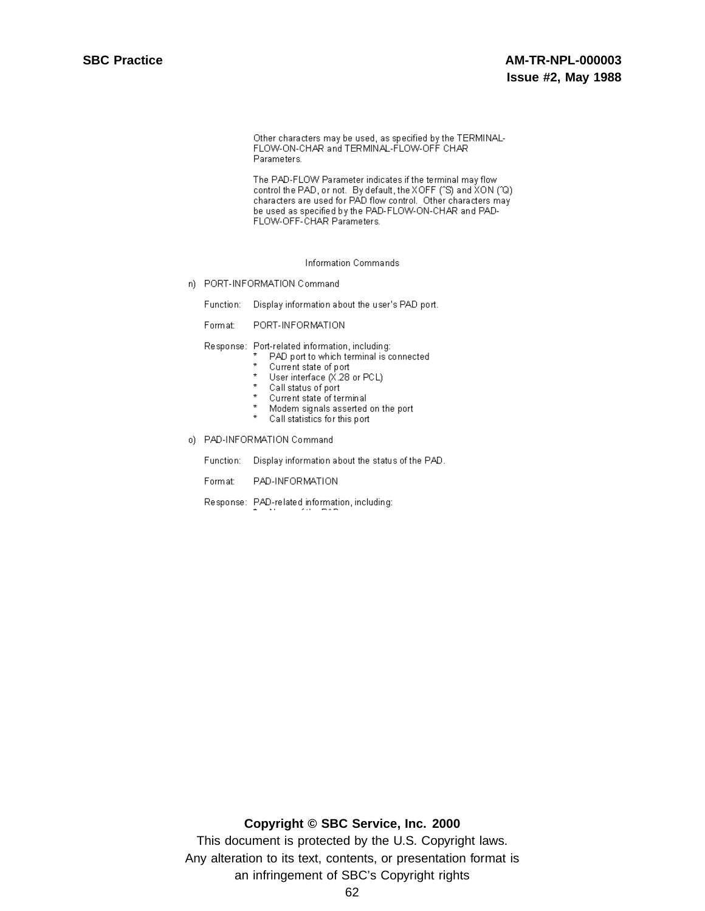Other characters may be used, as specified by the TERMINAL-FLOW-ON-CHAR and TERMINAL-FLOW-OFF CHAR Parameters.

The PAD-FLOW Parameter indicates if the terminal may flow control the PAD, or not. By default, the XOFF ("S) and XON ("Q) characters are used for PAD flow control. Other characters may be used as specified by the PAD-FLOW-ON-CHAR and PAD-FLOW-OFF-CHAR Parameters.

**Information Commands** 

n) PORT-INFORMATION Command

Function: Display information about the user's PAD port.

Format: PORT-INFORMATION

Response: Port-related information, including:

- PAD port to which terminal is connected
	- $\star$ Current state of port
	- User interface (X.28 or PCL)
	- \* Call status of port
	- \* Current state of terminal
	- $\star$ Modem signals asserted on the port
	- $\star$ Call statistics for this port
- o) PAD-INFORMATION Command
	- Function: Display information about the status of the PAD.
	- Format: PAD-INFORMATION
	- Response: PAD-related information, including:

### Copyright © SBC Service, Inc. 2000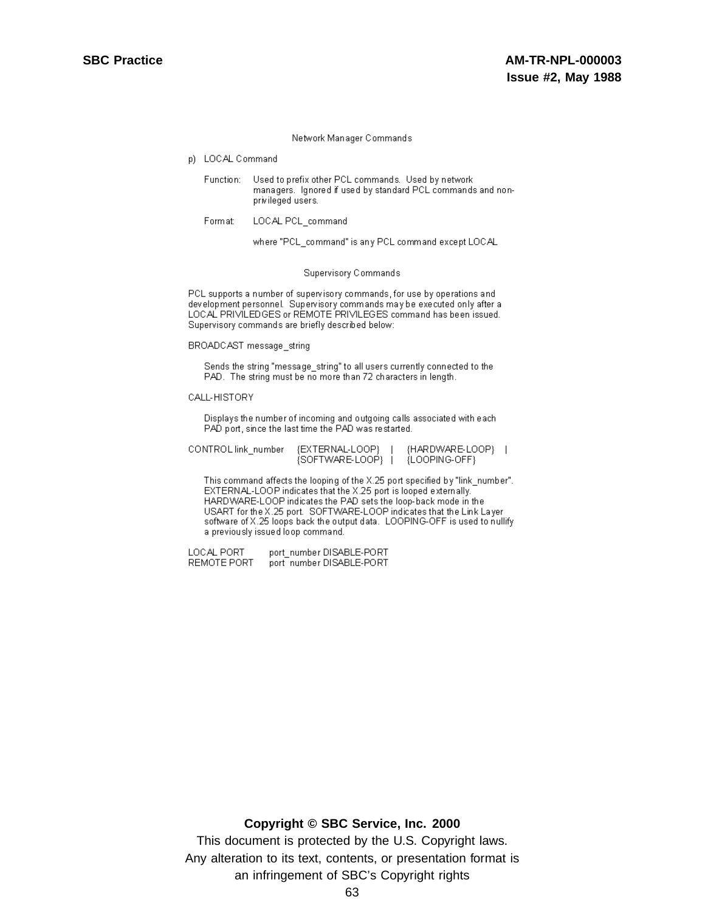#### Network Manager Commands

- p) LOCAL Command
	- Used to prefix other PCL commands. Used by network Function: managers. Ignored if used by standard PCL commands and nonprivileged users.
	- LOCAL PCL\_command Format:

where "PCL\_command" is any PCL command except LOCAL

#### Supervisory Commands

PCL supports a number of supervisory commands, for use by operations and development personnel. Supervisory commands may be executed only after a LOCAL PRIVILEDGES or REMOTE PRIVILEGES command has been issued. Supervisory commands are briefly described below:

BROADCAST message\_string

Sends the string "message\_string" to all users currently connected to the PAD. The string must be no more than 72 characters in length.

#### CALL-HISTORY

Displays the number of incoming and outgoing calls associated with each PAD port, since the last time the PAD was restarted.

| CONTROL link_number__ | {EXTERNAL-LOOP} | {HARDWARE-LOOP} |  |
|-----------------------|-----------------|-----------------|--|
|                       | {SOFTWARE-LOOP} | {LOOPING-OFF}   |  |

This command affects the looping of the X.25 port specified by "link\_number". EXTERNAL-LOOP indicates that the X.25 port is looped externally. HARDWARE-LOOP indicates the PAD sets the loop-back mode in the USART for the X.25 port. SOFTWARE-LOOP indicates that the Link Layer software of X.25 loops back the output data. LOOPING-OFF is used to nullify a previously issued loop command.

LOCAL PORT port\_number DISABLE-PORT port number DISABLE-PORT REMOTE PORT

### **Copyright © SBC Service, Inc. 2000**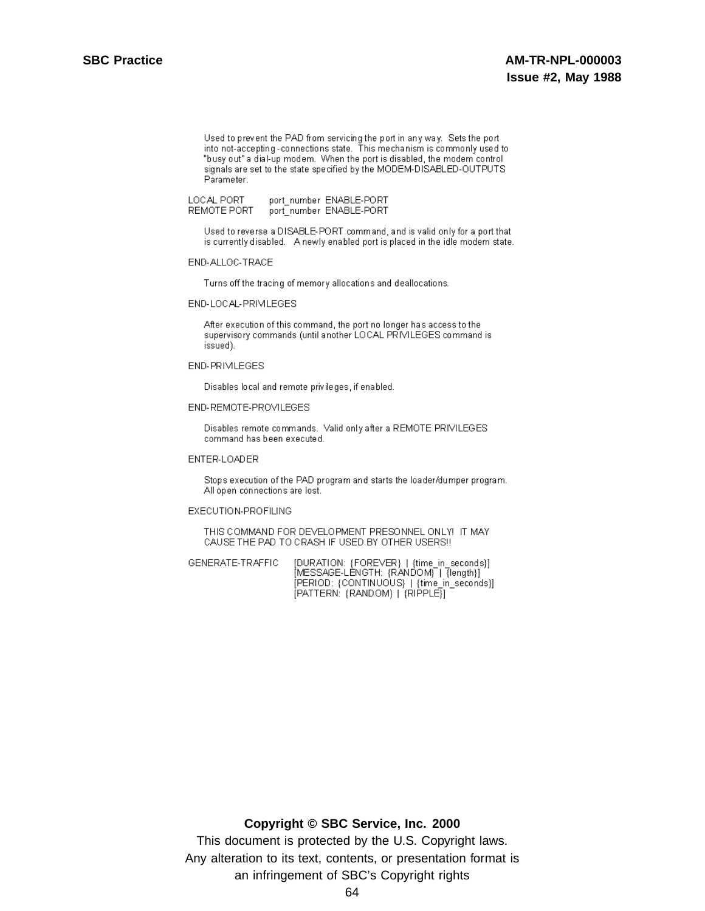Used to prevent the PAD from servicing the port in any way. Sets the port into not-accepting-connections state. This mechanism is commonly used to "busy out" a dial-up modem. When the port is disabled, the modem control signals are set to the state specified by the MODEM-DISABLED-OUTPUTS. Parameter.

LOCAL PORT port\_number\_ENABLE-PORT REMOTE PORT port number ENABLE-PORT

Used to reverse a DISABLE-PORT command, and is valid only for a port that is currently disabled. A newly enabled port is placed in the idle modem state.

#### END-ALLOC-TRACE

Turns off the tracing of memory allocations and deallocations.

#### END-LOCAL-PRIVILEGES

After execution of this command, the port no longer has access to the supervisory commands (until another LOCAL PRIVILEGES command is issued).

#### END-PRIMLEGES

Disables local and remote privileges, if enabled.

#### END-REMOTE-PROVILEGES

Disables remote commands. Valid only after a REMOTE PRIVILEGES command has been executed.

#### ENTER-LOADER

Stops execution of the PAD program and starts the loader/dumper program. All open connections are lost.

#### EXECUTION-PROFILING

THIS COMMAND FOR DEVELOPMENT PRESONNEL ONLY! IT MAY CAUSE THE PAD TO CRASH IF USED BY OTHER USERS!!

[DURATION: {FOREVER} | {time\_in\_seconds}]<br>[MESSAGE-LENGTH: {RANDOM} | {length}] GENERATE-TRAFFIC [PERIOD: {CONTINUOUS} | {time in seconds}] [PATTERN: {RANDOM} | {RIPPLE}]

### Copyright © SBC Service, Inc. 2000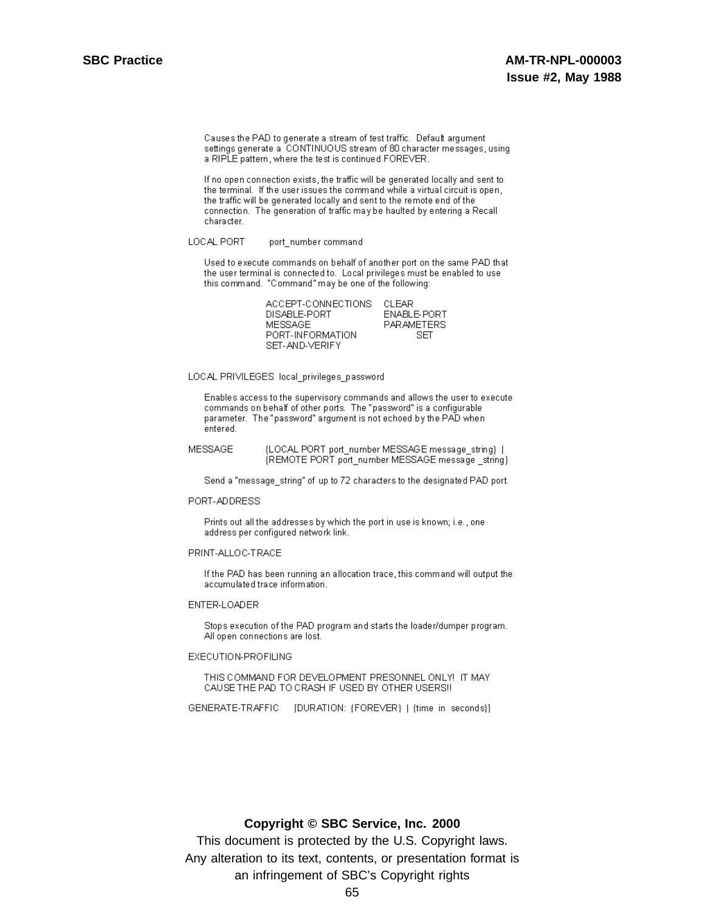### **AM-TR-NPL-000003 Issue #2, May 1988**

Causes the PAD to generate a stream of test traffic. Default argument settings generate a CONTINUOUS stream of 80 character messages, using a RIPLE pattern, where the test is continued FOREVER.

If no open connection exists, the traffic will be generated locally and sent to the terminal. If the user issues the command while a virtual circuit is open, the traffic will be generated locally and sent to the remote end of the connection. The generation of traffic may be haulted by entering a Recall character.

#### LOCAL PORT port\_number command

Used to execute commands on behalf of another port on the same PAD that the user terminal is connected to. Local privileges must be enabled to use this command. "Command" may be one of the following:

| ACCEPT-CONNECTIONS | CLEAR             |
|--------------------|-------------------|
| DISABLE-PORT       | ENABLE-PORT       |
| MESSAGE            | <b>PARAMETERS</b> |
| PORT-INFORMATION   | SET.              |
| SET-AND-VERIFY     |                   |

LOCAL PRIVILEGES local privileges password

Enables access to the supervisory commands and allows the user to execute commands on behalf of other ports. The "password" is a configurable parameter. The "password" argument is not echoed by the PAD when entered.

MESSAGE {LOCAL PORT port\_number MESSAGE message\_string} | {REMOTE PORT port\_number MESSAGE message \_string}

Send a "message\_string" of up to 72 characters to the designated PAD port.

#### PORT-ADDRESS

Prints out all the addresses by which the port in use is known; i.e., one address per configured network link.

#### PRINT-ALLOC-TRACE

If the PAD has been running an allocation trace, this command will output the accumulated trace information.

#### ENTER-LOADER

Stops execution of the PAD program and starts the loader/dumper program. All open connections are lost.

### EXECUTION-PROFILING

THIS COMMAND FOR DEVELOPMENT PRESONNEL ONLY! IT MAY CAUSE THE PAD TO CRASH IF USED BY OTHER USERS!!

GENERATE-TRAFFIC [DURATION: {FOREVER} | {time in seconds}]

### Copyright © SBC Service, Inc. 2000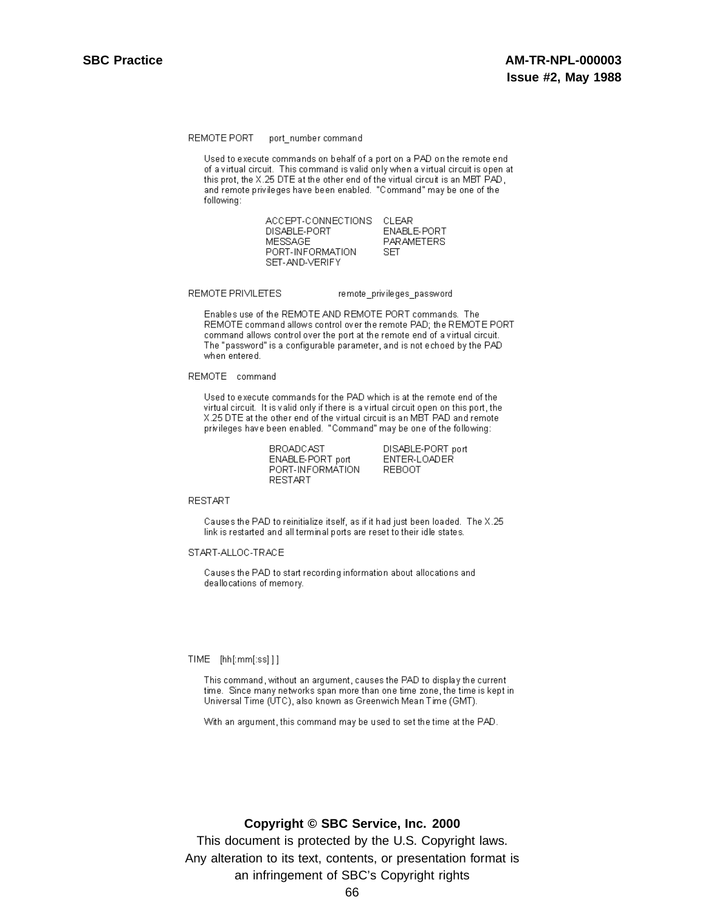#### REMOTE PORT port\_number command

Used to execute commands on behalf of a port on a PAD on the remote end of a virtual circuit. This command is valid only when a virtual circuit is open at this prot, the X.25 DTE at the other end of the virtual circuit is an MBT PAD. and remote privileges have been enabled. "Command" may be one of the following:

> ACCEPT-CONNECTIONS CLEAR DISABLE-PORT **ENABLE-PORT** MESSAGE PARAMETERS PORT-INFORMATION SET SET-AND-VERIFY

#### REMOTE PRIVILETES

#### remote\_privileges\_password

Enables use of the REMOTE AND REMOTE PORT commands. The REMOTE command allows control over the remote PAD; the REMOTE PORT command allows control over the port at the remote end of a virtual circuit. The "password" is a configurable parameter, and is not echoed by the PAD when entered.

REMOTE command

Used to execute commands for the PAD which is at the remote end of the virtual circuit. It is valid only if there is a virtual circuit open on this port, the X.25 DTE at the other end of the virtual circuit is an MBT PAD and remote privileges have been enabled. "Command" may be one of the following:

> **BROADCAST** ENABLE-PORT port PORT-INFORMATION **RESTART**

DISABLE-PORT port ENTER-LOADER **REBOOT** 

**RESTART** 

Causes the PAD to reinitialize itself, as if it had just been loaded. The X.25 link is restarted and all terminal ports are reset to their idle states.

START-ALLOC-TRACE

Causes the PAD to start recording information about allocations and deallocations of memory.

#### TIME [hh[:mm[:ss]]]

This command, without an argument, causes the PAD to display the current time. Since many networks span more than one time zone, the time is kept in Universal Time (UTC), also known as Greenwich Mean Time (GMT).

With an argument, this command may be used to set the time at the PAD.

### Copyright © SBC Service, Inc. 2000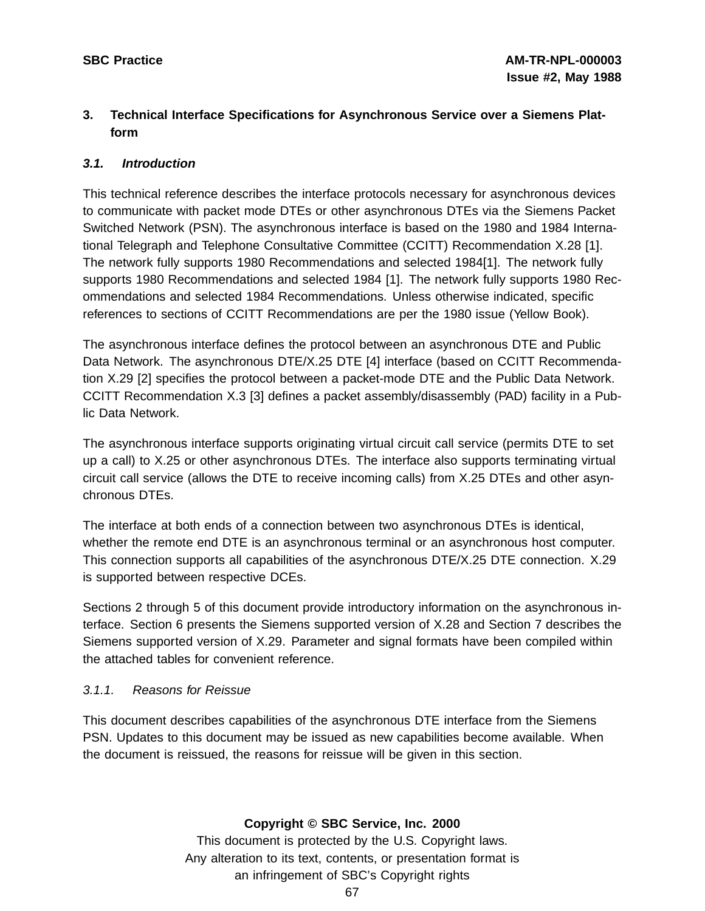# **3. Technical Interface Specifications for Asynchronous Service over a Siemens Platform**

### **3.1. Introduction**

This technical reference describes the interface protocols necessary for asynchronous devices to communicate with packet mode DTEs or other asynchronous DTEs via the Siemens Packet Switched Network (PSN). The asynchronous interface is based on the 1980 and 1984 International Telegraph and Telephone Consultative Committee (CCITT) Recommendation X.28 [1]. The network fully supports 1980 Recommendations and selected 1984[1]. The network fully supports 1980 Recommendations and selected 1984 [1]. The network fully supports 1980 Recommendations and selected 1984 Recommendations. Unless otherwise indicated, specific references to sections of CCITT Recommendations are per the 1980 issue (Yellow Book).

The asynchronous interface defines the protocol between an asynchronous DTE and Public Data Network. The asynchronous DTE/X.25 DTE [4] interface (based on CCITT Recommendation X.29 [2] specifies the protocol between a packet-mode DTE and the Public Data Network. CCITT Recommendation X.3 [3] defines a packet assembly/disassembly (PAD) facility in a Public Data Network.

The asynchronous interface supports originating virtual circuit call service (permits DTE to set up a call) to X.25 or other asynchronous DTEs. The interface also supports terminating virtual circuit call service (allows the DTE to receive incoming calls) from X.25 DTEs and other asynchronous DTEs.

The interface at both ends of a connection between two asynchronous DTEs is identical, whether the remote end DTE is an asynchronous terminal or an asynchronous host computer. This connection supports all capabilities of the asynchronous DTE/X.25 DTE connection. X.29 is supported between respective DCEs.

Sections 2 through 5 of this document provide introductory information on the asynchronous interface. Section 6 presents the Siemens supported version of X.28 and Section 7 describes the Siemens supported version of X.29. Parameter and signal formats have been compiled within the attached tables for convenient reference.

### 3.1.1. Reasons for Reissue

This document describes capabilities of the asynchronous DTE interface from the Siemens PSN. Updates to this document may be issued as new capabilities become available. When the document is reissued, the reasons for reissue will be given in this section.

### **Copyright © SBC Service, Inc. 2000**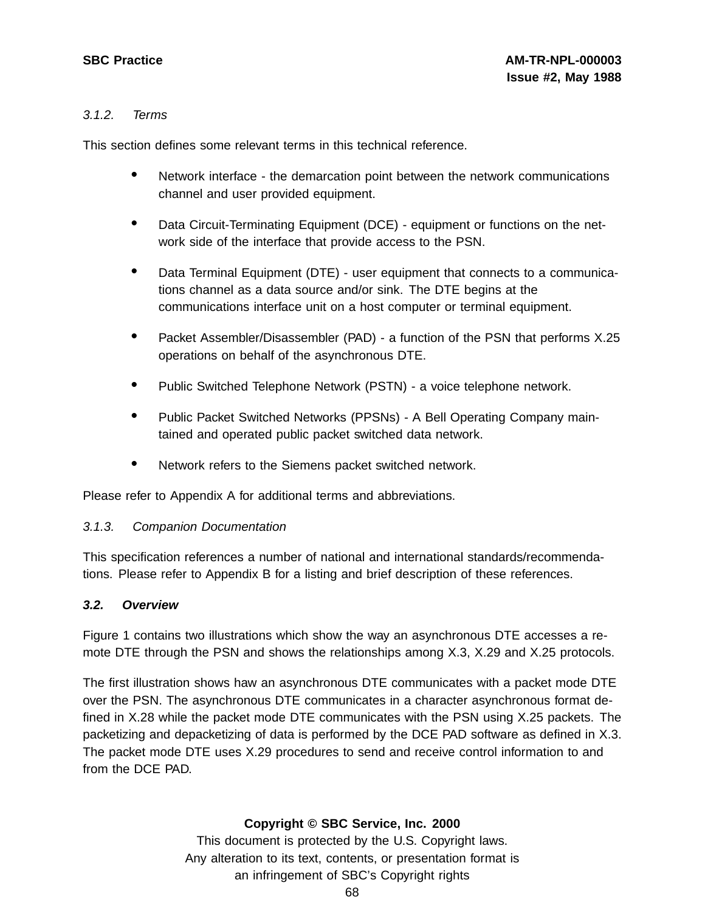### 3.1.2. Terms

This section defines some relevant terms in this technical reference.

- Network interface the demarcation point between the network communications channel and user provided equipment.
- Data Circuit-Terminating Equipment (DCE) equipment or functions on the network side of the interface that provide access to the PSN.
- Data Terminal Equipment (DTE) user equipment that connects to <sup>a</sup> communications channel as a data source and/or sink. The DTE begins at the communications interface unit on a host computer or terminal equipment.
- Packet Assembler/Disassembler (PAD) a function of the PSN that performs X.25 operations on behalf of the asynchronous DTE.
- Public Switched Telephone Network (PSTN) <sup>a</sup> voice telephone network.
- Public Packet Switched Networks (PPSNs) <sup>A</sup> Bell Operating Company maintained and operated public packet switched data network.
- Network refers to the Siemens packet switched network.

Please refer to Appendix A for additional terms and abbreviations.

### 3.1.3. Companion Documentation

This specification references a number of national and international standards/recommendations. Please refer to Appendix B for a listing and brief description of these references.

### **3.2. Overview**

Figure 1 contains two illustrations which show the way an asynchronous DTE accesses a remote DTE through the PSN and shows the relationships among X.3, X.29 and X.25 protocols.

The first illustration shows haw an asynchronous DTE communicates with a packet mode DTE over the PSN. The asynchronous DTE communicates in a character asynchronous format defined in X.28 while the packet mode DTE communicates with the PSN using X.25 packets. The packetizing and depacketizing of data is performed by the DCE PAD software as defined in X.3. The packet mode DTE uses X.29 procedures to send and receive control information to and from the DCE PAD.

### **Copyright © SBC Service, Inc. 2000**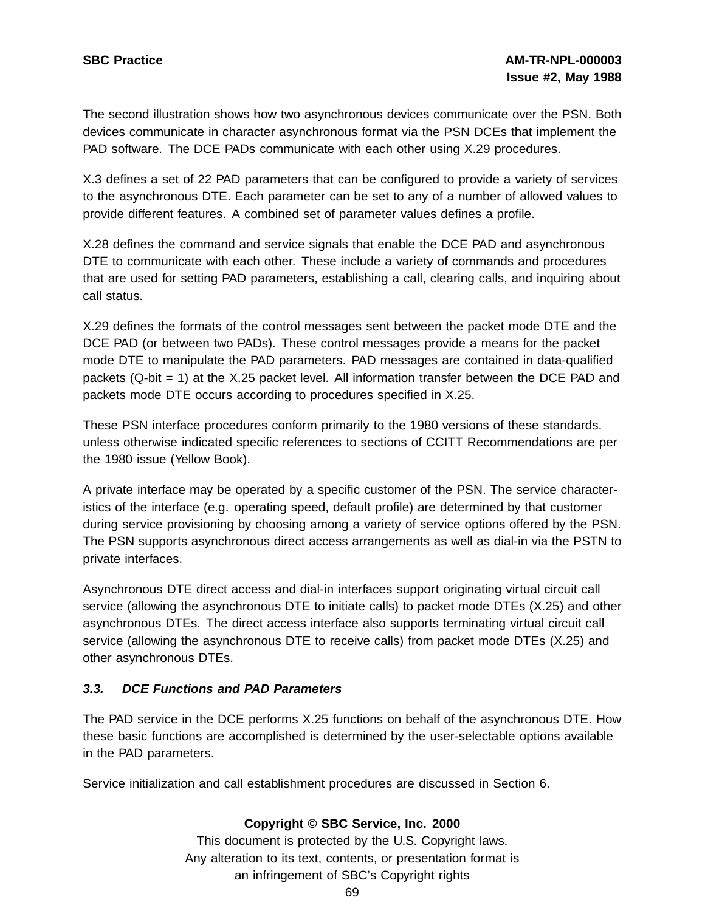The second illustration shows how two asynchronous devices communicate over the PSN. Both devices communicate in character asynchronous format via the PSN DCEs that implement the PAD software. The DCE PADs communicate with each other using X.29 procedures.

X.3 defines a set of 22 PAD parameters that can be configured to provide a variety of services to the asynchronous DTE. Each parameter can be set to any of a number of allowed values to provide different features. A combined set of parameter values defines a profile.

X.28 defines the command and service signals that enable the DCE PAD and asynchronous DTE to communicate with each other. These include a variety of commands and procedures that are used for setting PAD parameters, establishing a call, clearing calls, and inquiring about call status.

X.29 defines the formats of the control messages sent between the packet mode DTE and the DCE PAD (or between two PADs). These control messages provide a means for the packet mode DTE to manipulate the PAD parameters. PAD messages are contained in data-qualified packets (Q-bit = 1) at the X.25 packet level. All information transfer between the DCE PAD and packets mode DTE occurs according to procedures specified in X.25.

These PSN interface procedures conform primarily to the 1980 versions of these standards. unless otherwise indicated specific references to sections of CCITT Recommendations are per the 1980 issue (Yellow Book).

A private interface may be operated by a specific customer of the PSN. The service characteristics of the interface (e.g. operating speed, default profile) are determined by that customer during service provisioning by choosing among a variety of service options offered by the PSN. The PSN supports asynchronous direct access arrangements as well as dial-in via the PSTN to private interfaces.

Asynchronous DTE direct access and dial-in interfaces support originating virtual circuit call service (allowing the asynchronous DTE to initiate calls) to packet mode DTEs (X.25) and other asynchronous DTEs. The direct access interface also supports terminating virtual circuit call service (allowing the asynchronous DTE to receive calls) from packet mode DTEs (X.25) and other asynchronous DTEs.

## **3.3. DCE Functions and PAD Parameters**

The PAD service in the DCE performs X.25 functions on behalf of the asynchronous DTE. How these basic functions are accomplished is determined by the user-selectable options available in the PAD parameters.

Service initialization and call establishment procedures are discussed in Section 6.

## **Copyright © SBC Service, Inc. 2000**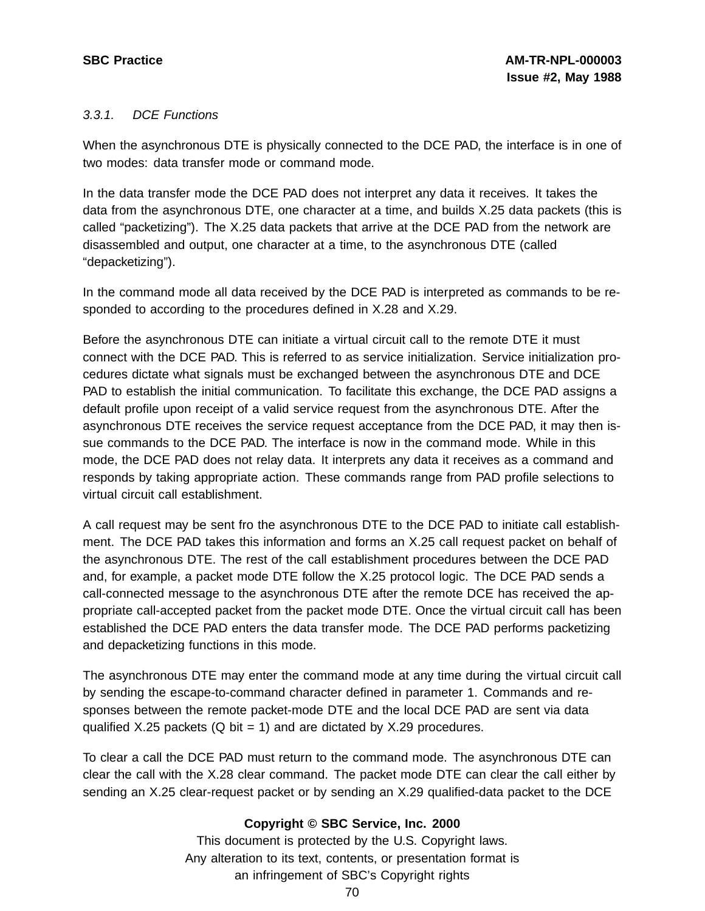# 3.3.1. DCE Functions

When the asynchronous DTE is physically connected to the DCE PAD, the interface is in one of two modes: data transfer mode or command mode.

In the data transfer mode the DCE PAD does not interpret any data it receives. It takes the data from the asynchronous DTE, one character at a time, and builds X.25 data packets (this is called "packetizing"). The X.25 data packets that arrive at the DCE PAD from the network are disassembled and output, one character at a time, to the asynchronous DTE (called "depacketizing").

In the command mode all data received by the DCE PAD is interpreted as commands to be responded to according to the procedures defined in X.28 and X.29.

Before the asynchronous DTE can initiate a virtual circuit call to the remote DTE it must connect with the DCE PAD. This is referred to as service initialization. Service initialization procedures dictate what signals must be exchanged between the asynchronous DTE and DCE PAD to establish the initial communication. To facilitate this exchange, the DCE PAD assigns a default profile upon receipt of a valid service request from the asynchronous DTE. After the asynchronous DTE receives the service request acceptance from the DCE PAD, it may then issue commands to the DCE PAD. The interface is now in the command mode. While in this mode, the DCE PAD does not relay data. It interprets any data it receives as a command and responds by taking appropriate action. These commands range from PAD profile selections to virtual circuit call establishment.

A call request may be sent fro the asynchronous DTE to the DCE PAD to initiate call establishment. The DCE PAD takes this information and forms an X.25 call request packet on behalf of the asynchronous DTE. The rest of the call establishment procedures between the DCE PAD and, for example, a packet mode DTE follow the X.25 protocol logic. The DCE PAD sends a call-connected message to the asynchronous DTE after the remote DCE has received the appropriate call-accepted packet from the packet mode DTE. Once the virtual circuit call has been established the DCE PAD enters the data transfer mode. The DCE PAD performs packetizing and depacketizing functions in this mode.

The asynchronous DTE may enter the command mode at any time during the virtual circuit call by sending the escape-to-command character defined in parameter 1. Commands and responses between the remote packet-mode DTE and the local DCE PAD are sent via data qualified X.25 packets (Q bit = 1) and are dictated by X.29 procedures.

To clear a call the DCE PAD must return to the command mode. The asynchronous DTE can clear the call with the X.28 clear command. The packet mode DTE can clear the call either by sending an X.25 clear-request packet or by sending an X.29 qualified-data packet to the DCE

# **Copyright © SBC Service, Inc. 2000**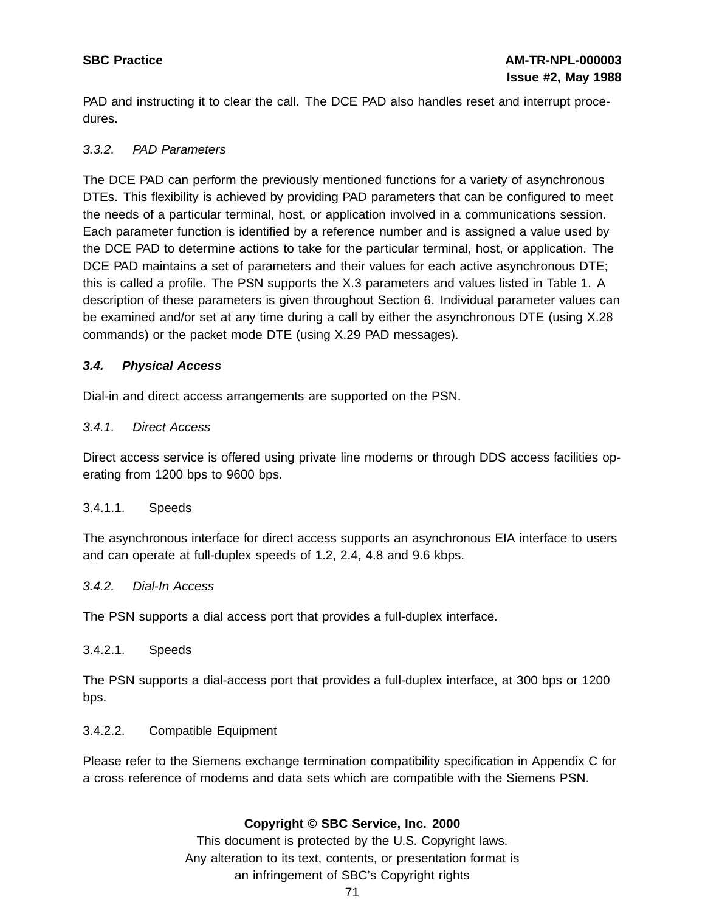PAD and instructing it to clear the call. The DCE PAD also handles reset and interrupt procedures.

# 3.3.2. PAD Parameters

The DCE PAD can perform the previously mentioned functions for a variety of asynchronous DTEs. This flexibility is achieved by providing PAD parameters that can be configured to meet the needs of a particular terminal, host, or application involved in a communications session. Each parameter function is identified by a reference number and is assigned a value used by the DCE PAD to determine actions to take for the particular terminal, host, or application. The DCE PAD maintains a set of parameters and their values for each active asynchronous DTE; this is called a profile. The PSN supports the X.3 parameters and values listed in Table 1. A description of these parameters is given throughout Section 6. Individual parameter values can be examined and/or set at any time during a call by either the asynchronous DTE (using X.28 commands) or the packet mode DTE (using X.29 PAD messages).

# **3.4. Physical Access**

Dial-in and direct access arrangements are supported on the PSN.

# 3.4.1. Direct Access

Direct access service is offered using private line modems or through DDS access facilities operating from 1200 bps to 9600 bps.

## 3.4.1.1. Speeds

The asynchronous interface for direct access supports an asynchronous EIA interface to users and can operate at full-duplex speeds of 1.2, 2.4, 4.8 and 9.6 kbps.

## 3.4.2. Dial-In Access

The PSN supports a dial access port that provides a full-duplex interface.

## 3.4.2.1. Speeds

The PSN supports a dial-access port that provides a full-duplex interface, at 300 bps or 1200 bps.

## 3.4.2.2. Compatible Equipment

Please refer to the Siemens exchange termination compatibility specification in Appendix C for a cross reference of modems and data sets which are compatible with the Siemens PSN.

# **Copyright © SBC Service, Inc. 2000**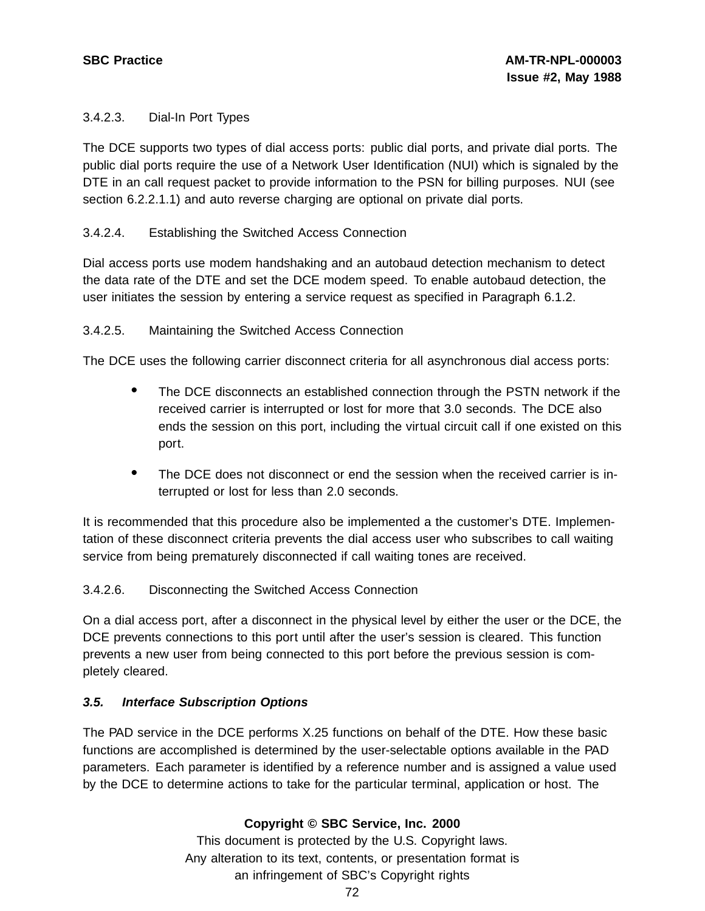# 3.4.2.3. Dial-In Port Types

The DCE supports two types of dial access ports: public dial ports, and private dial ports. The public dial ports require the use of a Network User Identification (NUI) which is signaled by the DTE in an call request packet to provide information to the PSN for billing purposes. NUI (see section 6.2.2.1.1) and auto reverse charging are optional on private dial ports.

# 3.4.2.4. Establishing the Switched Access Connection

Dial access ports use modem handshaking and an autobaud detection mechanism to detect the data rate of the DTE and set the DCE modem speed. To enable autobaud detection, the user initiates the session by entering a service request as specified in Paragraph 6.1.2.

# 3.4.2.5. Maintaining the Switched Access Connection

The DCE uses the following carrier disconnect criteria for all asynchronous dial access ports:

- The DCE disconnects an established connection through the PSTN network if the received carrier is interrupted or lost for more that 3.0 seconds. The DCE also ends the session on this port, including the virtual circuit call if one existed on this port.
- The DCE does not disconnect or end the session when the received carrier is interrupted or lost for less than 2.0 seconds.

It is recommended that this procedure also be implemented a the customer's DTE. Implementation of these disconnect criteria prevents the dial access user who subscribes to call waiting service from being prematurely disconnected if call waiting tones are received.

# 3.4.2.6. Disconnecting the Switched Access Connection

On a dial access port, after a disconnect in the physical level by either the user or the DCE, the DCE prevents connections to this port until after the user's session is cleared. This function prevents a new user from being connected to this port before the previous session is completely cleared.

# **3.5. Interface Subscription Options**

The PAD service in the DCE performs X.25 functions on behalf of the DTE. How these basic functions are accomplished is determined by the user-selectable options available in the PAD parameters. Each parameter is identified by a reference number and is assigned a value used by the DCE to determine actions to take for the particular terminal, application or host. The

# **Copyright © SBC Service, Inc. 2000**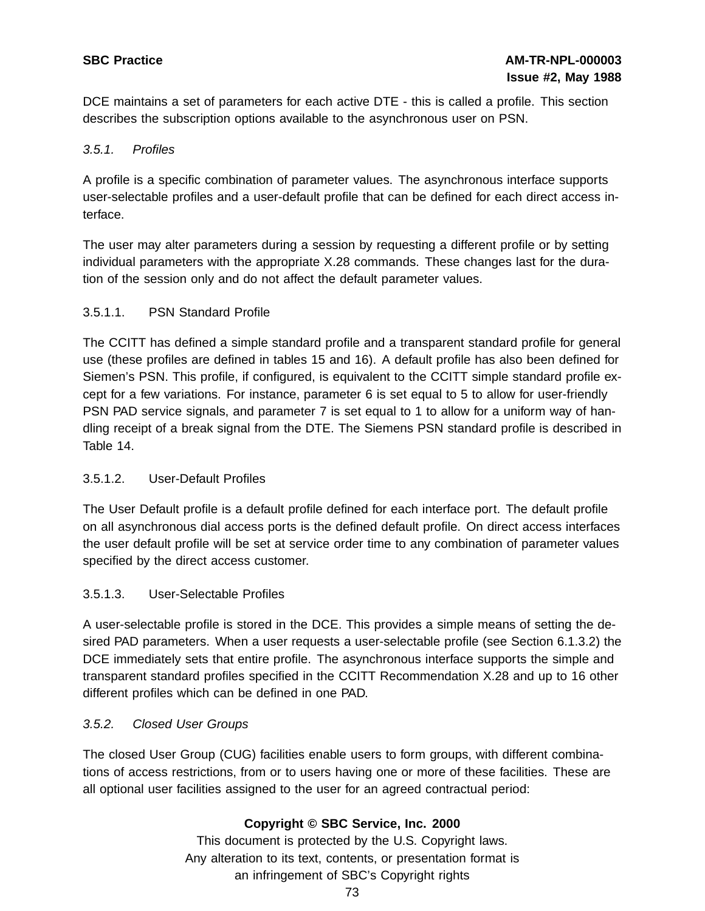DCE maintains a set of parameters for each active DTE - this is called a profile. This section describes the subscription options available to the asynchronous user on PSN.

# 3.5.1. Profiles

A profile is a specific combination of parameter values. The asynchronous interface supports user-selectable profiles and a user-default profile that can be defined for each direct access interface.

The user may alter parameters during a session by requesting a different profile or by setting individual parameters with the appropriate X.28 commands. These changes last for the duration of the session only and do not affect the default parameter values.

# 3.5.1.1. PSN Standard Profile

The CCITT has defined a simple standard profile and a transparent standard profile for general use (these profiles are defined in tables 15 and 16). A default profile has also been defined for Siemen's PSN. This profile, if configured, is equivalent to the CCITT simple standard profile except for a few variations. For instance, parameter 6 is set equal to 5 to allow for user-friendly PSN PAD service signals, and parameter 7 is set equal to 1 to allow for a uniform way of handling receipt of a break signal from the DTE. The Siemens PSN standard profile is described in Table 14.

# 3.5.1.2. User-Default Profiles

The User Default profile is a default profile defined for each interface port. The default profile on all asynchronous dial access ports is the defined default profile. On direct access interfaces the user default profile will be set at service order time to any combination of parameter values specified by the direct access customer.

# 3.5.1.3. User-Selectable Profiles

A user-selectable profile is stored in the DCE. This provides a simple means of setting the desired PAD parameters. When a user requests a user-selectable profile (see Section 6.1.3.2) the DCE immediately sets that entire profile. The asynchronous interface supports the simple and transparent standard profiles specified in the CCITT Recommendation X.28 and up to 16 other different profiles which can be defined in one PAD.

## 3.5.2. Closed User Groups

The closed User Group (CUG) facilities enable users to form groups, with different combinations of access restrictions, from or to users having one or more of these facilities. These are all optional user facilities assigned to the user for an agreed contractual period:

# **Copyright © SBC Service, Inc. 2000**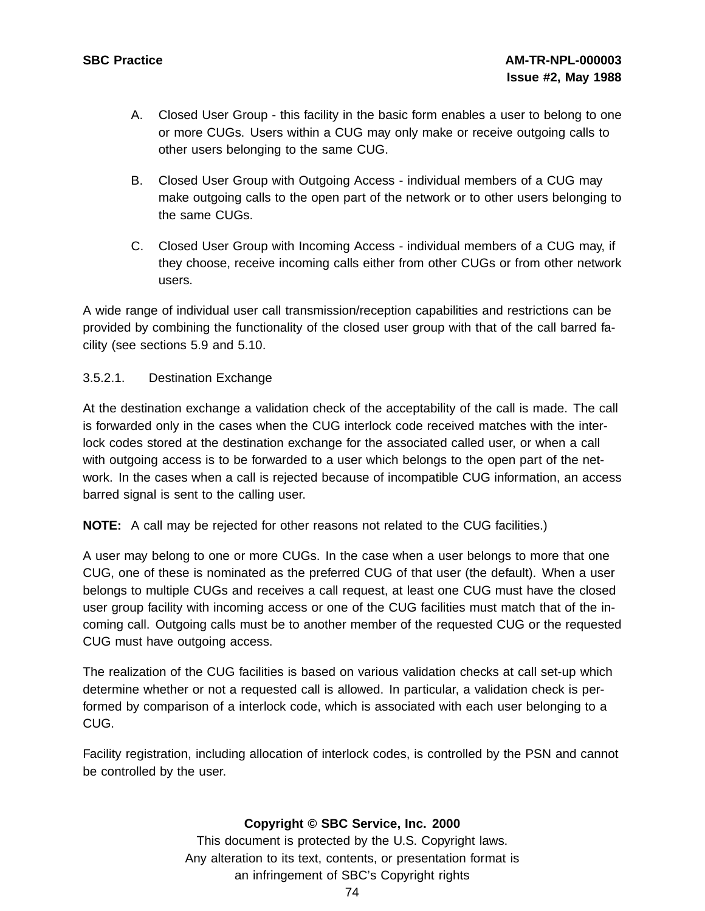- A. Closed User Group this facility in the basic form enables a user to belong to one or more CUGs. Users within a CUG may only make or receive outgoing calls to other users belonging to the same CUG.
- B. Closed User Group with Outgoing Access individual members of a CUG may make outgoing calls to the open part of the network or to other users belonging to the same CUGs.
- C. Closed User Group with Incoming Access individual members of a CUG may, if they choose, receive incoming calls either from other CUGs or from other network users.

A wide range of individual user call transmission/reception capabilities and restrictions can be provided by combining the functionality of the closed user group with that of the call barred facility (see sections 5.9 and 5.10.

# 3.5.2.1. Destination Exchange

At the destination exchange a validation check of the acceptability of the call is made. The call is forwarded only in the cases when the CUG interlock code received matches with the interlock codes stored at the destination exchange for the associated called user, or when a call with outgoing access is to be forwarded to a user which belongs to the open part of the network. In the cases when a call is rejected because of incompatible CUG information, an access barred signal is sent to the calling user.

**NOTE:** A call may be rejected for other reasons not related to the CUG facilities.)

A user may belong to one or more CUGs. In the case when a user belongs to more that one CUG, one of these is nominated as the preferred CUG of that user (the default). When a user belongs to multiple CUGs and receives a call request, at least one CUG must have the closed user group facility with incoming access or one of the CUG facilities must match that of the incoming call. Outgoing calls must be to another member of the requested CUG or the requested CUG must have outgoing access.

The realization of the CUG facilities is based on various validation checks at call set-up which determine whether or not a requested call is allowed. In particular, a validation check is performed by comparison of a interlock code, which is associated with each user belonging to a CUG.

Facility registration, including allocation of interlock codes, is controlled by the PSN and cannot be controlled by the user.

# **Copyright © SBC Service, Inc. 2000**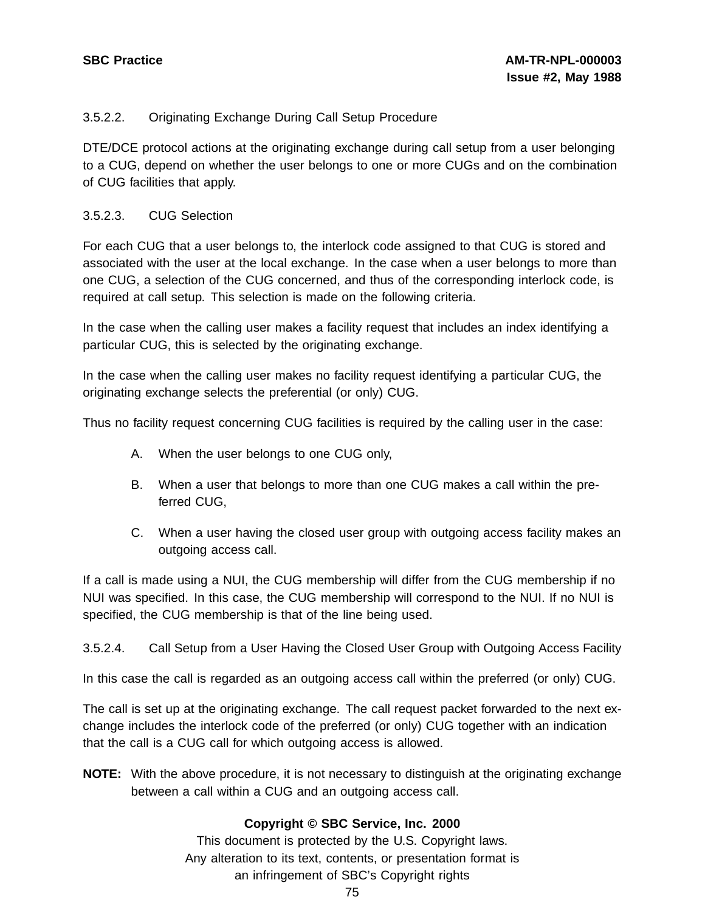# 3.5.2.2. Originating Exchange During Call Setup Procedure

DTE/DCE protocol actions at the originating exchange during call setup from a user belonging to a CUG, depend on whether the user belongs to one or more CUGs and on the combination of CUG facilities that apply.

# 3.5.2.3. CUG Selection

For each CUG that a user belongs to, the interlock code assigned to that CUG is stored and associated with the user at the local exchange. In the case when a user belongs to more than one CUG, a selection of the CUG concerned, and thus of the corresponding interlock code, is required at call setup. This selection is made on the following criteria.

In the case when the calling user makes a facility request that includes an index identifying a particular CUG, this is selected by the originating exchange.

In the case when the calling user makes no facility request identifying a particular CUG, the originating exchange selects the preferential (or only) CUG.

Thus no facility request concerning CUG facilities is required by the calling user in the case:

- A. When the user belongs to one CUG only,
- B. When a user that belongs to more than one CUG makes a call within the preferred CUG,
- C. When a user having the closed user group with outgoing access facility makes an outgoing access call.

If a call is made using a NUI, the CUG membership will differ from the CUG membership if no NUI was specified. In this case, the CUG membership will correspond to the NUI. If no NUI is specified, the CUG membership is that of the line being used.

3.5.2.4. Call Setup from a User Having the Closed User Group with Outgoing Access Facility

In this case the call is regarded as an outgoing access call within the preferred (or only) CUG.

The call is set up at the originating exchange. The call request packet forwarded to the next exchange includes the interlock code of the preferred (or only) CUG together with an indication that the call is a CUG call for which outgoing access is allowed.

**NOTE:** With the above procedure, it is not necessary to distinguish at the originating exchange between a call within a CUG and an outgoing access call.

# **Copyright © SBC Service, Inc. 2000**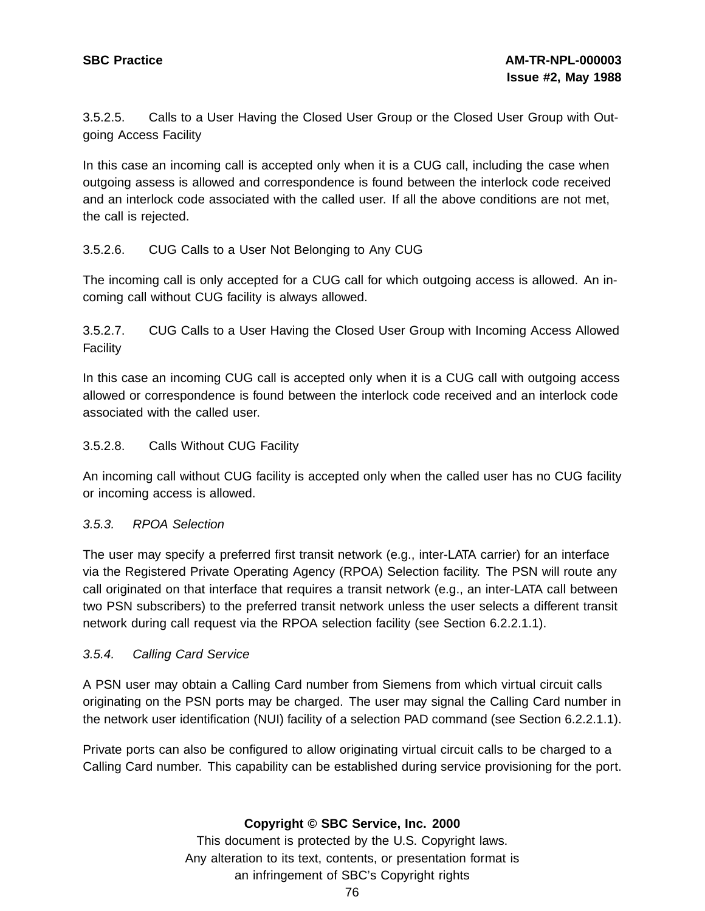3.5.2.5. Calls to a User Having the Closed User Group or the Closed User Group with Outgoing Access Facility

In this case an incoming call is accepted only when it is a CUG call, including the case when outgoing assess is allowed and correspondence is found between the interlock code received and an interlock code associated with the called user. If all the above conditions are not met, the call is rejected.

# 3.5.2.6. CUG Calls to a User Not Belonging to Any CUG

The incoming call is only accepted for a CUG call for which outgoing access is allowed. An incoming call without CUG facility is always allowed.

3.5.2.7. CUG Calls to a User Having the Closed User Group with Incoming Access Allowed Facility

In this case an incoming CUG call is accepted only when it is a CUG call with outgoing access allowed or correspondence is found between the interlock code received and an interlock code associated with the called user.

## 3.5.2.8. Calls Without CUG Facility

An incoming call without CUG facility is accepted only when the called user has no CUG facility or incoming access is allowed.

## 3.5.3. RPOA Selection

The user may specify a preferred first transit network (e.g., inter-LATA carrier) for an interface via the Registered Private Operating Agency (RPOA) Selection facility. The PSN will route any call originated on that interface that requires a transit network (e.g., an inter-LATA call between two PSN subscribers) to the preferred transit network unless the user selects a different transit network during call request via the RPOA selection facility (see Section 6.2.2.1.1).

## 3.5.4. Calling Card Service

A PSN user may obtain a Calling Card number from Siemens from which virtual circuit calls originating on the PSN ports may be charged. The user may signal the Calling Card number in the network user identification (NUI) facility of a selection PAD command (see Section 6.2.2.1.1).

Private ports can also be configured to allow originating virtual circuit calls to be charged to a Calling Card number. This capability can be established during service provisioning for the port.

## **Copyright © SBC Service, Inc. 2000**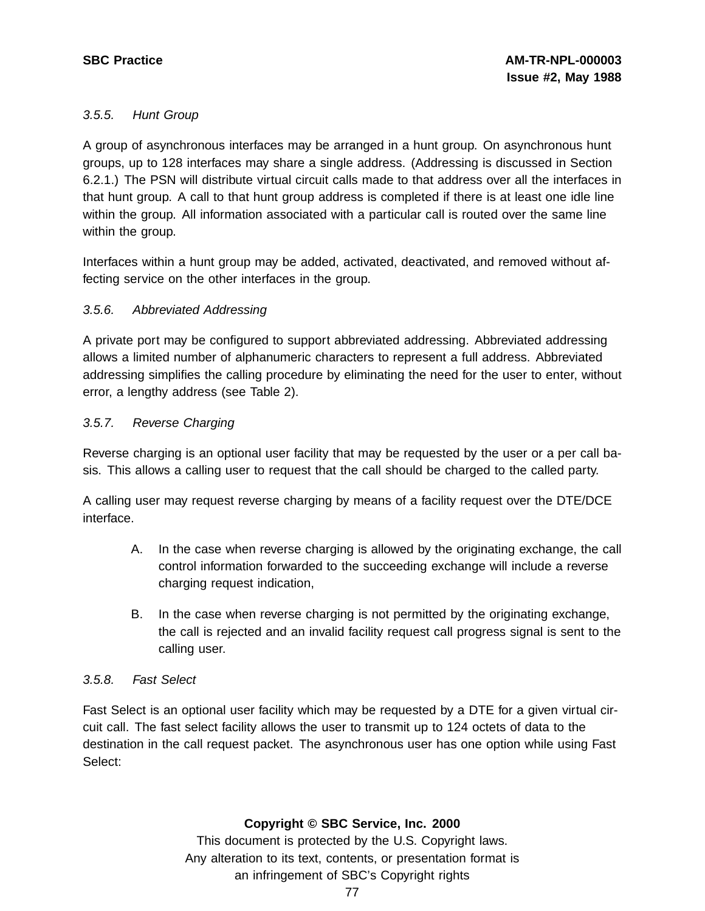# 3.5.5. Hunt Group

A group of asynchronous interfaces may be arranged in a hunt group. On asynchronous hunt groups, up to 128 interfaces may share a single address. (Addressing is discussed in Section 6.2.1.) The PSN will distribute virtual circuit calls made to that address over all the interfaces in that hunt group. A call to that hunt group address is completed if there is at least one idle line within the group. All information associated with a particular call is routed over the same line within the group.

Interfaces within a hunt group may be added, activated, deactivated, and removed without affecting service on the other interfaces in the group.

# 3.5.6. Abbreviated Addressing

A private port may be configured to support abbreviated addressing. Abbreviated addressing allows a limited number of alphanumeric characters to represent a full address. Abbreviated addressing simplifies the calling procedure by eliminating the need for the user to enter, without error, a lengthy address (see Table 2).

# 3.5.7. Reverse Charging

Reverse charging is an optional user facility that may be requested by the user or a per call basis. This allows a calling user to request that the call should be charged to the called party.

A calling user may request reverse charging by means of a facility request over the DTE/DCE interface.

- A. In the case when reverse charging is allowed by the originating exchange, the call control information forwarded to the succeeding exchange will include a reverse charging request indication,
- B. In the case when reverse charging is not permitted by the originating exchange, the call is rejected and an invalid facility request call progress signal is sent to the calling user.

## 3.5.8. Fast Select

Fast Select is an optional user facility which may be requested by a DTE for a given virtual circuit call. The fast select facility allows the user to transmit up to 124 octets of data to the destination in the call request packet. The asynchronous user has one option while using Fast Select:

# **Copyright © SBC Service, Inc. 2000**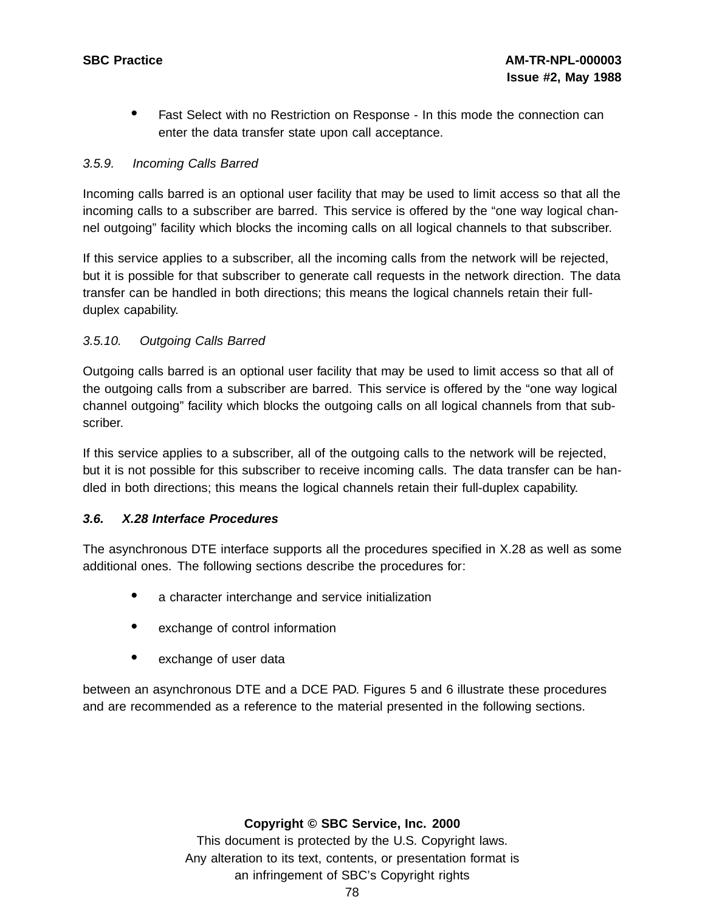• Fast Select with no Restriction on Response - In this mode the connection can enter the data transfer state upon call acceptance.

# 3.5.9. Incoming Calls Barred

Incoming calls barred is an optional user facility that may be used to limit access so that all the incoming calls to a subscriber are barred. This service is offered by the "one way logical channel outgoing" facility which blocks the incoming calls on all logical channels to that subscriber.

If this service applies to a subscriber, all the incoming calls from the network will be rejected, but it is possible for that subscriber to generate call requests in the network direction. The data transfer can be handled in both directions; this means the logical channels retain their fullduplex capability.

# 3.5.10. Outgoing Calls Barred

Outgoing calls barred is an optional user facility that may be used to limit access so that all of the outgoing calls from a subscriber are barred. This service is offered by the "one way logical channel outgoing" facility which blocks the outgoing calls on all logical channels from that subscriber.

If this service applies to a subscriber, all of the outgoing calls to the network will be rejected, but it is not possible for this subscriber to receive incoming calls. The data transfer can be handled in both directions; this means the logical channels retain their full-duplex capability.

## **3.6. X.28 Interface Procedures**

The asynchronous DTE interface supports all the procedures specified in X.28 as well as some additional ones. The following sections describe the procedures for:

- <sup>a</sup> character interchange and service initialization
- exchange of control information
- exchange of user data

between an asynchronous DTE and a DCE PAD. Figures 5 and 6 illustrate these procedures and are recommended as a reference to the material presented in the following sections.

## **Copyright © SBC Service, Inc. 2000**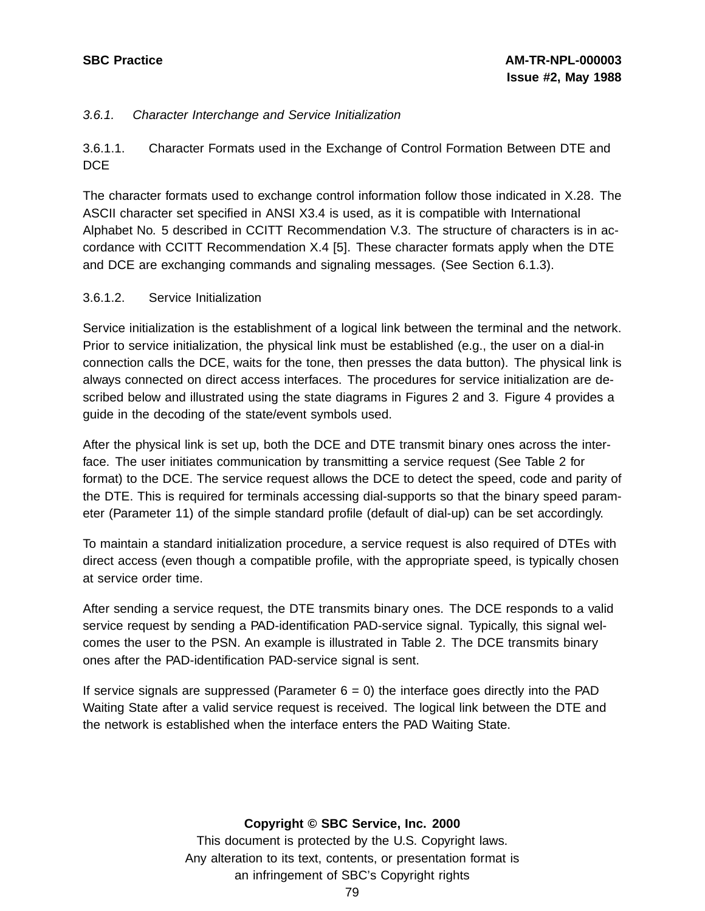# 3.6.1. Character Interchange and Service Initialization

3.6.1.1. Character Formats used in the Exchange of Control Formation Between DTE and DC<sub>E</sub>

The character formats used to exchange control information follow those indicated in X.28. The ASCII character set specified in ANSI X3.4 is used, as it is compatible with International Alphabet No. 5 described in CCITT Recommendation V.3. The structure of characters is in accordance with CCITT Recommendation X.4 [5]. These character formats apply when the DTE and DCE are exchanging commands and signaling messages. (See Section 6.1.3).

## 3.6.1.2. Service Initialization

Service initialization is the establishment of a logical link between the terminal and the network. Prior to service initialization, the physical link must be established (e.g., the user on a dial-in connection calls the DCE, waits for the tone, then presses the data button). The physical link is always connected on direct access interfaces. The procedures for service initialization are described below and illustrated using the state diagrams in Figures 2 and 3. Figure 4 provides a guide in the decoding of the state/event symbols used.

After the physical link is set up, both the DCE and DTE transmit binary ones across the interface. The user initiates communication by transmitting a service request (See Table 2 for format) to the DCE. The service request allows the DCE to detect the speed, code and parity of the DTE. This is required for terminals accessing dial-supports so that the binary speed parameter (Parameter 11) of the simple standard profile (default of dial-up) can be set accordingly.

To maintain a standard initialization procedure, a service request is also required of DTEs with direct access (even though a compatible profile, with the appropriate speed, is typically chosen at service order time.

After sending a service request, the DTE transmits binary ones. The DCE responds to a valid service request by sending a PAD-identification PAD-service signal. Typically, this signal welcomes the user to the PSN. An example is illustrated in Table 2. The DCE transmits binary ones after the PAD-identification PAD-service signal is sent.

If service signals are suppressed (Parameter  $6 = 0$ ) the interface goes directly into the PAD Waiting State after a valid service request is received. The logical link between the DTE and the network is established when the interface enters the PAD Waiting State.

# **Copyright © SBC Service, Inc. 2000**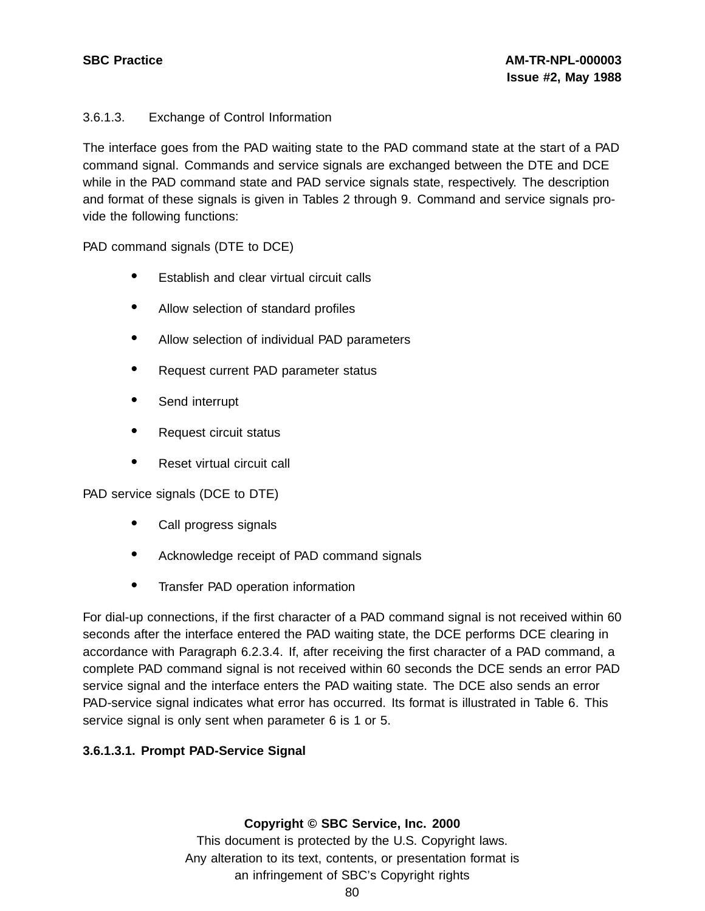# 3.6.1.3. Exchange of Control Information

The interface goes from the PAD waiting state to the PAD command state at the start of a PAD command signal. Commands and service signals are exchanged between the DTE and DCE while in the PAD command state and PAD service signals state, respectively. The description and format of these signals is given in Tables 2 through 9. Command and service signals provide the following functions:

PAD command signals (DTE to DCE)

- Establish and clear virtual circuit calls
- Allow selection of standard profiles
- Allow selection of individual PAD parameters
- Request current PAD parameter status
- Send interrupt
- Request circuit status
- Reset virtual circuit call

PAD service signals (DCE to DTE)

- Call progress signals
- Acknowledge receipt of PAD command signals
- Transfer PAD operation information

For dial-up connections, if the first character of a PAD command signal is not received within 60 seconds after the interface entered the PAD waiting state, the DCE performs DCE clearing in accordance with Paragraph 6.2.3.4. If, after receiving the first character of a PAD command, a complete PAD command signal is not received within 60 seconds the DCE sends an error PAD service signal and the interface enters the PAD waiting state. The DCE also sends an error PAD-service signal indicates what error has occurred. Its format is illustrated in Table 6. This service signal is only sent when parameter 6 is 1 or 5.

# **3.6.1.3.1. Prompt PAD-Service Signal**

**Copyright © SBC Service, Inc. 2000**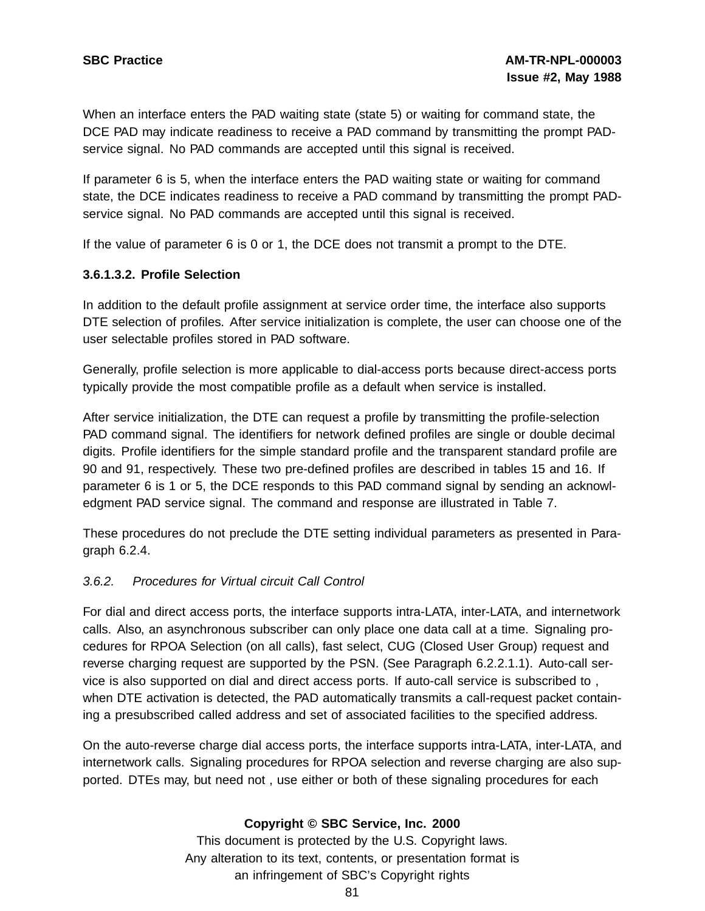When an interface enters the PAD waiting state (state 5) or waiting for command state, the DCE PAD may indicate readiness to receive a PAD command by transmitting the prompt PADservice signal. No PAD commands are accepted until this signal is received.

If parameter 6 is 5, when the interface enters the PAD waiting state or waiting for command state, the DCE indicates readiness to receive a PAD command by transmitting the prompt PADservice signal. No PAD commands are accepted until this signal is received.

If the value of parameter 6 is 0 or 1, the DCE does not transmit a prompt to the DTE.

#### **3.6.1.3.2. Profile Selection**

In addition to the default profile assignment at service order time, the interface also supports DTE selection of profiles. After service initialization is complete, the user can choose one of the user selectable profiles stored in PAD software.

Generally, profile selection is more applicable to dial-access ports because direct-access ports typically provide the most compatible profile as a default when service is installed.

After service initialization, the DTE can request a profile by transmitting the profile-selection PAD command signal. The identifiers for network defined profiles are single or double decimal digits. Profile identifiers for the simple standard profile and the transparent standard profile are 90 and 91, respectively. These two pre-defined profiles are described in tables 15 and 16. If parameter 6 is 1 or 5, the DCE responds to this PAD command signal by sending an acknowledgment PAD service signal. The command and response are illustrated in Table 7.

These procedures do not preclude the DTE setting individual parameters as presented in Paragraph 6.2.4.

## 3.6.2. Procedures for Virtual circuit Call Control

For dial and direct access ports, the interface supports intra-LATA, inter-LATA, and internetwork calls. Also, an asynchronous subscriber can only place one data call at a time. Signaling procedures for RPOA Selection (on all calls), fast select, CUG (Closed User Group) request and reverse charging request are supported by the PSN. (See Paragraph 6.2.2.1.1). Auto-call service is also supported on dial and direct access ports. If auto-call service is subscribed to , when DTE activation is detected, the PAD automatically transmits a call-request packet containing a presubscribed called address and set of associated facilities to the specified address.

On the auto-reverse charge dial access ports, the interface supports intra-LATA, inter-LATA, and internetwork calls. Signaling procedures for RPOA selection and reverse charging are also supported. DTEs may, but need not , use either or both of these signaling procedures for each

## **Copyright © SBC Service, Inc. 2000**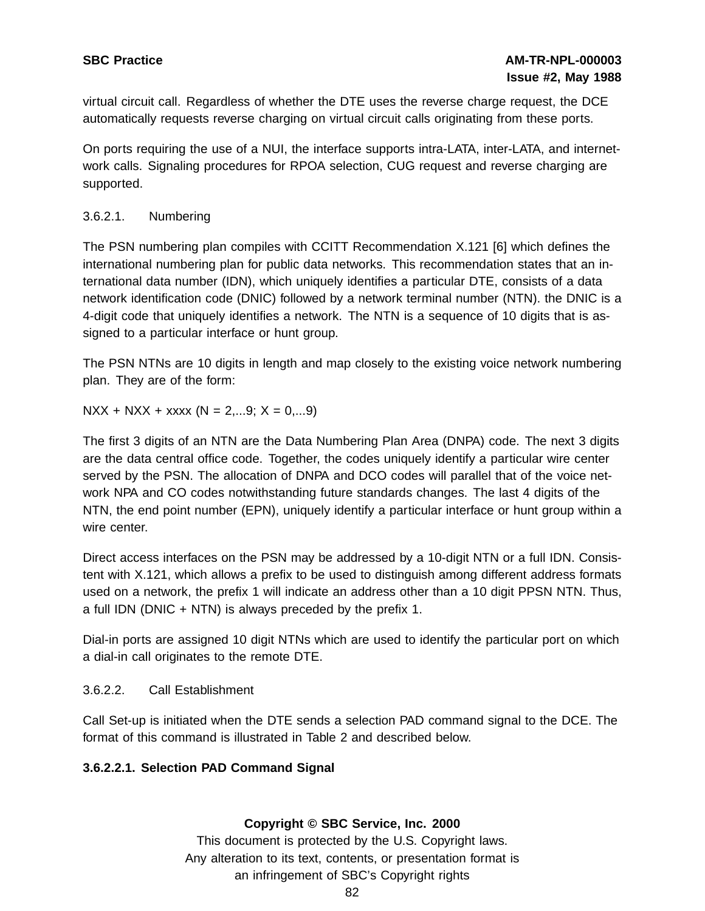virtual circuit call. Regardless of whether the DTE uses the reverse charge request, the DCE automatically requests reverse charging on virtual circuit calls originating from these ports.

On ports requiring the use of a NUI, the interface supports intra-LATA, inter-LATA, and internetwork calls. Signaling procedures for RPOA selection, CUG request and reverse charging are supported.

# 3.6.2.1. Numbering

The PSN numbering plan compiles with CCITT Recommendation X.121 [6] which defines the international numbering plan for public data networks. This recommendation states that an international data number (IDN), which uniquely identifies a particular DTE, consists of a data network identification code (DNIC) followed by a network terminal number (NTN). the DNIC is a 4-digit code that uniquely identifies a network. The NTN is a sequence of 10 digits that is assigned to a particular interface or hunt group.

The PSN NTNs are 10 digits in length and map closely to the existing voice network numbering plan. They are of the form:

 $NXX + NXX + XXX (N = 2,...9; X = 0,...9)$ 

The first 3 digits of an NTN are the Data Numbering Plan Area (DNPA) code. The next 3 digits are the data central office code. Together, the codes uniquely identify a particular wire center served by the PSN. The allocation of DNPA and DCO codes will parallel that of the voice network NPA and CO codes notwithstanding future standards changes. The last 4 digits of the NTN, the end point number (EPN), uniquely identify a particular interface or hunt group within a wire center.

Direct access interfaces on the PSN may be addressed by a 10-digit NTN or a full IDN. Consistent with X.121, which allows a prefix to be used to distinguish among different address formats used on a network, the prefix 1 will indicate an address other than a 10 digit PPSN NTN. Thus, a full IDN (DNIC + NTN) is always preceded by the prefix 1.

Dial-in ports are assigned 10 digit NTNs which are used to identify the particular port on which a dial-in call originates to the remote DTE.

# 3.6.2.2. Call Establishment

Call Set-up is initiated when the DTE sends a selection PAD command signal to the DCE. The format of this command is illustrated in Table 2 and described below.

# **3.6.2.2.1. Selection PAD Command Signal**

# **Copyright © SBC Service, Inc. 2000**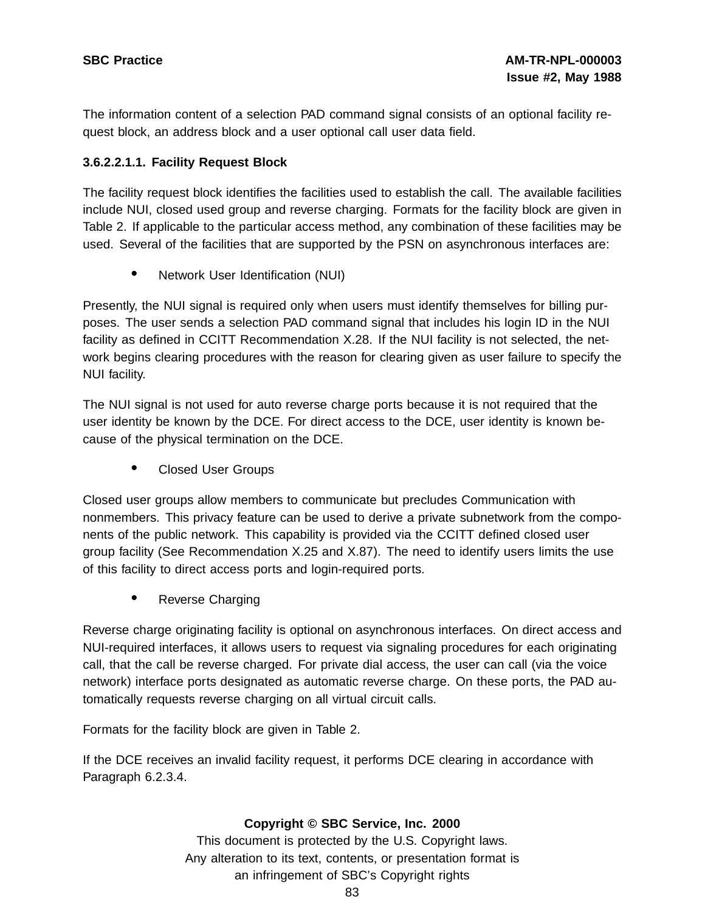The information content of a selection PAD command signal consists of an optional facility request block, an address block and a user optional call user data field.

# **3.6.2.2.1.1. Facility Request Block**

The facility request block identifies the facilities used to establish the call. The available facilities include NUI, closed used group and reverse charging. Formats for the facility block are given in Table 2. If applicable to the particular access method, any combination of these facilities may be used. Several of the facilities that are supported by the PSN on asynchronous interfaces are:

• Network User Identification (NUI)

Presently, the NUI signal is required only when users must identify themselves for billing purposes. The user sends a selection PAD command signal that includes his login ID in the NUI facility as defined in CCITT Recommendation X.28. If the NUI facility is not selected, the network begins clearing procedures with the reason for clearing given as user failure to specify the NUI facility.

The NUI signal is not used for auto reverse charge ports because it is not required that the user identity be known by the DCE. For direct access to the DCE, user identity is known because of the physical termination on the DCE.

• Closed User Groups

Closed user groups allow members to communicate but precludes Communication with nonmembers. This privacy feature can be used to derive a private subnetwork from the components of the public network. This capability is provided via the CCITT defined closed user group facility (See Recommendation X.25 and X.87). The need to identify users limits the use of this facility to direct access ports and login-required ports.

• Reverse Charging

Reverse charge originating facility is optional on asynchronous interfaces. On direct access and NUI-required interfaces, it allows users to request via signaling procedures for each originating call, that the call be reverse charged. For private dial access, the user can call (via the voice network) interface ports designated as automatic reverse charge. On these ports, the PAD automatically requests reverse charging on all virtual circuit calls.

Formats for the facility block are given in Table 2.

If the DCE receives an invalid facility request, it performs DCE clearing in accordance with Paragraph 6.2.3.4.

## **Copyright © SBC Service, Inc. 2000**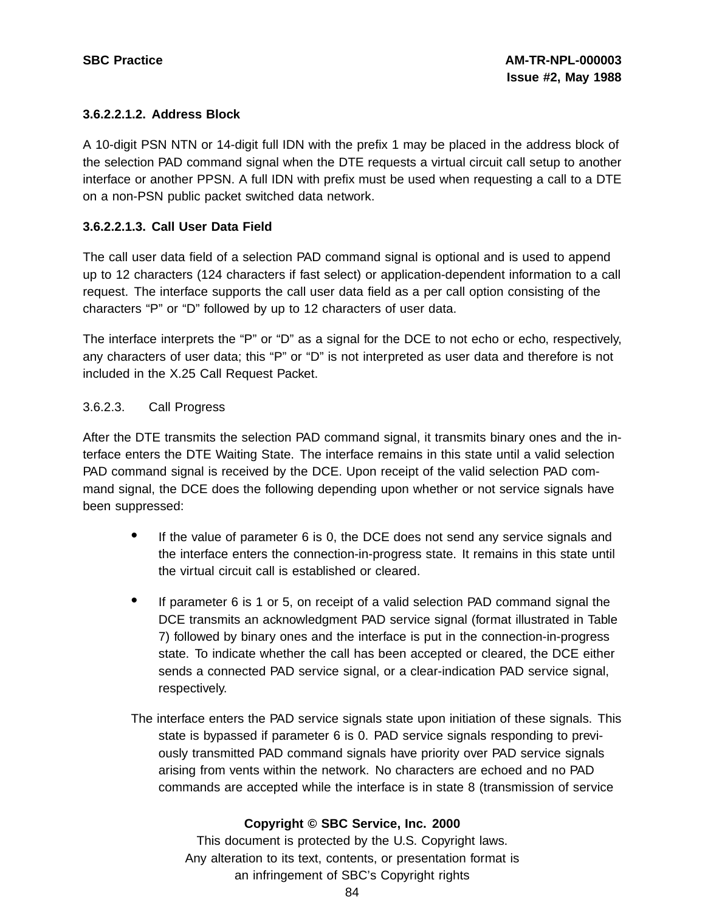# **3.6.2.2.1.2. Address Block**

A 10-digit PSN NTN or 14-digit full IDN with the prefix 1 may be placed in the address block of the selection PAD command signal when the DTE requests a virtual circuit call setup to another interface or another PPSN. A full IDN with prefix must be used when requesting a call to a DTE on a non-PSN public packet switched data network.

# **3.6.2.2.1.3. Call User Data Field**

The call user data field of a selection PAD command signal is optional and is used to append up to 12 characters (124 characters if fast select) or application-dependent information to a call request. The interface supports the call user data field as a per call option consisting of the characters "P" or "D" followed by up to 12 characters of user data.

The interface interprets the "P" or "D" as a signal for the DCE to not echo or echo, respectively, any characters of user data; this "P" or "D" is not interpreted as user data and therefore is not included in the X.25 Call Request Packet.

# 3.6.2.3. Call Progress

After the DTE transmits the selection PAD command signal, it transmits binary ones and the interface enters the DTE Waiting State. The interface remains in this state until a valid selection PAD command signal is received by the DCE. Upon receipt of the valid selection PAD command signal, the DCE does the following depending upon whether or not service signals have been suppressed:

- If the value of parameter <sup>6</sup> is 0, the DCE does not send any service signals and the interface enters the connection-in-progress state. It remains in this state until the virtual circuit call is established or cleared.
- If parameter <sup>6</sup> is <sup>1</sup> or 5, on receipt of <sup>a</sup> valid selection PAD command signal the DCE transmits an acknowledgment PAD service signal (format illustrated in Table 7) followed by binary ones and the interface is put in the connection-in-progress state. To indicate whether the call has been accepted or cleared, the DCE either sends a connected PAD service signal, or a clear-indication PAD service signal, respectively.
- The interface enters the PAD service signals state upon initiation of these signals. This state is bypassed if parameter 6 is 0. PAD service signals responding to previously transmitted PAD command signals have priority over PAD service signals arising from vents within the network. No characters are echoed and no PAD commands are accepted while the interface is in state 8 (transmission of service

# **Copyright © SBC Service, Inc. 2000**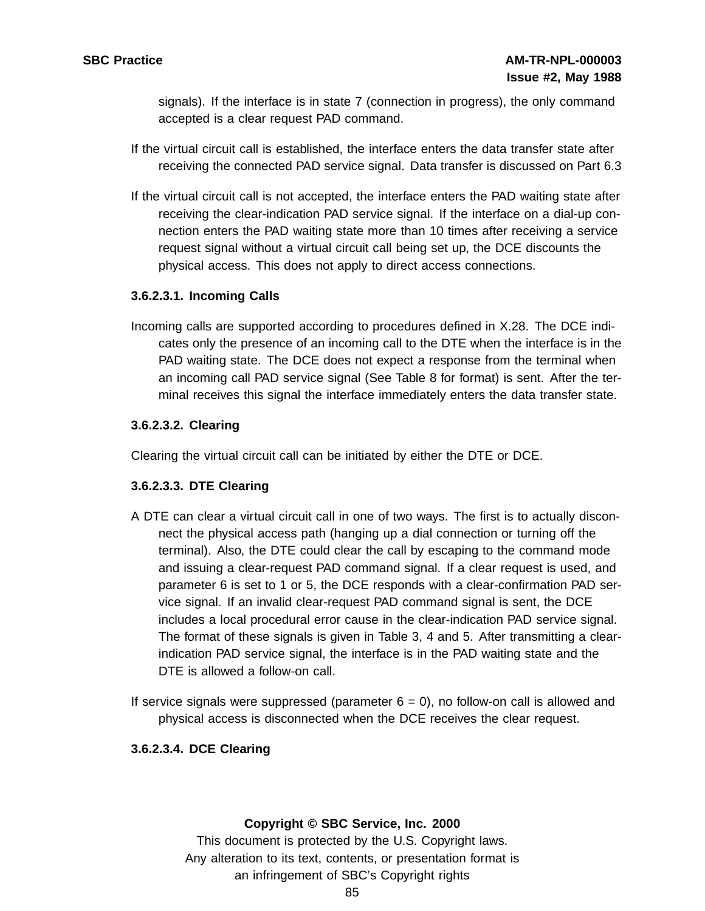signals). If the interface is in state 7 (connection in progress), the only command accepted is a clear request PAD command.

- If the virtual circuit call is established, the interface enters the data transfer state after receiving the connected PAD service signal. Data transfer is discussed on Part 6.3
- If the virtual circuit call is not accepted, the interface enters the PAD waiting state after receiving the clear-indication PAD service signal. If the interface on a dial-up connection enters the PAD waiting state more than 10 times after receiving a service request signal without a virtual circuit call being set up, the DCE discounts the physical access. This does not apply to direct access connections.

## **3.6.2.3.1. Incoming Calls**

Incoming calls are supported according to procedures defined in X.28. The DCE indicates only the presence of an incoming call to the DTE when the interface is in the PAD waiting state. The DCE does not expect a response from the terminal when an incoming call PAD service signal (See Table 8 for format) is sent. After the terminal receives this signal the interface immediately enters the data transfer state.

# **3.6.2.3.2. Clearing**

Clearing the virtual circuit call can be initiated by either the DTE or DCE.

# **3.6.2.3.3. DTE Clearing**

- A DTE can clear a virtual circuit call in one of two ways. The first is to actually disconnect the physical access path (hanging up a dial connection or turning off the terminal). Also, the DTE could clear the call by escaping to the command mode and issuing a clear-request PAD command signal. If a clear request is used, and parameter 6 is set to 1 or 5, the DCE responds with a clear-confirmation PAD service signal. If an invalid clear-request PAD command signal is sent, the DCE includes a local procedural error cause in the clear-indication PAD service signal. The format of these signals is given in Table 3, 4 and 5. After transmitting a clearindication PAD service signal, the interface is in the PAD waiting state and the DTE is allowed a follow-on call.
- If service signals were suppressed (parameter  $6 = 0$ ), no follow-on call is allowed and physical access is disconnected when the DCE receives the clear request.

# **3.6.2.3.4. DCE Clearing**

## **Copyright © SBC Service, Inc. 2000**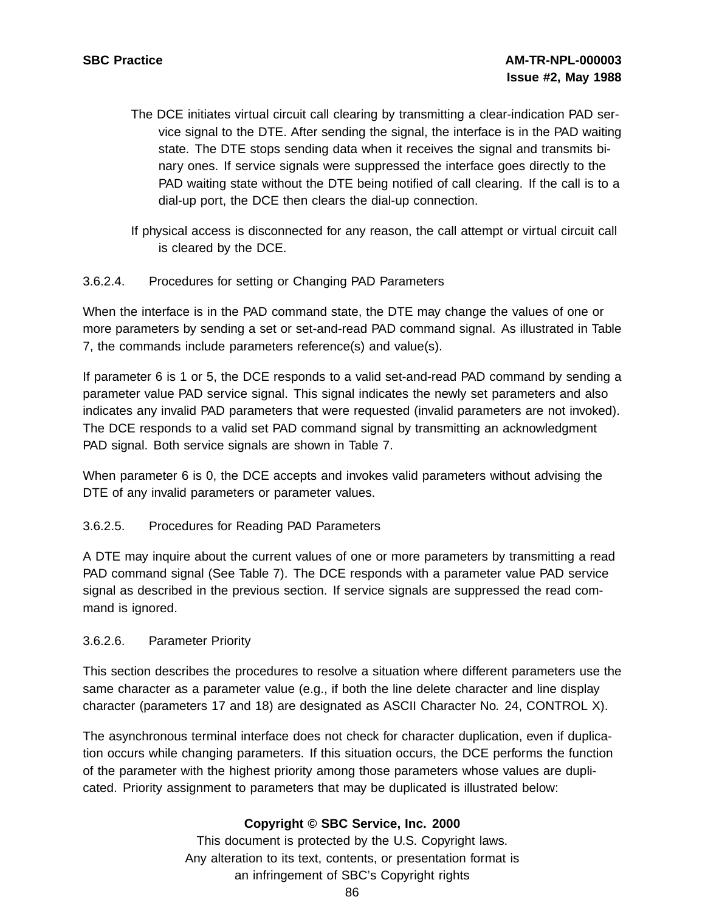- The DCE initiates virtual circuit call clearing by transmitting a clear-indication PAD service signal to the DTE. After sending the signal, the interface is in the PAD waiting state. The DTE stops sending data when it receives the signal and transmits binary ones. If service signals were suppressed the interface goes directly to the PAD waiting state without the DTE being notified of call clearing. If the call is to a dial-up port, the DCE then clears the dial-up connection.
- If physical access is disconnected for any reason, the call attempt or virtual circuit call is cleared by the DCE.

## 3.6.2.4. Procedures for setting or Changing PAD Parameters

When the interface is in the PAD command state, the DTE may change the values of one or more parameters by sending a set or set-and-read PAD command signal. As illustrated in Table 7, the commands include parameters reference(s) and value(s).

If parameter 6 is 1 or 5, the DCE responds to a valid set-and-read PAD command by sending a parameter value PAD service signal. This signal indicates the newly set parameters and also indicates any invalid PAD parameters that were requested (invalid parameters are not invoked). The DCE responds to a valid set PAD command signal by transmitting an acknowledgment PAD signal. Both service signals are shown in Table 7.

When parameter 6 is 0, the DCE accepts and invokes valid parameters without advising the DTE of any invalid parameters or parameter values.

#### 3.6.2.5. Procedures for Reading PAD Parameters

A DTE may inquire about the current values of one or more parameters by transmitting a read PAD command signal (See Table 7). The DCE responds with a parameter value PAD service signal as described in the previous section. If service signals are suppressed the read command is ignored.

#### 3.6.2.6. Parameter Priority

This section describes the procedures to resolve a situation where different parameters use the same character as a parameter value (e.g., if both the line delete character and line display character (parameters 17 and 18) are designated as ASCII Character No. 24, CONTROL X).

The asynchronous terminal interface does not check for character duplication, even if duplication occurs while changing parameters. If this situation occurs, the DCE performs the function of the parameter with the highest priority among those parameters whose values are duplicated. Priority assignment to parameters that may be duplicated is illustrated below:

## **Copyright © SBC Service, Inc. 2000**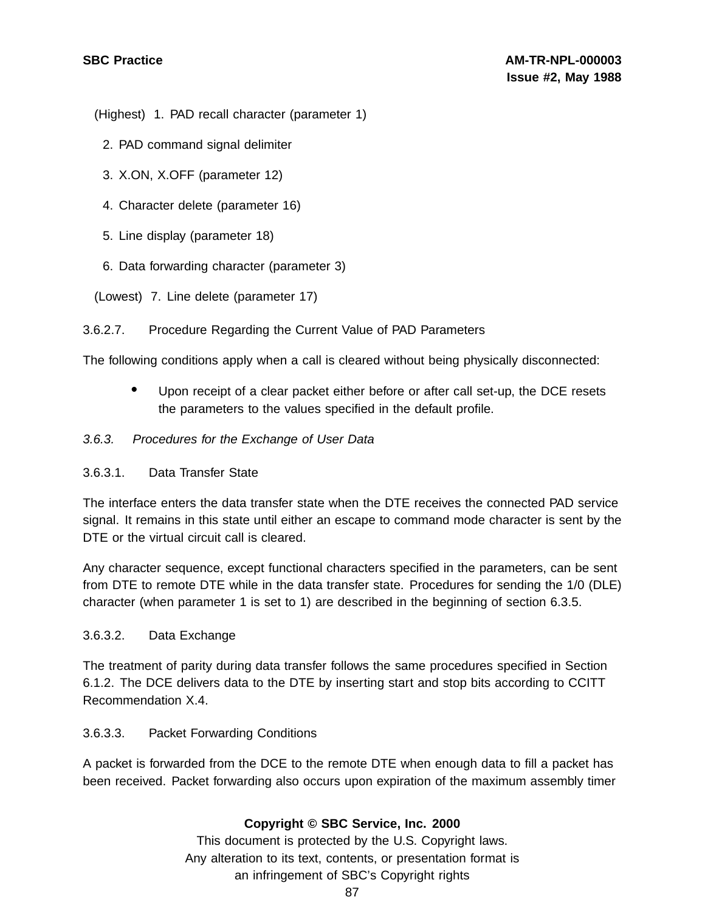(Highest) 1. PAD recall character (parameter 1)

- 2. PAD command signal delimiter
- 3. X.ON, X.OFF (parameter 12)
- 4. Character delete (parameter 16)
- 5. Line display (parameter 18)
- 6. Data forwarding character (parameter 3)
- (Lowest) 7. Line delete (parameter 17)
- 3.6.2.7. Procedure Regarding the Current Value of PAD Parameters

The following conditions apply when a call is cleared without being physically disconnected:

• Upon receipt of <sup>a</sup> clear packet either before or after call set-up, the DCE resets the parameters to the values specified in the default profile.

## 3.6.3. Procedures for the Exchange of User Data

## 3.6.3.1. Data Transfer State

The interface enters the data transfer state when the DTE receives the connected PAD service signal. It remains in this state until either an escape to command mode character is sent by the DTE or the virtual circuit call is cleared.

Any character sequence, except functional characters specified in the parameters, can be sent from DTE to remote DTE while in the data transfer state. Procedures for sending the 1/0 (DLE) character (when parameter 1 is set to 1) are described in the beginning of section 6.3.5.

## 3.6.3.2. Data Exchange

The treatment of parity during data transfer follows the same procedures specified in Section 6.1.2. The DCE delivers data to the DTE by inserting start and stop bits according to CCITT Recommendation X.4.

## 3.6.3.3. Packet Forwarding Conditions

A packet is forwarded from the DCE to the remote DTE when enough data to fill a packet has been received. Packet forwarding also occurs upon expiration of the maximum assembly timer

# **Copyright © SBC Service, Inc. 2000**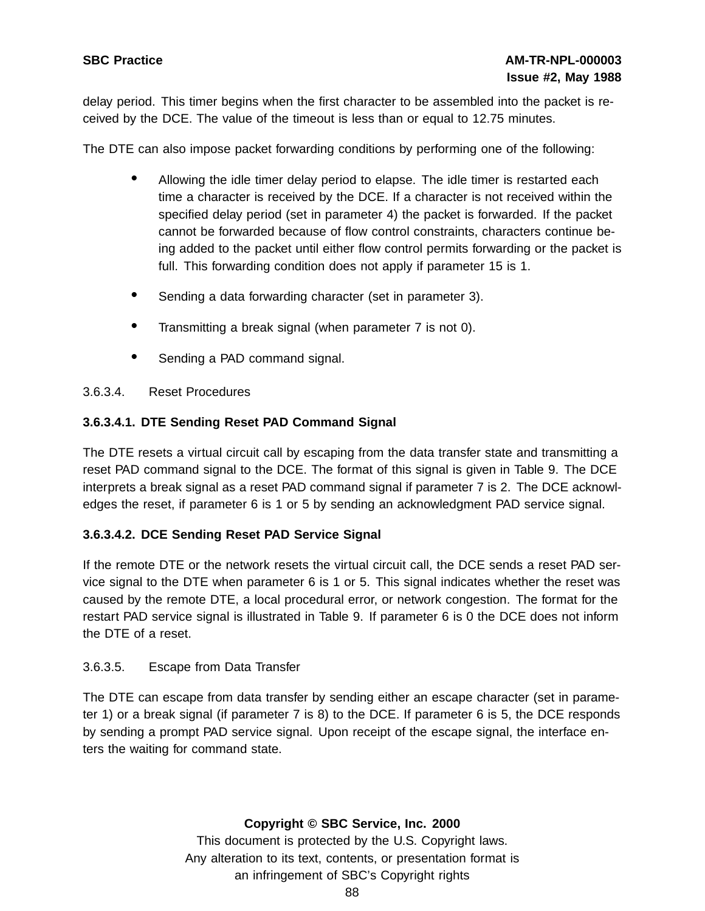delay period. This timer begins when the first character to be assembled into the packet is received by the DCE. The value of the timeout is less than or equal to 12.75 minutes.

The DTE can also impose packet forwarding conditions by performing one of the following:

- Allowing the idle timer delay period to elapse. The idle timer is restarted each time a character is received by the DCE. If a character is not received within the specified delay period (set in parameter 4) the packet is forwarded. If the packet cannot be forwarded because of flow control constraints, characters continue being added to the packet until either flow control permits forwarding or the packet is full. This forwarding condition does not apply if parameter 15 is 1.
- Sending <sup>a</sup> data forwarding character (set in parameter 3).
- Transmitting <sup>a</sup> break signal (when parameter <sup>7</sup> is not 0).
- Sending a PAD command signal.

# 3.6.3.4. Reset Procedures

# **3.6.3.4.1. DTE Sending Reset PAD Command Signal**

The DTE resets a virtual circuit call by escaping from the data transfer state and transmitting a reset PAD command signal to the DCE. The format of this signal is given in Table 9. The DCE interprets a break signal as a reset PAD command signal if parameter 7 is 2. The DCE acknowledges the reset, if parameter 6 is 1 or 5 by sending an acknowledgment PAD service signal.

# **3.6.3.4.2. DCE Sending Reset PAD Service Signal**

If the remote DTE or the network resets the virtual circuit call, the DCE sends a reset PAD service signal to the DTE when parameter 6 is 1 or 5. This signal indicates whether the reset was caused by the remote DTE, a local procedural error, or network congestion. The format for the restart PAD service signal is illustrated in Table 9. If parameter 6 is 0 the DCE does not inform the DTE of a reset.

## 3.6.3.5. Escape from Data Transfer

The DTE can escape from data transfer by sending either an escape character (set in parameter 1) or a break signal (if parameter 7 is 8) to the DCE. If parameter 6 is 5, the DCE responds by sending a prompt PAD service signal. Upon receipt of the escape signal, the interface enters the waiting for command state.

## **Copyright © SBC Service, Inc. 2000**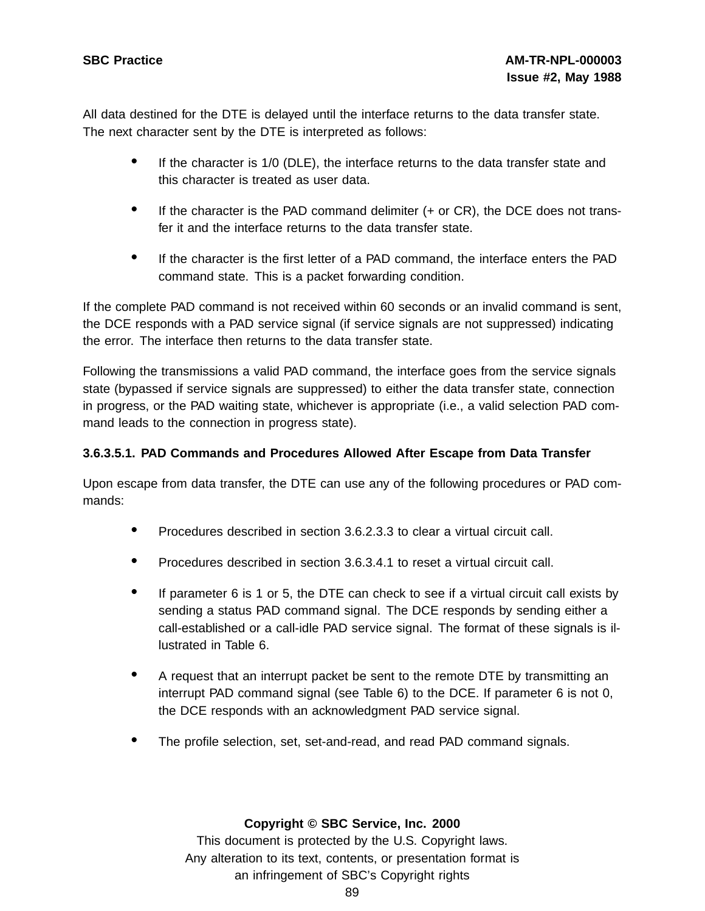All data destined for the DTE is delayed until the interface returns to the data transfer state. The next character sent by the DTE is interpreted as follows:

- If the character is 1/0 (DLE), the interface returns to the data transfer state and this character is treated as user data.
- If the character is the PAD command delimiter  $(+)$  or CR), the DCE does not transfer it and the interface returns to the data transfer state.
- If the character is the first letter of a PAD command, the interface enters the PAD command state. This is a packet forwarding condition.

If the complete PAD command is not received within 60 seconds or an invalid command is sent, the DCE responds with a PAD service signal (if service signals are not suppressed) indicating the error. The interface then returns to the data transfer state.

Following the transmissions a valid PAD command, the interface goes from the service signals state (bypassed if service signals are suppressed) to either the data transfer state, connection in progress, or the PAD waiting state, whichever is appropriate (i.e., a valid selection PAD command leads to the connection in progress state).

# **3.6.3.5.1. PAD Commands and Procedures Allowed After Escape from Data Transfer**

Upon escape from data transfer, the DTE can use any of the following procedures or PAD commands:

- Procedures described in section 3.6.2.3.3 to clear <sup>a</sup> virtual circuit call.
- Procedures described in section 3.6.3.4.1 to reset <sup>a</sup> virtual circuit call.
- If parameter <sup>6</sup> is <sup>1</sup> or 5, the DTE can check to see if <sup>a</sup> virtual circuit call exists by sending a status PAD command signal. The DCE responds by sending either a call-established or a call-idle PAD service signal. The format of these signals is illustrated in Table 6.
- <sup>A</sup> request that an interrupt packet be sent to the remote DTE by transmitting an interrupt PAD command signal (see Table 6) to the DCE. If parameter 6 is not 0, the DCE responds with an acknowledgment PAD service signal.
- The profile selection, set, set-and-read, and read PAD command signals.

# **Copyright © SBC Service, Inc. 2000**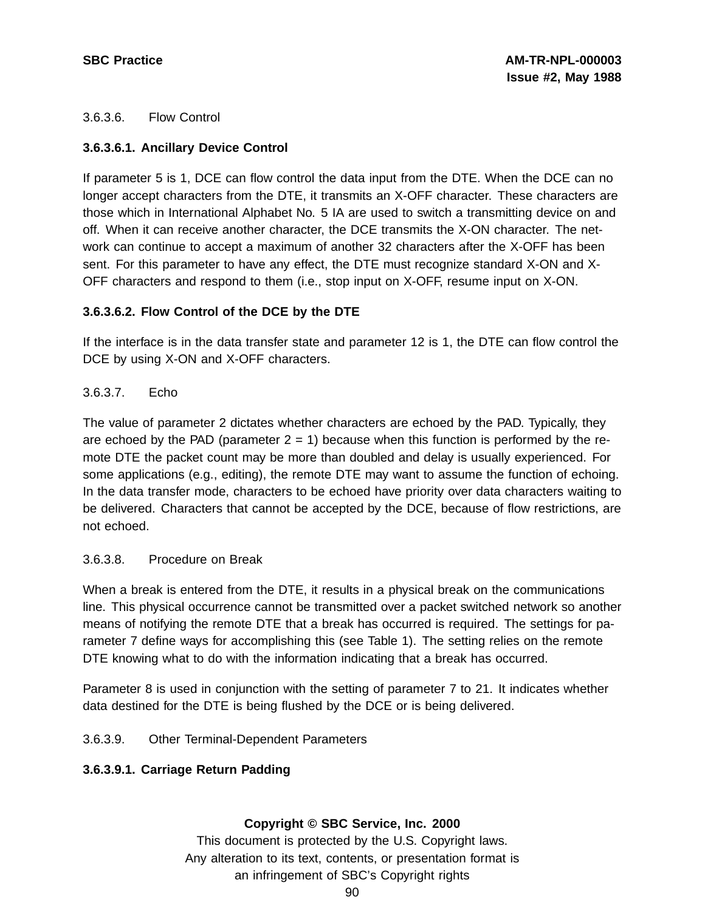# 3.6.3.6. Flow Control

# **3.6.3.6.1. Ancillary Device Control**

If parameter 5 is 1, DCE can flow control the data input from the DTE. When the DCE can no longer accept characters from the DTE, it transmits an X-OFF character. These characters are those which in International Alphabet No. 5 IA are used to switch a transmitting device on and off. When it can receive another character, the DCE transmits the X-ON character. The network can continue to accept a maximum of another 32 characters after the X-OFF has been sent. For this parameter to have any effect, the DTE must recognize standard X-ON and X-OFF characters and respond to them (i.e., stop input on X-OFF, resume input on X-ON.

# **3.6.3.6.2. Flow Control of the DCE by the DTE**

If the interface is in the data transfer state and parameter 12 is 1, the DTE can flow control the DCE by using X-ON and X-OFF characters.

# 3.6.3.7. Echo

The value of parameter 2 dictates whether characters are echoed by the PAD. Typically, they are echoed by the PAD (parameter  $2 = 1$ ) because when this function is performed by the remote DTE the packet count may be more than doubled and delay is usually experienced. For some applications (e.g., editing), the remote DTE may want to assume the function of echoing. In the data transfer mode, characters to be echoed have priority over data characters waiting to be delivered. Characters that cannot be accepted by the DCE, because of flow restrictions, are not echoed.

## 3.6.3.8. Procedure on Break

When a break is entered from the DTE, it results in a physical break on the communications line. This physical occurrence cannot be transmitted over a packet switched network so another means of notifying the remote DTE that a break has occurred is required. The settings for parameter 7 define ways for accomplishing this (see Table 1). The setting relies on the remote DTE knowing what to do with the information indicating that a break has occurred.

Parameter 8 is used in conjunction with the setting of parameter 7 to 21. It indicates whether data destined for the DTE is being flushed by the DCE or is being delivered.

## 3.6.3.9. Other Terminal-Dependent Parameters

## **3.6.3.9.1. Carriage Return Padding**

## **Copyright © SBC Service, Inc. 2000**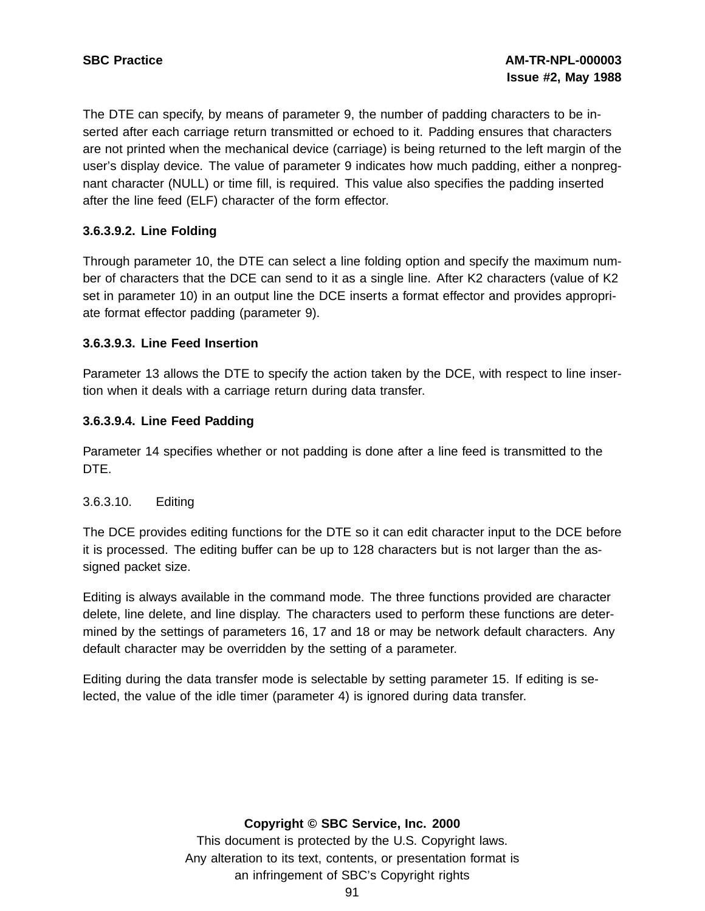The DTE can specify, by means of parameter 9, the number of padding characters to be inserted after each carriage return transmitted or echoed to it. Padding ensures that characters are not printed when the mechanical device (carriage) is being returned to the left margin of the user's display device. The value of parameter 9 indicates how much padding, either a nonpregnant character (NULL) or time fill, is required. This value also specifies the padding inserted after the line feed (ELF) character of the form effector.

# **3.6.3.9.2. Line Folding**

Through parameter 10, the DTE can select a line folding option and specify the maximum number of characters that the DCE can send to it as a single line. After K2 characters (value of K2 set in parameter 10) in an output line the DCE inserts a format effector and provides appropriate format effector padding (parameter 9).

#### **3.6.3.9.3. Line Feed Insertion**

Parameter 13 allows the DTE to specify the action taken by the DCE, with respect to line insertion when it deals with a carriage return during data transfer.

## **3.6.3.9.4. Line Feed Padding**

Parameter 14 specifies whether or not padding is done after a line feed is transmitted to the DTE.

## 3.6.3.10. Editing

The DCE provides editing functions for the DTE so it can edit character input to the DCE before it is processed. The editing buffer can be up to 128 characters but is not larger than the assigned packet size.

Editing is always available in the command mode. The three functions provided are character delete, line delete, and line display. The characters used to perform these functions are determined by the settings of parameters 16, 17 and 18 or may be network default characters. Any default character may be overridden by the setting of a parameter.

Editing during the data transfer mode is selectable by setting parameter 15. If editing is selected, the value of the idle timer (parameter 4) is ignored during data transfer.

## **Copyright © SBC Service, Inc. 2000**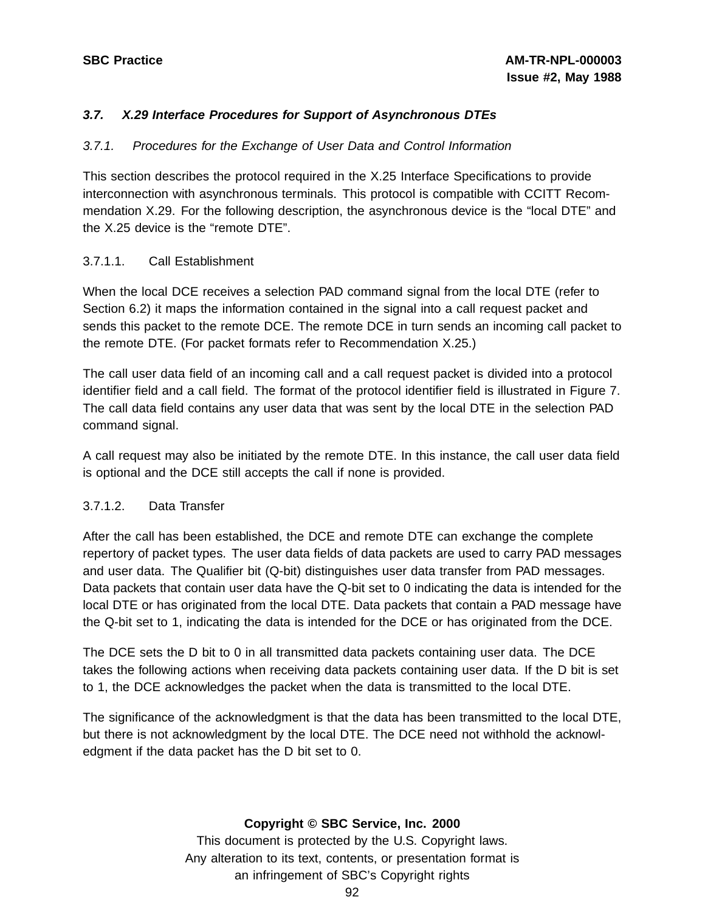# **3.7. X.29 Interface Procedures for Support of Asynchronous DTEs**

## 3.7.1. Procedures for the Exchange of User Data and Control Information

This section describes the protocol required in the X.25 Interface Specifications to provide interconnection with asynchronous terminals. This protocol is compatible with CCITT Recommendation X.29. For the following description, the asynchronous device is the "local DTE" and the X.25 device is the "remote DTE".

## 3.7.1.1. Call Establishment

When the local DCE receives a selection PAD command signal from the local DTE (refer to Section 6.2) it maps the information contained in the signal into a call request packet and sends this packet to the remote DCE. The remote DCE in turn sends an incoming call packet to the remote DTE. (For packet formats refer to Recommendation X.25.)

The call user data field of an incoming call and a call request packet is divided into a protocol identifier field and a call field. The format of the protocol identifier field is illustrated in Figure 7. The call data field contains any user data that was sent by the local DTE in the selection PAD command signal.

A call request may also be initiated by the remote DTE. In this instance, the call user data field is optional and the DCE still accepts the call if none is provided.

## 3.7.1.2. Data Transfer

After the call has been established, the DCE and remote DTE can exchange the complete repertory of packet types. The user data fields of data packets are used to carry PAD messages and user data. The Qualifier bit (Q-bit) distinguishes user data transfer from PAD messages. Data packets that contain user data have the Q-bit set to 0 indicating the data is intended for the local DTE or has originated from the local DTE. Data packets that contain a PAD message have the Q-bit set to 1, indicating the data is intended for the DCE or has originated from the DCE.

The DCE sets the D bit to 0 in all transmitted data packets containing user data. The DCE takes the following actions when receiving data packets containing user data. If the D bit is set to 1, the DCE acknowledges the packet when the data is transmitted to the local DTE.

The significance of the acknowledgment is that the data has been transmitted to the local DTE, but there is not acknowledgment by the local DTE. The DCE need not withhold the acknowledgment if the data packet has the D bit set to 0.

## **Copyright © SBC Service, Inc. 2000**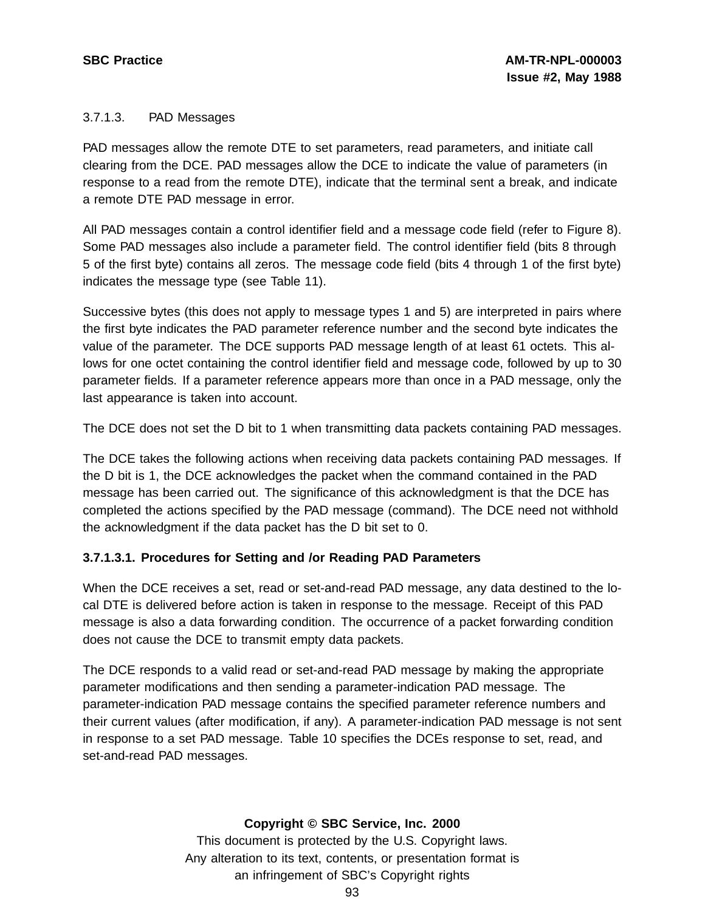## 3.7.1.3. PAD Messages

PAD messages allow the remote DTE to set parameters, read parameters, and initiate call clearing from the DCE. PAD messages allow the DCE to indicate the value of parameters (in response to a read from the remote DTE), indicate that the terminal sent a break, and indicate a remote DTE PAD message in error.

All PAD messages contain a control identifier field and a message code field (refer to Figure 8). Some PAD messages also include a parameter field. The control identifier field (bits 8 through 5 of the first byte) contains all zeros. The message code field (bits 4 through 1 of the first byte) indicates the message type (see Table 11).

Successive bytes (this does not apply to message types 1 and 5) are interpreted in pairs where the first byte indicates the PAD parameter reference number and the second byte indicates the value of the parameter. The DCE supports PAD message length of at least 61 octets. This allows for one octet containing the control identifier field and message code, followed by up to 30 parameter fields. If a parameter reference appears more than once in a PAD message, only the last appearance is taken into account.

The DCE does not set the D bit to 1 when transmitting data packets containing PAD messages.

The DCE takes the following actions when receiving data packets containing PAD messages. If the D bit is 1, the DCE acknowledges the packet when the command contained in the PAD message has been carried out. The significance of this acknowledgment is that the DCE has completed the actions specified by the PAD message (command). The DCE need not withhold the acknowledgment if the data packet has the D bit set to 0.

## **3.7.1.3.1. Procedures for Setting and /or Reading PAD Parameters**

When the DCE receives a set, read or set-and-read PAD message, any data destined to the local DTE is delivered before action is taken in response to the message. Receipt of this PAD message is also a data forwarding condition. The occurrence of a packet forwarding condition does not cause the DCE to transmit empty data packets.

The DCE responds to a valid read or set-and-read PAD message by making the appropriate parameter modifications and then sending a parameter-indication PAD message. The parameter-indication PAD message contains the specified parameter reference numbers and their current values (after modification, if any). A parameter-indication PAD message is not sent in response to a set PAD message. Table 10 specifies the DCEs response to set, read, and set-and-read PAD messages.

## **Copyright © SBC Service, Inc. 2000**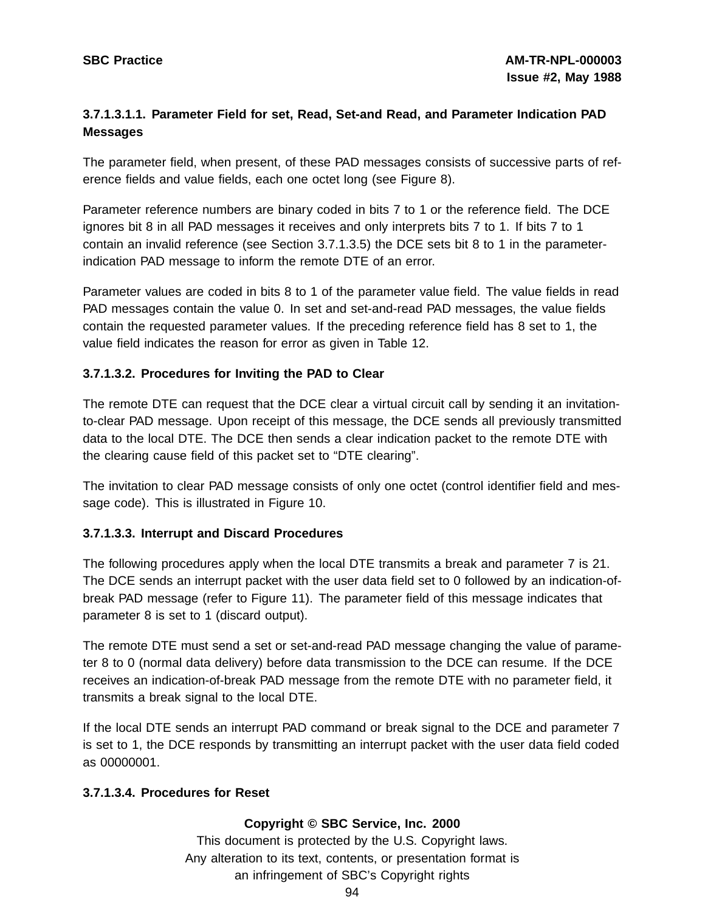# **3.7.1.3.1.1. Parameter Field for set, Read, Set-and Read, and Parameter Indication PAD Messages**

The parameter field, when present, of these PAD messages consists of successive parts of reference fields and value fields, each one octet long (see Figure 8).

Parameter reference numbers are binary coded in bits 7 to 1 or the reference field. The DCE ignores bit 8 in all PAD messages it receives and only interprets bits 7 to 1. If bits 7 to 1 contain an invalid reference (see Section 3.7.1.3.5) the DCE sets bit 8 to 1 in the parameterindication PAD message to inform the remote DTE of an error.

Parameter values are coded in bits 8 to 1 of the parameter value field. The value fields in read PAD messages contain the value 0. In set and set-and-read PAD messages, the value fields contain the requested parameter values. If the preceding reference field has 8 set to 1, the value field indicates the reason for error as given in Table 12.

# **3.7.1.3.2. Procedures for Inviting the PAD to Clear**

The remote DTE can request that the DCE clear a virtual circuit call by sending it an invitationto-clear PAD message. Upon receipt of this message, the DCE sends all previously transmitted data to the local DTE. The DCE then sends a clear indication packet to the remote DTE with the clearing cause field of this packet set to "DTE clearing".

The invitation to clear PAD message consists of only one octet (control identifier field and message code). This is illustrated in Figure 10.

## **3.7.1.3.3. Interrupt and Discard Procedures**

The following procedures apply when the local DTE transmits a break and parameter 7 is 21. The DCE sends an interrupt packet with the user data field set to 0 followed by an indication-ofbreak PAD message (refer to Figure 11). The parameter field of this message indicates that parameter 8 is set to 1 (discard output).

The remote DTE must send a set or set-and-read PAD message changing the value of parameter 8 to 0 (normal data delivery) before data transmission to the DCE can resume. If the DCE receives an indication-of-break PAD message from the remote DTE with no parameter field, it transmits a break signal to the local DTE.

If the local DTE sends an interrupt PAD command or break signal to the DCE and parameter 7 is set to 1, the DCE responds by transmitting an interrupt packet with the user data field coded as 00000001.

## **3.7.1.3.4. Procedures for Reset**

## **Copyright © SBC Service, Inc. 2000**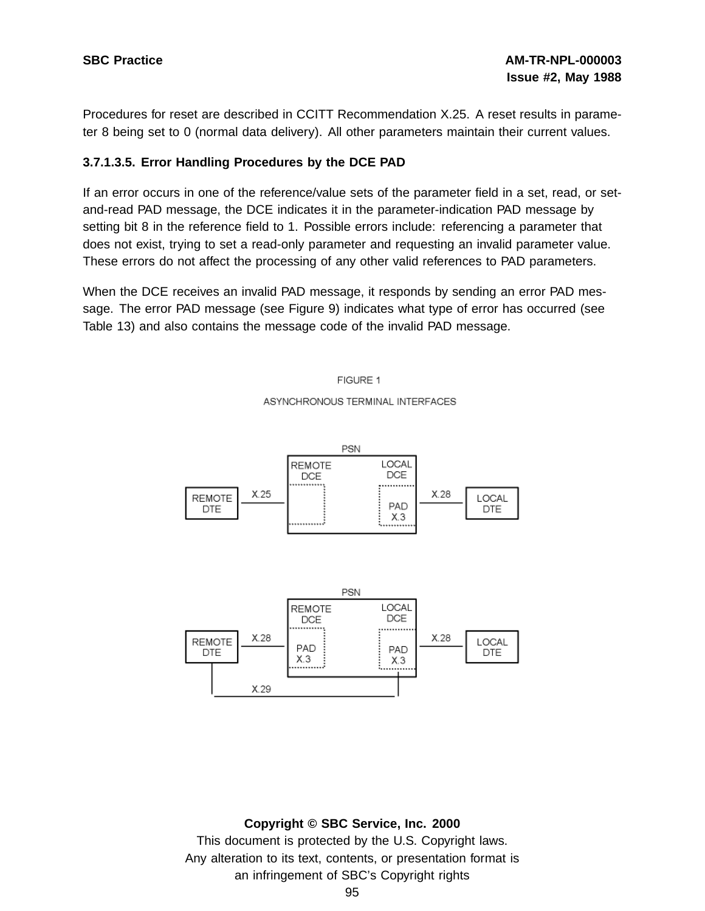Procedures for reset are described in CCITT Recommendation X.25. A reset results in parameter 8 being set to 0 (normal data delivery). All other parameters maintain their current values.

## **3.7.1.3.5. Error Handling Procedures by the DCE PAD**

If an error occurs in one of the reference/value sets of the parameter field in a set, read, or setand-read PAD message, the DCE indicates it in the parameter-indication PAD message by setting bit 8 in the reference field to 1. Possible errors include: referencing a parameter that does not exist, trying to set a read-only parameter and requesting an invalid parameter value. These errors do not affect the processing of any other valid references to PAD parameters.

When the DCE receives an invalid PAD message, it responds by sending an error PAD message. The error PAD message (see Figure 9) indicates what type of error has occurred (see Table 13) and also contains the message code of the invalid PAD message.

FIGURE 1

#### ASYNCHRONOUS TERMINAL INTERFACES



#### **Copyright © SBC Service, Inc. 2000**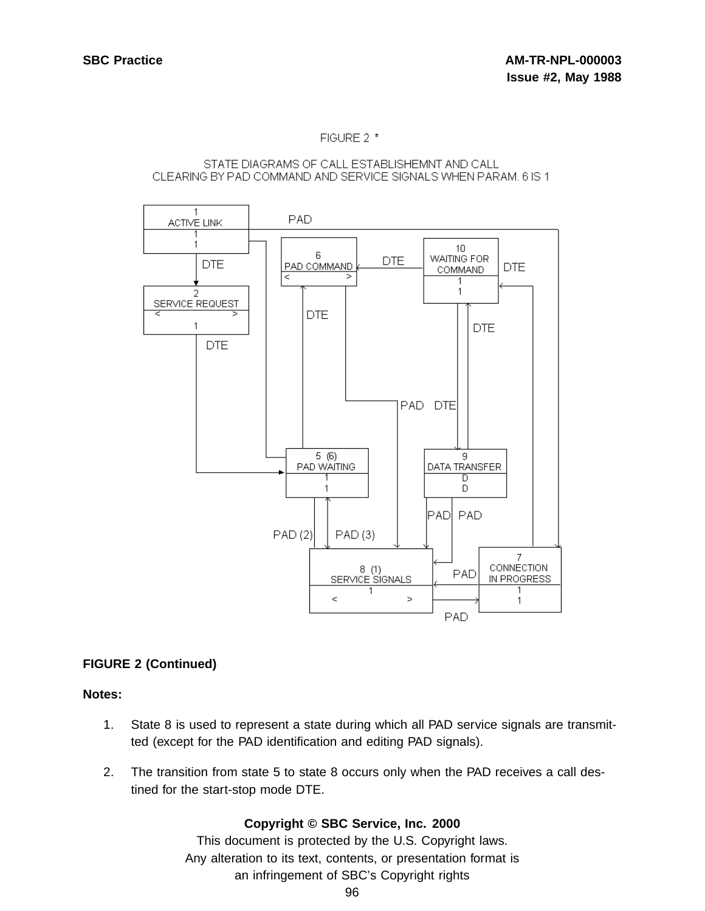#### FIGURE 2 \*

#### STATE DIAGRAMS OF CALL ESTABLISHEMNT AND CALL CLEARING BY PAD COMMAND AND SERVICE SIGNALS WHEN PARAM, 6 IS 1



# **FIGURE 2 (Continued)**

#### **Notes:**

- 1. State 8 is used to represent a state during which all PAD service signals are transmitted (except for the PAD identification and editing PAD signals).
- 2. The transition from state 5 to state 8 occurs only when the PAD receives a call destined for the start-stop mode DTE.

## **Copyright © SBC Service, Inc. 2000**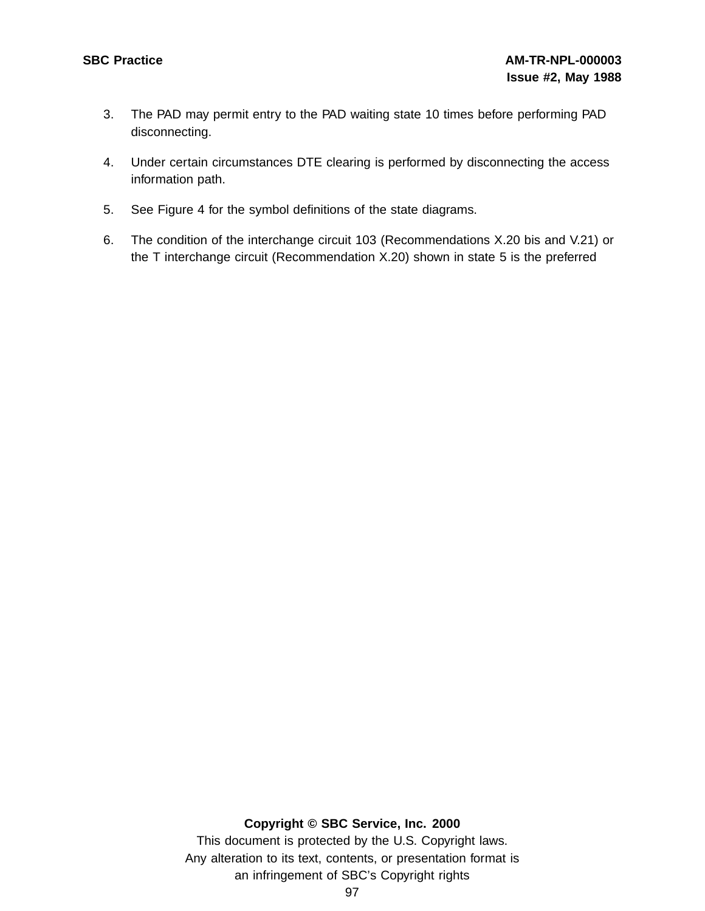- 3. The PAD may permit entry to the PAD waiting state 10 times before performing PAD disconnecting.
- 4. Under certain circumstances DTE clearing is performed by disconnecting the access information path.
- 5. See Figure 4 for the symbol definitions of the state diagrams.
- 6. The condition of the interchange circuit 103 (Recommendations X.20 bis and V.21) or the T interchange circuit (Recommendation X.20) shown in state 5 is the preferred

#### **Copyright © SBC Service, Inc. 2000**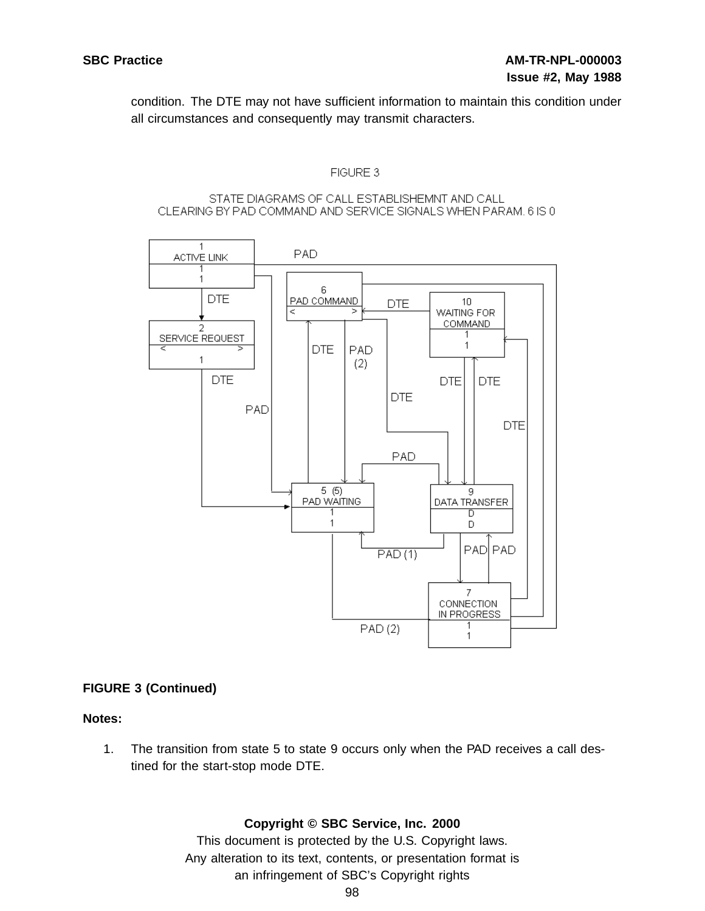condition. The DTE may not have sufficient information to maintain this condition under all circumstances and consequently may transmit characters.

#### FIGURE 3

#### STATE DIAGRAMS OF CALL ESTABLISHEMNT AND CALL CLEARING BY PAD COMMAND AND SERVICE SIGNALS WHEN PARAM, 6 IS 0



## **FIGURE 3 (Continued)**

## **Notes:**

1. The transition from state 5 to state 9 occurs only when the PAD receives a call destined for the start-stop mode DTE.

## **Copyright © SBC Service, Inc. 2000**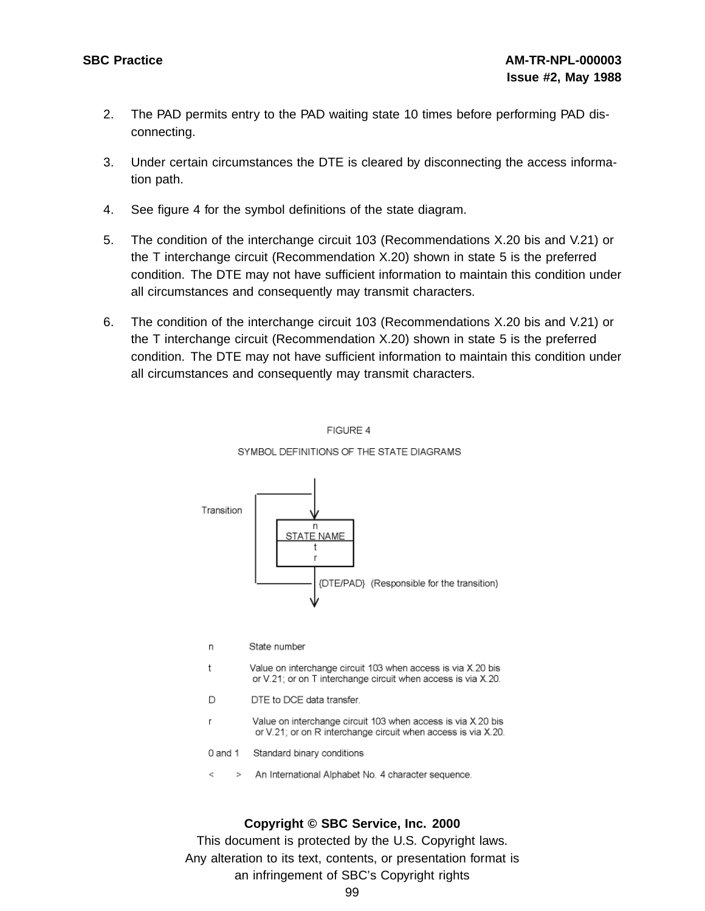- 2. The PAD permits entry to the PAD waiting state 10 times before performing PAD disconnecting.
- 3. Under certain circumstances the DTE is cleared by disconnecting the access information path.
- 4. See figure 4 for the symbol definitions of the state diagram.
- 5. The condition of the interchange circuit 103 (Recommendations X.20 bis and V.21) or the T interchange circuit (Recommendation X.20) shown in state 5 is the preferred condition. The DTE may not have sufficient information to maintain this condition under all circumstances and consequently may transmit characters.
- 6. The condition of the interchange circuit 103 (Recommendations X.20 bis and V.21) or the T interchange circuit (Recommendation X.20) shown in state 5 is the preferred condition. The DTE may not have sufficient information to maintain this condition under all circumstances and consequently may transmit characters.



FIGURE 4 SYMBOL DEFINITIONS OF THE STATE DIAGRAMS

#### **Copyright © SBC Service, Inc. 2000**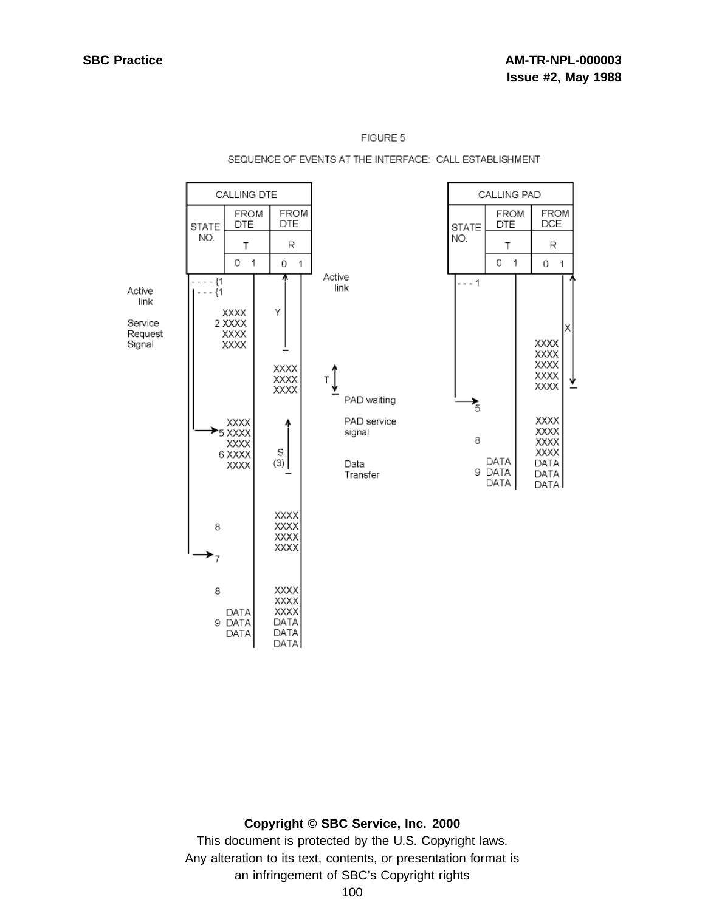# SEQUENCE OF EVENTS AT THE INTERFACE: CALL ESTABLISHMENT



#### **Copyright © SBC Service, Inc. 2000**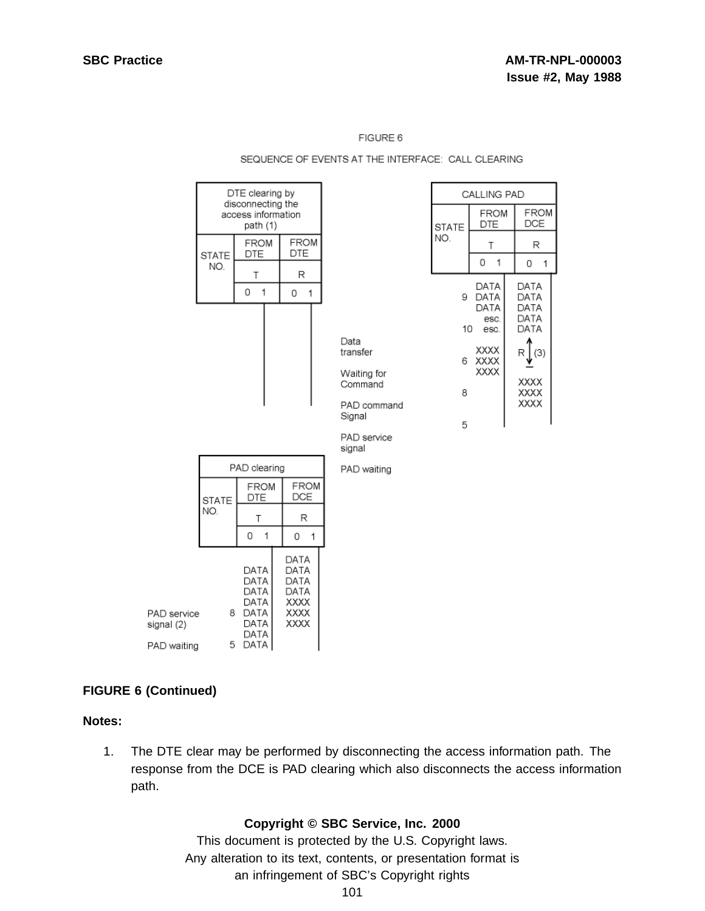|                                          | DTE clearing by<br>disconnecting the<br>access information<br>path (1) |                                                                |                                                      |                                                                                              |                        | CALLING PAD                                  |                                                          |  |
|------------------------------------------|------------------------------------------------------------------------|----------------------------------------------------------------|------------------------------------------------------|----------------------------------------------------------------------------------------------|------------------------|----------------------------------------------|----------------------------------------------------------|--|
|                                          |                                                                        |                                                                |                                                      |                                                                                              | <b>STATE</b>           | <b>FROM</b><br>DTE                           | <b>FROM</b><br>DCE                                       |  |
|                                          | <b>STATE</b><br>NO.                                                    | <b>FROM</b><br><b>DTE</b>                                      | <b>FROM</b><br>DTE                                   |                                                                                              | NO.                    | Τ                                            | R                                                        |  |
|                                          |                                                                        | T                                                              | R                                                    |                                                                                              |                        | 1<br>0                                       | 0<br>$\overline{1}$                                      |  |
|                                          |                                                                        | 1<br>0                                                         | 0<br>1                                               |                                                                                              |                        | DATA<br>9 DATA                               | DATA<br>DATA                                             |  |
|                                          |                                                                        |                                                                |                                                      | Data<br>transfer<br>Waiting for<br>Command<br>PAD command<br>Signal<br>PAD service<br>signal | $10-10$<br>6<br>8<br>5 | DATA<br>esc.<br>esc.<br>XXXX<br>XXXX<br>XXXX | DATA<br>DATA<br>DATA<br>(3)<br>R<br>XXXX<br>XXXX<br>XXXX |  |
|                                          | PAD clearing                                                           |                                                                |                                                      | PAD waiting                                                                                  |                        |                                              |                                                          |  |
|                                          | <b>STATE</b><br>NO.                                                    | FROM<br>DTE                                                    | <b>FROM</b><br>DCE                                   |                                                                                              |                        |                                              |                                                          |  |
|                                          |                                                                        | T                                                              | R                                                    |                                                                                              |                        |                                              |                                                          |  |
|                                          |                                                                        | 0<br>1                                                         | 0<br>1                                               |                                                                                              |                        |                                              |                                                          |  |
| PAD service<br>signal (2)<br>PAD waiting | 5.                                                                     | DATA<br>DATA<br>DATA<br>DATA<br>8 DATA<br>DATA<br>DATA<br>DATA | DATA<br>DATA<br>DATA<br>DATA<br>XXXX<br>XXXX<br>XXXX |                                                                                              |                        |                                              |                                                          |  |

#### SEQUENCE OF EVENTS AT THE INTERFACE: CALL CLEARING

## **FIGURE 6 (Continued)**

#### **Notes:**

1. The DTE clear may be performed by disconnecting the access information path. The response from the DCE is PAD clearing which also disconnects the access information path.

#### **Copyright © SBC Service, Inc. 2000**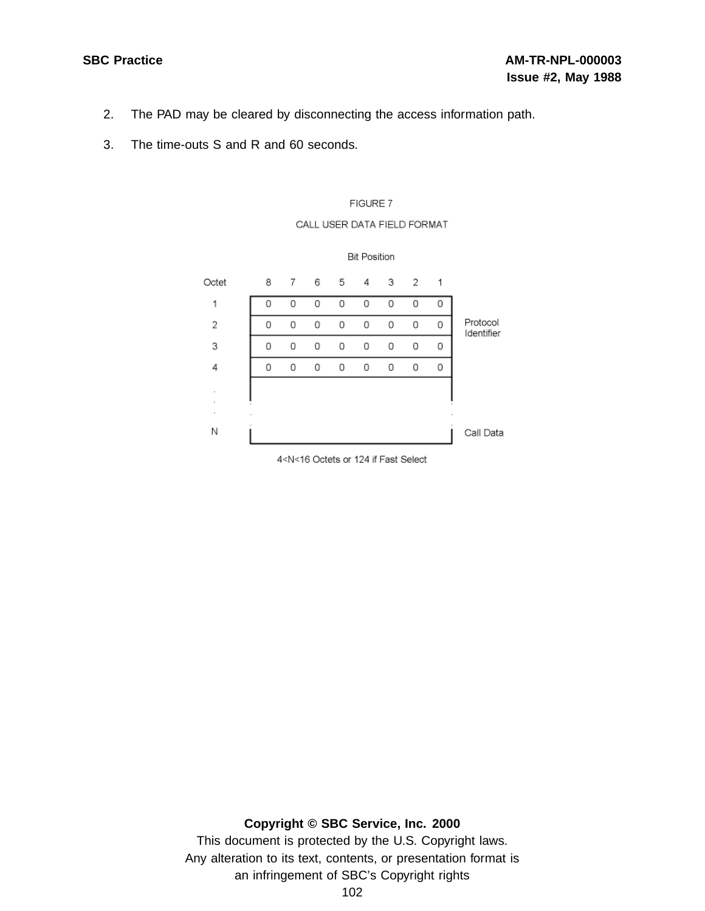- 2. The PAD may be cleared by disconnecting the access information path.
- 3. The time-outs S and R and 60 seconds.



#### CALL USER DATA FIELD FORMAT

4<N<16 Octets or 124 if Fast Select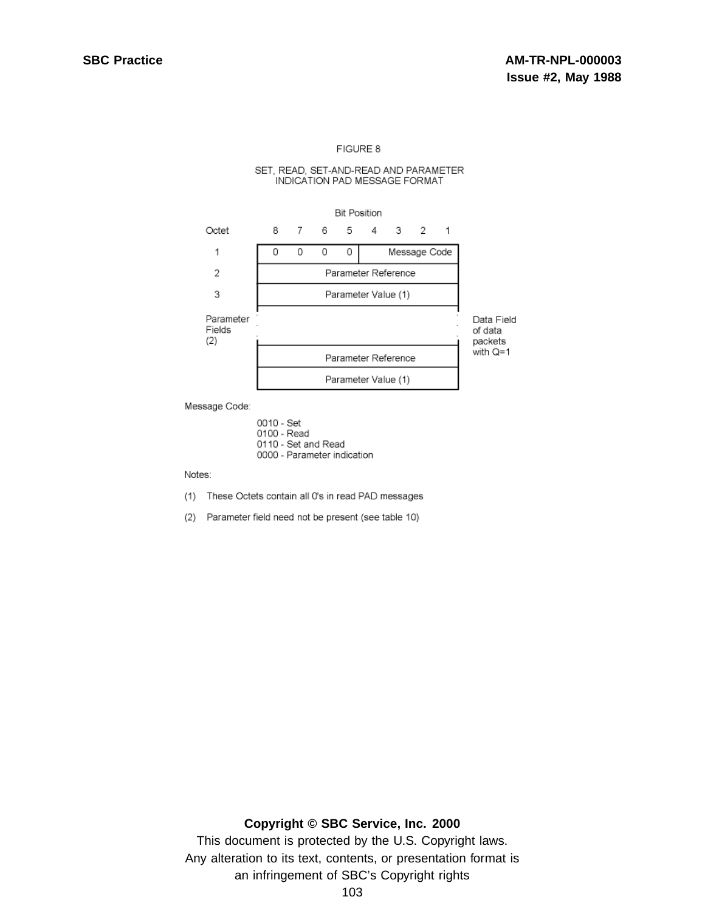#### SET, READ, SET-AND-READ AND PARAMETER INDICATION PAD MESSAGE FORMAT



Message Code:

0010 - Set 0100 - Read 0110 - Set and Read 0000 - Parameter indication

Notes:

- (1) These Octets contain all 0's in read PAD messages
- (2) Parameter field need not be present (see table 10)

#### **Copyright © SBC Service, Inc. 2000**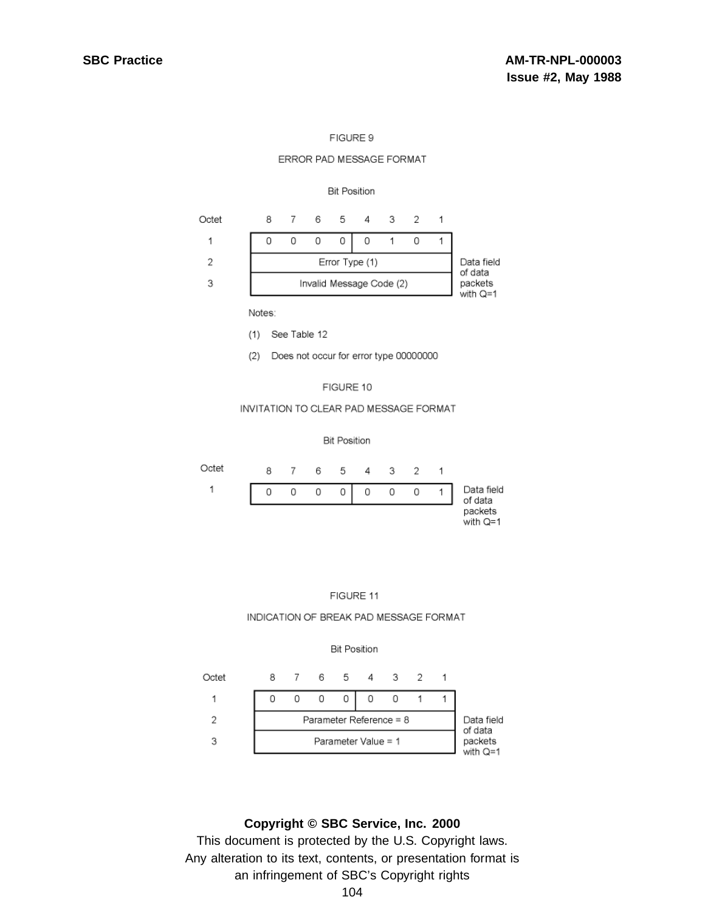#### ERROR PAD MESSAGE FORMAT

#### **Bit Position**



Notes:

(1) See Table 12

Does not occur for error type 00000000  $(2)$ 

#### FIGURE 10

#### INVITATION TO CLEAR PAD MESSAGE FORMAT

#### **Bit Position**





#### INDICATION OF BREAK PAD MESSAGE FORMAT



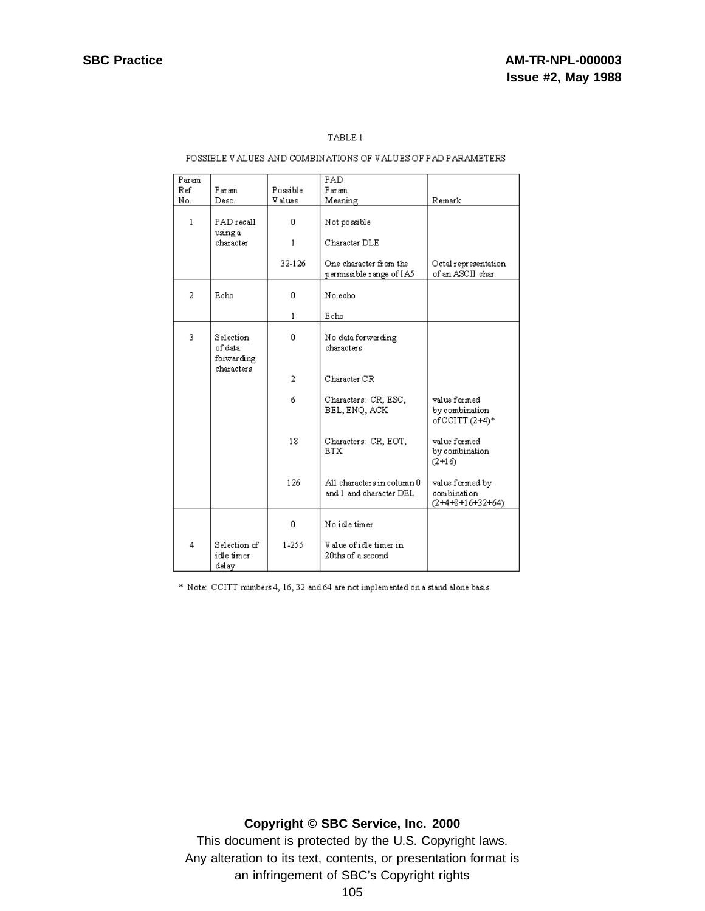### TABLE 1

#### POSSIBLE VALUES AND COMBINATIONS OF VALUES OF PAD PARAMETERS

| Param |                                                  |              | PAD.                                                  |                                                      |
|-------|--------------------------------------------------|--------------|-------------------------------------------------------|------------------------------------------------------|
| Ref   | Param                                            | Possible     | Param                                                 |                                                      |
| No.   | Desc.                                            | Values       | Meaning                                               | Remark                                               |
| 1     | PAD recall<br>using a                            | 0.           | Not possible                                          |                                                      |
|       | character                                        | $\mathbf{1}$ | Character DLE                                         |                                                      |
|       |                                                  | 32-126       | One character from the<br>permissible range of IA5    | Octal representation<br>of an ASCII char.            |
| 2     | Echo                                             | 0            | No echo                                               |                                                      |
|       |                                                  | 1            | Echo                                                  |                                                      |
| 3     | Selection<br>of data<br>forwarding<br>characters | 0            | No data forwarding<br>characters                      |                                                      |
|       |                                                  | 2            | Character CR                                          |                                                      |
|       |                                                  | 6            | Characters: CR, ESC,<br>BEL, ENQ, ACK                 | value formed<br>by combination<br>of CCITT $(2+4)*$  |
|       |                                                  | 18           | Characters: CR, EOT,<br><b>ETX</b>                    | value formed<br>by combination<br>$(2+16)$           |
|       |                                                  | 126          | All characters in column 0<br>and 1 and character DEL | value formed by<br>combination<br>$(2+4+8+16+32+64)$ |
|       |                                                  | 0            | No idle timer                                         |                                                      |
| 4     | Selection of<br>idle timer<br>delay              | 1-255        | Value of idle timer in<br>20ths of a second           |                                                      |

\* Note: CCITT numbers 4, 16, 32 and 64 are not implemented on a stand alone basis.

# **Copyright © SBC Service, Inc. 2000**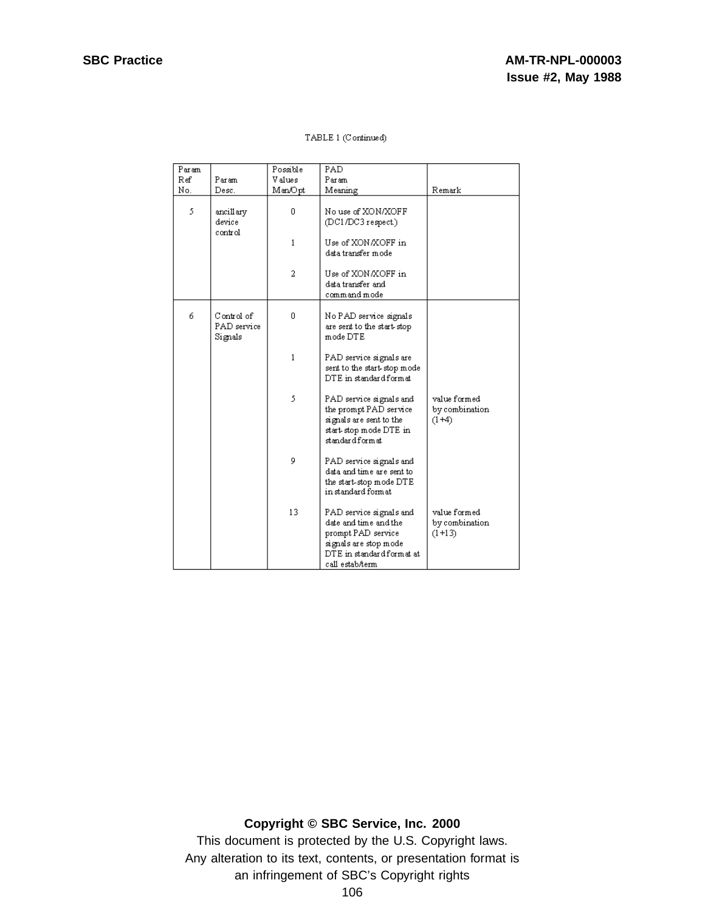| Param |                                      | Possible     | PAD                                                                                                                                              |                                            |
|-------|--------------------------------------|--------------|--------------------------------------------------------------------------------------------------------------------------------------------------|--------------------------------------------|
| Ref   | Param                                | V alues      | Param                                                                                                                                            |                                            |
| No.   | Desc.                                | Man/Opt      | Meaning                                                                                                                                          | Remark                                     |
| 5     | ancillary<br>device<br>control       | 0            | No use of XON/XOFF<br>(DC1/DC3 respect.)                                                                                                         |                                            |
|       |                                      | $\mathbf{1}$ | Use of XON/XOFF in<br>data transfer mode                                                                                                         |                                            |
|       |                                      | 2            | Use of XON/XOFF in<br>data transfer and<br>command mode                                                                                          |                                            |
| 6     | Control of<br>PAD service<br>Signals | 0            | No PAD service signals<br>are sent to the start-stop<br>mode DTE                                                                                 |                                            |
|       |                                      | $\mathbf{1}$ | PAD service signals are<br>sent to the start-stop mode<br>DTE in standard format                                                                 |                                            |
|       |                                      | 5            | PAD service signals and<br>the prompt PAD service<br>signals are sent to the<br>start stop mode DTE in<br>standard form at                       | value formed<br>by combination<br>$(1+4)$  |
|       |                                      | 9            | PAD service signals and<br>data and time are sent to<br>the start-stop mode DTE<br>in standard format.                                           |                                            |
|       |                                      | 13           | PAD service signals and<br>date and time and the<br>prompt PAD service<br>signals are stop mode<br>DTE in standard form at at<br>call estab/term | value formed<br>by combination<br>$(1+13)$ |

# **Copyright © SBC Service, Inc. 2000**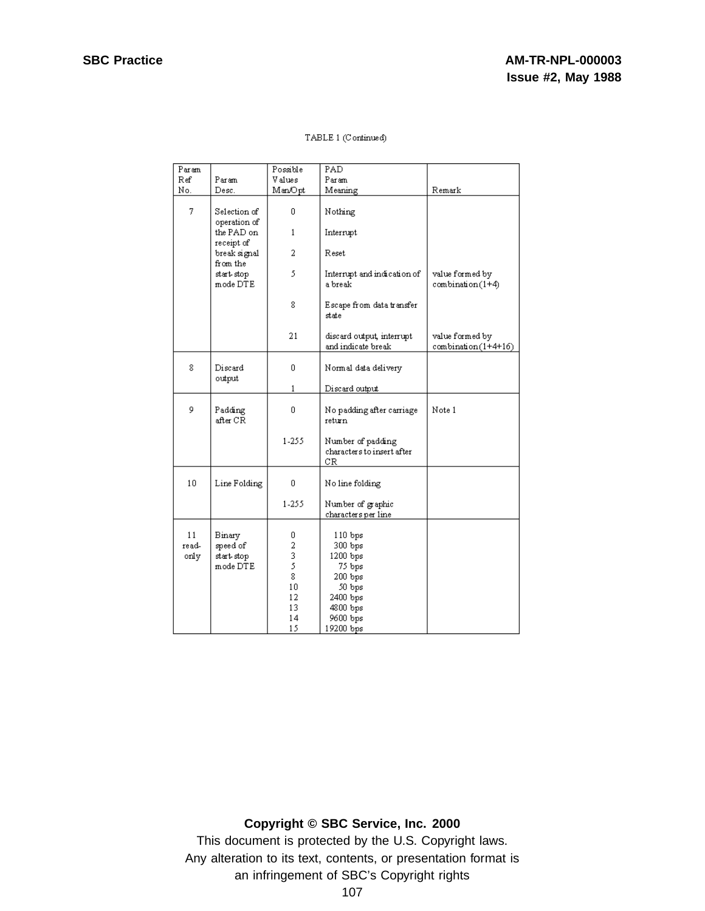| Param               |                                              | Possible                                        | PAD                                                                                     |                                        |
|---------------------|----------------------------------------------|-------------------------------------------------|-----------------------------------------------------------------------------------------|----------------------------------------|
| Ref                 | Param                                        | V alues                                         | Param                                                                                   |                                        |
| No.                 | Desc.                                        | Man/Opt                                         | Meaning                                                                                 | Remark                                 |
| 7                   | Selection of<br>operation of                 | 0                                               | Nothing                                                                                 |                                        |
|                     | the PAD on<br>receipt of                     | 1                                               | Interrupt                                                                               |                                        |
|                     | break signal<br>from the                     | 2                                               | Reset                                                                                   |                                        |
|                     | start stop<br>mode DTE                       | 5                                               | Interrupt and indication of<br>a break                                                  | value formed by<br>combination(1+4)    |
|                     |                                              | 8                                               | Escape from data transfer<br>state                                                      |                                        |
|                     |                                              | 21                                              | discard output, interrupt<br>and indicate break                                         | value formed by<br>combination(1+4+16) |
| 8                   | Discard<br>output                            | 0                                               | Normal data delivery                                                                    |                                        |
|                     |                                              | 1                                               | Discard output                                                                          |                                        |
| 9                   | Padding<br>after CR                          | 0                                               | No padding after carriage<br>return                                                     | Note 1                                 |
|                     |                                              | 1-255                                           | Number of padding<br>characters to insert after<br>CR                                   |                                        |
| 10                  | Line Folding                                 | 0                                               | No line folding                                                                         |                                        |
|                     |                                              | 1-255                                           | Number of graphic<br>characters per line                                                |                                        |
| 11<br>read-<br>only | Binary<br>speed of<br>start stop<br>mode DTE | 0<br>2<br>$\bar{3}$<br>5<br>8<br>10<br>12<br>13 | 110 bps<br>300 bps<br>$1200$ bps<br>75 bps<br>200 bps<br>50 bps<br>2400 bps<br>4800 bps |                                        |
|                     |                                              | 14<br>15                                        | 9600 bps<br>19200 bps                                                                   |                                        |

## **Copyright © SBC Service, Inc. 2000**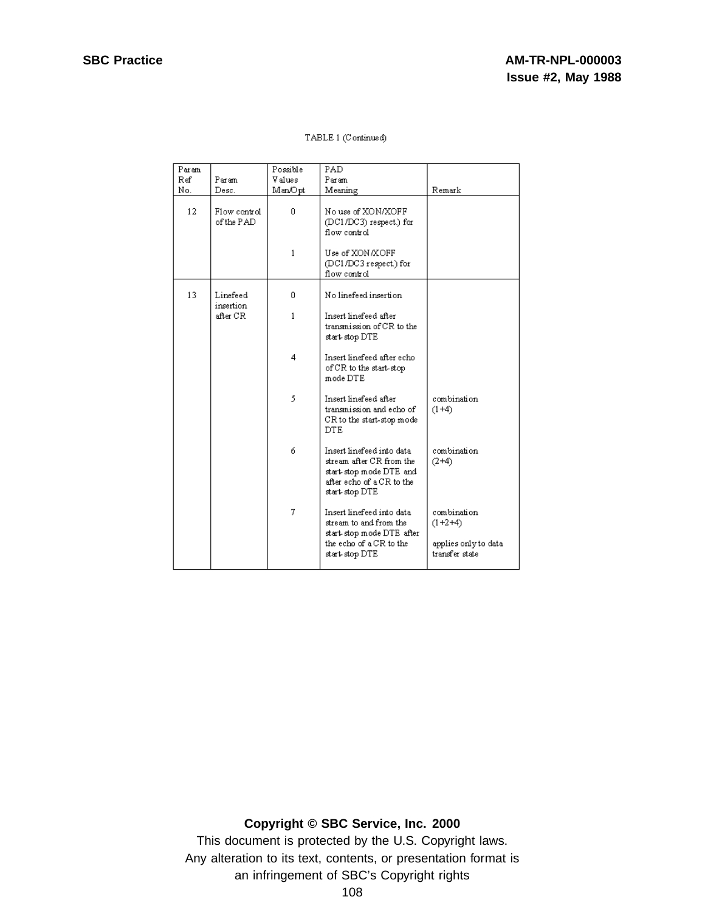| Param |                            | Possible     | PAD                                                                                                                             |                                                                    |
|-------|----------------------------|--------------|---------------------------------------------------------------------------------------------------------------------------------|--------------------------------------------------------------------|
| Ref   | Param                      | V alues      | Param                                                                                                                           |                                                                    |
| No.   | Desc.                      | Man/Opt      | Meaning                                                                                                                         | Remark                                                             |
| 12    | Flow control<br>of the PAD | 0            | No use of XON/XOFF<br>(DC1/DC3) respect.) for<br>flow control                                                                   |                                                                    |
|       |                            | 1            | Use of XON/XOFF<br>(DC1/DC3 respect.) for<br>flow control.                                                                      |                                                                    |
| 13    | Linefeed<br>insertion      | 0            | No linefeed insertion                                                                                                           |                                                                    |
|       | after CR                   | $\mathbf{1}$ | Insert linefeed after<br>transmission of CR to the<br>start stop DTE                                                            |                                                                    |
|       |                            | 4            | Insert linefeed after echo<br>of CR to the start-stop<br>mode DTE                                                               |                                                                    |
|       |                            | 5            | Insert linefeed after<br>transmission and echo of<br>CR to the start-stop mode<br><b>DTE</b>                                    | combination<br>$(1+4)$                                             |
|       |                            | 6            | Insert linefeed into data<br>stream after CR from the<br>start-stop mode DTE and<br>after echo of a CR to the<br>start stop DTE | combination<br>$(2+4)$                                             |
|       |                            | 7            | Insert linefeed into data<br>stream to and from the<br>start stop mode DTE after<br>the echo of a CR to the<br>start stop DTE   | combination<br>$(1+2+4)$<br>applies only to data<br>transfer state |

**Copyright © SBC Service, Inc. 2000**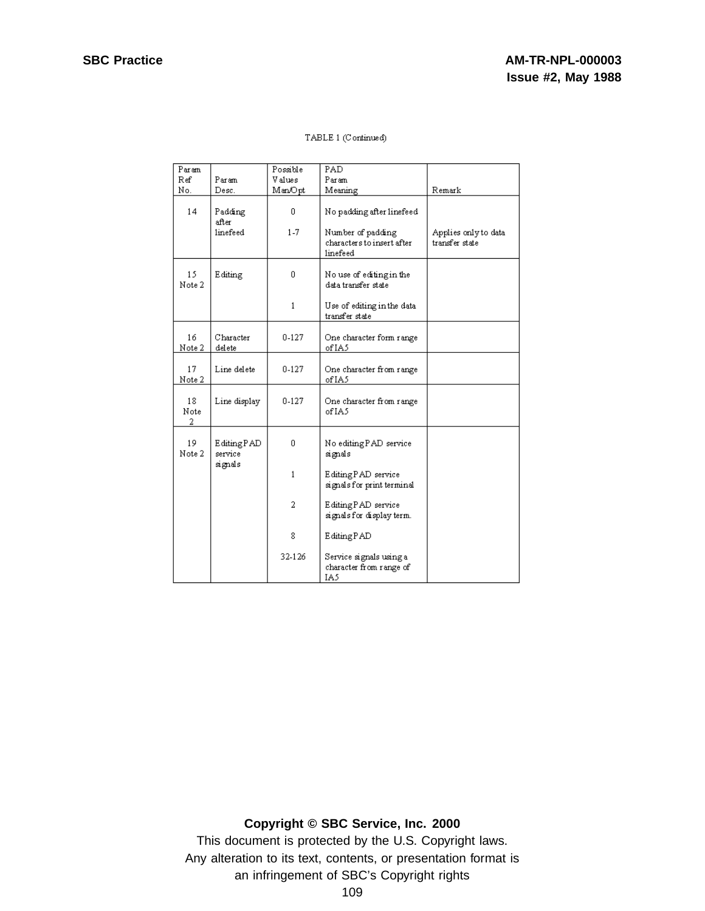| Param           |                                  | Possible     | PAD                                                         |                                        |
|-----------------|----------------------------------|--------------|-------------------------------------------------------------|----------------------------------------|
| Ref             | Param                            | Values       | Param                                                       |                                        |
| No.             | Desc.                            | ManOpt       | Meaning                                                     | Remark                                 |
| 14              | Padding<br>after.                | 0            | No padding after linefeed                                   |                                        |
|                 | linefeed                         | $1 - 7$      | Number of padding<br>characters to insert after<br>linefeed | Applies only to data<br>transfer state |
| 15<br>Note 2    | Editing                          | 0            | No use of editing in the<br>data transfer state             |                                        |
|                 |                                  | $\mathbf{1}$ | Use of editing in the data<br>transfer state                |                                        |
| 16<br>Note 2    | Character<br>delete              | $0-127$      | One character form range<br>of IA5                          |                                        |
| 17<br>Note 2    | Line delete                      | $0 - 127$    | One character from range<br>of IA5                          |                                        |
| 18<br>Note<br>2 | Line display                     | 0-127        | One character from range<br>of IA5                          |                                        |
| 19<br>Note 2    | EditingPAD<br>service<br>signals | 0            | No editing PAD service<br>signals                           |                                        |
|                 |                                  | $\mathbf{1}$ | Editing PAD service<br>signals for print terminal           |                                        |
|                 |                                  | 2            | Editing PAD service<br>signals for display term.            |                                        |
|                 |                                  | 8            | EditingPAD                                                  |                                        |
|                 |                                  | 32-126       | Service signals using a<br>character from range of<br>IA5   |                                        |

## **Copyright © SBC Service, Inc. 2000**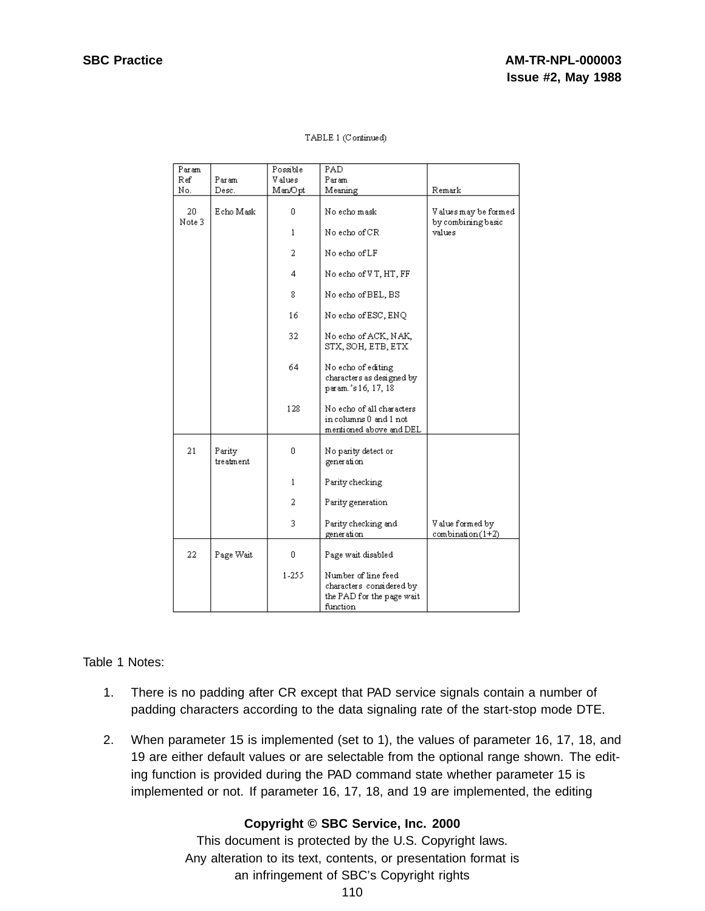| Param        |                     | Possible       | PAD                                                                                      |                                            |
|--------------|---------------------|----------------|------------------------------------------------------------------------------------------|--------------------------------------------|
| Ref          | Param               | <b>V</b> alues | Param                                                                                    |                                            |
| No.          | Desc.               | Man/Opt        | Meaning                                                                                  | Remark                                     |
| 20<br>Note 3 | Echo Mask           | 0              | No echo mask                                                                             | Values may be formed<br>by combining basic |
|              |                     | $\mathbf{1}$   | No echo of CR                                                                            | values                                     |
|              |                     | 2              | No echo of LF                                                                            |                                            |
|              |                     | 4              | No echo of VT, HT, FF                                                                    |                                            |
|              |                     | 8              | No echo of BEL, BS                                                                       |                                            |
|              |                     | 16             | No echo of ESC, ENQ                                                                      |                                            |
|              |                     | 32             | No echo of ACK, NAK,<br>STX, SOH, ETB, ETX                                               |                                            |
|              |                     | 64             | No echo of editing<br>characters as designed by<br>param.'s 16, 17, 18                   |                                            |
|              |                     | 128            | No echo of all characters<br>in columns 0 and 1 not<br>mentioned above and DEL           |                                            |
| 21           | Parity<br>treatment | 0              | No parity detect or<br>generation                                                        |                                            |
|              |                     | $\mathbf{1}$   | Parity checking                                                                          |                                            |
|              |                     | 2              | Parity generation                                                                        |                                            |
|              |                     | 3              | Parity checking and<br>generation                                                        | V alue formed by<br>combination(1+2)       |
| 22.          | Page Wait           | 0              | Page wait disabled                                                                       |                                            |
|              |                     | 1-255          | Number of line feed<br>characters considered by<br>the PAD for the page wait<br>function |                                            |

## Table 1 Notes:

- 1. There is no padding after CR except that PAD service signals contain a number of padding characters according to the data signaling rate of the start-stop mode DTE.
- 2. When parameter 15 is implemented (set to 1), the values of parameter 16, 17, 18, and 19 are either default values or are selectable from the optional range shown. The editing function is provided during the PAD command state whether parameter 15 is implemented or not. If parameter 16, 17, 18, and 19 are implemented, the editing

# **Copyright © SBC Service, Inc. 2000**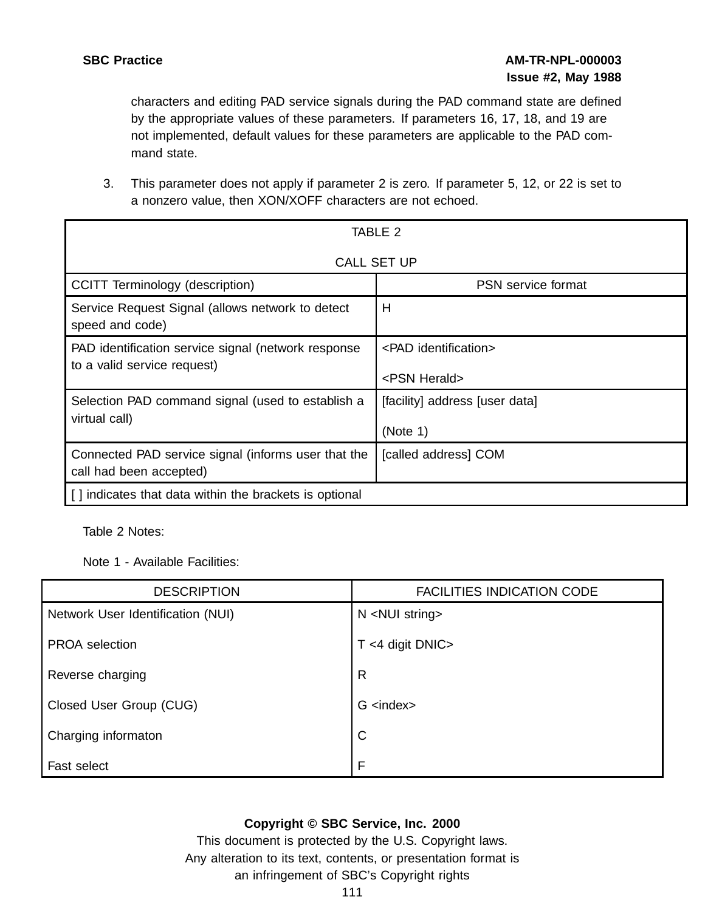characters and editing PAD service signals during the PAD command state are defined by the appropriate values of these parameters. If parameters 16, 17, 18, and 19 are not implemented, default values for these parameters are applicable to the PAD command state.

3. This parameter does not apply if parameter 2 is zero. If parameter 5, 12, or 22 is set to a nonzero value, then XON/XOFF characters are not echoed.

| TABLE 2                                                                            |                                                         |  |
|------------------------------------------------------------------------------------|---------------------------------------------------------|--|
|                                                                                    | <b>CALL SET UP</b>                                      |  |
| CCITT Terminology (description)                                                    | <b>PSN</b> service format                               |  |
| Service Request Signal (allows network to detect<br>speed and code)                | H                                                       |  |
| PAD identification service signal (network response<br>to a valid service request) | <pad identification=""><br/><psn herald=""></psn></pad> |  |
| Selection PAD command signal (used to establish a<br>virtual call)                 | [facility] address [user data]<br>(Note 1)              |  |
| Connected PAD service signal (informs user that the<br>call had been accepted)     | [called address] COM                                    |  |
| indicates that data within the brackets is optional                                |                                                         |  |

Table 2 Notes:

Note 1 - Available Facilities:

| <b>DESCRIPTION</b>                | <b>FACILITIES INDICATION CODE</b> |
|-----------------------------------|-----------------------------------|
| Network User Identification (NUI) | N <nui string=""></nui>           |
| <b>PROA</b> selection             | $T < 4$ digit DNIC>               |
| Reverse charging                  | $\mathsf{R}$                      |
| Closed User Group (CUG)           | $G$ <index></index>               |
| Charging informaton               | $\mathsf{C}$                      |
| Fast select                       | F                                 |

# **Copyright © SBC Service, Inc. 2000**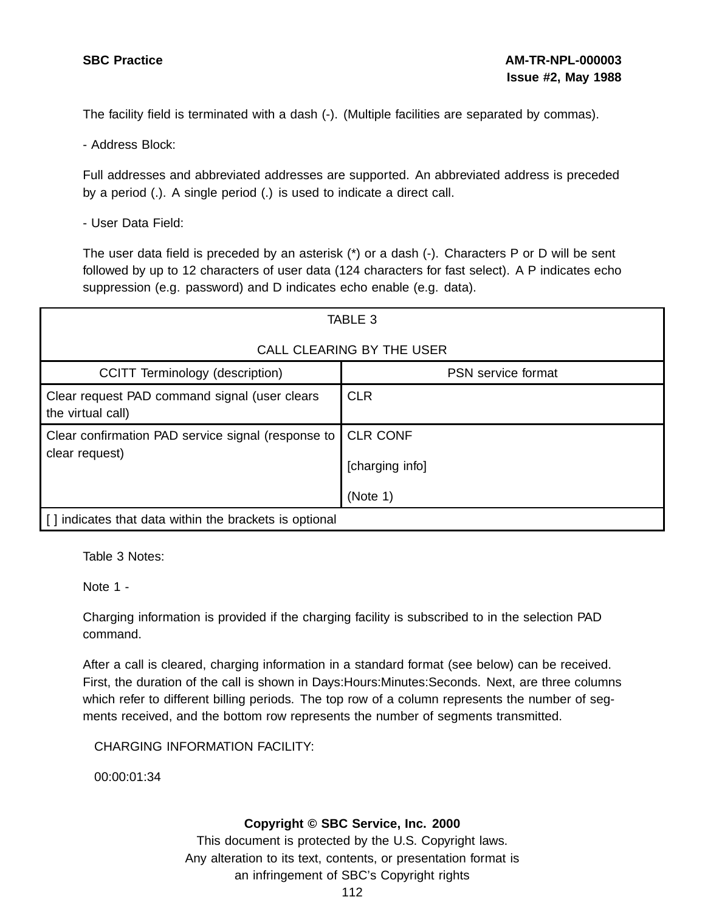The facility field is terminated with a dash (-). (Multiple facilities are separated by commas).

- Address Block:

Full addresses and abbreviated addresses are supported. An abbreviated address is preceded by a period (.). A single period (.) is used to indicate a direct call.

- User Data Field:

The user data field is preceded by an asterisk (\*) or a dash (-). Characters P or D will be sent followed by up to 12 characters of user data (124 characters for fast select). A P indicates echo suppression (e.g. password) and D indicates echo enable (e.g. data).

| TABLE 3                                                              |                                                |  |  |
|----------------------------------------------------------------------|------------------------------------------------|--|--|
| CALL CLEARING BY THE USER                                            |                                                |  |  |
| CCITT Terminology (description)                                      | PSN service format                             |  |  |
| Clear request PAD command signal (user clears<br>the virtual call)   | <b>CLR</b>                                     |  |  |
| Clear confirmation PAD service signal (response to<br>clear request) | <b>CLR CONF</b><br>[charging info]<br>(Note 1) |  |  |
| indicates that data within the brackets is optional                  |                                                |  |  |

Table 3 Notes:

Note 1 -

Charging information is provided if the charging facility is subscribed to in the selection PAD command.

After a call is cleared, charging information in a standard format (see below) can be received. First, the duration of the call is shown in Days:Hours:Minutes:Seconds. Next, are three columns which refer to different billing periods. The top row of a column represents the number of segments received, and the bottom row represents the number of segments transmitted.

CHARGING INFORMATION FACILITY:

00:00:01:34

## **Copyright © SBC Service, Inc. 2000**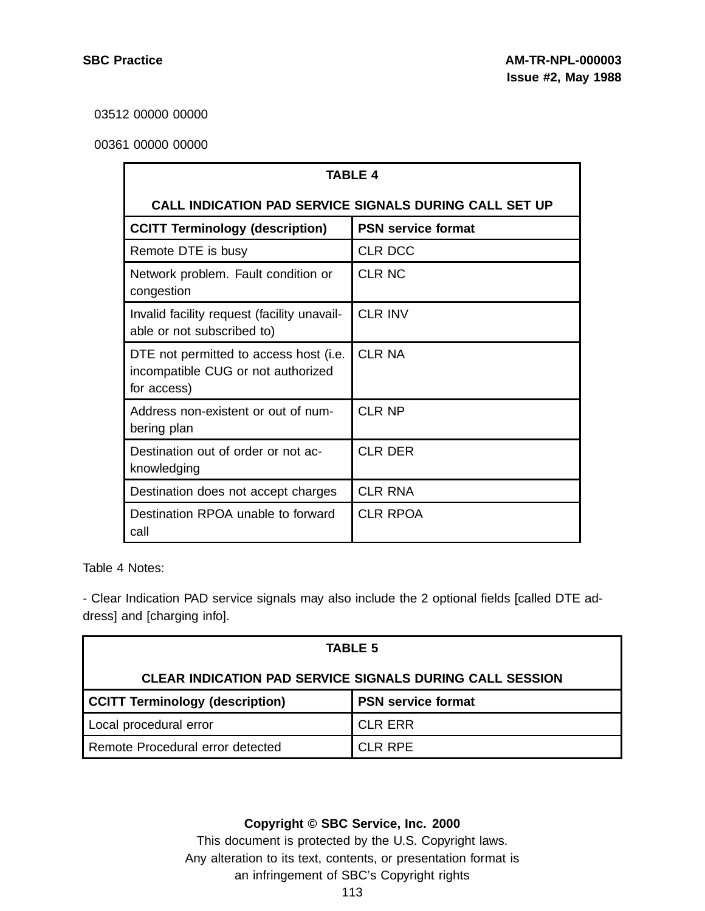03512 00000 00000

## 00361 00000 00000

| <b>TABLE 4</b>                                                                              |                           |  |  |
|---------------------------------------------------------------------------------------------|---------------------------|--|--|
| <b>CALL INDICATION PAD SERVICE SIGNALS DURING CALL SET UP</b>                               |                           |  |  |
| <b>CCITT Terminology (description)</b>                                                      | <b>PSN service format</b> |  |  |
| Remote DTE is busy                                                                          | <b>CLR DCC</b>            |  |  |
| Network problem. Fault condition or<br>congestion                                           | <b>CLR NC</b>             |  |  |
| Invalid facility request (facility unavail-<br>able or not subscribed to)                   | <b>CLR INV</b>            |  |  |
| DTE not permitted to access host (i.e.<br>incompatible CUG or not authorized<br>for access) | <b>CLR NA</b>             |  |  |
| Address non-existent or out of num-<br>bering plan                                          | <b>CLR NP</b>             |  |  |
| Destination out of order or not ac-<br>knowledging                                          | <b>CLR DER</b>            |  |  |
| Destination does not accept charges                                                         | <b>CLR RNA</b>            |  |  |
| Destination RPOA unable to forward<br>call                                                  | <b>CLR RPOA</b>           |  |  |

Table 4 Notes:

- Clear Indication PAD service signals may also include the 2 optional fields [called DTE address] and [charging info].

| <b>TABLE 5</b>                                                      |                |  |  |
|---------------------------------------------------------------------|----------------|--|--|
| <b>CLEAR INDICATION PAD SERVICE SIGNALS DURING CALL SESSION</b>     |                |  |  |
| <b>CCITT Terminology (description)</b><br><b>PSN service format</b> |                |  |  |
| Local procedural error                                              | <b>CLR ERR</b> |  |  |
| Remote Procedural error detected                                    | CLR RPE        |  |  |

## **Copyright © SBC Service, Inc. 2000**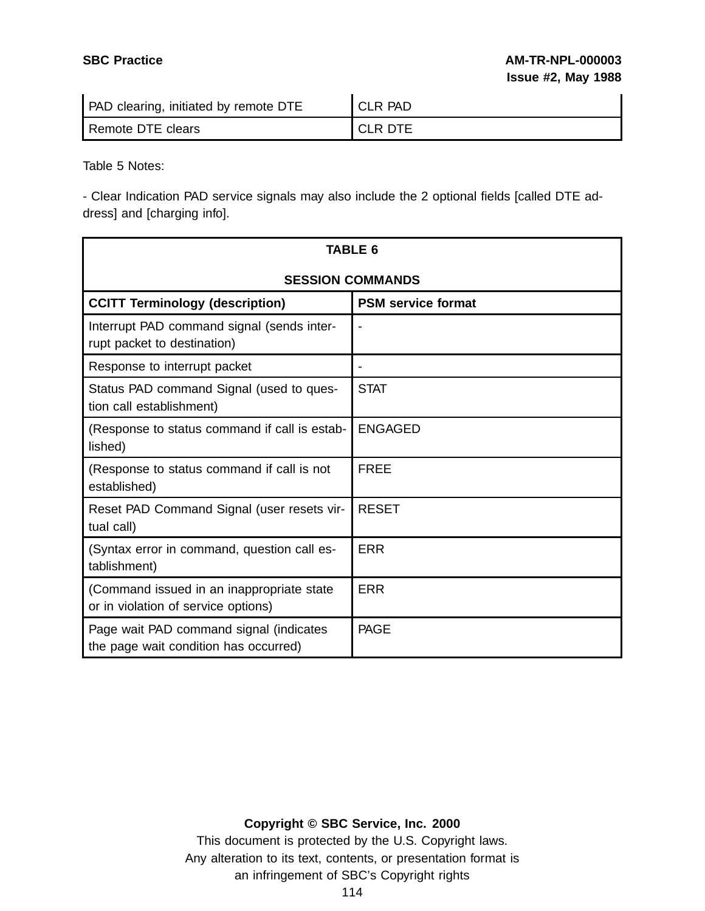| <b>PAD</b> clearing, initiated by remote DTE | <b>CLR PAD</b> |
|----------------------------------------------|----------------|
| Remote DTE clears                            | <b>CLR DTE</b> |

Table 5 Notes:

- Clear Indication PAD service signals may also include the 2 optional fields [called DTE address] and [charging info].

| TABLE 6                                                                          |                           |  |  |
|----------------------------------------------------------------------------------|---------------------------|--|--|
| <b>SESSION COMMANDS</b>                                                          |                           |  |  |
| <b>CCITT Terminology (description)</b>                                           | <b>PSM service format</b> |  |  |
| Interrupt PAD command signal (sends inter-<br>rupt packet to destination)        |                           |  |  |
| Response to interrupt packet                                                     |                           |  |  |
| Status PAD command Signal (used to ques-<br>tion call establishment)             | <b>STAT</b>               |  |  |
| (Response to status command if call is estab-<br>lished)                         | <b>ENGAGED</b>            |  |  |
| (Response to status command if call is not<br>established)                       | <b>FREE</b>               |  |  |
| Reset PAD Command Signal (user resets vir-<br>tual call)                         | <b>RESET</b>              |  |  |
| (Syntax error in command, question call es-<br>tablishment)                      | <b>ERR</b>                |  |  |
| (Command issued in an inappropriate state<br>or in violation of service options) | ERR                       |  |  |
| Page wait PAD command signal (indicates<br>the page wait condition has occurred) | <b>PAGE</b>               |  |  |

# **Copyright © SBC Service, Inc. 2000**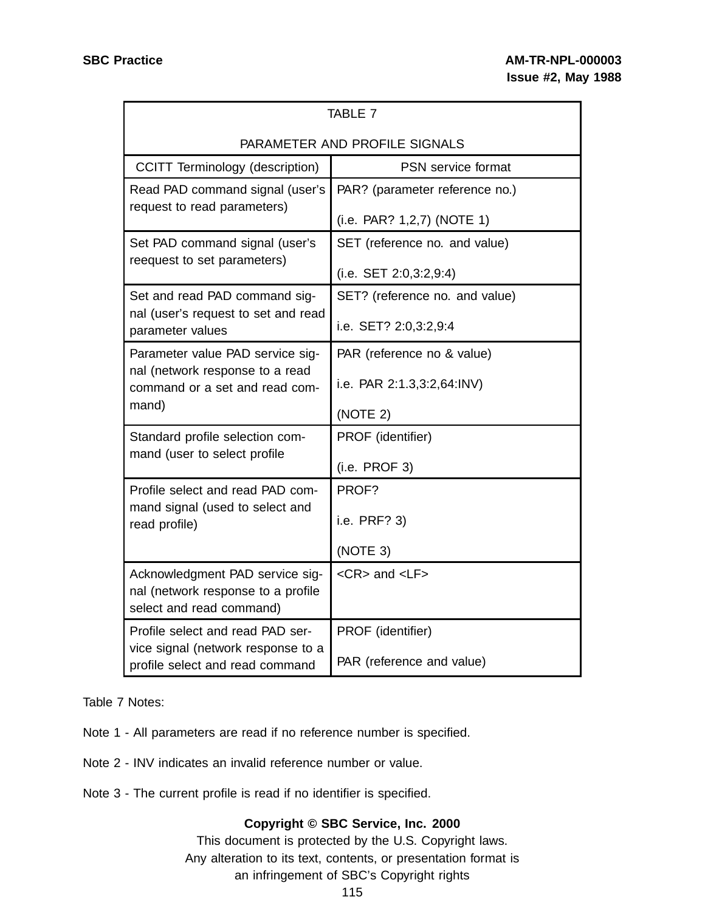| <b>TABLE 7</b>                                                             |                                |  |  |  |
|----------------------------------------------------------------------------|--------------------------------|--|--|--|
| PARAMETER AND PROFILE SIGNALS                                              |                                |  |  |  |
| <b>CCITT Terminology (description)</b>                                     | <b>PSN</b> service format      |  |  |  |
| Read PAD command signal (user's                                            | PAR? (parameter reference no.) |  |  |  |
| request to read parameters)                                                | (i.e. PAR? 1,2,7) (NOTE 1)     |  |  |  |
| Set PAD command signal (user's                                             | SET (reference no. and value)  |  |  |  |
| reequest to set parameters)                                                | (i.e. SET 2:0,3:2,9:4)         |  |  |  |
| Set and read PAD command sig-                                              | SET? (reference no. and value) |  |  |  |
| nal (user's request to set and read<br>parameter values                    | i.e. SET? 2:0,3:2,9:4          |  |  |  |
| Parameter value PAD service sig-                                           | PAR (reference no & value)     |  |  |  |
| nal (network response to a read<br>command or a set and read com-<br>mand) | i.e. PAR 2:1.3,3:2,64:INV)     |  |  |  |
|                                                                            | (NOTE 2)                       |  |  |  |
| Standard profile selection com-                                            | PROF (identifier)              |  |  |  |
| mand (user to select profile                                               | (i.e. PROF 3)                  |  |  |  |
| Profile select and read PAD com-                                           | PROF?                          |  |  |  |
| mand signal (used to select and<br>read profile)                           | i.e. PRF? 3)                   |  |  |  |
|                                                                            | (NOTE 3)                       |  |  |  |
| Acknowledgment PAD service sig-                                            | <cr> and <lf></lf></cr>        |  |  |  |
| nal (network response to a profile<br>select and read command)             |                                |  |  |  |
| Profile select and read PAD ser-                                           | PROF (identifier)              |  |  |  |
| vice signal (network response to a<br>profile select and read command      | PAR (reference and value)      |  |  |  |

Table 7 Notes:

- Note 1 All parameters are read if no reference number is specified.
- Note 2 INV indicates an invalid reference number or value.
- Note 3 The current profile is read if no identifier is specified.

## **Copyright © SBC Service, Inc. 2000**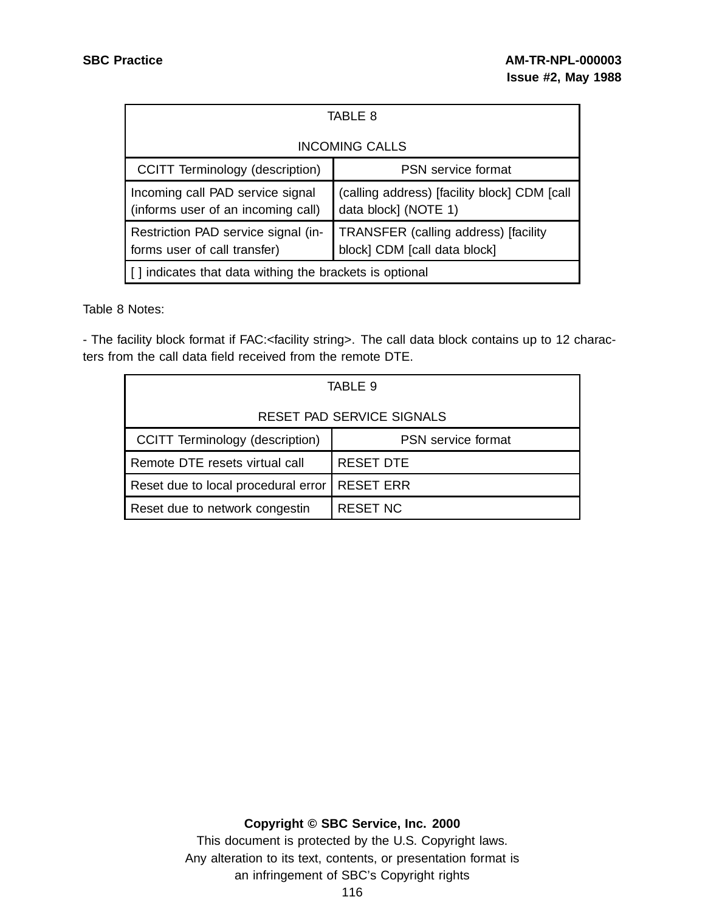| TABLE 8                                                                |                                                                      |  |
|------------------------------------------------------------------------|----------------------------------------------------------------------|--|
| <b>INCOMING CALLS</b>                                                  |                                                                      |  |
| CCITT Terminology (description)                                        | <b>PSN</b> service format                                            |  |
| Incoming call PAD service signal<br>(informs user of an incoming call) | (calling address) [facility block] CDM [call<br>data block] (NOTE 1) |  |
| Restriction PAD service signal (in-<br>forms user of call transfer)    | TRANSFER (calling address) [facility<br>block] CDM [call data block] |  |
| [] indicates that data withing the brackets is optional                |                                                                      |  |

Table 8 Notes:

- The facility block format if FAC:<facility string>. The call data block contains up to 12 characters from the call data field received from the remote DTE.

| TABLE 9                                |                           |  |  |
|----------------------------------------|---------------------------|--|--|
| RESET PAD SERVICE SIGNALS              |                           |  |  |
| <b>CCITT Terminology (description)</b> | <b>PSN</b> service format |  |  |
| Remote DTE resets virtual call         | <b>RESET DTE</b>          |  |  |
| Reset due to local procedural error    | <b>RESET ERR</b>          |  |  |
| Reset due to network congestin         | <b>RESET NC</b>           |  |  |

## **Copyright © SBC Service, Inc. 2000**